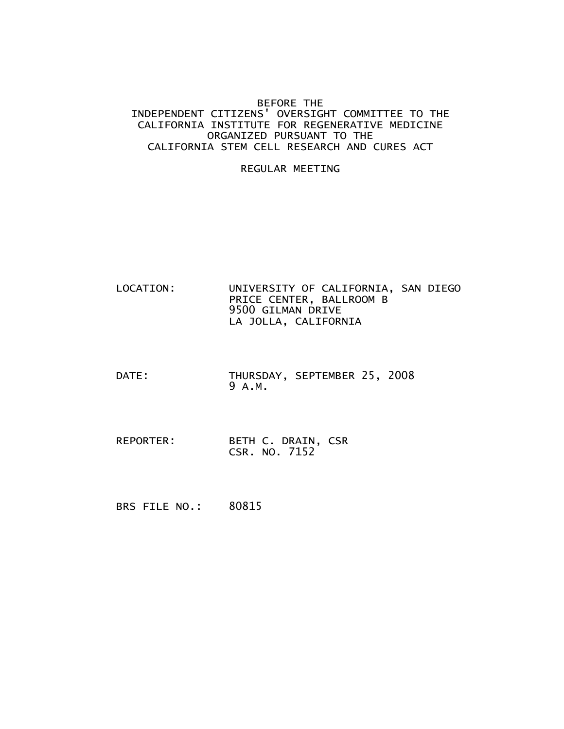#### BEFORE THE INDEPENDENT CITIZENS' OVERSIGHT COMMITTEE TO THE CALIFORNIA INSTITUTE FOR REGENERATIVE MEDICINE ORGANIZED PURSUANT TO THE CALIFORNIA STEM CELL RESEARCH AND CURES ACT

#### REGULAR MEETING

#### LOCATION: UNIVERSITY OF CALIFORNIA, SAN DIEGO PRICE CENTER, BALLROOM B 9500 GILMAN DRIVE LA JOLLA, CALIFORNIA

- DATE: THURSDAY, SEPTEMBER 25, 2008 9 A.M.
- REPORTER: BETH C. DRAIN, CSR CSR. NO. 7152

BRS FILE NO.: 80815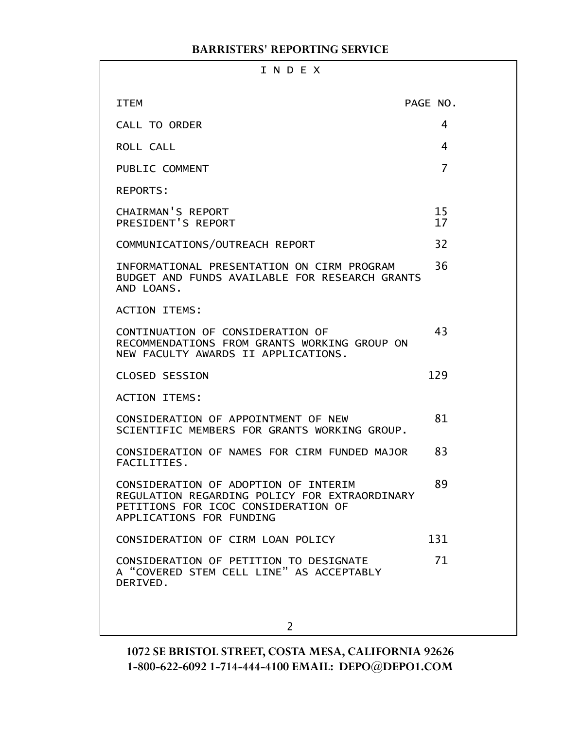# I N D E X

| <b>ITEM</b>                                                                                                                                              | PAGE NO. |          |
|----------------------------------------------------------------------------------------------------------------------------------------------------------|----------|----------|
| <b>CALL TO ORDER</b>                                                                                                                                     |          | 4        |
| ROLL CALL                                                                                                                                                |          | 4        |
| PUBLIC COMMENT                                                                                                                                           |          | 7        |
| <b>REPORTS:</b>                                                                                                                                          |          |          |
| CHAIRMAN'S REPORT<br>PRESIDENT'S REPORT                                                                                                                  |          | 15<br>17 |
| COMMUNICATIONS/OUTREACH REPORT                                                                                                                           |          | 32       |
| INFORMATIONAL PRESENTATION ON CIRM PROGRAM<br>BUDGET AND FUNDS AVAILABLE FOR RESEARCH GRANTS<br>AND LOANS.                                               |          | 36       |
| <b>ACTION ITEMS:</b>                                                                                                                                     |          |          |
| CONTINUATION OF CONSIDERATION OF<br>RECOMMENDATIONS FROM GRANTS WORKING GROUP ON<br>NEW FACULTY AWARDS II APPLICATIONS.                                  |          | 43       |
| <b>CLOSED SESSION</b>                                                                                                                                    |          | 129      |
| <b>ACTION ITEMS:</b>                                                                                                                                     |          |          |
| CONSIDERATION OF APPOINTMENT OF NEW<br>SCIENTIFIC MEMBERS FOR GRANTS WORKING GROUP.                                                                      |          | 81       |
| CONSIDERATION OF NAMES FOR CIRM FUNDED MAJOR<br>FACILITIES.                                                                                              |          | 83       |
| CONSIDERATION OF ADOPTION OF INTERIM<br>REGULATION REGARDING POLICY FOR EXTRAORDINARY<br>PETITIONS FOR ICOC CONSIDERATION OF<br>APPLICATIONS FOR FUNDING |          | 89       |
| CONSIDERATION OF CIRM LOAN POLICY                                                                                                                        |          | 131      |
| CONSIDERATION OF PETITION TO DESIGNATE<br>A "COVERED STEM CELL LINE" AS ACCEPTABLY<br>DERIVED.                                                           |          | 71       |
|                                                                                                                                                          |          |          |
| $\overline{2}$                                                                                                                                           |          |          |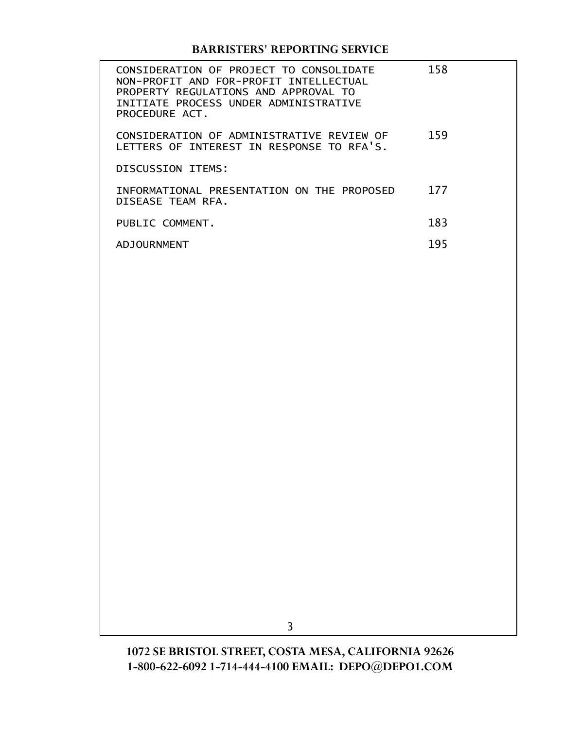| CONSIDERATION OF PROJECT TO CONSOLIDATE<br>NON-PROFIT AND FOR-PROFIT INTELLECTUAL<br>PROPERTY REGULATIONS AND APPROVAL TO<br>INITIATE PROCESS UNDER ADMINISTRATIVE<br>PROCEDURE ACT. | 158 |
|--------------------------------------------------------------------------------------------------------------------------------------------------------------------------------------|-----|
| CONSIDERATION OF ADMINISTRATIVE REVIEW OF<br>LETTERS OF INTEREST IN RESPONSE TO RFA'S.                                                                                               | 159 |
| DISCUSSION ITEMS:                                                                                                                                                                    |     |
| INFORMATIONAL PRESENTATION ON THE PROPOSED<br>DISEASE TEAM RFA.                                                                                                                      | 177 |
| PUBLIC COMMENT.                                                                                                                                                                      | 183 |
| ADJOURNMENT                                                                                                                                                                          | 195 |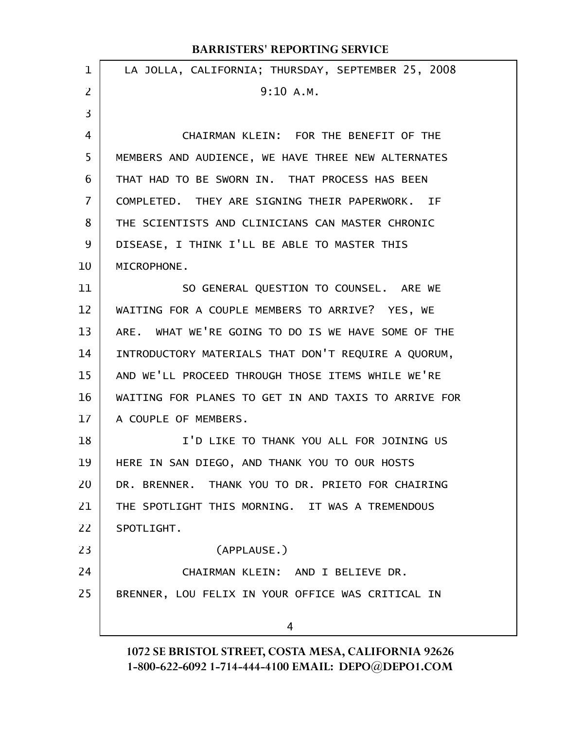| $\mathbf{1}$      | LA JOLLA, CALIFORNIA; THURSDAY, SEPTEMBER 25, 2008   |
|-------------------|------------------------------------------------------|
| $\overline{2}$    | 9:10A.M.                                             |
| 3                 |                                                      |
| 4                 | CHAIRMAN KLEIN: FOR THE BENEFIT OF THE               |
| 5                 | MEMBERS AND AUDIENCE, WE HAVE THREE NEW ALTERNATES   |
| 6                 | THAT HAD TO BE SWORN IN. THAT PROCESS HAS BEEN       |
| 7                 | COMPLETED. THEY ARE SIGNING THEIR PAPERWORK. IF      |
| 8                 | THE SCIENTISTS AND CLINICIANS CAN MASTER CHRONIC     |
| 9                 | DISEASE, I THINK I'LL BE ABLE TO MASTER THIS         |
| 10                | MICROPHONE.                                          |
| 11                | SO GENERAL QUESTION TO COUNSEL. ARE WE               |
| $12 \overline{ }$ | WAITING FOR A COUPLE MEMBERS TO ARRIVE? YES, WE      |
| 13                | ARE. WHAT WE'RE GOING TO DO IS WE HAVE SOME OF THE   |
| 14                | INTRODUCTORY MATERIALS THAT DON'T REQUIRE A QUORUM,  |
| 15                | AND WE'LL PROCEED THROUGH THOSE ITEMS WHILE WE'RE    |
| 16                | WAITING FOR PLANES TO GET IN AND TAXIS TO ARRIVE FOR |
| 17                | A COUPLE OF MEMBERS.                                 |
| 18                | I'D LIKE TO THANK YOU ALL FOR JOINING US             |
| 19                | HERE IN SAN DIEGO, AND THANK YOU TO OUR HOSTS        |
| 20                | DR. BRENNER. THANK YOU TO DR. PRIETO FOR CHAIRING    |
| 21                | THE SPOTLIGHT THIS MORNING. IT WAS A TREMENDOUS      |
| 22                | SPOTLIGHT.                                           |
| 23                | (APPLAUSE.)                                          |
| 24                | CHAIRMAN KLEIN: AND I BELIEVE DR.                    |
| 25                | BRENNER, LOU FELIX IN YOUR OFFICE WAS CRITICAL IN    |
|                   | 4                                                    |
|                   |                                                      |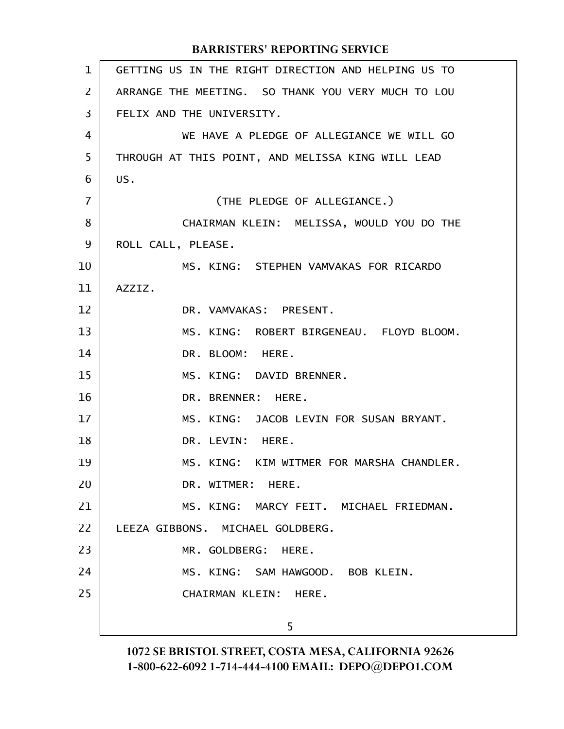GETTING US IN THE RIGHT DIRECTION AND HELPING US TO ARRANGE THE MEETING. SO THANK YOU VERY MUCH TO LOU FELIX AND THE UNIVERSITY. WE HAVE A PLEDGE OF ALLEGIANCE WE WILL GO THROUGH AT THIS POINT, AND MELISSA KING WILL LEAD US. (THE PLEDGE OF ALLEGIANCE.) CHAIRMAN KLEIN: MELISSA, WOULD YOU DO THE ROLL CALL, PLEASE. MS. KING: STEPHEN VAMVAKAS FOR RICARDO AZZIZ. DR. VAMVAKAS: PRESENT. MS. KING: ROBERT BIRGENEAU. FLOYD BLOOM. DR. BLOOM: HERE. MS. KING: DAVID BRENNER. DR. BRENNER: HERE. MS. KING: JACOB LEVIN FOR SUSAN BRYANT. DR. LEVIN: HERE. MS. KING: KIM WITMER FOR MARSHA CHANDLER. DR. WITMER: HERE. MS. KING: MARCY FEIT. MICHAEL FRIEDMAN. LEEZA GIBBONS. MICHAEL GOLDBERG. MR. GOLDBERG: HERE. MS. KING: SAM HAWGOOD. BOB KLEIN. CHAIRMAN KLEIN: HERE. 5 1 2 3 4 5 6 7 8 9 10 11 12 13 14 15 16 17 18 19 20 21 22 23 24 25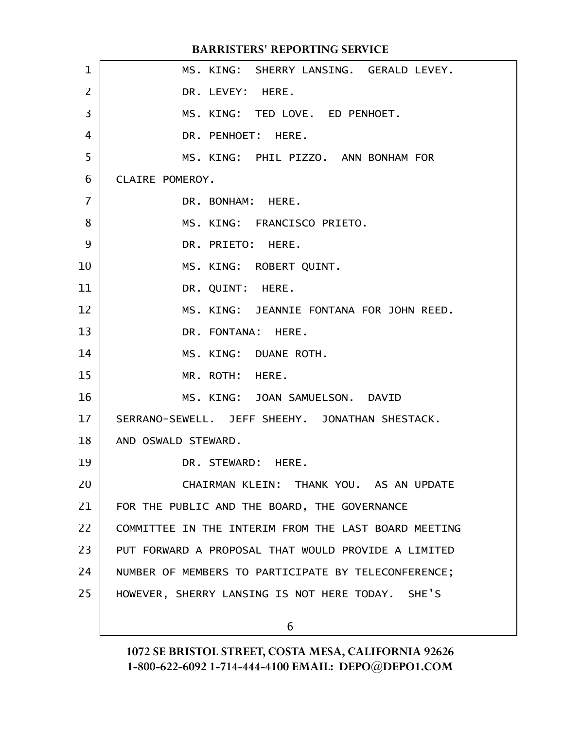|                | <b>BARRISTERS' REPORTING SERVICE</b>                 |
|----------------|------------------------------------------------------|
| 1              | MS. KING: SHERRY LANSING. GERALD LEVEY.              |
| $\overline{2}$ | DR. LEVEY: HERE.                                     |
| 3              | MS. KING: TED LOVE. ED PENHOET.                      |
| 4              | DR. PENHOET: HERE.                                   |
| 5              | MS. KING: PHIL PIZZO. ANN BONHAM FOR                 |
| 6              | CLAIRE POMEROY.                                      |
| 7              | DR. BONHAM: HERE.                                    |
| 8              | MS. KING: FRANCISCO PRIETO.                          |
| 9              | DR. PRIETO: HERE.                                    |
| 10             | MS. KING: ROBERT QUINT.                              |
| 11             | DR. QUINT: HERE.                                     |
| 12             | MS. KING: JEANNIE FONTANA FOR JOHN REED.             |
| 13             | DR. FONTANA: HERE.                                   |
| 14             | MS. KING: DUANE ROTH.                                |
| 15             | MR. ROTH: HERE.                                      |
| 16             | MS. KING: JOAN SAMUELSON. DAVID                      |
| 17             | SERRANO-SEWELL. JEFF SHEEHY. JONATHAN SHESTACK.      |
| 18             | AND OSWALD STEWARD.                                  |
| 19             | DR. STEWARD: HERE.                                   |
| 20             | CHAIRMAN KLEIN: THANK YOU. AS AN UPDATE              |
| 21             | FOR THE PUBLIC AND THE BOARD, THE GOVERNANCE         |
| 22             | COMMITTEE IN THE INTERIM FROM THE LAST BOARD MEETING |
| 23             | PUT FORWARD A PROPOSAL THAT WOULD PROVIDE A LIMITED  |
| 24             | NUMBER OF MEMBERS TO PARTICIPATE BY TELECONFERENCE;  |
| 25             | HOWEVER, SHERRY LANSING IS NOT HERE TODAY. SHE'S     |
|                | 6                                                    |
|                |                                                      |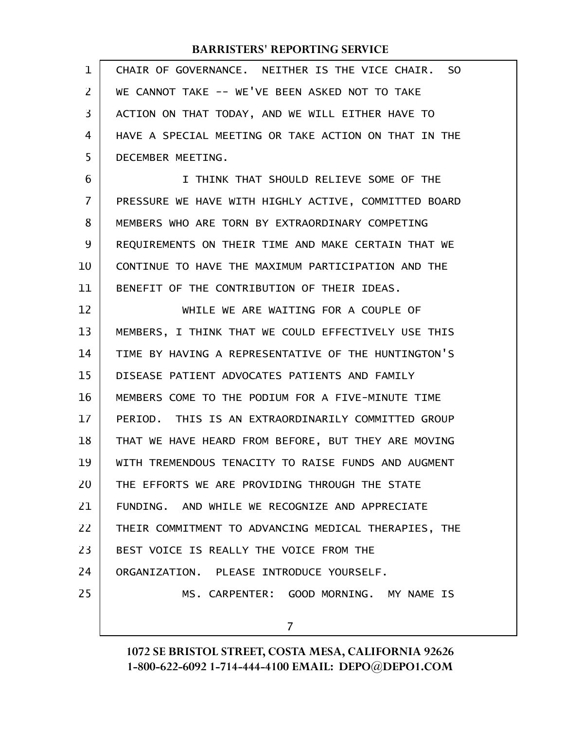| $\mathbf{1}$   | CHAIR OF GOVERNANCE. NEITHER IS THE VICE CHAIR.<br>S <sub>O</sub> |
|----------------|-------------------------------------------------------------------|
| $\overline{2}$ | WE CANNOT TAKE -- WE'VE BEEN ASKED NOT TO TAKE                    |
| 3              | ACTION ON THAT TODAY, AND WE WILL EITHER HAVE TO                  |
| 4              | HAVE A SPECIAL MEETING OR TAKE ACTION ON THAT IN THE              |
| 5              | DECEMBER MEETING.                                                 |
| 6              | I THINK THAT SHOULD RELIEVE SOME OF THE                           |
| 7              | PRESSURE WE HAVE WITH HIGHLY ACTIVE, COMMITTED BOARD              |
| 8              | MEMBERS WHO ARE TORN BY EXTRAORDINARY COMPETING                   |
| 9              | REQUIREMENTS ON THEIR TIME AND MAKE CERTAIN THAT WE               |
| 10             | CONTINUE TO HAVE THE MAXIMUM PARTICIPATION AND THE                |
| 11             | BENEFIT OF THE CONTRIBUTION OF THEIR IDEAS.                       |
| 12             | WHILE WE ARE WAITING FOR A COUPLE OF                              |
| 13             | MEMBERS, I THINK THAT WE COULD EFFECTIVELY USE THIS               |
| 14             | TIME BY HAVING A REPRESENTATIVE OF THE HUNTINGTON'S               |
| 15             | DISEASE PATIENT ADVOCATES PATIENTS AND FAMILY                     |
| 16             | MEMBERS COME TO THE PODIUM FOR A FIVE-MINUTE TIME                 |
| 17             | PERIOD. THIS IS AN EXTRAORDINARILY COMMITTED GROUP                |
| 18             | THAT WE HAVE HEARD FROM BEFORE, BUT THEY ARE MOVING               |
| 19             | WITH TREMENDOUS TENACITY TO RAISE FUNDS AND AUGMENT               |
| 20             | THE EFFORTS WE ARE PROVIDING THROUGH THE STATE                    |
| 21             | FUNDING. AND WHILE WE RECOGNIZE AND APPRECIATE                    |
| 22             | THEIR COMMITMENT TO ADVANCING MEDICAL THERAPIES, THE              |
| 23             | BEST VOICE IS REALLY THE VOICE FROM THE                           |
| 24             | ORGANIZATION. PLEASE INTRODUCE YOURSELF.                          |
| 25             | MS. CARPENTER: GOOD MORNING. MY NAME IS                           |
|                | 7                                                                 |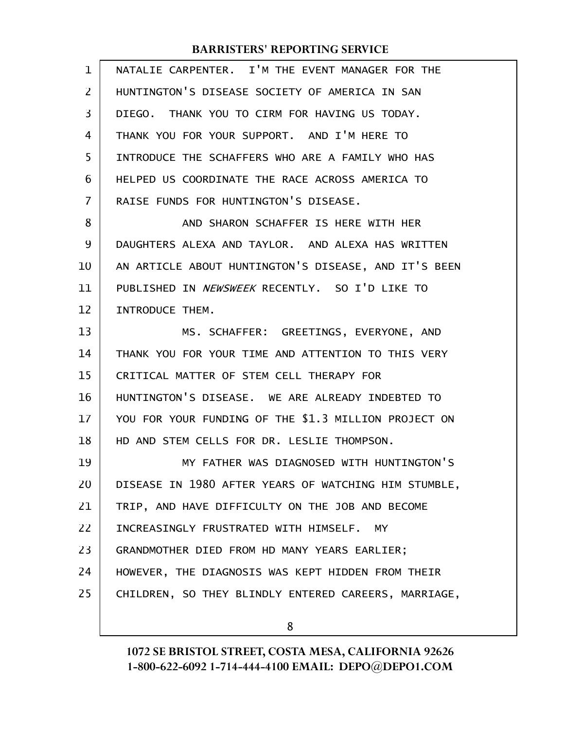| $\mathbf{1}$      | NATALIE CARPENTER. I'M THE EVENT MANAGER FOR THE     |
|-------------------|------------------------------------------------------|
| 2                 | HUNTINGTON'S DISEASE SOCIETY OF AMERICA IN SAN       |
| 3                 | DIEGO. THANK YOU TO CIRM FOR HAVING US TODAY.        |
| 4                 | THANK YOU FOR YOUR SUPPORT. AND I'M HERE TO          |
| 5                 | INTRODUCE THE SCHAFFERS WHO ARE A FAMILY WHO HAS     |
| 6                 | HELPED US COORDINATE THE RACE ACROSS AMERICA TO      |
| 7                 | RAISE FUNDS FOR HUNTINGTON'S DISEASE.                |
| 8                 | AND SHARON SCHAFFER IS HERE WITH HER                 |
| 9                 | DAUGHTERS ALEXA AND TAYLOR. AND ALEXA HAS WRITTEN    |
| 10                | AN ARTICLE ABOUT HUNTINGTON'S DISEASE, AND IT'S BEEN |
| 11                | PUBLISHED IN NEWSWEEK RECENTLY. SO I'D LIKE TO       |
| $12 \overline{ }$ | INTRODUCE THEM.                                      |
| 13                | MS. SCHAFFER: GREETINGS, EVERYONE, AND               |
| 14                | THANK YOU FOR YOUR TIME AND ATTENTION TO THIS VERY   |
| 15                | CRITICAL MATTER OF STEM CELL THERAPY FOR             |
| 16                | HUNTINGTON'S DISEASE. WE ARE ALREADY INDEBTED TO     |
| 17                | YOU FOR YOUR FUNDING OF THE \$1.3 MILLION PROJECT ON |
| 18                | HD AND STEM CELLS FOR DR. LESLIE THOMPSON.           |
| 19                | MY FATHER WAS DIAGNOSED WITH HUNTINGTON'S            |
| 20                | DISEASE IN 1980 AFTER YEARS OF WATCHING HIM STUMBLE, |
| 21                | TRIP, AND HAVE DIFFICULTY ON THE JOB AND BECOME      |
| 22                | INCREASINGLY FRUSTRATED WITH HIMSELF. MY             |
| 23                | GRANDMOTHER DIED FROM HD MANY YEARS EARLIER;         |
| 24                | HOWEVER, THE DIAGNOSIS WAS KEPT HIDDEN FROM THEIR    |
| 25                | CHILDREN, SO THEY BLINDLY ENTERED CAREERS, MARRIAGE, |
|                   | 8                                                    |
|                   |                                                      |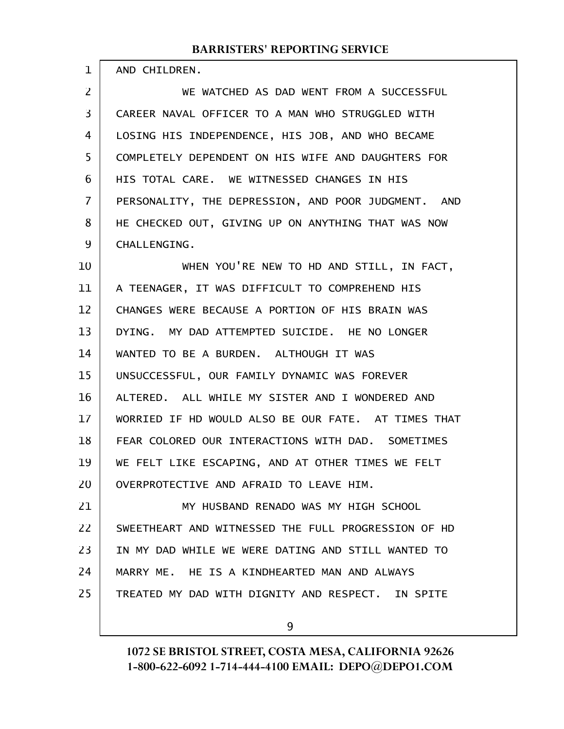AND CHILDREN.

1

WE WATCHED AS DAD WENT FROM A SUCCESSFUL CAREER NAVAL OFFICER TO A MAN WHO STRUGGLED WITH LOSING HIS INDEPENDENCE, HIS JOB, AND WHO BECAME COMPLETELY DEPENDENT ON HIS WIFE AND DAUGHTERS FOR HIS TOTAL CARE. WE WITNESSED CHANGES IN HIS PERSONALITY, THE DEPRESSION, AND POOR JUDGMENT. AND HE CHECKED OUT, GIVING UP ON ANYTHING THAT WAS NOW CHALLENGING. 2 3 4 5 6 7 8 9

WHEN YOU'RE NEW TO HD AND STILL, IN FACT, A TEENAGER, IT WAS DIFFICULT TO COMPREHEND HIS CHANGES WERE BECAUSE A PORTION OF HIS BRAIN WAS DYING. MY DAD ATTEMPTED SUICIDE. HE NO LONGER WANTED TO BE A BURDEN. ALTHOUGH IT WAS UNSUCCESSFUL, OUR FAMILY DYNAMIC WAS FOREVER ALTERED. ALL WHILE MY SISTER AND I WONDERED AND WORRIED IF HD WOULD ALSO BE OUR FATE. AT TIMES THAT FEAR COLORED OUR INTERACTIONS WITH DAD. SOMETIMES WE FELT LIKE ESCAPING, AND AT OTHER TIMES WE FELT OVERPROTECTIVE AND AFRAID TO LEAVE HIM. MY HUSBAND RENADO WAS MY HIGH SCHOOL SWEETHEART AND WITNESSED THE FULL PROGRESSION OF HD IN MY DAD WHILE WE WERE DATING AND STILL WANTED TO MARRY ME. HE IS A KINDHEARTED MAN AND ALWAYS 10 11 12 13 14 15 16 17 18 19 20 21 22 23 24

TREATED MY DAD WITH DIGNITY AND RESPECT. IN SPITE 25

9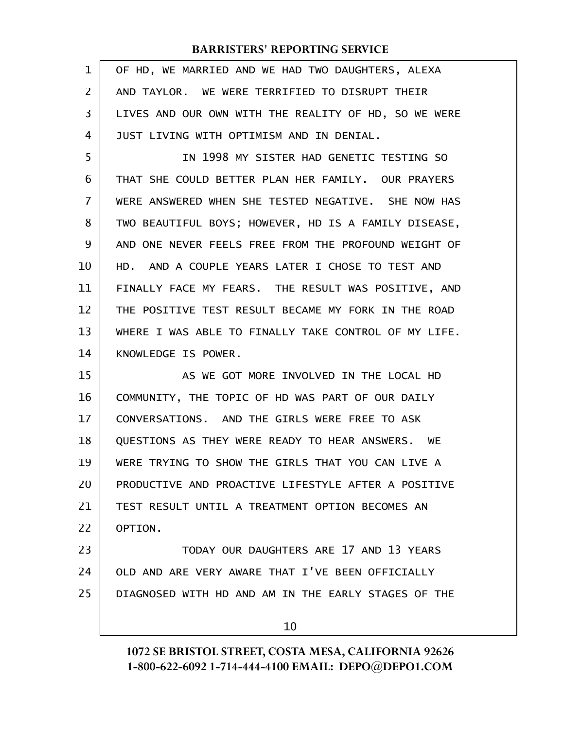| 1              | OF HD, WE MARRIED AND WE HAD TWO DAUGHTERS, ALEXA    |
|----------------|------------------------------------------------------|
| $\overline{2}$ | AND TAYLOR. WE WERE TERRIFIED TO DISRUPT THEIR       |
| 3              | LIVES AND OUR OWN WITH THE REALITY OF HD, SO WE WERE |
| 4              | JUST LIVING WITH OPTIMISM AND IN DENIAL.             |
| 5              | IN 1998 MY SISTER HAD GENETIC TESTING SO             |
| 6              | THAT SHE COULD BETTER PLAN HER FAMILY. OUR PRAYERS   |
| $\overline{7}$ | WERE ANSWERED WHEN SHE TESTED NEGATIVE. SHE NOW HAS  |
| 8              | TWO BEAUTIFUL BOYS; HOWEVER, HD IS A FAMILY DISEASE, |
| 9              | AND ONE NEVER FEELS FREE FROM THE PROFOUND WEIGHT OF |
| 10             | HD. AND A COUPLE YEARS LATER I CHOSE TO TEST AND     |
| 11             | FINALLY FACE MY FEARS. THE RESULT WAS POSITIVE, AND  |
| 12             | THE POSITIVE TEST RESULT BECAME MY FORK IN THE ROAD  |
| 13             | WHERE I WAS ABLE TO FINALLY TAKE CONTROL OF MY LIFE. |
| 14             | KNOWLEDGE IS POWER.                                  |
| 15             | AS WE GOT MORE INVOLVED IN THE LOCAL HD              |
| 16             | COMMUNITY, THE TOPIC OF HD WAS PART OF OUR DAILY     |
| 17             | CONVERSATIONS. AND THE GIRLS WERE FREE TO ASK        |
| 18             | QUESTIONS AS THEY WERE READY TO HEAR ANSWERS. WE     |
| 19             | WERE TRYING TO SHOW THE GIRLS THAT YOU CAN LIVE A    |
| 20             | PRODUCTIVE AND PROACTIVE LIFESTYLE AFTER A POSITIVE  |
| 21             | TEST RESULT UNTIL A TREATMENT OPTION BECOMES AN      |
| 22             | OPTION.                                              |
| 23             | TODAY OUR DAUGHTERS ARE 17 AND 13 YEARS              |
| 24             | OLD AND ARE VERY AWARE THAT I'VE BEEN OFFICIALLY     |
| 25             | DIAGNOSED WITH HD AND AM IN THE EARLY STAGES OF THE  |
|                | 10                                                   |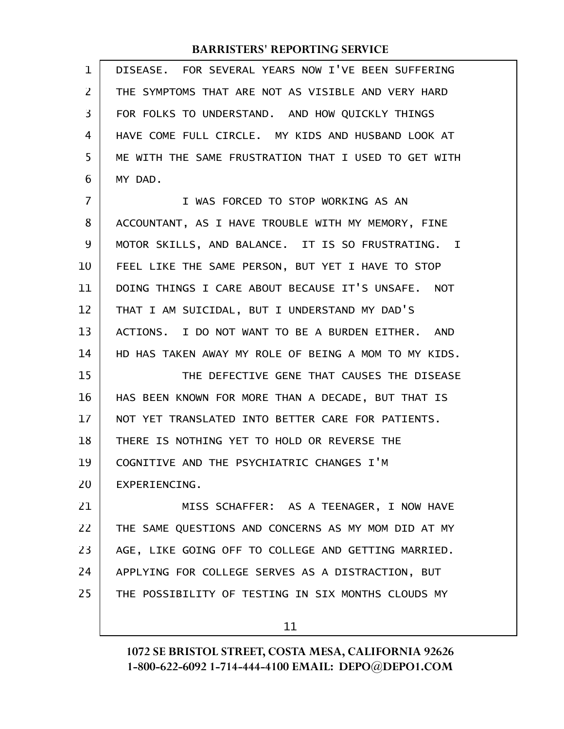| 1  | DISEASE. FOR SEVERAL YEARS NOW I'VE BEEN SUFFERING   |
|----|------------------------------------------------------|
| 2  | THE SYMPTOMS THAT ARE NOT AS VISIBLE AND VERY HARD   |
| 3  | FOR FOLKS TO UNDERSTAND. AND HOW QUICKLY THINGS      |
| 4  | HAVE COME FULL CIRCLE. MY KIDS AND HUSBAND LOOK AT   |
| 5  | ME WITH THE SAME FRUSTRATION THAT I USED TO GET WITH |
| 6  | MY DAD.                                              |
| 7  | I WAS FORCED TO STOP WORKING AS AN                   |
| 8  | ACCOUNTANT, AS I HAVE TROUBLE WITH MY MEMORY, FINE   |
| 9  | MOTOR SKILLS, AND BALANCE. IT IS SO FRUSTRATING. I   |
| 10 | FEEL LIKE THE SAME PERSON, BUT YET I HAVE TO STOP    |
| 11 | DOING THINGS I CARE ABOUT BECAUSE IT'S UNSAFE. NOT   |
| 12 | THAT I AM SUICIDAL, BUT I UNDERSTAND MY DAD'S        |
| 13 | ACTIONS. I DO NOT WANT TO BE A BURDEN EITHER. AND    |
| 14 | HD HAS TAKEN AWAY MY ROLE OF BEING A MOM TO MY KIDS. |
| 15 | THE DEFECTIVE GENE THAT CAUSES THE DISEASE           |
| 16 | HAS BEEN KNOWN FOR MORE THAN A DECADE, BUT THAT IS   |
| 17 | NOT YET TRANSLATED INTO BETTER CARE FOR PATIENTS.    |
| 18 | THERE IS NOTHING YET TO HOLD OR REVERSE THE          |
| 19 | COGNITIVE AND THE PSYCHIATRIC CHANGES I'M            |
| 20 | EXPERIENCING.                                        |
| 21 | MISS SCHAFFER: AS A TEENAGER, I NOW HAVE             |
| 22 | THE SAME QUESTIONS AND CONCERNS AS MY MOM DID AT MY  |
| 23 | AGE, LIKE GOING OFF TO COLLEGE AND GETTING MARRIED.  |
| 24 | APPLYING FOR COLLEGE SERVES AS A DISTRACTION, BUT    |
| 25 | THE POSSIBILITY OF TESTING IN SIX MONTHS CLOUDS MY   |
|    |                                                      |

11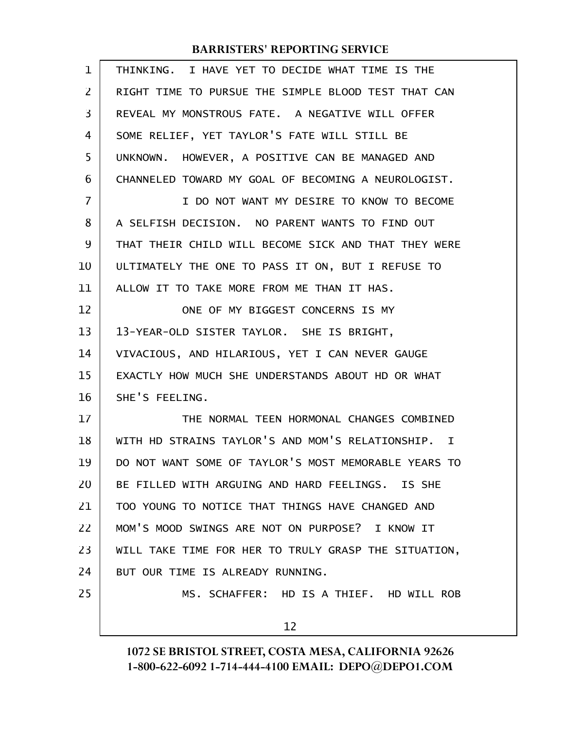| 1              | THINKING. I HAVE YET TO DECIDE WHAT TIME IS THE      |
|----------------|------------------------------------------------------|
| $\overline{2}$ | RIGHT TIME TO PURSUE THE SIMPLE BLOOD TEST THAT CAN  |
| 3              | REVEAL MY MONSTROUS FATE. A NEGATIVE WILL OFFER      |
| 4              | SOME RELIEF, YET TAYLOR'S FATE WILL STILL BE         |
| 5              | UNKNOWN. HOWEVER, A POSITIVE CAN BE MANAGED AND      |
| 6              | CHANNELED TOWARD MY GOAL OF BECOMING A NEUROLOGIST.  |
| 7              | I DO NOT WANT MY DESIRE TO KNOW TO BECOME            |
| 8              | A SELFISH DECISION. NO PARENT WANTS TO FIND OUT      |
| 9              | THAT THEIR CHILD WILL BECOME SICK AND THAT THEY WERE |
| 10             | ULTIMATELY THE ONE TO PASS IT ON, BUT I REFUSE TO    |
| 11             | ALLOW IT TO TAKE MORE FROM ME THAN IT HAS.           |
| 12             | ONE OF MY BIGGEST CONCERNS IS MY                     |
| 13             | 13-YEAR-OLD SISTER TAYLOR. SHE IS BRIGHT,            |
| 14             | VIVACIOUS, AND HILARIOUS, YET I CAN NEVER GAUGE      |
| 15             | EXACTLY HOW MUCH SHE UNDERSTANDS ABOUT HD OR WHAT    |
| 16             | SHE'S FEELING.                                       |
| 17             | THE NORMAL TEEN HORMONAL CHANGES COMBINED            |
| 18             | WITH HD STRAINS TAYLOR'S AND MOM'S RELATIONSHIP. I   |
| 19             | DO NOT WANT SOME OF TAYLOR'S MOST MEMORABLE YEARS TO |
| 20             | BE FILLED WITH ARGUING AND HARD FEELINGS. IS SHE     |
| 21             | TOO YOUNG TO NOTICE THAT THINGS HAVE CHANGED AND     |
| 22             | MOM'S MOOD SWINGS ARE NOT ON PURPOSE? I KNOW IT      |
| 23             | WILL TAKE TIME FOR HER TO TRULY GRASP THE SITUATION, |
| 24             | BUT OUR TIME IS ALREADY RUNNING.                     |
| 25             | MS. SCHAFFER: HD IS A THIEF. HD WILL ROB             |
|                | 12                                                   |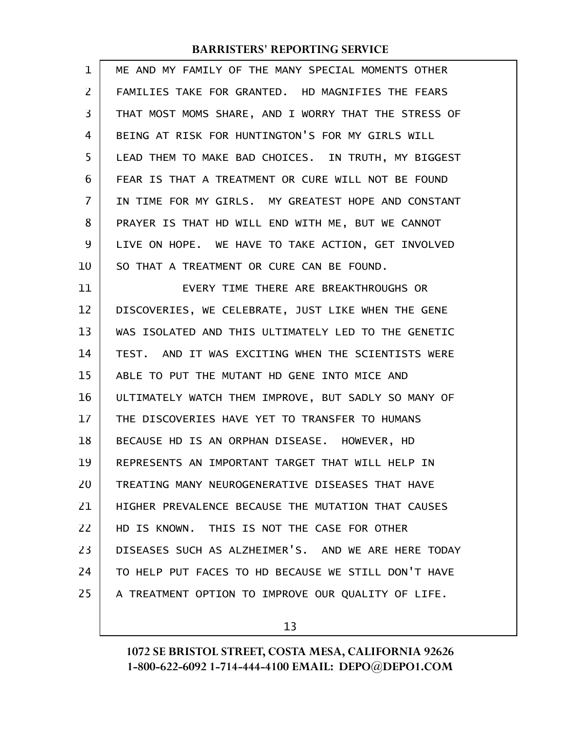| $\mathbf 1$ | ME AND MY FAMILY OF THE MANY SPECIAL MOMENTS OTHER   |
|-------------|------------------------------------------------------|
| 2           | FAMILIES TAKE FOR GRANTED. HD MAGNIFIES THE FEARS    |
| 3           | THAT MOST MOMS SHARE, AND I WORRY THAT THE STRESS OF |
| 4           | BEING AT RISK FOR HUNTINGTON'S FOR MY GIRLS WILL     |
| 5           | LEAD THEM TO MAKE BAD CHOICES. IN TRUTH, MY BIGGEST  |
| 6           | FEAR IS THAT A TREATMENT OR CURE WILL NOT BE FOUND   |
| 7           | IN TIME FOR MY GIRLS. MY GREATEST HOPE AND CONSTANT  |
| 8           | PRAYER IS THAT HD WILL END WITH ME, BUT WE CANNOT    |
| 9           | LIVE ON HOPE. WE HAVE TO TAKE ACTION, GET INVOLVED   |
| 10          | SO THAT A TREATMENT OR CURE CAN BE FOUND.            |
| 11          | EVERY TIME THERE ARE BREAKTHROUGHS OR                |
| 12          | DISCOVERIES, WE CELEBRATE, JUST LIKE WHEN THE GENE   |
| 13          | WAS ISOLATED AND THIS ULTIMATELY LED TO THE GENETIC  |
| 14          | TEST. AND IT WAS EXCITING WHEN THE SCIENTISTS WERE   |
| 15          | ABLE TO PUT THE MUTANT HD GENE INTO MICE AND         |
| 16          | ULTIMATELY WATCH THEM IMPROVE, BUT SADLY SO MANY OF  |
| 17          | THE DISCOVERIES HAVE YET TO TRANSFER TO HUMANS       |
| 18          | BECAUSE HD IS AN ORPHAN DISEASE. HOWEVER, HD         |
| 19          | REPRESENTS AN IMPORTANT TARGET THAT WILL HELP IN     |
| 20          | TREATING MANY NEUROGENERATIVE DISEASES THAT HAVE     |
| 21          | HIGHER PREVALENCE BECAUSE THE MUTATION THAT CAUSES   |
| 22          | HD IS KNOWN. THIS IS NOT THE CASE FOR OTHER          |
| 23          | DISEASES SUCH AS ALZHEIMER'S. AND WE ARE HERE TODAY  |
| 24          | TO HELP PUT FACES TO HD BECAUSE WE STILL DON'T HAVE  |
| 25          | A TREATMENT OPTION TO IMPROVE OUR QUALITY OF LIFE.   |
|             |                                                      |

13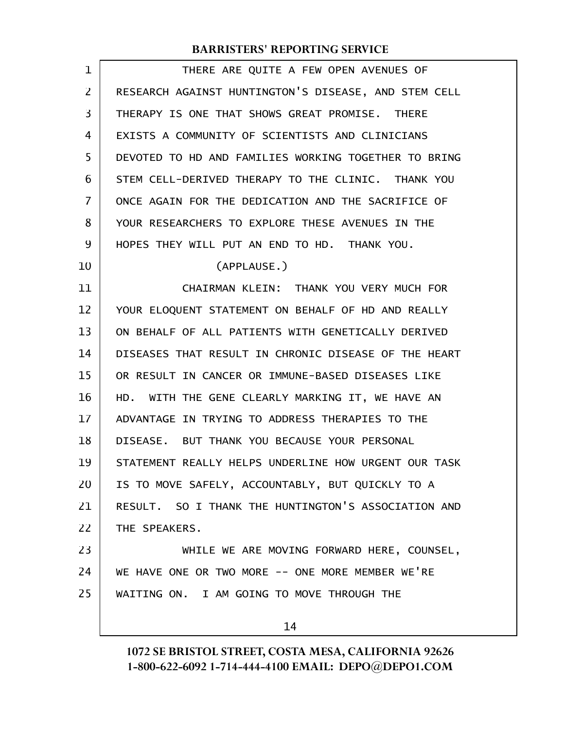| $\mathbf 1$ | THERE ARE QUITE A FEW OPEN AVENUES OF                |
|-------------|------------------------------------------------------|
| 2           | RESEARCH AGAINST HUNTINGTON'S DISEASE, AND STEM CELL |
| 3           | THERAPY IS ONE THAT SHOWS GREAT PROMISE. THERE       |
| 4           | EXISTS A COMMUNITY OF SCIENTISTS AND CLINICIANS      |
| 5           | DEVOTED TO HD AND FAMILIES WORKING TOGETHER TO BRING |
| 6           | STEM CELL-DERIVED THERAPY TO THE CLINIC. THANK YOU   |
| 7           | ONCE AGAIN FOR THE DEDICATION AND THE SACRIFICE OF   |
| 8           | YOUR RESEARCHERS TO EXPLORE THESE AVENUES IN THE     |
| 9           | HOPES THEY WILL PUT AN END TO HD. THANK YOU.         |
| 10          | (APPLAUSE.)                                          |
| 11          | CHAIRMAN KLEIN: THANK YOU VERY MUCH FOR              |
| 12          | YOUR ELOQUENT STATEMENT ON BEHALF OF HD AND REALLY   |
| 13          | ON BEHALF OF ALL PATIENTS WITH GENETICALLY DERIVED   |
| 14          | DISEASES THAT RESULT IN CHRONIC DISEASE OF THE HEART |
| 15          | OR RESULT IN CANCER OR IMMUNE-BASED DISEASES LIKE    |
| 16          | HD. WITH THE GENE CLEARLY MARKING IT, WE HAVE AN     |
| 17          | ADVANTAGE IN TRYING TO ADDRESS THERAPIES TO THE      |
| 18          | DISEASE. BUT THANK YOU BECAUSE YOUR PERSONAL         |
| 19          | STATEMENT REALLY HELPS UNDERLINE HOW URGENT OUR TASK |
| 20          | IS TO MOVE SAFELY, ACCOUNTABLY, BUT QUICKLY TO A     |
| 21          | RESULT. SO I THANK THE HUNTINGTON'S ASSOCIATION AND  |
| 22          | THE SPEAKERS.                                        |
| 23          | WHILE WE ARE MOVING FORWARD HERE, COUNSEL,           |
| 24          | WE HAVE ONE OR TWO MORE -- ONE MORE MEMBER WE'RE     |
| 25          | WAITING ON. I AM GOING TO MOVE THROUGH THE           |
|             |                                                      |
|             | 14                                                   |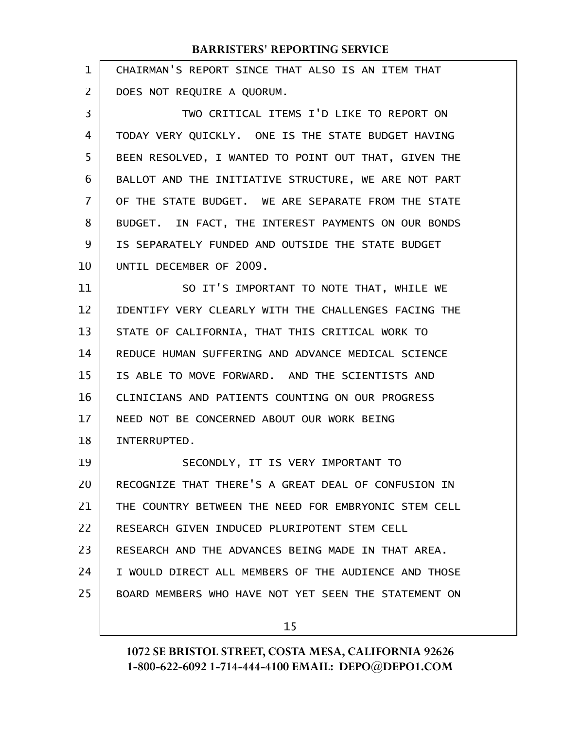| 1  | CHAIRMAN'S REPORT SINCE THAT ALSO IS AN ITEM THAT    |
|----|------------------------------------------------------|
| 2  | DOES NOT REQUIRE A QUORUM.                           |
| 3  | TWO CRITICAL ITEMS I'D LIKE TO REPORT ON             |
| 4  | TODAY VERY QUICKLY. ONE IS THE STATE BUDGET HAVING   |
| 5  | BEEN RESOLVED, I WANTED TO POINT OUT THAT, GIVEN THE |
| 6  | BALLOT AND THE INITIATIVE STRUCTURE, WE ARE NOT PART |
| 7  | OF THE STATE BUDGET. WE ARE SEPARATE FROM THE STATE  |
| 8  | BUDGET. IN FACT, THE INTEREST PAYMENTS ON OUR BONDS  |
| 9  | IS SEPARATELY FUNDED AND OUTSIDE THE STATE BUDGET    |
| 10 | UNTIL DECEMBER OF 2009.                              |
| 11 | SO IT'S IMPORTANT TO NOTE THAT, WHILE WE             |
| 12 | IDENTIFY VERY CLEARLY WITH THE CHALLENGES FACING THE |
| 13 | STATE OF CALIFORNIA, THAT THIS CRITICAL WORK TO      |
| 14 | REDUCE HUMAN SUFFERING AND ADVANCE MEDICAL SCIENCE   |
| 15 | IS ABLE TO MOVE FORWARD. AND THE SCIENTISTS AND      |
| 16 | CLINICIANS AND PATIENTS COUNTING ON OUR PROGRESS     |
| 17 | NEED NOT BE CONCERNED ABOUT OUR WORK BEING           |
| 18 | INTERRUPTED.                                         |
| 19 | SECONDLY, IT IS VERY IMPORTANT TO                    |
| 20 | RECOGNIZE THAT THERE'S A GREAT DEAL OF CONFUSION IN  |
| 21 | THE COUNTRY BETWEEN THE NEED FOR EMBRYONIC STEM CELL |
| 22 | RESEARCH GIVEN INDUCED PLURIPOTENT STEM CELL         |
| 23 | RESEARCH AND THE ADVANCES BEING MADE IN THAT AREA.   |
| 24 | I WOULD DIRECT ALL MEMBERS OF THE AUDIENCE AND THOSE |
| 25 | BOARD MEMBERS WHO HAVE NOT YET SEEN THE STATEMENT ON |
|    |                                                      |

15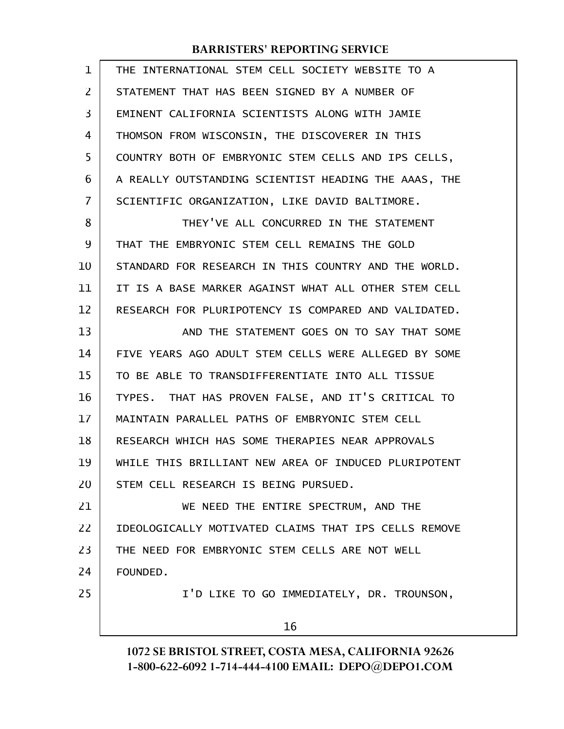| $\mathbf{1}$ | THE INTERNATIONAL STEM CELL SOCIETY WEBSITE TO A     |
|--------------|------------------------------------------------------|
| 2            | STATEMENT THAT HAS BEEN SIGNED BY A NUMBER OF        |
| 3            | EMINENT CALIFORNIA SCIENTISTS ALONG WITH JAMIE       |
| 4            | THOMSON FROM WISCONSIN, THE DISCOVERER IN THIS       |
| 5            | COUNTRY BOTH OF EMBRYONIC STEM CELLS AND IPS CELLS,  |
| 6            | A REALLY OUTSTANDING SCIENTIST HEADING THE AAAS, THE |
| 7            | SCIENTIFIC ORGANIZATION, LIKE DAVID BALTIMORE.       |
| 8            | THEY'VE ALL CONCURRED IN THE STATEMENT               |
| 9            | THAT THE EMBRYONIC STEM CELL REMAINS THE GOLD        |
| 10           | STANDARD FOR RESEARCH IN THIS COUNTRY AND THE WORLD. |
| 11           | IT IS A BASE MARKER AGAINST WHAT ALL OTHER STEM CELL |
| 12           | RESEARCH FOR PLURIPOTENCY IS COMPARED AND VALIDATED. |
| 13           | AND THE STATEMENT GOES ON TO SAY THAT SOME           |
| 14           | FIVE YEARS AGO ADULT STEM CELLS WERE ALLEGED BY SOME |
| 15           | TO BE ABLE TO TRANSDIFFERENTIATE INTO ALL TISSUE     |
| 16           | TYPES. THAT HAS PROVEN FALSE, AND IT'S CRITICAL TO   |
| 17           | MAINTAIN PARALLEL PATHS OF EMBRYONIC STEM CELL       |
| 18           | RESEARCH WHICH HAS SOME THERAPIES NEAR APPROVALS     |
| 19           | WHILE THIS BRILLIANT NEW AREA OF INDUCED PLURIPOTENT |
| 20           | STEM CELL RESEARCH IS BEING PURSUED.                 |
| 21           | WE NEED THE ENTIRE SPECTRUM, AND THE                 |
| 22           | IDEOLOGICALLY MOTIVATED CLAIMS THAT IPS CELLS REMOVE |
| 23           | THE NEED FOR EMBRYONIC STEM CELLS ARE NOT WELL       |
| 24           | FOUNDED.                                             |
| 25           | I'D LIKE TO GO IMMEDIATELY, DR. TROUNSON,            |
|              | 16                                                   |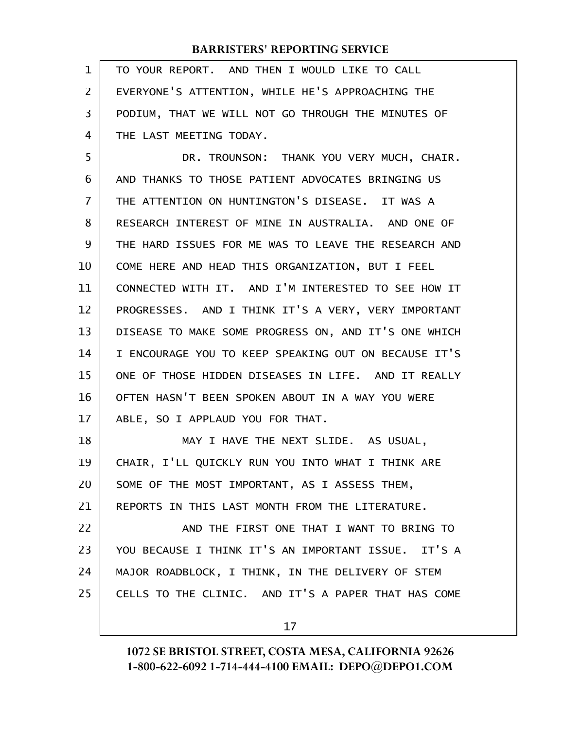| $\mathbf 1$ | TO YOUR REPORT. AND THEN I WOULD LIKE TO CALL        |
|-------------|------------------------------------------------------|
| 2           | EVERYONE'S ATTENTION, WHILE HE'S APPROACHING THE     |
| 3           | PODIUM, THAT WE WILL NOT GO THROUGH THE MINUTES OF   |
| 4           | THE LAST MEETING TODAY.                              |
| 5           | DR. TROUNSON: THANK YOU VERY MUCH, CHAIR.            |
| 6           | AND THANKS TO THOSE PATIENT ADVOCATES BRINGING US    |
| 7           | THE ATTENTION ON HUNTINGTON'S DISEASE. IT WAS A      |
| 8           | RESEARCH INTEREST OF MINE IN AUSTRALIA. AND ONE OF   |
| 9           | THE HARD ISSUES FOR ME WAS TO LEAVE THE RESEARCH AND |
| 10          | COME HERE AND HEAD THIS ORGANIZATION, BUT I FEEL     |
| 11          | CONNECTED WITH IT. AND I'M INTERESTED TO SEE HOW IT  |
| 12          | PROGRESSES. AND I THINK IT'S A VERY, VERY IMPORTANT  |
| 13          | DISEASE TO MAKE SOME PROGRESS ON, AND IT'S ONE WHICH |
| 14          | I ENCOURAGE YOU TO KEEP SPEAKING OUT ON BECAUSE IT'S |
| 15          | ONE OF THOSE HIDDEN DISEASES IN LIFE. AND IT REALLY  |
| 16          | OFTEN HASN'T BEEN SPOKEN ABOUT IN A WAY YOU WERE     |
| 17          | ABLE, SO I APPLAUD YOU FOR THAT.                     |
| 18          | MAY I HAVE THE NEXT SLIDE. AS USUAL,                 |
| 19          | CHAIR, I'LL QUICKLY RUN YOU INTO WHAT I THINK ARE    |
| 20          | SOME OF THE MOST IMPORTANT, AS I ASSESS THEM,        |
| 21          | REPORTS IN THIS LAST MONTH FROM THE LITERATURE.      |
| 22          | AND THE FIRST ONE THAT I WANT TO BRING TO            |
| 23          | YOU BECAUSE I THINK IT'S AN IMPORTANT ISSUE. IT'S A  |
| 24          | MAJOR ROADBLOCK, I THINK, IN THE DELIVERY OF STEM    |
| 25          | CELLS TO THE CLINIC. AND IT'S A PAPER THAT HAS COME  |
|             |                                                      |

17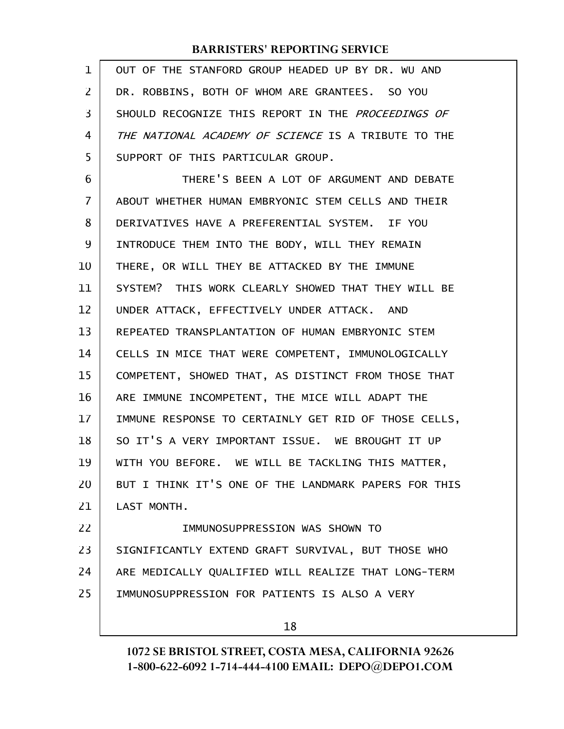| $\mathbf 1$    | OUT OF THE STANFORD GROUP HEADED UP BY DR. WU AND    |
|----------------|------------------------------------------------------|
| $\overline{2}$ | DR. ROBBINS, BOTH OF WHOM ARE GRANTEES. SO YOU       |
| 3              | SHOULD RECOGNIZE THIS REPORT IN THE PROCEEDINGS OF   |
| 4              | THE NATIONAL ACADEMY OF SCIENCE IS A TRIBUTE TO THE  |
| 5              | SUPPORT OF THIS PARTICULAR GROUP.                    |
| 6              | THERE'S BEEN A LOT OF ARGUMENT AND DEBATE            |
| 7              | ABOUT WHETHER HUMAN EMBRYONIC STEM CELLS AND THEIR   |
| 8              | DERIVATIVES HAVE A PREFERENTIAL SYSTEM. IF YOU       |
| 9              | INTRODUCE THEM INTO THE BODY, WILL THEY REMAIN       |
| 10             | THERE, OR WILL THEY BE ATTACKED BY THE IMMUNE        |
| 11             | SYSTEM? THIS WORK CLEARLY SHOWED THAT THEY WILL BE   |
| 12             | UNDER ATTACK, EFFECTIVELY UNDER ATTACK. AND          |
| 13             | REPEATED TRANSPLANTATION OF HUMAN EMBRYONIC STEM     |
| 14             | CELLS IN MICE THAT WERE COMPETENT, IMMUNOLOGICALLY   |
| 15             | COMPETENT, SHOWED THAT, AS DISTINCT FROM THOSE THAT  |
| 16             | ARE IMMUNE INCOMPETENT, THE MICE WILL ADAPT THE      |
| 17             | IMMUNE RESPONSE TO CERTAINLY GET RID OF THOSE CELLS, |
| 18             | SO IT'S A VERY IMPORTANT ISSUE. WE BROUGHT IT UP     |
| 19             | WITH YOU BEFORE. WE WILL BE TACKLING THIS MATTER,    |
| 20             | BUT I THINK IT'S ONE OF THE LANDMARK PAPERS FOR THIS |
| 21             | LAST MONTH.                                          |
| 22             | IMMUNOSUPPRESSION WAS SHOWN TO                       |
| 23             | SIGNIFICANTLY EXTEND GRAFT SURVIVAL, BUT THOSE WHO   |
| 24             | ARE MEDICALLY QUALIFIED WILL REALIZE THAT LONG-TERM  |
| 25             | IMMUNOSUPPRESSION FOR PATIENTS IS ALSO A VERY        |
|                | 18                                                   |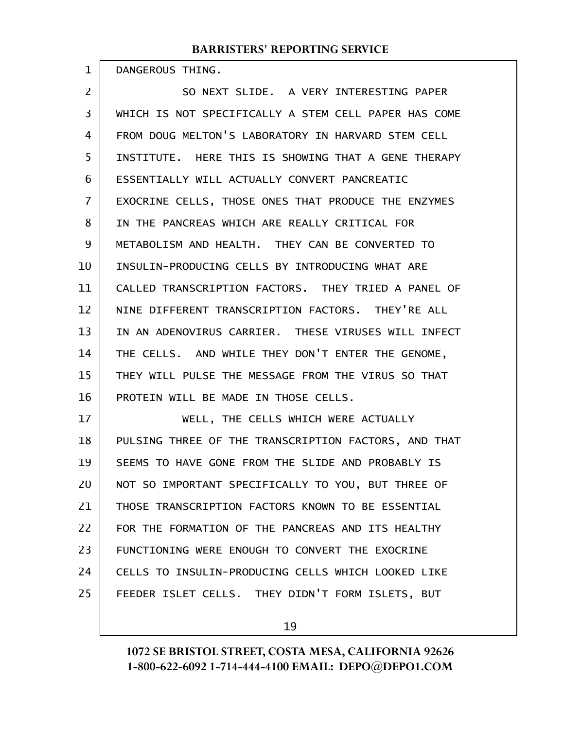DANGEROUS THING. 1

SO NEXT SLIDE. A VERY INTERESTING PAPER WHICH IS NOT SPECIFICALLY A STEM CELL PAPER HAS COME FROM DOUG MELTON'S LABORATORY IN HARVARD STEM CELL INSTITUTE. HERE THIS IS SHOWING THAT A GENE THERAPY ESSENTIALLY WILL ACTUALLY CONVERT PANCREATIC EXOCRINE CELLS, THOSE ONES THAT PRODUCE THE ENZYMES IN THE PANCREAS WHICH ARE REALLY CRITICAL FOR METABOLISM AND HEALTH. THEY CAN BE CONVERTED TO INSULIN-PRODUCING CELLS BY INTRODUCING WHAT ARE CALLED TRANSCRIPTION FACTORS. THEY TRIED A PANEL OF NINE DIFFERENT TRANSCRIPTION FACTORS. THEY'RE ALL IN AN ADENOVIRUS CARRIER. THESE VIRUSES WILL INFECT THE CELLS. AND WHILE THEY DON'T ENTER THE GENOME, THEY WILL PULSE THE MESSAGE FROM THE VIRUS SO THAT PROTEIN WILL BE MADE IN THOSE CELLS. WELL, THE CELLS WHICH WERE ACTUALLY PULSING THREE OF THE TRANSCRIPTION FACTORS, AND THAT SEEMS TO HAVE GONE FROM THE SLIDE AND PROBABLY IS NOT SO IMPORTANT SPECIFICALLY TO YOU, BUT THREE OF THOSE TRANSCRIPTION FACTORS KNOWN TO BE ESSENTIAL FOR THE FORMATION OF THE PANCREAS AND ITS HEALTHY FUNCTIONING WERE ENOUGH TO CONVERT THE EXOCRINE CELLS TO INSULIN-PRODUCING CELLS WHICH LOOKED LIKE FEEDER ISLET CELLS. THEY DIDN'T FORM ISLETS, BUT 2 3 4 5 6 7 8 9 10 11 12 13 14 15 16 17 18 19 20 21 22 23 24 25

19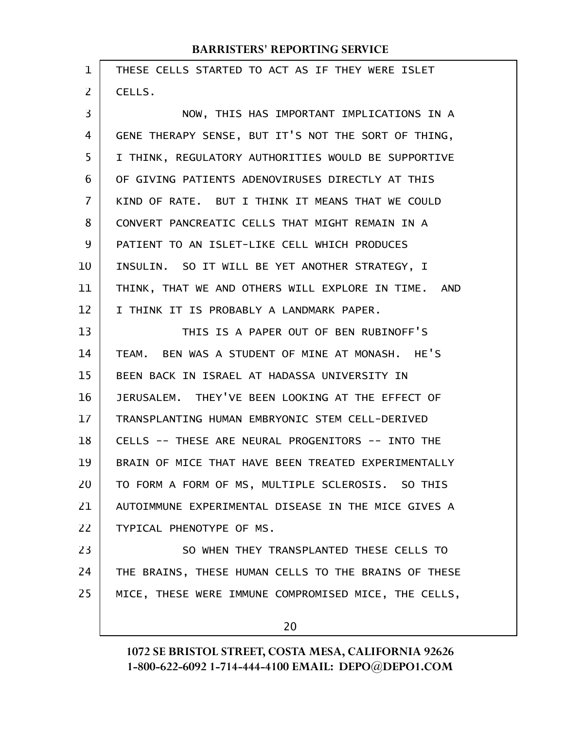| 1              | THESE CELLS STARTED TO ACT AS IF THEY WERE ISLET     |
|----------------|------------------------------------------------------|
| 2              | CELLS.                                               |
| 3              | NOW, THIS HAS IMPORTANT IMPLICATIONS IN A            |
| 4              | GENE THERAPY SENSE, BUT IT'S NOT THE SORT OF THING,  |
| 5              | I THINK, REGULATORY AUTHORITIES WOULD BE SUPPORTIVE  |
| 6              | OF GIVING PATIENTS ADENOVIRUSES DIRECTLY AT THIS     |
| $\overline{7}$ | KIND OF RATE. BUT I THINK IT MEANS THAT WE COULD     |
| 8              | CONVERT PANCREATIC CELLS THAT MIGHT REMAIN IN A      |
| 9              | PATIENT TO AN ISLET-LIKE CELL WHICH PRODUCES         |
| 10             | INSULIN. SO IT WILL BE YET ANOTHER STRATEGY, I       |
| 11             | THINK, THAT WE AND OTHERS WILL EXPLORE IN TIME. AND  |
| 12             | I THINK IT IS PROBABLY A LANDMARK PAPER.             |
| 13             | THIS IS A PAPER OUT OF BEN RUBINOFF'S                |
| 14             | TEAM. BEN WAS A STUDENT OF MINE AT MONASH. HE'S      |
| 15             | BEEN BACK IN ISRAEL AT HADASSA UNIVERSITY IN         |
| 16             | JERUSALEM. THEY'VE BEEN LOOKING AT THE EFFECT OF     |
| 17             | TRANSPLANTING HUMAN EMBRYONIC STEM CELL-DERIVED      |
| 18             | CELLS -- THESE ARE NEURAL PROGENITORS -- INTO THE    |
| 19             | BRAIN OF MICE THAT HAVE BEEN TREATED EXPERIMENTALLY  |
| 20             | TO FORM A FORM OF MS, MULTIPLE SCLEROSIS. SO THIS    |
| 21             | AUTOIMMUNE EXPERIMENTAL DISEASE IN THE MICE GIVES A  |
| 22             | TYPICAL PHENOTYPE OF MS.                             |
| 23             | SO WHEN THEY TRANSPLANTED THESE CELLS TO             |
| 24             | THE BRAINS, THESE HUMAN CELLS TO THE BRAINS OF THESE |
| 25             | MICE, THESE WERE IMMUNE COMPROMISED MICE, THE CELLS, |
|                | 20                                                   |
|                |                                                      |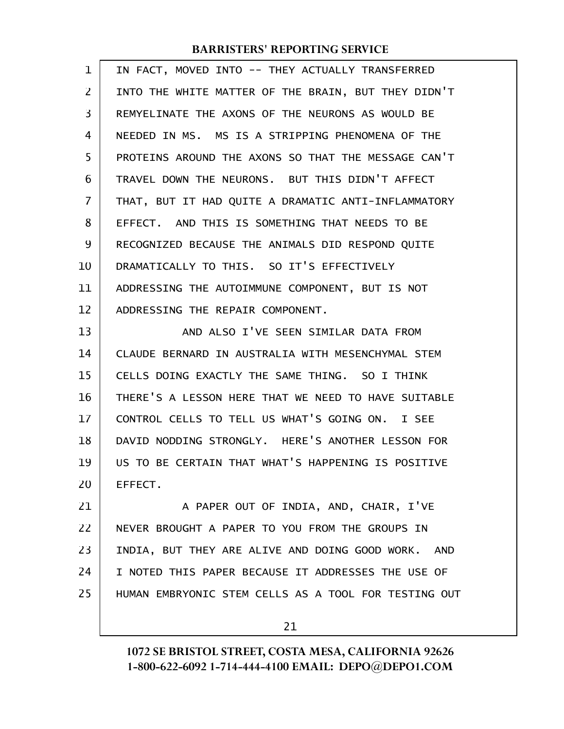| $\mathbf 1$    | IN FACT, MOVED INTO -- THEY ACTUALLY TRANSFERRED     |
|----------------|------------------------------------------------------|
| 2              | INTO THE WHITE MATTER OF THE BRAIN, BUT THEY DIDN'T  |
| 3              | REMYELINATE THE AXONS OF THE NEURONS AS WOULD BE     |
| 4              | NEEDED IN MS. MS IS A STRIPPING PHENOMENA OF THE     |
| 5              | PROTEINS AROUND THE AXONS SO THAT THE MESSAGE CAN'T  |
| 6              | TRAVEL DOWN THE NEURONS. BUT THIS DIDN'T AFFECT      |
| $\overline{7}$ | THAT, BUT IT HAD QUITE A DRAMATIC ANTI-INFLAMMATORY  |
| 8              | EFFECT. AND THIS IS SOMETHING THAT NEEDS TO BE       |
| 9              | RECOGNIZED BECAUSE THE ANIMALS DID RESPOND QUITE     |
| 10             | DRAMATICALLY TO THIS. SO IT'S EFFECTIVELY            |
| 11             | ADDRESSING THE AUTOIMMUNE COMPONENT, BUT IS NOT      |
| 12             | ADDRESSING THE REPAIR COMPONENT.                     |
| 13             | AND ALSO I'VE SEEN SIMILAR DATA FROM                 |
| 14             | CLAUDE BERNARD IN AUSTRALIA WITH MESENCHYMAL STEM    |
| 15             | CELLS DOING EXACTLY THE SAME THING. SO I THINK       |
| 16             | THERE'S A LESSON HERE THAT WE NEED TO HAVE SUITABLE  |
| 17             | CONTROL CELLS TO TELL US WHAT'S GOING ON. I SEE      |
| 18             | DAVID NODDING STRONGLY. HERE'S ANOTHER LESSON FOR    |
| 19             | US TO BE CERTAIN THAT WHAT'S HAPPENING IS POSITIVE   |
| 20             | EFFECT.                                              |
| 21             | A PAPER OUT OF INDIA, AND, CHAIR, I'VE               |
| 22             | NEVER BROUGHT A PAPER TO YOU FROM THE GROUPS IN      |
| 23             | INDIA, BUT THEY ARE ALIVE AND DOING GOOD WORK. AND   |
| 24             | I NOTED THIS PAPER BECAUSE IT ADDRESSES THE USE OF   |
| 25             | HUMAN EMBRYONIC STEM CELLS AS A TOOL FOR TESTING OUT |
|                | 21                                                   |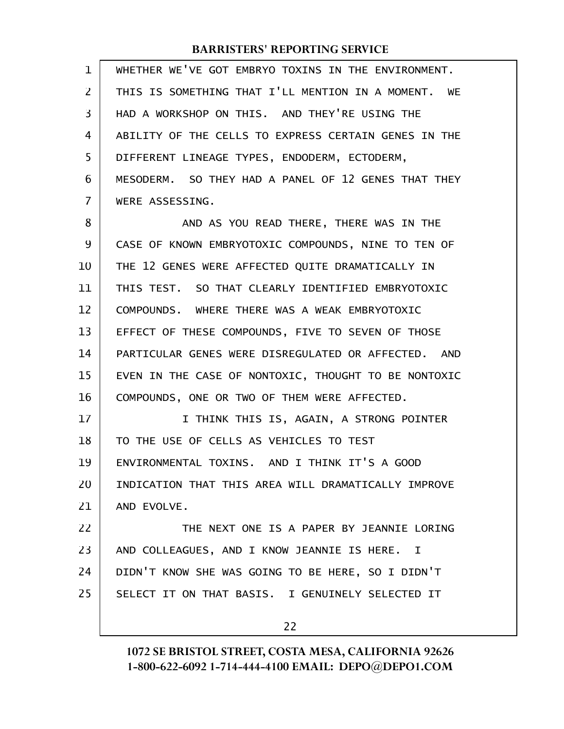| $\mathbf 1$ | WHETHER WE'VE GOT EMBRYO TOXINS IN THE ENVIRONMENT.  |
|-------------|------------------------------------------------------|
| 2           | THIS IS SOMETHING THAT I'LL MENTION IN A MOMENT. WE  |
| 3           | HAD A WORKSHOP ON THIS. AND THEY'RE USING THE        |
| 4           | ABILITY OF THE CELLS TO EXPRESS CERTAIN GENES IN THE |
| 5           | DIFFERENT LINEAGE TYPES, ENDODERM, ECTODERM,         |
| 6           | MESODERM. SO THEY HAD A PANEL OF 12 GENES THAT THEY  |
| 7           | WERE ASSESSING.                                      |
| 8           | AND AS YOU READ THERE, THERE WAS IN THE              |
| 9           | CASE OF KNOWN EMBRYOTOXIC COMPOUNDS, NINE TO TEN OF  |
| 10          | THE 12 GENES WERE AFFECTED QUITE DRAMATICALLY IN     |
| 11          | THIS TEST. SO THAT CLEARLY IDENTIFIED EMBRYOTOXIC    |
| 12          | COMPOUNDS. WHERE THERE WAS A WEAK EMBRYOTOXIC        |
| 13          | EFFECT OF THESE COMPOUNDS, FIVE TO SEVEN OF THOSE    |
| 14          | PARTICULAR GENES WERE DISREGULATED OR AFFECTED. AND  |
| 15          | EVEN IN THE CASE OF NONTOXIC, THOUGHT TO BE NONTOXIC |
| 16          | COMPOUNDS, ONE OR TWO OF THEM WERE AFFECTED.         |
| 17          | I THINK THIS IS, AGAIN, A STRONG POINTER             |
| 18          | TO THE USE OF CELLS AS VEHICLES TO TEST              |
| 19          | ENVIRONMENTAL TOXINS. AND I THINK IT'S A GOOD        |
| 20          | INDICATION THAT THIS AREA WILL DRAMATICALLY IMPROVE  |
| 21          | AND EVOLVE.                                          |
| 22          | THE NEXT ONE IS A PAPER BY JEANNIE LORING            |
| 23          | AND COLLEAGUES, AND I KNOW JEANNIE IS HERE. I        |
| 24          | DIDN'T KNOW SHE WAS GOING TO BE HERE, SO I DIDN'T    |
| 25          | SELECT IT ON THAT BASIS. I GENUINELY SELECTED IT     |
|             |                                                      |

22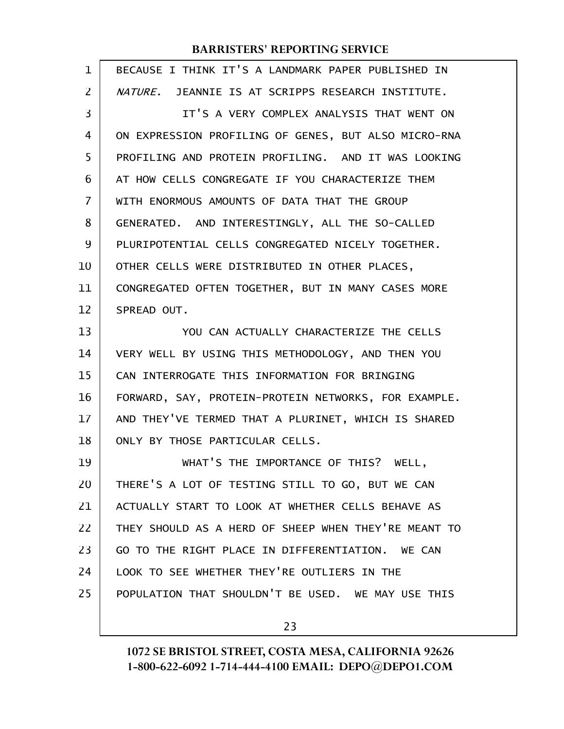| $\mathbf 1$ | BECAUSE I THINK IT'S A LANDMARK PAPER PUBLISHED IN   |
|-------------|------------------------------------------------------|
| 2           | NATURE. JEANNIE IS AT SCRIPPS RESEARCH INSTITUTE.    |
| 3           | IT'S A VERY COMPLEX ANALYSIS THAT WENT ON            |
| 4           | ON EXPRESSION PROFILING OF GENES, BUT ALSO MICRO-RNA |
| 5           | PROFILING AND PROTEIN PROFILING. AND IT WAS LOOKING  |
| 6           | AT HOW CELLS CONGREGATE IF YOU CHARACTERIZE THEM     |
| 7           | WITH ENORMOUS AMOUNTS OF DATA THAT THE GROUP         |
| 8           | GENERATED. AND INTERESTINGLY, ALL THE SO-CALLED      |
| 9           | PLURIPOTENTIAL CELLS CONGREGATED NICELY TOGETHER.    |
| 10          | OTHER CELLS WERE DISTRIBUTED IN OTHER PLACES,        |
| 11          | CONGREGATED OFTEN TOGETHER, BUT IN MANY CASES MORE   |
| 12          | SPREAD OUT.                                          |
| 13          | YOU CAN ACTUALLY CHARACTERIZE THE CELLS              |
| 14          | VERY WELL BY USING THIS METHODOLOGY, AND THEN YOU    |
| 15          | CAN INTERROGATE THIS INFORMATION FOR BRINGING        |
| 16          | FORWARD, SAY, PROTEIN-PROTEIN NETWORKS, FOR EXAMPLE. |
| 17          | AND THEY'VE TERMED THAT A PLURINET, WHICH IS SHARED  |
| 18          | ONLY BY THOSE PARTICULAR CELLS.                      |
| 19          | WHAT'S THE IMPORTANCE OF THIS? WELL,                 |
| 20          | THERE'S A LOT OF TESTING STILL TO GO, BUT WE CAN     |
| 21          | ACTUALLY START TO LOOK AT WHETHER CELLS BEHAVE AS    |
| 22          | THEY SHOULD AS A HERD OF SHEEP WHEN THEY'RE MEANT TO |
| 23          | GO TO THE RIGHT PLACE IN DIFFERENTIATION. WE CAN     |
| 24          | LOOK TO SEE WHETHER THEY'RE OUTLIERS IN THE          |
| 25          | POPULATION THAT SHOULDN'T BE USED. WE MAY USE THIS   |
|             |                                                      |

23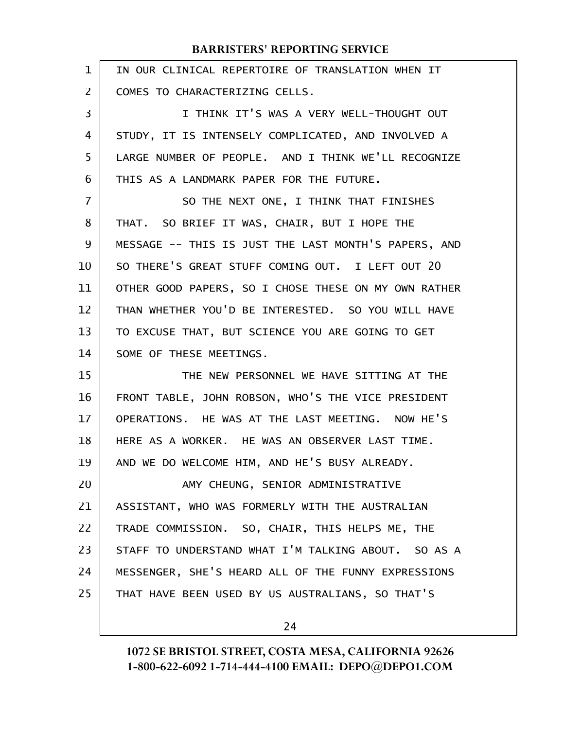| $\mathbf 1$ | IN OUR CLINICAL REPERTOIRE OF TRANSLATION WHEN IT    |
|-------------|------------------------------------------------------|
| 2           | COMES TO CHARACTERIZING CELLS.                       |
| 3           | I THINK IT'S WAS A VERY WELL-THOUGHT OUT             |
| 4           | STUDY, IT IS INTENSELY COMPLICATED, AND INVOLVED A   |
| 5           | LARGE NUMBER OF PEOPLE. AND I THINK WE'LL RECOGNIZE  |
| 6           | THIS AS A LANDMARK PAPER FOR THE FUTURE.             |
| 7           | SO THE NEXT ONE, I THINK THAT FINISHES               |
| 8           | THAT. SO BRIEF IT WAS, CHAIR, BUT I HOPE THE         |
| 9           | MESSAGE -- THIS IS JUST THE LAST MONTH'S PAPERS, AND |
| 10          | SO THERE'S GREAT STUFF COMING OUT. I LEFT OUT 20     |
| 11          | OTHER GOOD PAPERS, SO I CHOSE THESE ON MY OWN RATHER |
| 12          | THAN WHETHER YOU'D BE INTERESTED. SO YOU WILL HAVE   |
| 13          | TO EXCUSE THAT, BUT SCIENCE YOU ARE GOING TO GET     |
| 14          | SOME OF THESE MEETINGS.                              |
| 15          | THE NEW PERSONNEL WE HAVE SITTING AT THE             |
| 16          | FRONT TABLE, JOHN ROBSON, WHO'S THE VICE PRESIDENT   |
| 17          | OPERATIONS. HE WAS AT THE LAST MEETING. NOW HE'S     |
| 18          | HERE AS A WORKER. HE WAS AN OBSERVER LAST TIME.      |
| 19          | AND WE DO WELCOME HIM, AND HE'S BUSY ALREADY.        |
| 20          | AMY CHEUNG, SENIOR ADMINISTRATIVE                    |
| 21          | ASSISTANT, WHO WAS FORMERLY WITH THE AUSTRALIAN      |
| 22          | TRADE COMMISSION. SO, CHAIR, THIS HELPS ME, THE      |
| 23          | STAFF TO UNDERSTAND WHAT I'M TALKING ABOUT. SO AS A  |
| 24          | MESSENGER, SHE'S HEARD ALL OF THE FUNNY EXPRESSIONS  |
| 25          | THAT HAVE BEEN USED BY US AUSTRALIANS, SO THAT'S     |
|             |                                                      |

24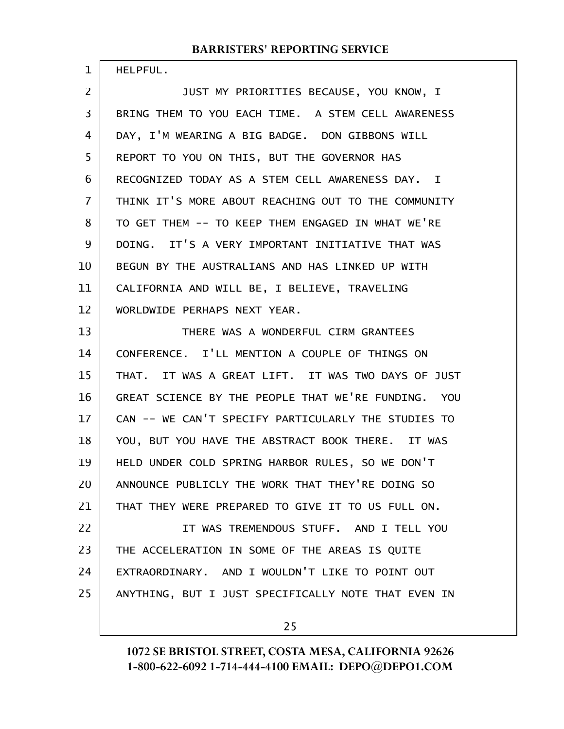HELPFUL.

1

JUST MY PRIORITIES BECAUSE, YOU KNOW, I BRING THEM TO YOU EACH TIME. A STEM CELL AWARENESS DAY, I'M WEARING A BIG BADGE. DON GIBBONS WILL REPORT TO YOU ON THIS, BUT THE GOVERNOR HAS RECOGNIZED TODAY AS A STEM CELL AWARENESS DAY. I THINK IT'S MORE ABOUT REACHING OUT TO THE COMMUNITY TO GET THEM -- TO KEEP THEM ENGAGED IN WHAT WE'RE DOING. IT'S A VERY IMPORTANT INITIATIVE THAT WAS BEGUN BY THE AUSTRALIANS AND HAS LINKED UP WITH CALIFORNIA AND WILL BE, I BELIEVE, TRAVELING WORLDWIDE PERHAPS NEXT YEAR. THERE WAS A WONDERFUL CIRM GRANTEES CONFERENCE. I'LL MENTION A COUPLE OF THINGS ON THAT. IT WAS A GREAT LIFT. IT WAS TWO DAYS OF JUST GREAT SCIENCE BY THE PEOPLE THAT WE'RE FUNDING. YOU CAN -- WE CAN'T SPECIFY PARTICULARLY THE STUDIES TO YOU, BUT YOU HAVE THE ABSTRACT BOOK THERE. IT WAS 2 3 4 5 6 7 8 9 10 11 12 13 14 15 16 17 18

HELD UNDER COLD SPRING HARBOR RULES, SO WE DON'T ANNOUNCE PUBLICLY THE WORK THAT THEY'RE DOING SO THAT THEY WERE PREPARED TO GIVE IT TO US FULL ON. 19 20 21

IT WAS TREMENDOUS STUFF. AND I TELL YOU THE ACCELERATION IN SOME OF THE AREAS IS QUITE EXTRAORDINARY. AND I WOULDN'T LIKE TO POINT OUT ANYTHING, BUT I JUST SPECIFICALLY NOTE THAT EVEN IN 22 23 24 25

25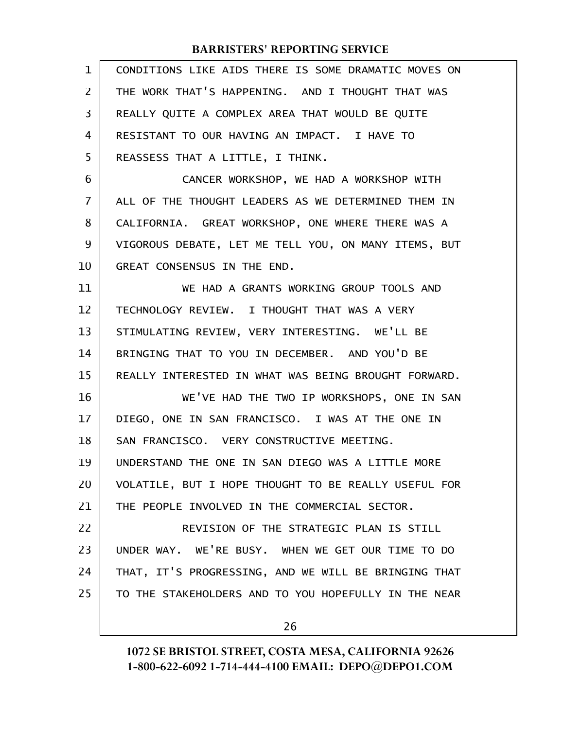| $\mathbf{1}$   | CONDITIONS LIKE AIDS THERE IS SOME DRAMATIC MOVES ON |
|----------------|------------------------------------------------------|
| $\overline{2}$ | THE WORK THAT'S HAPPENING. AND I THOUGHT THAT WAS    |
| 3              | REALLY QUITE A COMPLEX AREA THAT WOULD BE QUITE      |
| 4              | RESISTANT TO OUR HAVING AN IMPACT. I HAVE TO         |
| 5              | REASSESS THAT A LITTLE, I THINK.                     |
| 6              | CANCER WORKSHOP, WE HAD A WORKSHOP WITH              |
| 7              | ALL OF THE THOUGHT LEADERS AS WE DETERMINED THEM IN  |
| 8              | CALIFORNIA. GREAT WORKSHOP, ONE WHERE THERE WAS A    |
| 9              | VIGOROUS DEBATE, LET ME TELL YOU, ON MANY ITEMS, BUT |
| 10             | GREAT CONSENSUS IN THE END.                          |
| 11             | WE HAD A GRANTS WORKING GROUP TOOLS AND              |
| 12             | TECHNOLOGY REVIEW. I THOUGHT THAT WAS A VERY         |
| 13             | STIMULATING REVIEW, VERY INTERESTING. WE'LL BE       |
| 14             | BRINGING THAT TO YOU IN DECEMBER. AND YOU'D BE       |
| 15             | REALLY INTERESTED IN WHAT WAS BEING BROUGHT FORWARD. |
| 16             | WE'VE HAD THE TWO IP WORKSHOPS, ONE IN SAN           |
| 17             | DIEGO, ONE IN SAN FRANCISCO. I WAS AT THE ONE IN     |
| 18             | SAN FRANCISCO. VERY CONSTRUCTIVE MEETING.            |
| 19             | UNDERSTAND THE ONE IN SAN DIEGO WAS A LITTLE MORE    |
| 20             | VOLATILE, BUT I HOPE THOUGHT TO BE REALLY USEFUL FOR |
| 21             | THE PEOPLE INVOLVED IN THE COMMERCIAL SECTOR.        |
| 22             | REVISION OF THE STRATEGIC PLAN IS STILL              |
| 23             | UNDER WAY. WE'RE BUSY. WHEN WE GET OUR TIME TO DO    |
| 24             | THAT, IT'S PROGRESSING, AND WE WILL BE BRINGING THAT |
| 25             | TO THE STAKEHOLDERS AND TO YOU HOPEFULLY IN THE NEAR |
|                |                                                      |

26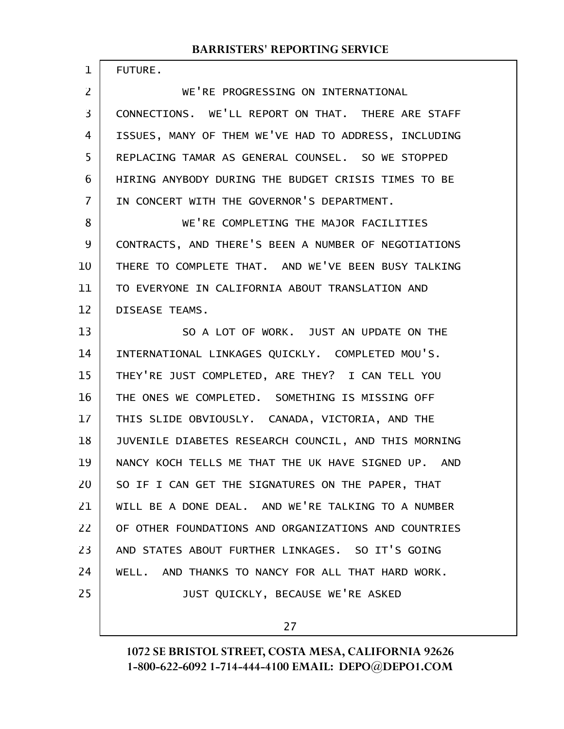FUTURE. 1

2

WE'RE PROGRESSING ON INTERNATIONAL

CONNECTIONS. WE'LL REPORT ON THAT. THERE ARE STAFF ISSUES, MANY OF THEM WE'VE HAD TO ADDRESS, INCLUDING REPLACING TAMAR AS GENERAL COUNSEL. SO WE STOPPED HIRING ANYBODY DURING THE BUDGET CRISIS TIMES TO BE IN CONCERT WITH THE GOVERNOR'S DEPARTMENT. 3 4 5 6 7

WE'RE COMPLETING THE MAJOR FACILITIES CONTRACTS, AND THERE'S BEEN A NUMBER OF NEGOTIATIONS THERE TO COMPLETE THAT. AND WE'VE BEEN BUSY TALKING TO EVERYONE IN CALIFORNIA ABOUT TRANSLATION AND DISEASE TEAMS. 8 9 10 11 12

SO A LOT OF WORK. JUST AN UPDATE ON THE INTERNATIONAL LINKAGES QUICKLY. COMPLETED MOU'S. THEY'RE JUST COMPLETED, ARE THEY? I CAN TELL YOU THE ONES WE COMPLETED. SOMETHING IS MISSING OFF THIS SLIDE OBVIOUSLY. CANADA, VICTORIA, AND THE JUVENILE DIABETES RESEARCH COUNCIL, AND THIS MORNING NANCY KOCH TELLS ME THAT THE UK HAVE SIGNED UP. AND SO IF I CAN GET THE SIGNATURES ON THE PAPER, THAT WILL BE A DONE DEAL. AND WE'RE TALKING TO A NUMBER OF OTHER FOUNDATIONS AND ORGANIZATIONS AND COUNTRIES AND STATES ABOUT FURTHER LINKAGES. SO IT'S GOING WELL. AND THANKS TO NANCY FOR ALL THAT HARD WORK. JUST QUICKLY, BECAUSE WE'RE ASKED 13 14 15 16 17 18 19 20 21 22 23 24 25

27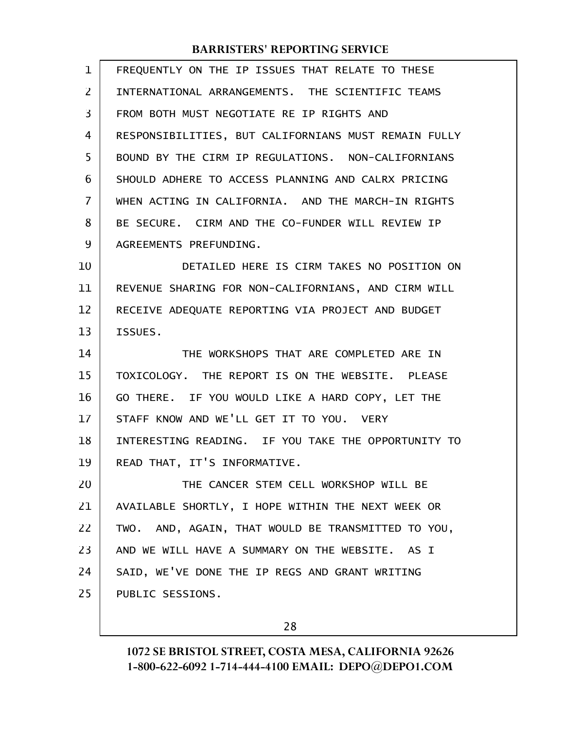| 1  | FREQUENTLY ON THE IP ISSUES THAT RELATE TO THESE     |
|----|------------------------------------------------------|
| 2  | INTERNATIONAL ARRANGEMENTS. THE SCIENTIFIC TEAMS     |
| 3  | FROM BOTH MUST NEGOTIATE RE IP RIGHTS AND            |
| 4  | RESPONSIBILITIES, BUT CALIFORNIANS MUST REMAIN FULLY |
| 5  | BOUND BY THE CIRM IP REGULATIONS. NON-CALIFORNIANS   |
| 6  | SHOULD ADHERE TO ACCESS PLANNING AND CALRX PRICING   |
| 7  | WHEN ACTING IN CALIFORNIA. AND THE MARCH-IN RIGHTS   |
| 8  | BE SECURE. CIRM AND THE CO-FUNDER WILL REVIEW IP     |
| 9  | AGREEMENTS PREFUNDING.                               |
| 10 | DETAILED HERE IS CIRM TAKES NO POSITION ON           |
| 11 | REVENUE SHARING FOR NON-CALIFORNIANS, AND CIRM WILL  |
| 12 | RECEIVE ADEQUATE REPORTING VIA PROJECT AND BUDGET    |
| 13 | ISSUES.                                              |
| 14 | THE WORKSHOPS THAT ARE COMPLETED ARE IN              |
| 15 | TOXICOLOGY. THE REPORT IS ON THE WEBSITE. PLEASE     |
| 16 | GO THERE. IF YOU WOULD LIKE A HARD COPY, LET THE     |
| 17 | STAFF KNOW AND WE'LL GET IT TO YOU. VERY             |
| 18 | INTERESTING READING. IF YOU TAKE THE OPPORTUNITY TO  |
| 19 | READ THAT, IT'S INFORMATIVE.                         |
| 20 | THE CANCER STEM CELL WORKSHOP WILL BE                |
| 21 | AVAILABLE SHORTLY, I HOPE WITHIN THE NEXT WEEK OR    |
| 22 | TWO. AND, AGAIN, THAT WOULD BE TRANSMITTED TO YOU,   |
| 23 | AND WE WILL HAVE A SUMMARY ON THE WEBSITE. AS I      |
| 24 | SAID, WE'VE DONE THE IP REGS AND GRANT WRITING       |
| 25 | PUBLIC SESSIONS.                                     |
|    |                                                      |

28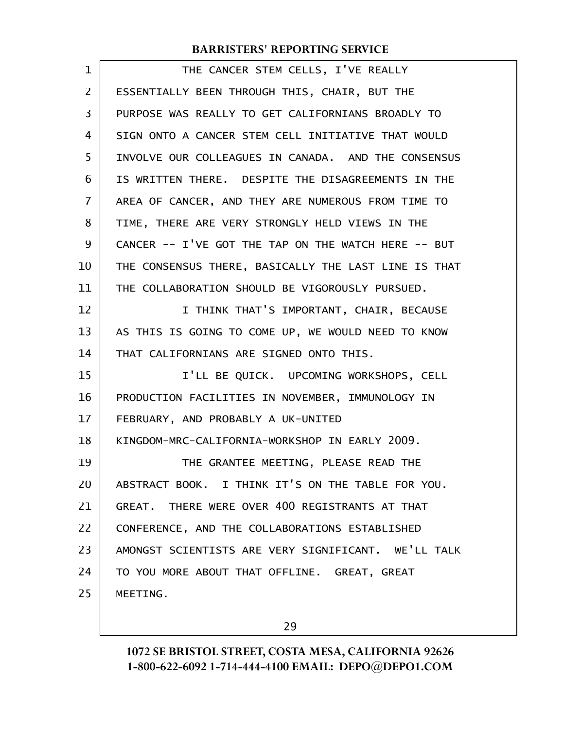| $\mathbf{1}$   | THE CANCER STEM CELLS, I'VE REALLY                   |
|----------------|------------------------------------------------------|
| $\overline{2}$ | ESSENTIALLY BEEN THROUGH THIS, CHAIR, BUT THE        |
| 3              | PURPOSE WAS REALLY TO GET CALIFORNIANS BROADLY TO    |
| 4              | SIGN ONTO A CANCER STEM CELL INITIATIVE THAT WOULD   |
| 5              | INVOLVE OUR COLLEAGUES IN CANADA. AND THE CONSENSUS  |
| 6              | IS WRITTEN THERE. DESPITE THE DISAGREEMENTS IN THE   |
| 7              | AREA OF CANCER, AND THEY ARE NUMEROUS FROM TIME TO   |
| 8              | TIME, THERE ARE VERY STRONGLY HELD VIEWS IN THE      |
| 9              | CANCER -- I'VE GOT THE TAP ON THE WATCH HERE -- BUT  |
| 10             | THE CONSENSUS THERE, BASICALLY THE LAST LINE IS THAT |
| 11             | THE COLLABORATION SHOULD BE VIGOROUSLY PURSUED.      |
| 12             | I THINK THAT'S IMPORTANT, CHAIR, BECAUSE             |
| 13             | AS THIS IS GOING TO COME UP, WE WOULD NEED TO KNOW   |
| 14             | THAT CALIFORNIANS ARE SIGNED ONTO THIS.              |
| 15             | I'LL BE QUICK. UPCOMING WORKSHOPS, CELL              |
| 16             | PRODUCTION FACILITIES IN NOVEMBER, IMMUNOLOGY IN     |
| 17             | FEBRUARY, AND PROBABLY A UK-UNITED                   |
| 18             | KINGDOM-MRC-CALIFORNIA-WORKSHOP IN EARLY 2009.       |
| 19             | THE GRANTEE MEETING, PLEASE READ THE                 |
| 20             | ABSTRACT BOOK. I THINK IT'S ON THE TABLE FOR YOU.    |
| 21             | GREAT. THERE WERE OVER 400 REGISTRANTS AT THAT       |
| 22             | CONFERENCE, AND THE COLLABORATIONS ESTABLISHED       |
| 23             | AMONGST SCIENTISTS ARE VERY SIGNIFICANT. WE'LL TALK  |
| 24             | TO YOU MORE ABOUT THAT OFFLINE. GREAT, GREAT         |
| 25             | MEETING.                                             |
|                |                                                      |

29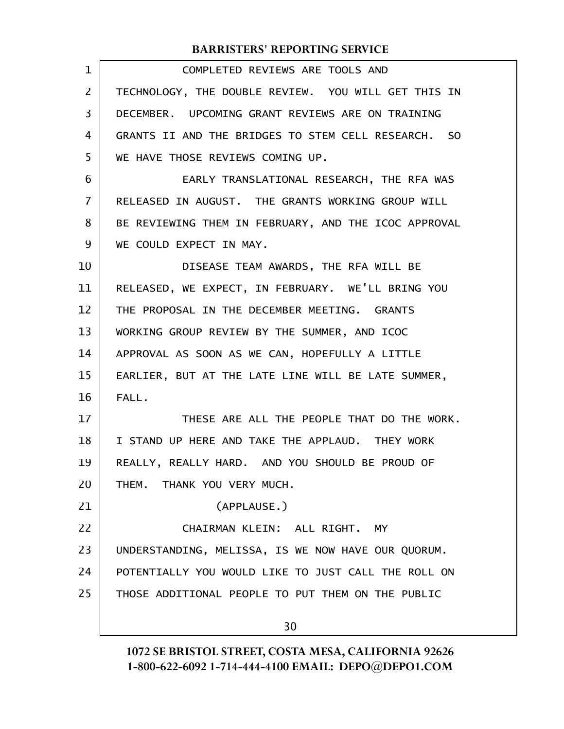| $\mathbf{1}$      | COMPLETED REVIEWS ARE TOOLS AND                      |
|-------------------|------------------------------------------------------|
| 2                 | TECHNOLOGY, THE DOUBLE REVIEW. YOU WILL GET THIS IN  |
| 3                 | DECEMBER. UPCOMING GRANT REVIEWS ARE ON TRAINING     |
| 4                 | GRANTS II AND THE BRIDGES TO STEM CELL RESEARCH. SO  |
| 5                 | WE HAVE THOSE REVIEWS COMING UP.                     |
| 6                 | EARLY TRANSLATIONAL RESEARCH, THE RFA WAS            |
| $\mathbf{7}$      | RELEASED IN AUGUST. THE GRANTS WORKING GROUP WILL    |
| 8                 | BE REVIEWING THEM IN FEBRUARY, AND THE ICOC APPROVAL |
| 9                 | WE COULD EXPECT IN MAY.                              |
| 10                | DISEASE TEAM AWARDS, THE RFA WILL BE                 |
| 11                | RELEASED, WE EXPECT, IN FEBRUARY. WE'LL BRING YOU    |
| $12 \overline{ }$ | THE PROPOSAL IN THE DECEMBER MEETING. GRANTS         |
| 13                | WORKING GROUP REVIEW BY THE SUMMER, AND ICOC         |
| 14                | APPROVAL AS SOON AS WE CAN, HOPEFULLY A LITTLE       |
| 15                | EARLIER, BUT AT THE LATE LINE WILL BE LATE SUMMER,   |
| 16                | FALL.                                                |
| 17                | THESE ARE ALL THE PEOPLE THAT DO THE WORK.           |
| 18                | I STAND UP HERE AND TAKE THE APPLAUD. THEY WORK      |
| 19                | REALLY, REALLY HARD. AND YOU SHOULD BE PROUD OF      |
| 20                | THEM. THANK YOU VERY MUCH.                           |
| 21                | (APPLAUSE.)                                          |
| 22                | CHAIRMAN KLEIN: ALL RIGHT. MY                        |
| 23                | UNDERSTANDING, MELISSA, IS WE NOW HAVE OUR QUORUM.   |
| 24                | POTENTIALLY YOU WOULD LIKE TO JUST CALL THE ROLL ON  |
| 25                | THOSE ADDITIONAL PEOPLE TO PUT THEM ON THE PUBLIC    |
|                   | 30                                                   |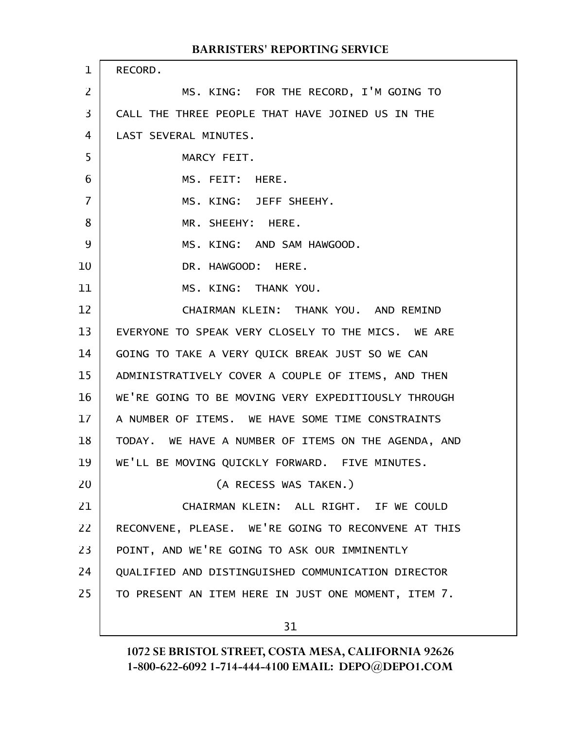|                | <b>BARRISTERS' REPORTING SERVICE</b>                |
|----------------|-----------------------------------------------------|
| $\mathbf{1}$   | RECORD.                                             |
| $\overline{2}$ | MS. KING: FOR THE RECORD, I'M GOING TO              |
| 3              | CALL THE THREE PEOPLE THAT HAVE JOINED US IN THE    |
| 4              | LAST SEVERAL MINUTES.                               |
| 5              | MARCY FEIT.                                         |
| 6              | MS. FEIT: HERE.                                     |
| $\overline{7}$ | MS. KING: JEFF SHEEHY.                              |
| 8              | MR. SHEEHY: HERE.                                   |
| 9              | MS. KING: AND SAM HAWGOOD.                          |
| 10             | DR. HAWGOOD: HERE.                                  |
| 11             | MS. KING: THANK YOU.                                |
| 12             | CHAIRMAN KLEIN: THANK YOU. AND REMIND               |
| 13             | EVERYONE TO SPEAK VERY CLOSELY TO THE MICS. WE ARE  |
| 14             | GOING TO TAKE A VERY QUICK BREAK JUST SO WE CAN     |
| 15             | ADMINISTRATIVELY COVER A COUPLE OF ITEMS, AND THEN  |
| 16             | WE'RE GOING TO BE MOVING VERY EXPEDITIOUSLY THROUGH |
| 17             | A NUMBER OF ITEMS. WE HAVE SOME TIME CONSTRAINTS    |
| 18             | TODAY. WE HAVE A NUMBER OF ITEMS ON THE AGENDA, AND |
| 19             | WE'LL BE MOVING QUICKLY FORWARD. FIVE MINUTES.      |
| 20             | (A RECESS WAS TAKEN.)                               |
| 21             | CHAIRMAN KLEIN: ALL RIGHT. IF WE COULD              |
| 22             | RECONVENE, PLEASE. WE'RE GOING TO RECONVENE AT THIS |
| 23             | POINT, AND WE'RE GOING TO ASK OUR IMMINENTLY        |
| 24             | QUALIFIED AND DISTINGUISHED COMMUNICATION DIRECTOR  |
| 25             | TO PRESENT AN ITEM HERE IN JUST ONE MOMENT, ITEM 7. |
|                | 31                                                  |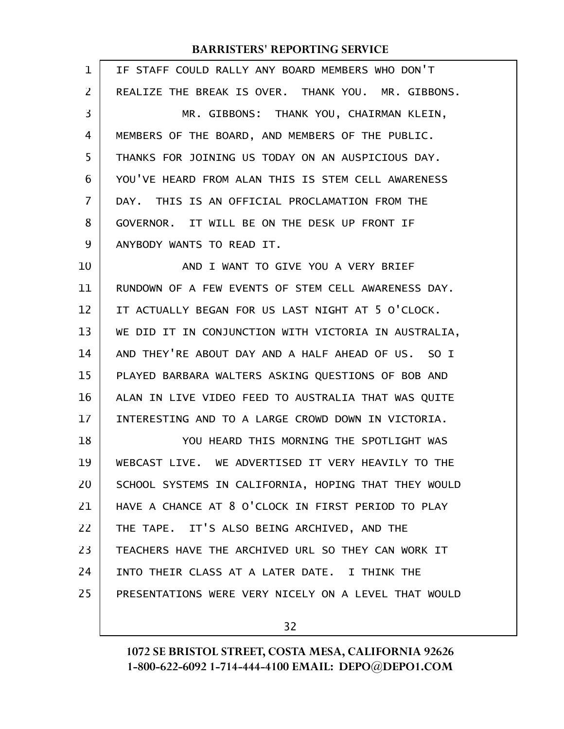| 1  | IF STAFF COULD RALLY ANY BOARD MEMBERS WHO DON'T     |
|----|------------------------------------------------------|
| 2  | REALIZE THE BREAK IS OVER. THANK YOU. MR. GIBBONS.   |
| 3  | MR. GIBBONS: THANK YOU, CHAIRMAN KLEIN,              |
| 4  | MEMBERS OF THE BOARD, AND MEMBERS OF THE PUBLIC.     |
| 5  | THANKS FOR JOINING US TODAY ON AN AUSPICIOUS DAY.    |
| 6  | YOU'VE HEARD FROM ALAN THIS IS STEM CELL AWARENESS   |
| 7  | DAY. THIS IS AN OFFICIAL PROCLAMATION FROM THE       |
| 8  | GOVERNOR. IT WILL BE ON THE DESK UP FRONT IF         |
| 9  | ANYBODY WANTS TO READ IT.                            |
| 10 | AND I WANT TO GIVE YOU A VERY BRIEF                  |
| 11 | RUNDOWN OF A FEW EVENTS OF STEM CELL AWARENESS DAY.  |
| 12 | IT ACTUALLY BEGAN FOR US LAST NIGHT AT 5 O'CLOCK.    |
| 13 | WE DID IT IN CONJUNCTION WITH VICTORIA IN AUSTRALIA, |
| 14 | AND THEY'RE ABOUT DAY AND A HALF AHEAD OF US. SO I   |
| 15 | PLAYED BARBARA WALTERS ASKING QUESTIONS OF BOB AND   |
| 16 | ALAN IN LIVE VIDEO FEED TO AUSTRALIA THAT WAS QUITE  |
| 17 | INTERESTING AND TO A LARGE CROWD DOWN IN VICTORIA.   |
| 18 | YOU HEARD THIS MORNING THE SPOTLIGHT WAS             |
| 19 | WEBCAST LIVE. WE ADVERTISED IT VERY HEAVILY TO THE   |
| 20 | SCHOOL SYSTEMS IN CALIFORNIA, HOPING THAT THEY WOULD |
| 21 | HAVE A CHANCE AT 8 O'CLOCK IN FIRST PERIOD TO PLAY   |
| 22 | THE TAPE. IT'S ALSO BEING ARCHIVED, AND THE          |
| 23 | TEACHERS HAVE THE ARCHIVED URL SO THEY CAN WORK IT   |
| 24 | INTO THEIR CLASS AT A LATER DATE. I THINK THE        |
| 25 | PRESENTATIONS WERE VERY NICELY ON A LEVEL THAT WOULD |
|    |                                                      |

32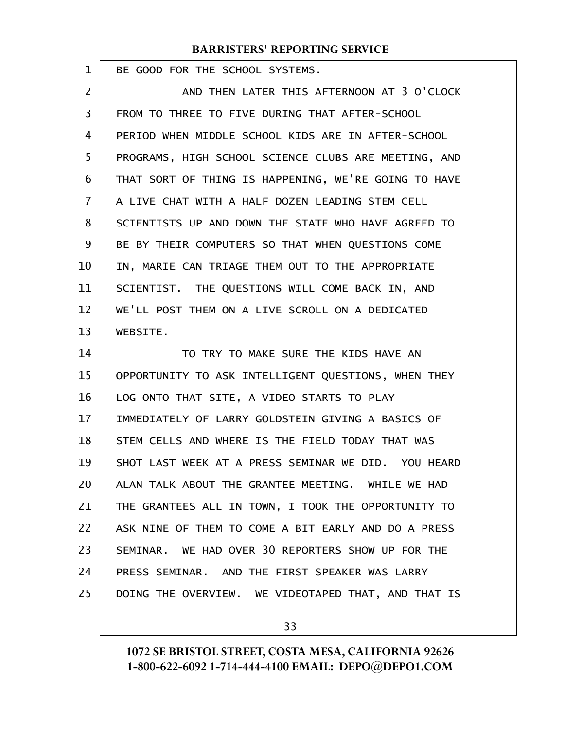| $\mathbf 1$    | BE GOOD FOR THE SCHOOL SYSTEMS.                      |
|----------------|------------------------------------------------------|
| $\overline{2}$ | AND THEN LATER THIS AFTERNOON AT 3 O'CLOCK           |
| 3              | FROM TO THREE TO FIVE DURING THAT AFTER-SCHOOL       |
| 4              | PERIOD WHEN MIDDLE SCHOOL KIDS ARE IN AFTER-SCHOOL   |
| 5              | PROGRAMS, HIGH SCHOOL SCIENCE CLUBS ARE MEETING, AND |
| 6              | THAT SORT OF THING IS HAPPENING, WE'RE GOING TO HAVE |
| 7              | A LIVE CHAT WITH A HALF DOZEN LEADING STEM CELL      |
| 8              | SCIENTISTS UP AND DOWN THE STATE WHO HAVE AGREED TO  |
| 9              | BE BY THEIR COMPUTERS SO THAT WHEN QUESTIONS COME    |
| 10             | IN, MARIE CAN TRIAGE THEM OUT TO THE APPROPRIATE     |
| 11             | SCIENTIST. THE QUESTIONS WILL COME BACK IN, AND      |
| 12             | WE'LL POST THEM ON A LIVE SCROLL ON A DEDICATED      |
| 13             | WEBSITE.                                             |
|                |                                                      |
| 14             | TO TRY TO MAKE SURE THE KIDS HAVE AN                 |
|                | OPPORTUNITY TO ASK INTELLIGENT QUESTIONS, WHEN THEY  |
| 16             | LOG ONTO THAT SITE, A VIDEO STARTS TO PLAY           |
| 17             | IMMEDIATELY OF LARRY GOLDSTEIN GIVING A BASICS OF    |
| 18             | STEM CELLS AND WHERE IS THE FIELD TODAY THAT WAS     |
| 15<br>19       | SHOT LAST WEEK AT A PRESS SEMINAR WE DID. YOU HEARD  |
| 20             | ALAN TALK ABOUT THE GRANTEE MEETING. WHILE WE HAD    |
| 21             | THE GRANTEES ALL IN TOWN, I TOOK THE OPPORTUNITY TO  |
| 22             | ASK NINE OF THEM TO COME A BIT EARLY AND DO A PRESS  |
| 23             | SEMINAR. WE HAD OVER 30 REPORTERS SHOW UP FOR THE    |
| 24             | PRESS SEMINAR. AND THE FIRST SPEAKER WAS LARRY       |
| 25             | DOING THE OVERVIEW. WE VIDEOTAPED THAT, AND THAT IS  |

33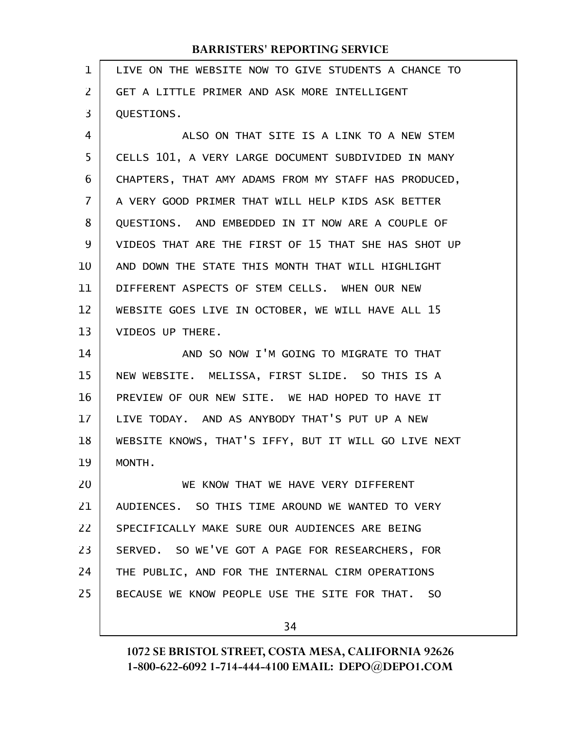| 1  | LIVE ON THE WEBSITE NOW TO GIVE STUDENTS A CHANCE TO |
|----|------------------------------------------------------|
| 2  | GET A LITTLE PRIMER AND ASK MORE INTELLIGENT         |
| 3  | QUESTIONS.                                           |
| 4  | ALSO ON THAT SITE IS A LINK TO A NEW STEM            |
| 5  | CELLS 101, A VERY LARGE DOCUMENT SUBDIVIDED IN MANY  |
| 6  | CHAPTERS, THAT AMY ADAMS FROM MY STAFF HAS PRODUCED, |
| 7  | A VERY GOOD PRIMER THAT WILL HELP KIDS ASK BETTER    |
| 8  | QUESTIONS. AND EMBEDDED IN IT NOW ARE A COUPLE OF    |
| 9  | VIDEOS THAT ARE THE FIRST OF 15 THAT SHE HAS SHOT UP |
| 10 | AND DOWN THE STATE THIS MONTH THAT WILL HIGHLIGHT    |
| 11 | DIFFERENT ASPECTS OF STEM CELLS. WHEN OUR NEW        |
| 12 | WEBSITE GOES LIVE IN OCTOBER, WE WILL HAVE ALL 15    |
| 13 | VIDEOS UP THERE.                                     |
| 14 | AND SO NOW I'M GOING TO MIGRATE TO THAT              |
| 15 | NEW WEBSITE. MELISSA, FIRST SLIDE. SO THIS IS A      |
| 16 | PREVIEW OF OUR NEW SITE. WE HAD HOPED TO HAVE IT     |
| 17 | LIVE TODAY. AND AS ANYBODY THAT'S PUT UP A NEW       |
| 18 | WEBSITE KNOWS, THAT'S IFFY, BUT IT WILL GO LIVE NEXT |
| 19 | MONTH.                                               |
| 20 | WE KNOW THAT WE HAVE VERY DIFFERENT                  |
| 21 | AUDIENCES. SO THIS TIME AROUND WE WANTED TO VERY     |
| 22 | SPECIFICALLY MAKE SURE OUR AUDIENCES ARE BEING       |
| 23 | SERVED. SO WE'VE GOT A PAGE FOR RESEARCHERS, FOR     |
| 24 | THE PUBLIC, AND FOR THE INTERNAL CIRM OPERATIONS     |
| 25 | BECAUSE WE KNOW PEOPLE USE THE SITE FOR THAT. SO     |
|    | 34                                                   |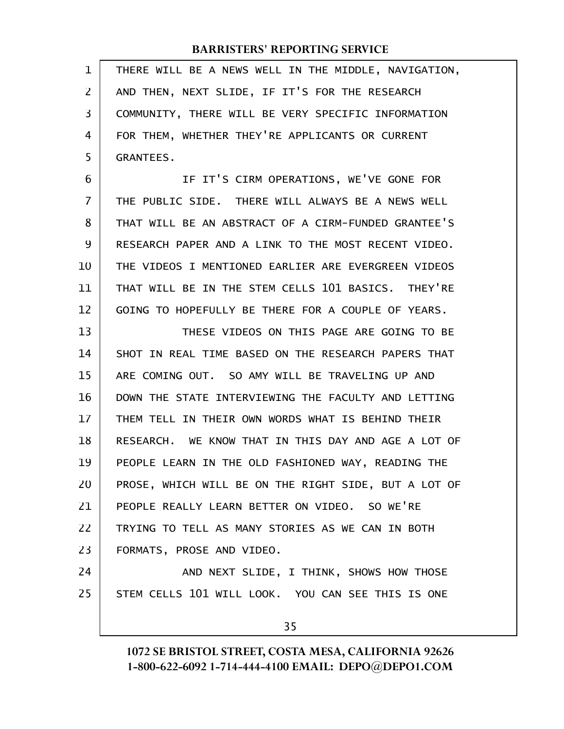| 1              | THERE WILL BE A NEWS WELL IN THE MIDDLE, NAVIGATION,   |
|----------------|--------------------------------------------------------|
| $\overline{2}$ | AND THEN, NEXT SLIDE, IF IT'S FOR THE RESEARCH         |
| 3              | COMMUNITY, THERE WILL BE VERY SPECIFIC INFORMATION     |
| 4              | FOR THEM, WHETHER THEY'RE APPLICANTS OR CURRENT        |
| 5              | <b>GRANTEES.</b>                                       |
| 6              | IF IT'S CIRM OPERATIONS, WE'VE GONE FOR                |
| $\overline{7}$ | THE PUBLIC SIDE. THERE WILL ALWAYS BE A NEWS WELL      |
| 8              | THAT WILL BE AN ABSTRACT OF A CIRM-FUNDED GRANTEE'S    |
| 9              | RESEARCH PAPER AND A LINK TO THE MOST RECENT VIDEO.    |
| 10             | THE VIDEOS I MENTIONED EARLIER ARE EVERGREEN VIDEOS    |
| 11             | THAT WILL BE IN THE STEM CELLS 101 BASICS. THEY'RE     |
| 12             | GOING TO HOPEFULLY BE THERE FOR A COUPLE OF YEARS.     |
| 13             | THESE VIDEOS ON THIS PAGE ARE GOING TO BE              |
| 14             | SHOT IN REAL TIME BASED ON THE RESEARCH PAPERS THAT    |
| 15             | ARE COMING OUT. SO AMY WILL BE TRAVELING UP AND        |
| 16             | DOWN THE STATE INTERVIEWING THE FACULTY AND LETTING    |
| 17             | THEM TELL IN THEIR OWN WORDS WHAT IS BEHIND THEIR      |
| 18             | WE KNOW THAT IN THIS DAY AND AGE A LOT OF<br>RESEARCH. |
| 19             | PEOPLE LEARN IN THE OLD FASHIONED WAY, READING THE     |
| 20             | PROSE, WHICH WILL BE ON THE RIGHT SIDE, BUT A LOT OF   |
| 21             | PEOPLE REALLY LEARN BETTER ON VIDEO. SO WE'RE          |
| 22             | TRYING TO TELL AS MANY STORIES AS WE CAN IN BOTH       |
| 23             | FORMATS, PROSE AND VIDEO.                              |
| 24             | AND NEXT SLIDE, I THINK, SHOWS HOW THOSE               |
| 25             | STEM CELLS 101 WILL LOOK. YOU CAN SEE THIS IS ONE      |
|                | 35                                                     |
|                |                                                        |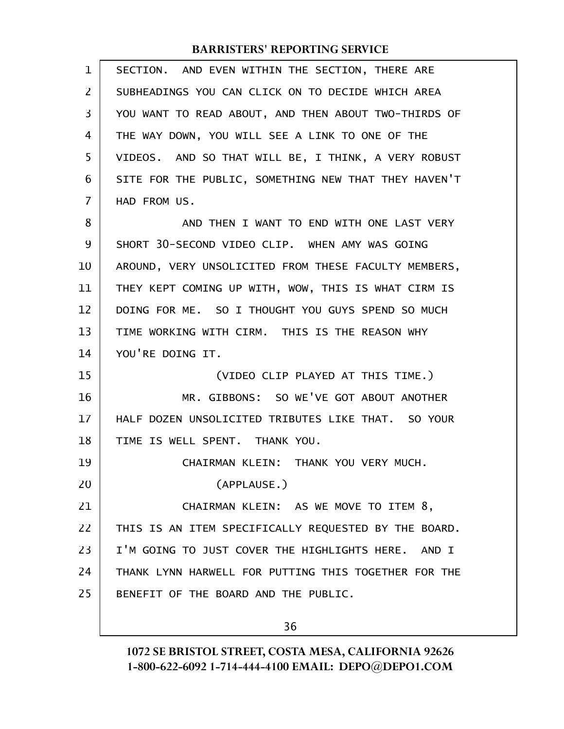| 1              | SECTION. AND EVEN WITHIN THE SECTION, THERE ARE       |
|----------------|-------------------------------------------------------|
| $\overline{2}$ | SUBHEADINGS YOU CAN CLICK ON TO DECIDE WHICH AREA     |
| 3              | YOU WANT TO READ ABOUT, AND THEN ABOUT TWO-THIRDS OF  |
| 4              | THE WAY DOWN, YOU WILL SEE A LINK TO ONE OF THE       |
| 5              | VIDEOS. AND SO THAT WILL BE, I THINK, A VERY ROBUST   |
| 6              | SITE FOR THE PUBLIC, SOMETHING NEW THAT THEY HAVEN'T  |
| 7              | HAD FROM US.                                          |
| 8              | AND THEN I WANT TO END WITH ONE LAST VERY             |
| 9              | SHORT 30-SECOND VIDEO CLIP. WHEN AMY WAS GOING        |
| 10             | AROUND, VERY UNSOLICITED FROM THESE FACULTY MEMBERS,  |
| 11             | THEY KEPT COMING UP WITH, WOW, THIS IS WHAT CIRM IS   |
| 12             | DOING FOR ME. SO I THOUGHT YOU GUYS SPEND SO MUCH     |
| 13             | TIME WORKING WITH CIRM. THIS IS THE REASON WHY        |
| 14             | YOU'RE DOING IT.                                      |
| 15             | (VIDEO CLIP PLAYED AT THIS TIME.)                     |
| 16             | MR. GIBBONS: SO WE'VE GOT ABOUT ANOTHER               |
| 17             | HALF DOZEN UNSOLICITED TRIBUTES LIKE THAT. SO YOUR    |
| 18             | TIME IS WELL SPENT. THANK YOU.                        |
| 19             | CHAIRMAN KLEIN: THANK YOU VERY MUCH.                  |
| 20             | (APPLAUSE.)                                           |
| 21             | CHAIRMAN KLEIN: AS WE MOVE TO ITEM 8,                 |
| 22             | THIS IS AN ITEM SPECIFICALLY REQUESTED BY THE BOARD.  |
| 23             | I'M GOING TO JUST COVER THE HIGHLIGHTS HERE.<br>AND I |
| 24             | THANK LYNN HARWELL FOR PUTTING THIS TOGETHER FOR THE  |
| 25             | BENEFIT OF THE BOARD AND THE PUBLIC.                  |
|                |                                                       |

36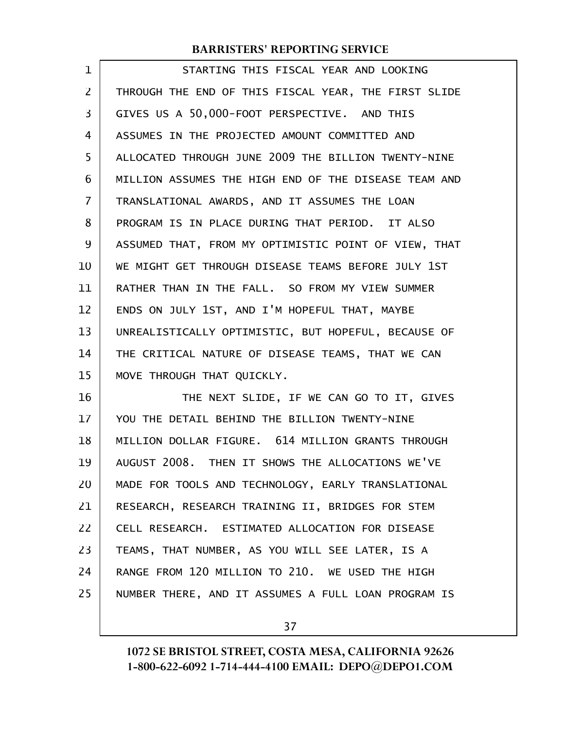| $\mathbf 1$ | STARTING THIS FISCAL YEAR AND LOOKING                |
|-------------|------------------------------------------------------|
| 2           | THROUGH THE END OF THIS FISCAL YEAR, THE FIRST SLIDE |
| 3           | GIVES US A 50,000-FOOT PERSPECTIVE. AND THIS         |
| 4           | ASSUMES IN THE PROJECTED AMOUNT COMMITTED AND        |
| 5           | ALLOCATED THROUGH JUNE 2009 THE BILLION TWENTY-NINE  |
| 6           | MILLION ASSUMES THE HIGH END OF THE DISEASE TEAM AND |
| 7           | TRANSLATIONAL AWARDS, AND IT ASSUMES THE LOAN        |
| 8           | PROGRAM IS IN PLACE DURING THAT PERIOD. IT ALSO      |
| 9           | ASSUMED THAT, FROM MY OPTIMISTIC POINT OF VIEW, THAT |
| 10          | WE MIGHT GET THROUGH DISEASE TEAMS BEFORE JULY 1ST   |
| 11          | RATHER THAN IN THE FALL. SO FROM MY VIEW SUMMER      |
| 12          | ENDS ON JULY 1ST, AND I'M HOPEFUL THAT, MAYBE        |
| 13          | UNREALISTICALLY OPTIMISTIC, BUT HOPEFUL, BECAUSE OF  |
| 14          | THE CRITICAL NATURE OF DISEASE TEAMS, THAT WE CAN    |
| 15          | MOVE THROUGH THAT QUICKLY.                           |
| 16          | THE NEXT SLIDE, IF WE CAN GO TO IT, GIVES            |
| 17          | YOU THE DETAIL BEHIND THE BILLION TWENTY-NINE        |
| 18          | MILLION DOLLAR FIGURE. 614 MILLION GRANTS THROUGH    |
| 19          | AUGUST 2008. THEN IT SHOWS THE ALLOCATIONS WE'VE     |
| 20          | MADE FOR TOOLS AND TECHNOLOGY, EARLY TRANSLATIONAL   |
| 21          | RESEARCH, RESEARCH TRAINING II, BRIDGES FOR STEM     |
| 22          | CELL RESEARCH. ESTIMATED ALLOCATION FOR DISEASE      |
| 23          | TEAMS, THAT NUMBER, AS YOU WILL SEE LATER, IS A      |
| 24          | RANGE FROM 120 MILLION TO 210. WE USED THE HIGH      |
| 25          | NUMBER THERE, AND IT ASSUMES A FULL LOAN PROGRAM IS  |

37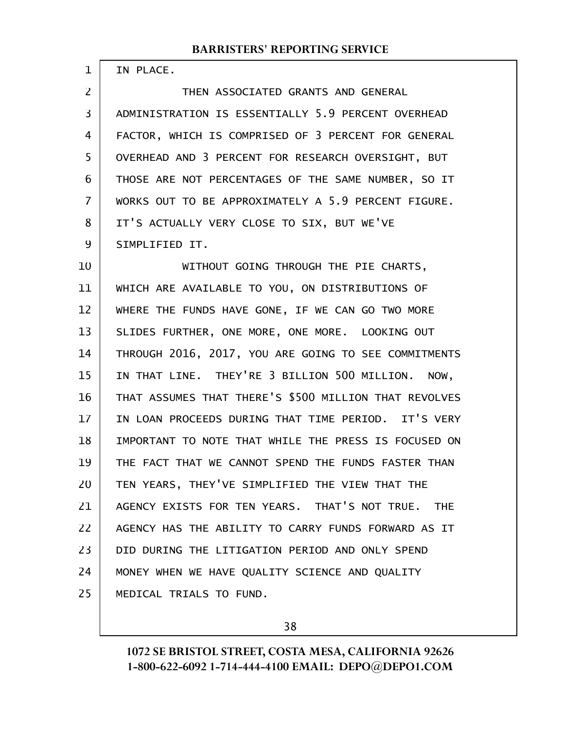IN PLACE.

1

THEN ASSOCIATED GRANTS AND GENERAL ADMINISTRATION IS ESSENTIALLY 5.9 PERCENT OVERHEAD FACTOR, WHICH IS COMPRISED OF 3 PERCENT FOR GENERAL OVERHEAD AND 3 PERCENT FOR RESEARCH OVERSIGHT, BUT THOSE ARE NOT PERCENTAGES OF THE SAME NUMBER, SO IT WORKS OUT TO BE APPROXIMATELY A 5.9 PERCENT FIGURE. IT'S ACTUALLY VERY CLOSE TO SIX, BUT WE'VE SIMPLIFIED IT. 2 3 4 5 6 7 8 9

WITHOUT GOING THROUGH THE PIE CHARTS, WHICH ARE AVAILABLE TO YOU, ON DISTRIBUTIONS OF WHERE THE FUNDS HAVE GONE, IF WE CAN GO TWO MORE SLIDES FURTHER, ONE MORE, ONE MORE. LOOKING OUT THROUGH 2016, 2017, YOU ARE GOING TO SEE COMMITMENTS IN THAT LINE. THEY'RE 3 BILLION 500 MILLION. NOW, THAT ASSUMES THAT THERE'S \$500 MILLION THAT REVOLVES IN LOAN PROCEEDS DURING THAT TIME PERIOD. IT'S VERY IMPORTANT TO NOTE THAT WHILE THE PRESS IS FOCUSED ON THE FACT THAT WE CANNOT SPEND THE FUNDS FASTER THAN TEN YEARS, THEY'VE SIMPLIFIED THE VIEW THAT THE AGENCY EXISTS FOR TEN YEARS. THAT'S NOT TRUE. THE AGENCY HAS THE ABILITY TO CARRY FUNDS FORWARD AS IT DID DURING THE LITIGATION PERIOD AND ONLY SPEND MONEY WHEN WE HAVE QUALITY SCIENCE AND QUALITY MEDICAL TRIALS TO FUND. 10 11 12 13 14 15 16 17 18 19 20 21 22 23 24 25

38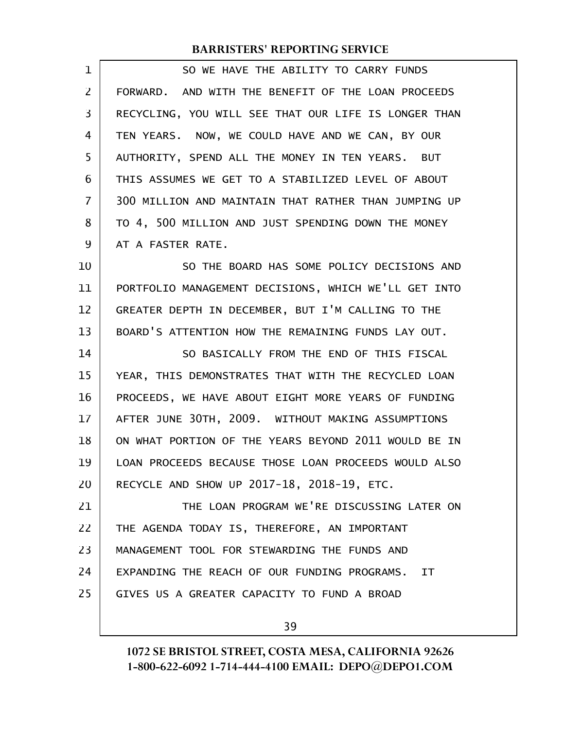| 1              | SO WE HAVE THE ABILITY TO CARRY FUNDS                |
|----------------|------------------------------------------------------|
| 2              | FORWARD. AND WITH THE BENEFIT OF THE LOAN PROCEEDS   |
| 3              | RECYCLING, YOU WILL SEE THAT OUR LIFE IS LONGER THAN |
| 4              | TEN YEARS. NOW, WE COULD HAVE AND WE CAN, BY OUR     |
| 5              | AUTHORITY, SPEND ALL THE MONEY IN TEN YEARS. BUT     |
| 6              | THIS ASSUMES WE GET TO A STABILIZED LEVEL OF ABOUT   |
| 7              | 300 MILLION AND MAINTAIN THAT RATHER THAN JUMPING UP |
| 8              | TO 4, 500 MILLION AND JUST SPENDING DOWN THE MONEY   |
| 9              | AT A FASTER RATE.                                    |
| 10             | SO THE BOARD HAS SOME POLICY DECISIONS AND           |
| 11             | PORTFOLIO MANAGEMENT DECISIONS, WHICH WE'LL GET INTO |
| 12             | GREATER DEPTH IN DECEMBER, BUT I'M CALLING TO THE    |
| 13             | BOARD'S ATTENTION HOW THE REMAINING FUNDS LAY OUT.   |
| 14             | SO BASICALLY FROM THE END OF THIS FISCAL             |
|                | YEAR, THIS DEMONSTRATES THAT WITH THE RECYCLED LOAN  |
| 15             |                                                      |
| 16             | PROCEEDS, WE HAVE ABOUT EIGHT MORE YEARS OF FUNDING  |
|                | AFTER JUNE 30TH, 2009. WITHOUT MAKING ASSUMPTIONS    |
|                | ON WHAT PORTION OF THE YEARS BEYOND 2011 WOULD BE IN |
| 17<br>18<br>19 | LOAN PROCEEDS BECAUSE THOSE LOAN PROCEEDS WOULD ALSO |
| 20             | RECYCLE AND SHOW UP 2017-18, 2018-19, ETC.           |
| 21             | THE LOAN PROGRAM WE'RE DISCUSSING LATER ON           |
| 22             | THE AGENDA TODAY IS, THEREFORE, AN IMPORTANT         |
| 23             | MANAGEMENT TOOL FOR STEWARDING THE FUNDS AND         |
| 24             | EXPANDING THE REACH OF OUR FUNDING PROGRAMS. IT      |
| 25             | GIVES US A GREATER CAPACITY TO FUND A BROAD          |

39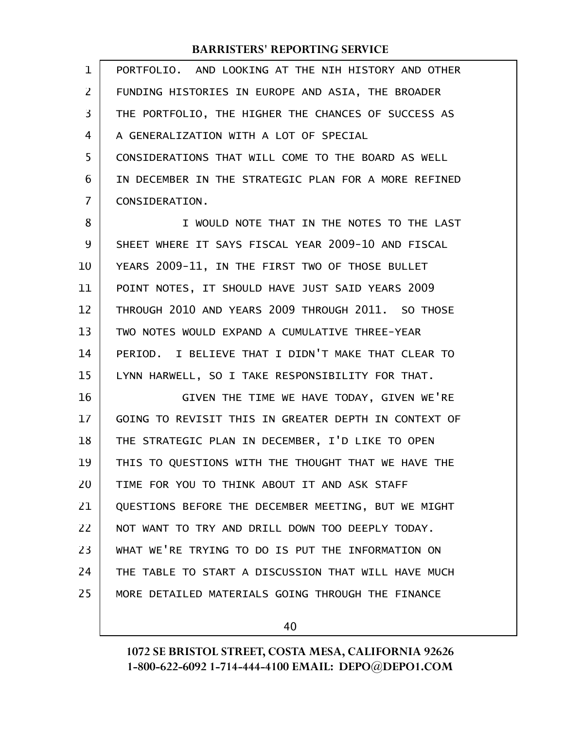| $\mathbf 1$    | PORTFOLIO. AND LOOKING AT THE NIH HISTORY AND OTHER  |
|----------------|------------------------------------------------------|
| $\overline{2}$ | FUNDING HISTORIES IN EUROPE AND ASIA, THE BROADER    |
| 3              | THE PORTFOLIO, THE HIGHER THE CHANCES OF SUCCESS AS  |
| 4              | A GENERALIZATION WITH A LOT OF SPECIAL               |
| 5              | CONSIDERATIONS THAT WILL COME TO THE BOARD AS WELL   |
| 6              | IN DECEMBER IN THE STRATEGIC PLAN FOR A MORE REFINED |
| $\overline{7}$ | CONSIDERATION.                                       |
| 8              | I WOULD NOTE THAT IN THE NOTES TO THE LAST           |
| 9              | SHEET WHERE IT SAYS FISCAL YEAR 2009-10 AND FISCAL   |
| 10             | YEARS 2009-11, IN THE FIRST TWO OF THOSE BULLET      |
| 11             | POINT NOTES, IT SHOULD HAVE JUST SAID YEARS 2009     |
| 12             | THROUGH 2010 AND YEARS 2009 THROUGH 2011. SO THOSE   |
| 13             | TWO NOTES WOULD EXPAND A CUMULATIVE THREE-YEAR       |
| 14             | PERIOD. I BELIEVE THAT I DIDN'T MAKE THAT CLEAR TO   |
| 15             | LYNN HARWELL, SO I TAKE RESPONSIBILITY FOR THAT.     |
| 16             | GIVEN THE TIME WE HAVE TODAY, GIVEN WE'RE            |
| 17             | GOING TO REVISIT THIS IN GREATER DEPTH IN CONTEXT OF |
| 18             | THE STRATEGIC PLAN IN DECEMBER, I'D LIKE TO OPEN     |
| 19             | THIS TO QUESTIONS WITH THE THOUGHT THAT WE HAVE THE  |
| 20             | TIME FOR YOU TO THINK ABOUT IT AND ASK STAFF         |
| 21             | QUESTIONS BEFORE THE DECEMBER MEETING, BUT WE MIGHT  |
| 22             | NOT WANT TO TRY AND DRILL DOWN TOO DEEPLY TODAY.     |
| 23             | WHAT WE'RE TRYING TO DO IS PUT THE INFORMATION ON    |
| 24             | THE TABLE TO START A DISCUSSION THAT WILL HAVE MUCH  |
| 25             | MORE DETAILED MATERIALS GOING THROUGH THE FINANCE    |
|                |                                                      |

40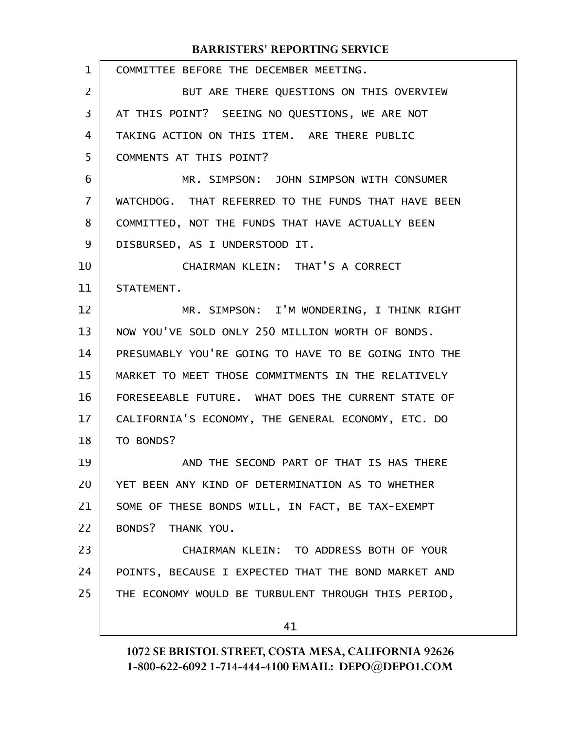COMMITTEE BEFORE THE DECEMBER MEETING. BUT ARE THERE QUESTIONS ON THIS OVERVIEW AT THIS POINT? SEEING NO QUESTIONS, WE ARE NOT TAKING ACTION ON THIS ITEM. ARE THERE PUBLIC COMMENTS AT THIS POINT? MR. SIMPSON: JOHN SIMPSON WITH CONSUMER WATCHDOG. THAT REFERRED TO THE FUNDS THAT HAVE BEEN COMMITTED, NOT THE FUNDS THAT HAVE ACTUALLY BEEN DISBURSED, AS I UNDERSTOOD IT. CHAIRMAN KLEIN: THAT'S A CORRECT STATEMENT. MR. SIMPSON: I'M WONDERING, I THINK RIGHT NOW YOU'VE SOLD ONLY 250 MILLION WORTH OF BONDS. PRESUMABLY YOU'RE GOING TO HAVE TO BE GOING INTO THE MARKET TO MEET THOSE COMMITMENTS IN THE RELATIVELY FORESEEABLE FUTURE. WHAT DOES THE CURRENT STATE OF CALIFORNIA'S ECONOMY, THE GENERAL ECONOMY, ETC. DO TO BONDS? AND THE SECOND PART OF THAT IS HAS THERE YET BEEN ANY KIND OF DETERMINATION AS TO WHETHER SOME OF THESE BONDS WILL, IN FACT, BE TAX-EXEMPT BONDS? THANK YOU. CHAIRMAN KLEIN: TO ADDRESS BOTH OF YOUR POINTS, BECAUSE I EXPECTED THAT THE BOND MARKET AND THE ECONOMY WOULD BE TURBULENT THROUGH THIS PERIOD, 41 1 2 3 4 5 6 7 8 9 10 11 12 13 14 15 16 17 18 19 20 21 22 23 24 25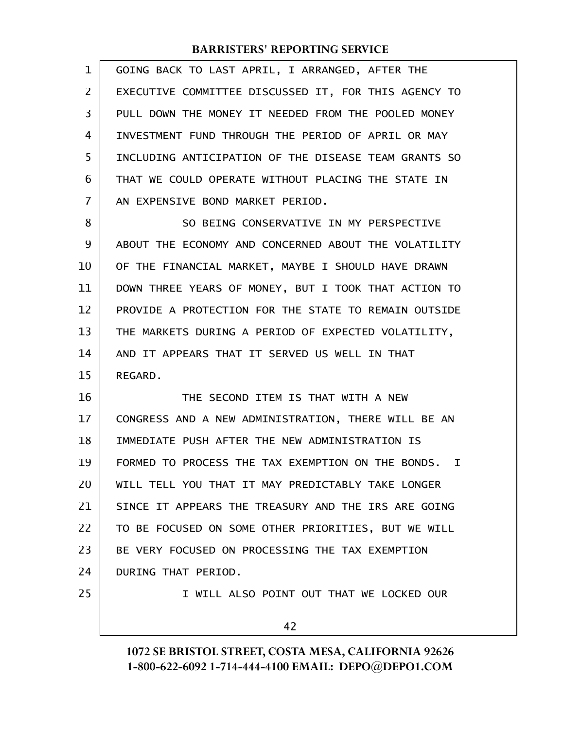| 1  | GOING BACK TO LAST APRIL, I ARRANGED, AFTER THE                  |
|----|------------------------------------------------------------------|
| 2  | EXECUTIVE COMMITTEE DISCUSSED IT, FOR THIS AGENCY TO             |
| 3  | PULL DOWN THE MONEY IT NEEDED FROM THE POOLED MONEY              |
| 4  | INVESTMENT FUND THROUGH THE PERIOD OF APRIL OR MAY               |
| 5  | INCLUDING ANTICIPATION OF THE DISEASE TEAM GRANTS SO             |
| 6  | THAT WE COULD OPERATE WITHOUT PLACING THE STATE IN               |
| 7  | AN EXPENSIVE BOND MARKET PERIOD.                                 |
| 8  | SO BEING CONSERVATIVE IN MY PERSPECTIVE                          |
| 9  | ABOUT THE ECONOMY AND CONCERNED ABOUT THE VOLATILITY             |
| 10 | OF THE FINANCIAL MARKET, MAYBE I SHOULD HAVE DRAWN               |
| 11 | DOWN THREE YEARS OF MONEY, BUT I TOOK THAT ACTION TO             |
| 12 | PROVIDE A PROTECTION FOR THE STATE TO REMAIN OUTSIDE             |
| 13 | THE MARKETS DURING A PERIOD OF EXPECTED VOLATILITY,              |
| 14 | AND IT APPEARS THAT IT SERVED US WELL IN THAT                    |
| 15 | REGARD.                                                          |
| 16 | THE SECOND ITEM IS THAT WITH A NEW                               |
| 17 | CONGRESS AND A NEW ADMINISTRATION, THERE WILL BE AN              |
| 18 | IMMEDIATE PUSH AFTER THE NEW ADMINISTRATION IS                   |
| 19 | FORMED TO PROCESS THE TAX EXEMPTION ON THE BONDS.<br>$\mathbf I$ |
| 20 | WILL TELL YOU THAT IT MAY PREDICTABLY TAKE LONGER                |
| 21 | SINCE IT APPEARS THE TREASURY AND THE IRS ARE GOING              |
| 22 | TO BE FOCUSED ON SOME OTHER PRIORITIES, BUT WE WILL              |
| 23 | BE VERY FOCUSED ON PROCESSING THE TAX EXEMPTION                  |
| 24 | DURING THAT PERIOD.                                              |
| 25 | I WILL ALSO POINT OUT THAT WE LOCKED OUR                         |
|    | 42                                                               |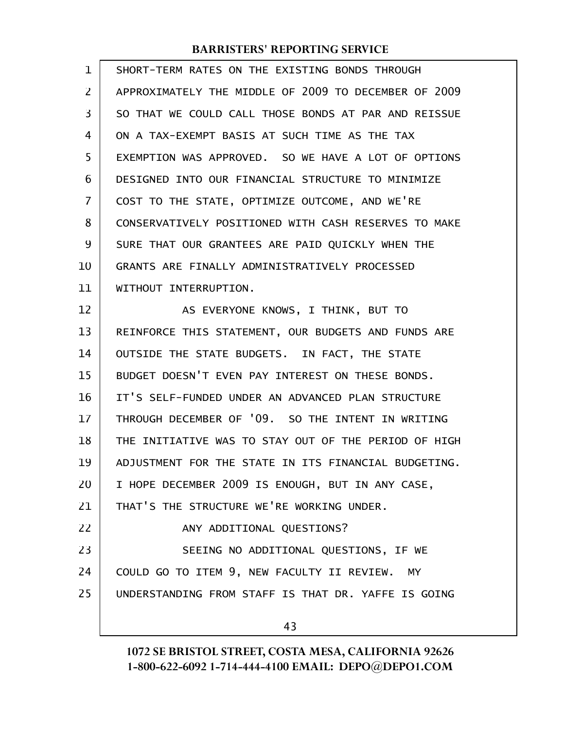| 1  | SHORT-TERM RATES ON THE EXISTING BONDS THROUGH          |
|----|---------------------------------------------------------|
| 2  | APPROXIMATELY THE MIDDLE OF 2009 TO DECEMBER OF 2009    |
| 3  | SO THAT WE COULD CALL THOSE BONDS AT PAR AND REISSUE    |
| 4  | ON A TAX-EXEMPT BASIS AT SUCH TIME AS THE TAX           |
| 5  | EXEMPTION WAS APPROVED. SO WE HAVE A LOT OF OPTIONS     |
| 6  | DESIGNED INTO OUR FINANCIAL STRUCTURE TO MINIMIZE       |
| 7  | COST TO THE STATE, OPTIMIZE OUTCOME, AND WE'RE          |
| 8  | CONSERVATIVELY POSITIONED WITH CASH RESERVES TO MAKE    |
| 9  | SURE THAT OUR GRANTEES ARE PAID QUICKLY WHEN THE        |
| 10 | GRANTS ARE FINALLY ADMINISTRATIVELY PROCESSED           |
| 11 | WITHOUT INTERRUPTION.                                   |
| 12 | AS EVERYONE KNOWS, I THINK, BUT TO                      |
| 13 | REINFORCE THIS STATEMENT, OUR BUDGETS AND FUNDS ARE     |
| 14 | OUTSIDE THE STATE BUDGETS. IN FACT, THE STATE           |
| 15 | BUDGET DOESN'T EVEN PAY INTEREST ON THESE BONDS.        |
| 16 | IT'S SELF-FUNDED UNDER AN ADVANCED PLAN STRUCTURE       |
| 17 | THROUGH DECEMBER OF '09. SO THE INTENT IN WRITING       |
| 18 | THE INITIATIVE WAS TO STAY OUT OF THE PERIOD OF HIGH    |
| 19 | ADJUSTMENT FOR THE STATE IN ITS FINANCIAL BUDGETING.    |
| 20 | I HOPE DECEMBER 2009 IS ENOUGH, BUT IN ANY CASE,        |
| 21 | THAT'S THE STRUCTURE WE'RE WORKING UNDER.               |
| 22 | ANY ADDITIONAL QUESTIONS?                               |
| 23 | SEEING NO ADDITIONAL QUESTIONS, IF WE                   |
| 24 | COULD GO TO ITEM 9, NEW FACULTY II REVIEW.<br><b>MY</b> |
| 25 | UNDERSTANDING FROM STAFF IS THAT DR. YAFFE IS GOING     |
|    | 43                                                      |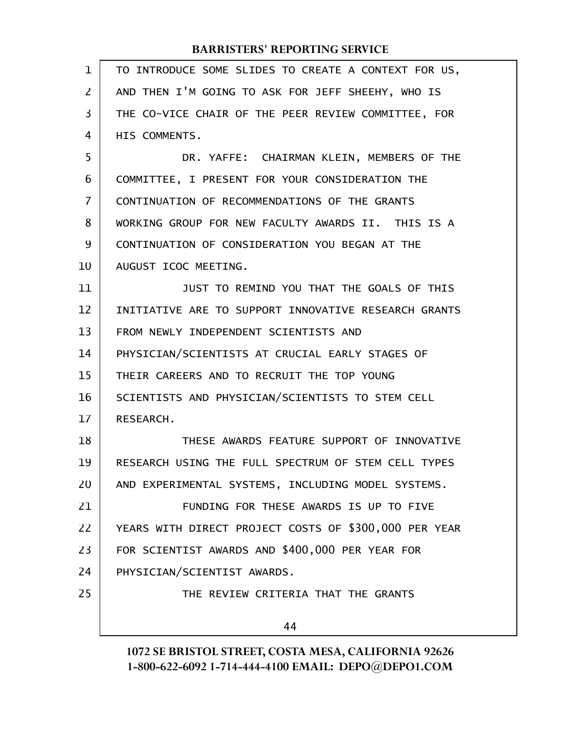| $\mathbf 1$    | TO INTRODUCE SOME SLIDES TO CREATE A CONTEXT FOR US,  |
|----------------|-------------------------------------------------------|
| $\overline{2}$ | AND THEN I'M GOING TO ASK FOR JEFF SHEEHY, WHO IS     |
| 3              | THE CO-VICE CHAIR OF THE PEER REVIEW COMMITTEE, FOR   |
| 4              | HIS COMMENTS.                                         |
| 5              | DR. YAFFE: CHAIRMAN KLEIN, MEMBERS OF THE             |
| 6              | COMMITTEE, I PRESENT FOR YOUR CONSIDERATION THE       |
| 7              | CONTINUATION OF RECOMMENDATIONS OF THE GRANTS         |
| 8              | WORKING GROUP FOR NEW FACULTY AWARDS II. THIS IS A    |
| 9              | CONTINUATION OF CONSIDERATION YOU BEGAN AT THE        |
| 10             | AUGUST ICOC MEETING.                                  |
| 11             | JUST TO REMIND YOU THAT THE GOALS OF THIS             |
| 12             | INITIATIVE ARE TO SUPPORT INNOVATIVE RESEARCH GRANTS  |
| 13             | FROM NEWLY INDEPENDENT SCIENTISTS AND                 |
| 14             | PHYSICIAN/SCIENTISTS AT CRUCIAL EARLY STAGES OF       |
| 15             | THEIR CAREERS AND TO RECRUIT THE TOP YOUNG            |
| 16             | SCIENTISTS AND PHYSICIAN/SCIENTISTS TO STEM CELL      |
| 17             | RESEARCH.                                             |
| 18             | THESE AWARDS FEATURE SUPPORT OF INNOVATIVE            |
| 19             | RESEARCH USING THE FULL SPECTRUM OF STEM CELL TYPES   |
| 20             | AND EXPERIMENTAL SYSTEMS, INCLUDING MODEL SYSTEMS.    |
| 21             | FUNDING FOR THESE AWARDS IS UP TO FIVE                |
| 22             | YEARS WITH DIRECT PROJECT COSTS OF \$300,000 PER YEAR |
| 23             | FOR SCIENTIST AWARDS AND \$400,000 PER YEAR FOR       |
| 24             | PHYSICIAN/SCIENTIST AWARDS.                           |
| 25             | THE REVIEW CRITERIA THAT THE GRANTS                   |
|                | 44                                                    |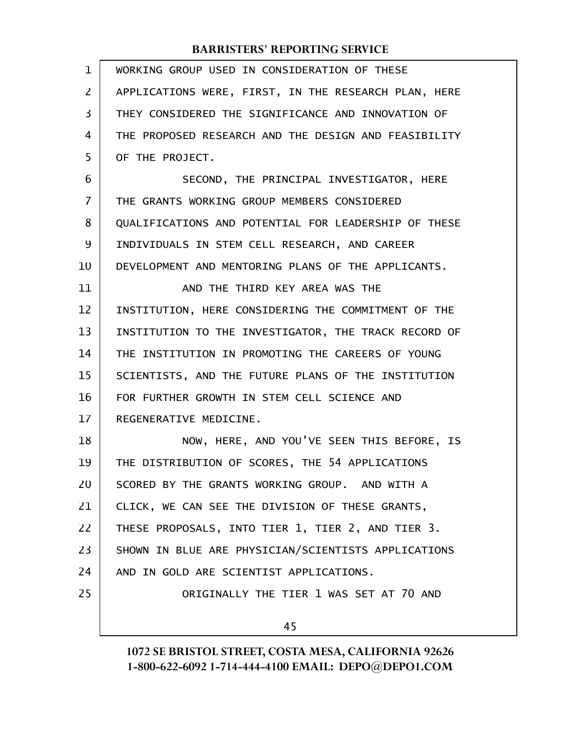| $\mathbf 1$    | WORKING GROUP USED IN CONSIDERATION OF THESE         |
|----------------|------------------------------------------------------|
| 2              | APPLICATIONS WERE, FIRST, IN THE RESEARCH PLAN, HERE |
| 3              | THEY CONSIDERED THE SIGNIFICANCE AND INNOVATION OF   |
| 4              | THE PROPOSED RESEARCH AND THE DESIGN AND FEASIBILITY |
| 5              | OF THE PROJECT.                                      |
| 6              | SECOND, THE PRINCIPAL INVESTIGATOR, HERE             |
| $\overline{7}$ | THE GRANTS WORKING GROUP MEMBERS CONSIDERED          |
| 8              | QUALIFICATIONS AND POTENTIAL FOR LEADERSHIP OF THESE |
| 9              | INDIVIDUALS IN STEM CELL RESEARCH, AND CAREER        |
| 10             | DEVELOPMENT AND MENTORING PLANS OF THE APPLICANTS.   |
| 11             | AND THE THIRD KEY AREA WAS THE                       |
| 12             | INSTITUTION, HERE CONSIDERING THE COMMITMENT OF THE  |
| 13             | INSTITUTION TO THE INVESTIGATOR, THE TRACK RECORD OF |
| 14             | THE INSTITUTION IN PROMOTING THE CAREERS OF YOUNG    |
| 15             | SCIENTISTS, AND THE FUTURE PLANS OF THE INSTITUTION  |
| 16             | FOR FURTHER GROWTH IN STEM CELL SCIENCE AND          |
| 17             | REGENERATIVE MEDICINE.                               |
| 18             | NOW, HERE, AND YOU'VE SEEN THIS BEFORE, IS           |
| 19             | THE DISTRIBUTION OF SCORES, THE 54 APPLICATIONS      |
| 20             | SCORED BY THE GRANTS WORKING GROUP. AND WITH A       |
| 21             | CLICK, WE CAN SEE THE DIVISION OF THESE GRANTS,      |
| 22             | THESE PROPOSALS, INTO TIER 1, TIER 2, AND TIER 3.    |
| 23             | SHOWN IN BLUE ARE PHYSICIAN/SCIENTISTS APPLICATIONS  |
| 24             | AND IN GOLD ARE SCIENTIST APPLICATIONS.              |
| 25             | ORIGINALLY THE TIER 1 WAS SET AT 70 AND              |
|                | 45                                                   |
|                |                                                      |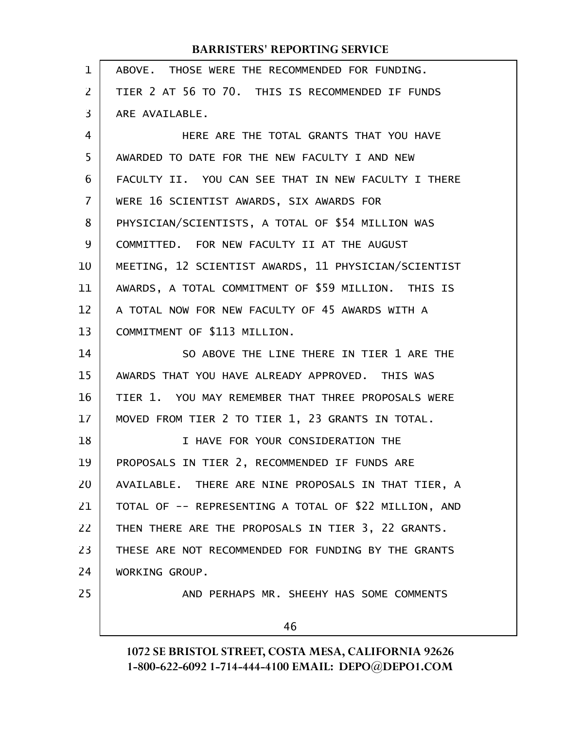| $\mathbf{1}$ | ABOVE. THOSE WERE THE RECOMMENDED FOR FUNDING.        |
|--------------|-------------------------------------------------------|
| 2            | TIER 2 AT 56 TO 70. THIS IS RECOMMENDED IF FUNDS      |
| 3            | ARE AVAILABLE.                                        |
| 4            | HERE ARE THE TOTAL GRANTS THAT YOU HAVE               |
| 5            | AWARDED TO DATE FOR THE NEW FACULTY I AND NEW         |
| 6            | FACULTY II. YOU CAN SEE THAT IN NEW FACULTY I THERE   |
| 7            | WERE 16 SCIENTIST AWARDS, SIX AWARDS FOR              |
| 8            | PHYSICIAN/SCIENTISTS, A TOTAL OF \$54 MILLION WAS     |
| 9            | COMMITTED. FOR NEW FACULTY II AT THE AUGUST           |
| 10           | MEETING, 12 SCIENTIST AWARDS, 11 PHYSICIAN/SCIENTIST  |
| 11           | AWARDS, A TOTAL COMMITMENT OF \$59 MILLION. THIS IS   |
| 12           | A TOTAL NOW FOR NEW FACULTY OF 45 AWARDS WITH A       |
| 13           | COMMITMENT OF \$113 MILLION.                          |
| 14           | SO ABOVE THE LINE THERE IN TIER 1 ARE THE             |
| 15           | AWARDS THAT YOU HAVE ALREADY APPROVED. THIS WAS       |
| 16           | TIER 1. YOU MAY REMEMBER THAT THREE PROPOSALS WERE    |
| 17           | MOVED FROM TIER 2 TO TIER 1, 23 GRANTS IN TOTAL.      |
| 18           | I HAVE FOR YOUR CONSIDERATION THE                     |
| 19           | PROPOSALS IN TIER 2, RECOMMENDED IF FUNDS ARE         |
| 20           | AVAILABLE. THERE ARE NINE PROPOSALS IN THAT TIER, A   |
| 21           | TOTAL OF -- REPRESENTING A TOTAL OF \$22 MILLION, AND |
| 22           | THEN THERE ARE THE PROPOSALS IN TIER 3, 22 GRANTS.    |
| 23           | THESE ARE NOT RECOMMENDED FOR FUNDING BY THE GRANTS   |
| 24           | WORKING GROUP.                                        |
| 25           | AND PERHAPS MR. SHEEHY HAS SOME COMMENTS              |
|              | 46                                                    |
|              |                                                       |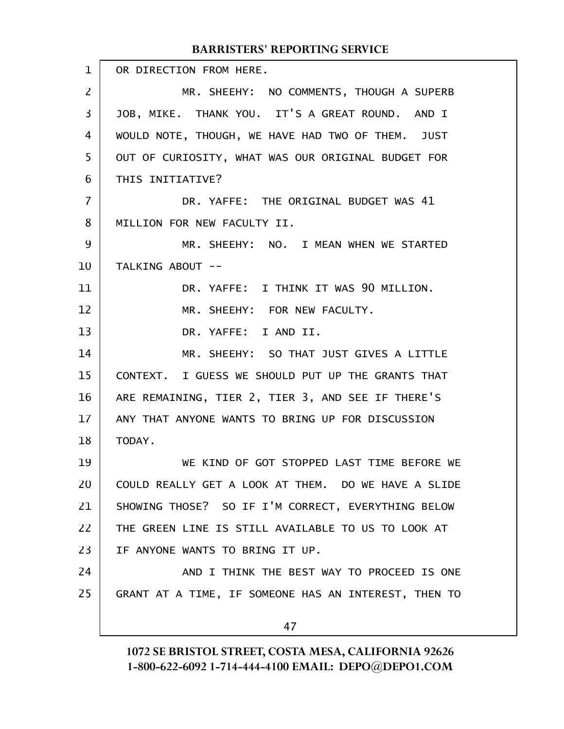| $\mathbf 1$ | OR DIRECTION FROM HERE.                              |
|-------------|------------------------------------------------------|
| 2           | MR. SHEEHY: NO COMMENTS, THOUGH A SUPERB             |
| 3           | JOB, MIKE. THANK YOU. IT'S A GREAT ROUND. AND I      |
| 4           | WOULD NOTE, THOUGH, WE HAVE HAD TWO OF THEM. JUST    |
| 5           | OUT OF CURIOSITY, WHAT WAS OUR ORIGINAL BUDGET FOR   |
| 6           | THIS INITIATIVE?                                     |
| 7           | DR. YAFFE: THE ORIGINAL BUDGET WAS 41                |
| 8           | MILLION FOR NEW FACULTY II.                          |
| 9           | MR. SHEEHY: NO. I MEAN WHEN WE STARTED               |
| 10          | TALKING ABOUT --                                     |
| 11          | DR. YAFFE: I THINK IT WAS 90 MILLION.                |
| 12          | MR. SHEEHY: FOR NEW FACULTY.                         |
| 13          | DR. YAFFE: I AND II.                                 |
| 14          | MR. SHEEHY: SO THAT JUST GIVES A LITTLE              |
| 15          | CONTEXT. I GUESS WE SHOULD PUT UP THE GRANTS THAT    |
| 16          | ARE REMAINING, TIER 2, TIER 3, AND SEE IF THERE'S    |
| 17          | ANY THAT ANYONE WANTS TO BRING UP FOR DISCUSSION     |
| 18          | TODAY.                                               |
| 19          | WE KIND OF GOT STOPPED LAST TIME BEFORE WE           |
| 20          | COULD REALLY GET A LOOK AT THEM. DO WE HAVE A SLIDE  |
| 21          | SHOWING THOSE? SO IF I'M CORRECT, EVERYTHING BELOW   |
| 22          | THE GREEN LINE IS STILL AVAILABLE TO US TO LOOK AT   |
| 23          | IF ANYONE WANTS TO BRING IT UP.                      |
| 24          | AND I THINK THE BEST WAY TO PROCEED IS ONE           |
| 25          | GRANT AT A TIME, IF SOMEONE HAS AN INTEREST, THEN TO |
|             | 47                                                   |
|             |                                                      |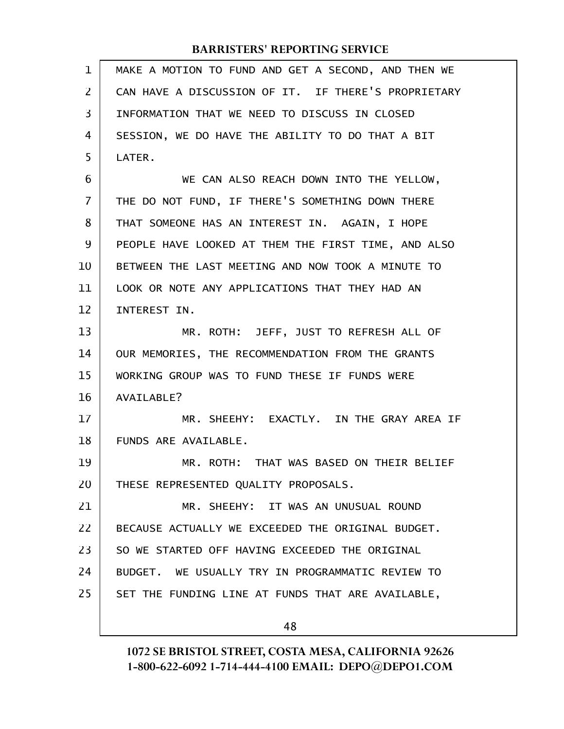| 1  | MAKE A MOTION TO FUND AND GET A SECOND, AND THEN WE |
|----|-----------------------------------------------------|
| 2  | CAN HAVE A DISCUSSION OF IT. IF THERE'S PROPRIETARY |
| 3  | INFORMATION THAT WE NEED TO DISCUSS IN CLOSED       |
| 4  | SESSION, WE DO HAVE THE ABILITY TO DO THAT A BIT    |
| 5  | LATER.                                              |
| 6  | WE CAN ALSO REACH DOWN INTO THE YELLOW,             |
| 7  | THE DO NOT FUND, IF THERE'S SOMETHING DOWN THERE    |
| 8  | THAT SOMEONE HAS AN INTEREST IN. AGAIN, I HOPE      |
| 9  | PEOPLE HAVE LOOKED AT THEM THE FIRST TIME, AND ALSO |
| 10 | BETWEEN THE LAST MEETING AND NOW TOOK A MINUTE TO   |
| 11 | LOOK OR NOTE ANY APPLICATIONS THAT THEY HAD AN      |
| 12 | INTEREST IN.                                        |
| 13 | MR. ROTH: JEFF, JUST TO REFRESH ALL OF              |
| 14 | OUR MEMORIES, THE RECOMMENDATION FROM THE GRANTS    |
| 15 | WORKING GROUP WAS TO FUND THESE IF FUNDS WERE       |
| 16 | AVAILABLE?                                          |
| 17 | MR. SHEEHY: EXACTLY. IN THE GRAY AREA IF            |
| 18 | FUNDS ARE AVAILABLE.                                |
| 19 | MR. ROTH: THAT WAS BASED ON THEIR BELIEF            |
| 20 | THESE REPRESENTED QUALITY PROPOSALS.                |
| 21 | MR. SHEEHY: IT WAS AN UNUSUAL ROUND                 |
| 22 | BECAUSE ACTUALLY WE EXCEEDED THE ORIGINAL BUDGET.   |
| 23 | SO WE STARTED OFF HAVING EXCEEDED THE ORIGINAL      |
| 24 | BUDGET. WE USUALLY TRY IN PROGRAMMATIC REVIEW TO    |
| 25 | SET THE FUNDING LINE AT FUNDS THAT ARE AVAILABLE,   |
|    | 48                                                  |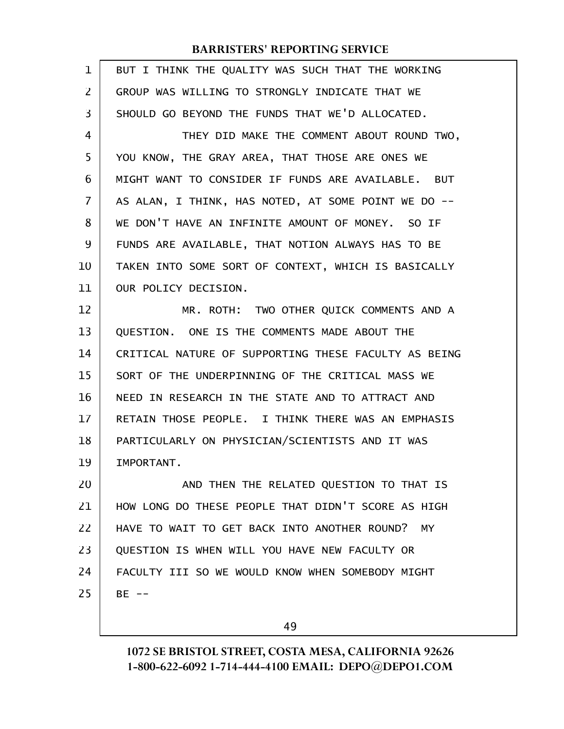| $\mathbf{1}$ | BUT I THINK THE QUALITY WAS SUCH THAT THE WORKING    |
|--------------|------------------------------------------------------|
| 2            | GROUP WAS WILLING TO STRONGLY INDICATE THAT WE       |
| 3            | SHOULD GO BEYOND THE FUNDS THAT WE'D ALLOCATED.      |
| 4            | THEY DID MAKE THE COMMENT ABOUT ROUND TWO,           |
| 5            | YOU KNOW, THE GRAY AREA, THAT THOSE ARE ONES WE      |
| 6            | MIGHT WANT TO CONSIDER IF FUNDS ARE AVAILABLE. BUT   |
| 7            | AS ALAN, I THINK, HAS NOTED, AT SOME POINT WE DO --  |
| 8            | WE DON'T HAVE AN INFINITE AMOUNT OF MONEY. SO IF     |
| 9            | FUNDS ARE AVAILABLE, THAT NOTION ALWAYS HAS TO BE    |
| 10           | TAKEN INTO SOME SORT OF CONTEXT, WHICH IS BASICALLY  |
| 11           | OUR POLICY DECISION.                                 |
| 12           | MR. ROTH: TWO OTHER QUICK COMMENTS AND A             |
| 13           | QUESTION. ONE IS THE COMMENTS MADE ABOUT THE         |
| 14           | CRITICAL NATURE OF SUPPORTING THESE FACULTY AS BEING |
| 15           | SORT OF THE UNDERPINNING OF THE CRITICAL MASS WE     |
| 16           | NEED IN RESEARCH IN THE STATE AND TO ATTRACT AND     |
| 17           | RETAIN THOSE PEOPLE. I THINK THERE WAS AN EMPHASIS   |
| 18           | PARTICULARLY ON PHYSICIAN/SCIENTISTS AND IT WAS      |
| 19           | IMPORTANT.                                           |
| 20           | AND THEN THE RELATED QUESTION TO THAT IS             |
| 21           | HOW LONG DO THESE PEOPLE THAT DIDN'T SCORE AS HIGH   |
| 22           | HAVE TO WAIT TO GET BACK INTO ANOTHER ROUND?<br>MY   |
| 23           | QUESTION IS WHEN WILL YOU HAVE NEW FACULTY OR        |
| 24           | FACULTY III SO WE WOULD KNOW WHEN SOMEBODY MIGHT     |
| 25           | $BE$ --                                              |
|              |                                                      |

49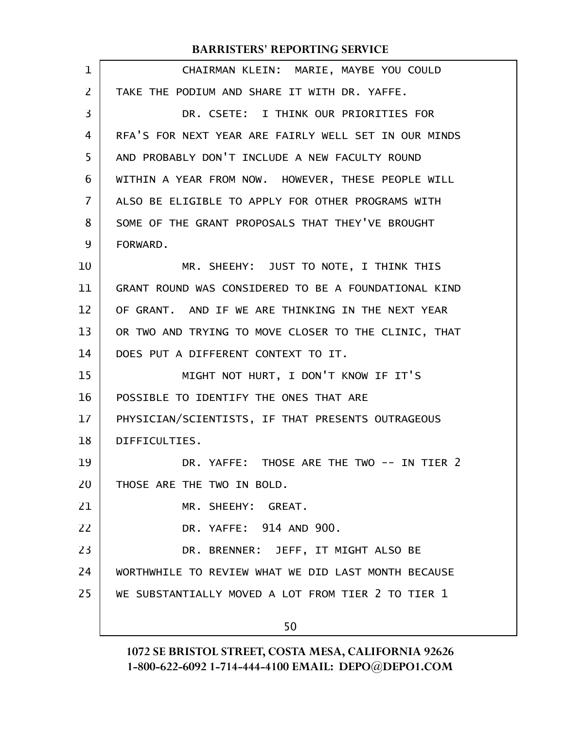| 1  | CHAIRMAN KLEIN: MARIE, MAYBE YOU COULD               |
|----|------------------------------------------------------|
| 2  | TAKE THE PODIUM AND SHARE IT WITH DR. YAFFE.         |
| 3  | DR. CSETE: I THINK OUR PRIORITIES FOR                |
| 4  | RFA'S FOR NEXT YEAR ARE FAIRLY WELL SET IN OUR MINDS |
| 5  | AND PROBABLY DON'T INCLUDE A NEW FACULTY ROUND       |
| 6  | WITHIN A YEAR FROM NOW. HOWEVER, THESE PEOPLE WILL   |
| 7  | ALSO BE ELIGIBLE TO APPLY FOR OTHER PROGRAMS WITH    |
| 8  | SOME OF THE GRANT PROPOSALS THAT THEY'VE BROUGHT     |
| 9  | FORWARD.                                             |
| 10 | MR. SHEEHY: JUST TO NOTE, I THINK THIS               |
| 11 | GRANT ROUND WAS CONSIDERED TO BE A FOUNDATIONAL KIND |
| 12 | OF GRANT. AND IF WE ARE THINKING IN THE NEXT YEAR    |
| 13 | OR TWO AND TRYING TO MOVE CLOSER TO THE CLINIC, THAT |
| 14 | DOES PUT A DIFFERENT CONTEXT TO IT.                  |
| 15 | MIGHT NOT HURT, I DON'T KNOW IF IT'S                 |
| 16 | POSSIBLE TO IDENTIFY THE ONES THAT ARE               |
| 17 | PHYSICIAN/SCIENTISTS, IF THAT PRESENTS OUTRAGEOUS    |
| 18 | DIFFICULTIES.                                        |
| 19 | DR. YAFFE: THOSE ARE THE TWO -- IN TIER 2            |
| 20 | THOSE ARE THE TWO IN BOLD.                           |
| 21 | MR. SHEEHY: GREAT.                                   |
| 22 | DR. YAFFE: 914 AND 900.                              |
| 23 | DR. BRENNER: JEFF, IT MIGHT ALSO BE                  |
| 24 | WORTHWHILE TO REVIEW WHAT WE DID LAST MONTH BECAUSE  |
| 25 | WE SUBSTANTIALLY MOVED A LOT FROM TIER 2 TO TIER 1   |
|    | 50                                                   |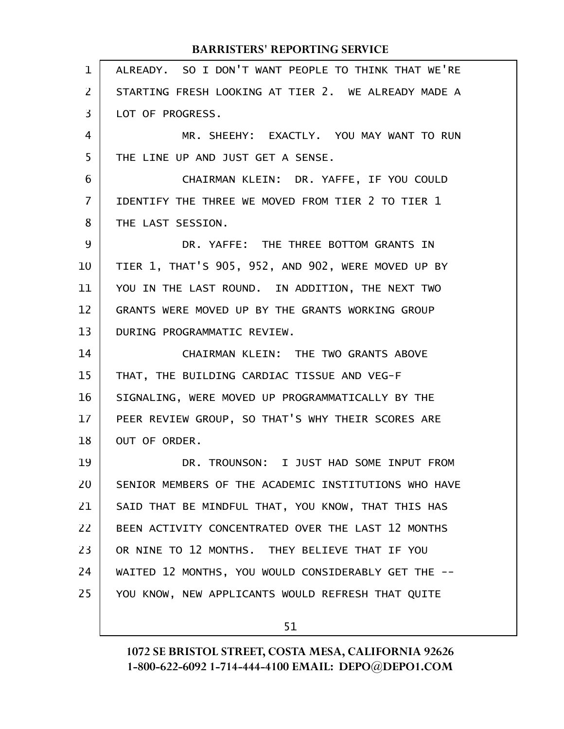| $\mathbf{1}$   | ALREADY. SO I DON'T WANT PEOPLE TO THINK THAT WE'RE  |
|----------------|------------------------------------------------------|
| $\overline{2}$ | STARTING FRESH LOOKING AT TIER 2. WE ALREADY MADE A  |
| 3              | LOT OF PROGRESS.                                     |
| 4              | MR. SHEEHY: EXACTLY. YOU MAY WANT TO RUN             |
| 5              | THE LINE UP AND JUST GET A SENSE.                    |
| 6              | CHAIRMAN KLEIN: DR. YAFFE, IF YOU COULD              |
| $\overline{7}$ | IDENTIFY THE THREE WE MOVED FROM TIER 2 TO TIER 1    |
| 8              | THE LAST SESSION.                                    |
| 9              | DR. YAFFE: THE THREE BOTTOM GRANTS IN                |
| 10             | TIER 1, THAT'S 905, 952, AND 902, WERE MOVED UP BY   |
| 11             | YOU IN THE LAST ROUND. IN ADDITION, THE NEXT TWO     |
| 12             | GRANTS WERE MOVED UP BY THE GRANTS WORKING GROUP     |
| 13             | DURING PROGRAMMATIC REVIEW.                          |
| 14             | CHAIRMAN KLEIN: THE TWO GRANTS ABOVE                 |
| 15             | THAT, THE BUILDING CARDIAC TISSUE AND VEG-F          |
| 16             | SIGNALING, WERE MOVED UP PROGRAMMATICALLY BY THE     |
| 17             | PEER REVIEW GROUP, SO THAT'S WHY THEIR SCORES ARE    |
| 18             | OUT OF ORDER.                                        |
| 19             | DR. TROUNSON: I JUST HAD SOME INPUT FROM             |
| 20             | SENIOR MEMBERS OF THE ACADEMIC INSTITUTIONS WHO HAVE |
| 21             | SAID THAT BE MINDFUL THAT, YOU KNOW, THAT THIS HAS   |
| 22             | BEEN ACTIVITY CONCENTRATED OVER THE LAST 12 MONTHS   |
| 23             | OR NINE TO 12 MONTHS. THEY BELIEVE THAT IF YOU       |
| 24             | WAITED 12 MONTHS, YOU WOULD CONSIDERABLY GET THE --  |
| 25             | YOU KNOW, NEW APPLICANTS WOULD REFRESH THAT QUITE    |
|                |                                                      |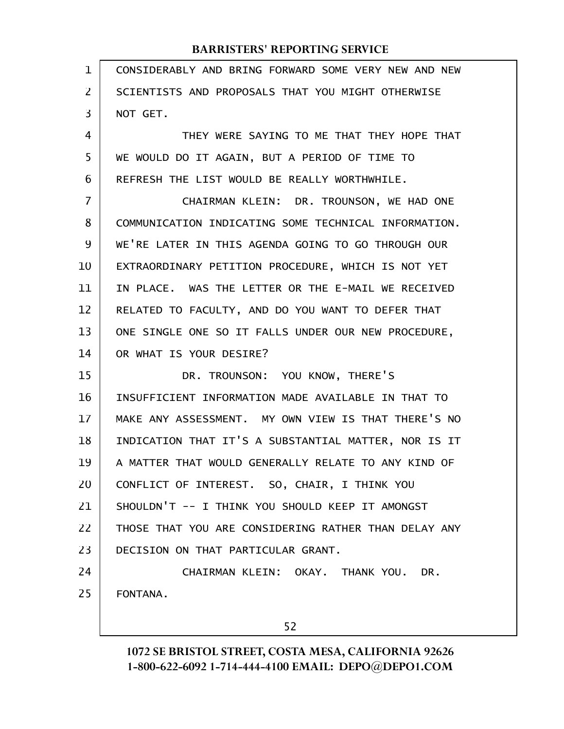| $\mathbf{1}$   | CONSIDERABLY AND BRING FORWARD SOME VERY NEW AND NEW |
|----------------|------------------------------------------------------|
| $\overline{2}$ | SCIENTISTS AND PROPOSALS THAT YOU MIGHT OTHERWISE    |
| 3              | NOT GET.                                             |
| 4              | THEY WERE SAYING TO ME THAT THEY HOPE THAT           |
| 5              | WE WOULD DO IT AGAIN, BUT A PERIOD OF TIME TO        |
| 6              | REFRESH THE LIST WOULD BE REALLY WORTHWHILE.         |
| $\overline{7}$ | CHAIRMAN KLEIN: DR. TROUNSON, WE HAD ONE             |
| 8              | COMMUNICATION INDICATING SOME TECHNICAL INFORMATION. |
| 9              | WE'RE LATER IN THIS AGENDA GOING TO GO THROUGH OUR   |
| 10             | EXTRAORDINARY PETITION PROCEDURE, WHICH IS NOT YET   |
| 11             | IN PLACE. WAS THE LETTER OR THE E-MAIL WE RECEIVED   |
| 12             | RELATED TO FACULTY, AND DO YOU WANT TO DEFER THAT    |
| 13             | ONE SINGLE ONE SO IT FALLS UNDER OUR NEW PROCEDURE,  |
| 14             | OR WHAT IS YOUR DESIRE?                              |
| 15             | DR. TROUNSON: YOU KNOW, THERE'S                      |
| 16             | INSUFFICIENT INFORMATION MADE AVAILABLE IN THAT TO   |
| 17             | MAKE ANY ASSESSMENT. MY OWN VIEW IS THAT THERE'S NO  |
| 18             | INDICATION THAT IT'S A SUBSTANTIAL MATTER, NOR IS IT |
| 19             | A MATTER THAT WOULD GENERALLY RELATE TO ANY KIND OF  |
| 20             | CONFLICT OF INTEREST. SO, CHAIR, I THINK YOU         |
| 21             | SHOULDN'T -- I THINK YOU SHOULD KEEP IT AMONGST      |
| 22             | THOSE THAT YOU ARE CONSIDERING RATHER THAN DELAY ANY |
| 23             | DECISION ON THAT PARTICULAR GRANT.                   |
| 24             | CHAIRMAN KLEIN: OKAY. THANK YOU. DR.                 |
| 25             | FONTANA.                                             |
|                |                                                      |
|                | 52                                                   |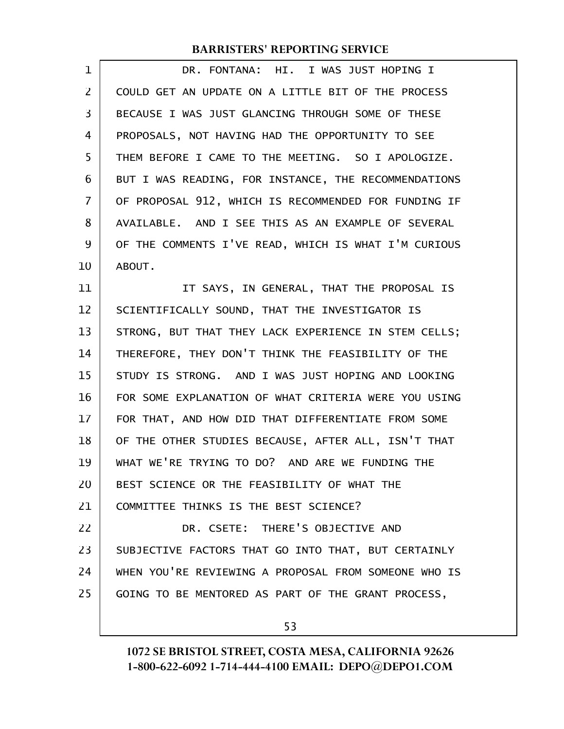| $\mathbf 1$ | DR. FONTANA: HI. I WAS JUST HOPING I                 |
|-------------|------------------------------------------------------|
| 2           | COULD GET AN UPDATE ON A LITTLE BIT OF THE PROCESS   |
| 3           | BECAUSE I WAS JUST GLANCING THROUGH SOME OF THESE    |
| 4           | PROPOSALS, NOT HAVING HAD THE OPPORTUNITY TO SEE     |
| 5           | THEM BEFORE I CAME TO THE MEETING. SO I APOLOGIZE.   |
| 6           | BUT I WAS READING, FOR INSTANCE, THE RECOMMENDATIONS |
| 7           | OF PROPOSAL 912, WHICH IS RECOMMENDED FOR FUNDING IF |
| 8           | AVAILABLE. AND I SEE THIS AS AN EXAMPLE OF SEVERAL   |
| 9           | OF THE COMMENTS I'VE READ, WHICH IS WHAT I'M CURIOUS |
| 10          | ABOUT.                                               |
| 11          | IT SAYS, IN GENERAL, THAT THE PROPOSAL IS            |
| 12          | SCIENTIFICALLY SOUND, THAT THE INVESTIGATOR IS       |
| 13          | STRONG, BUT THAT THEY LACK EXPERIENCE IN STEM CELLS; |
| 14          | THEREFORE, THEY DON'T THINK THE FEASIBILITY OF THE   |
| 15          | STUDY IS STRONG. AND I WAS JUST HOPING AND LOOKING   |
| 16          | FOR SOME EXPLANATION OF WHAT CRITERIA WERE YOU USING |
| 17          | FOR THAT, AND HOW DID THAT DIFFERENTIATE FROM SOME   |
| 18          | OF THE OTHER STUDIES BECAUSE, AFTER ALL, ISN'T THAT  |
| 19          | WHAT WE'RE TRYING TO DO? AND ARE WE FUNDING THE      |
| 20          | BEST SCIENCE OR THE FEASIBILITY OF WHAT THE          |
| 21          | COMMITTEE THINKS IS THE BEST SCIENCE?                |
| 22          | DR. CSETE: THERE'S OBJECTIVE AND                     |
| 23          | SUBJECTIVE FACTORS THAT GO INTO THAT, BUT CERTAINLY  |
| 24          | WHEN YOU'RE REVIEWING A PROPOSAL FROM SOMEONE WHO IS |
| 25          | GOING TO BE MENTORED AS PART OF THE GRANT PROCESS,   |
|             |                                                      |

53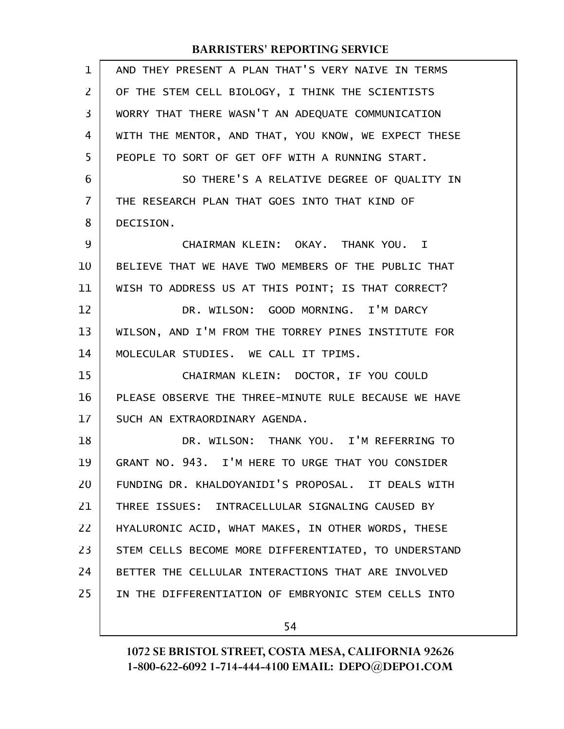| $\mathbf 1$    | AND THEY PRESENT A PLAN THAT'S VERY NAIVE IN TERMS   |
|----------------|------------------------------------------------------|
| $\overline{2}$ | OF THE STEM CELL BIOLOGY, I THINK THE SCIENTISTS     |
| 3              | WORRY THAT THERE WASN'T AN ADEQUATE COMMUNICATION    |
| 4              | WITH THE MENTOR, AND THAT, YOU KNOW, WE EXPECT THESE |
| 5              | PEOPLE TO SORT OF GET OFF WITH A RUNNING START.      |
| 6              | SO THERE'S A RELATIVE DEGREE OF QUALITY IN           |
| $\overline{7}$ | THE RESEARCH PLAN THAT GOES INTO THAT KIND OF        |
| 8              | DECISION.                                            |
| 9              | CHAIRMAN KLEIN: OKAY. THANK YOU. I                   |
| 10             | BELIEVE THAT WE HAVE TWO MEMBERS OF THE PUBLIC THAT  |
| 11             | WISH TO ADDRESS US AT THIS POINT; IS THAT CORRECT?   |
| 12             | DR. WILSON: GOOD MORNING. I'M DARCY                  |
| 13             | WILSON, AND I'M FROM THE TORREY PINES INSTITUTE FOR  |
| 14             | MOLECULAR STUDIES. WE CALL IT TPIMS.                 |
| 15             | CHAIRMAN KLEIN: DOCTOR, IF YOU COULD                 |
| 16             | PLEASE OBSERVE THE THREE-MINUTE RULE BECAUSE WE HAVE |
| 17             | SUCH AN EXTRAORDINARY AGENDA.                        |
| 18             | DR. WILSON: THANK YOU. I'M REFERRING TO              |
| 19             | GRANT NO. 943. I'M HERE TO URGE THAT YOU CONSIDER    |
| 20             | FUNDING DR. KHALDOYANIDI'S PROPOSAL. IT DEALS WITH   |
| 21             | THREE ISSUES: INTRACELLULAR SIGNALING CAUSED BY      |
| 22             | HYALURONIC ACID, WHAT MAKES, IN OTHER WORDS, THESE   |
| 23             | STEM CELLS BECOME MORE DIFFERENTIATED, TO UNDERSTAND |
| 24             | BETTER THE CELLULAR INTERACTIONS THAT ARE INVOLVED   |
| 25             | IN THE DIFFERENTIATION OF EMBRYONIC STEM CELLS INTO  |
|                |                                                      |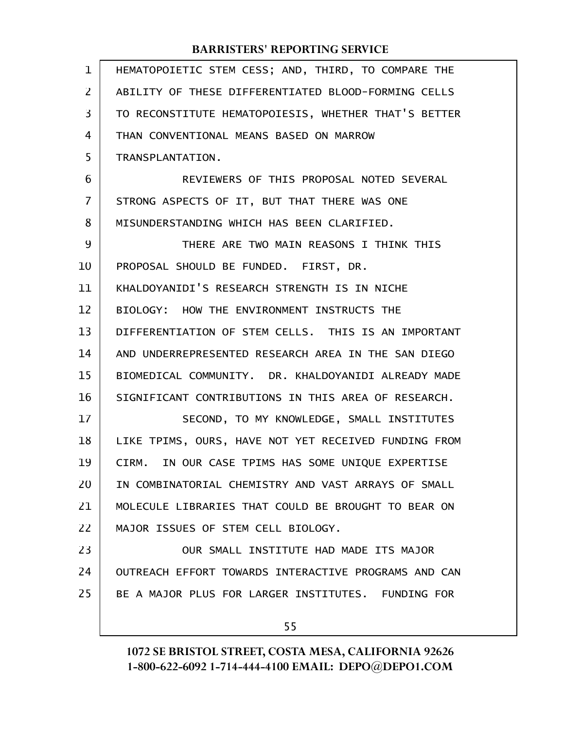| $\mathbf 1$    | HEMATOPOIETIC STEM CESS; AND, THIRD, TO COMPARE THE  |
|----------------|------------------------------------------------------|
| 2              | ABILITY OF THESE DIFFERENTIATED BLOOD-FORMING CELLS  |
| 3              | TO RECONSTITUTE HEMATOPOIESIS, WHETHER THAT'S BETTER |
| 4              | THAN CONVENTIONAL MEANS BASED ON MARROW              |
| 5              | TRANSPLANTATION.                                     |
| 6              | REVIEWERS OF THIS PROPOSAL NOTED SEVERAL             |
| $\overline{7}$ | STRONG ASPECTS OF IT, BUT THAT THERE WAS ONE         |
| 8              | MISUNDERSTANDING WHICH HAS BEEN CLARIFIED.           |
| 9              | THERE ARE TWO MAIN REASONS I THINK THIS              |
| 10             | PROPOSAL SHOULD BE FUNDED. FIRST, DR.                |
| 11             | KHALDOYANIDI'S RESEARCH STRENGTH IS IN NICHE         |
| 12             | BIOLOGY: HOW THE ENVIRONMENT INSTRUCTS THE           |
| 13             | DIFFERENTIATION OF STEM CELLS. THIS IS AN IMPORTANT  |
| 14             | AND UNDERREPRESENTED RESEARCH AREA IN THE SAN DIEGO  |
| 15             | BIOMEDICAL COMMUNITY. DR. KHALDOYANIDI ALREADY MADE  |
| 16             | SIGNIFICANT CONTRIBUTIONS IN THIS AREA OF RESEARCH.  |
| 17             | SECOND, TO MY KNOWLEDGE, SMALL INSTITUTES            |
| 18             | LIKE TPIMS, OURS, HAVE NOT YET RECEIVED FUNDING FROM |
| 19             | CIRM. IN OUR CASE TPIMS HAS SOME UNIQUE EXPERTISE    |
| 20             | IN COMBINATORIAL CHEMISTRY AND VAST ARRAYS OF SMALL  |
| 21             | MOLECULE LIBRARIES THAT COULD BE BROUGHT TO BEAR ON  |
| 22             | MAJOR ISSUES OF STEM CELL BIOLOGY.                   |
| 23             | OUR SMALL INSTITUTE HAD MADE ITS MAJOR               |
| 24             | OUTREACH EFFORT TOWARDS INTERACTIVE PROGRAMS AND CAN |
| 25             | BE A MAJOR PLUS FOR LARGER INSTITUTES. FUNDING FOR   |
|                | 55                                                   |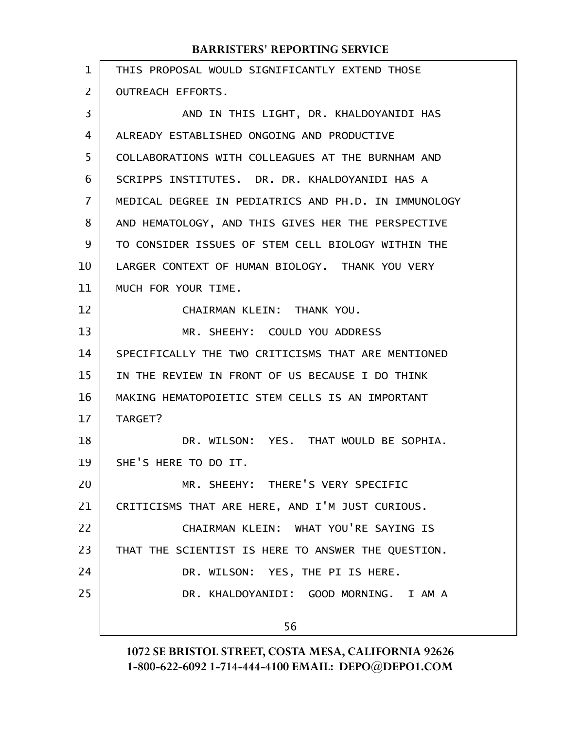| 1  | THIS PROPOSAL WOULD SIGNIFICANTLY EXTEND THOSE       |
|----|------------------------------------------------------|
| 2  | <b>OUTREACH EFFORTS.</b>                             |
| 3  | AND IN THIS LIGHT, DR. KHALDOYANIDI HAS              |
| 4  | ALREADY ESTABLISHED ONGOING AND PRODUCTIVE           |
| 5  | COLLABORATIONS WITH COLLEAGUES AT THE BURNHAM AND    |
| 6  | SCRIPPS INSTITUTES. DR. DR. KHALDOYANIDI HAS A       |
| 7  | MEDICAL DEGREE IN PEDIATRICS AND PH.D. IN IMMUNOLOGY |
| 8  | AND HEMATOLOGY, AND THIS GIVES HER THE PERSPECTIVE   |
| 9  | TO CONSIDER ISSUES OF STEM CELL BIOLOGY WITHIN THE   |
| 10 | LARGER CONTEXT OF HUMAN BIOLOGY. THANK YOU VERY      |
| 11 | MUCH FOR YOUR TIME.                                  |
| 12 | CHAIRMAN KLEIN: THANK YOU.                           |
| 13 | MR. SHEEHY: COULD YOU ADDRESS                        |
| 14 | SPECIFICALLY THE TWO CRITICISMS THAT ARE MENTIONED   |
| 15 | IN THE REVIEW IN FRONT OF US BECAUSE I DO THINK      |
| 16 | MAKING HEMATOPOIETIC STEM CELLS IS AN IMPORTANT      |
| 17 | TARGET?                                              |
| 18 | DR. WILSON: YES. THAT WOULD BE SOPHIA.               |
| 19 | SHE'S HERE TO DO IT.                                 |
| 20 | MR. SHEEHY: THERE'S VERY SPECIFIC                    |
| 21 | CRITICISMS THAT ARE HERE, AND I'M JUST CURIOUS.      |
| 22 | CHAIRMAN KLEIN: WHAT YOU'RE SAYING IS                |
| 23 | THAT THE SCIENTIST IS HERE TO ANSWER THE QUESTION.   |
| 24 | DR. WILSON: YES, THE PI IS HERE.                     |
| 25 | DR. KHALDOYANIDI: GOOD MORNING. I AM A               |
|    | 56                                                   |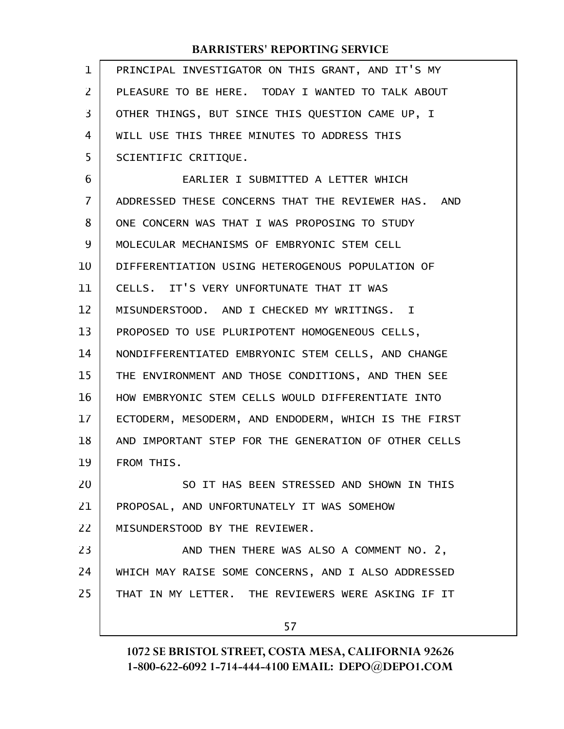| PRINCIPAL INVESTIGATOR ON THIS GRANT, AND IT'S MY    |
|------------------------------------------------------|
| PLEASURE TO BE HERE. TODAY I WANTED TO TALK ABOUT    |
| OTHER THINGS, BUT SINCE THIS QUESTION CAME UP, I     |
| WILL USE THIS THREE MINUTES TO ADDRESS THIS          |
| SCIENTIFIC CRITIQUE.                                 |
| EARLIER I SUBMITTED A LETTER WHICH                   |
| ADDRESSED THESE CONCERNS THAT THE REVIEWER HAS. AND  |
| ONE CONCERN WAS THAT I WAS PROPOSING TO STUDY        |
| MOLECULAR MECHANISMS OF EMBRYONIC STEM CELL          |
| DIFFERENTIATION USING HETEROGENOUS POPULATION OF     |
| CELLS. IT'S VERY UNFORTUNATE THAT IT WAS             |
| MISUNDERSTOOD. AND I CHECKED MY WRITINGS. I          |
| PROPOSED TO USE PLURIPOTENT HOMOGENEOUS CELLS,       |
| NONDIFFERENTIATED EMBRYONIC STEM CELLS, AND CHANGE   |
| THE ENVIRONMENT AND THOSE CONDITIONS, AND THEN SEE   |
| HOW EMBRYONIC STEM CELLS WOULD DIFFERENTIATE INTO    |
| ECTODERM, MESODERM, AND ENDODERM, WHICH IS THE FIRST |
| AND IMPORTANT STEP FOR THE GENERATION OF OTHER CELLS |
| FROM THIS.                                           |
| SO IT HAS BEEN STRESSED AND SHOWN IN THIS            |
| PROPOSAL, AND UNFORTUNATELY IT WAS SOMEHOW           |
| MISUNDERSTOOD BY THE REVIEWER.                       |
| AND THEN THERE WAS ALSO A COMMENT NO. 2,             |
| WHICH MAY RAISE SOME CONCERNS, AND I ALSO ADDRESSED  |
| THAT IN MY LETTER. THE REVIEWERS WERE ASKING IF IT   |
| 57                                                   |
|                                                      |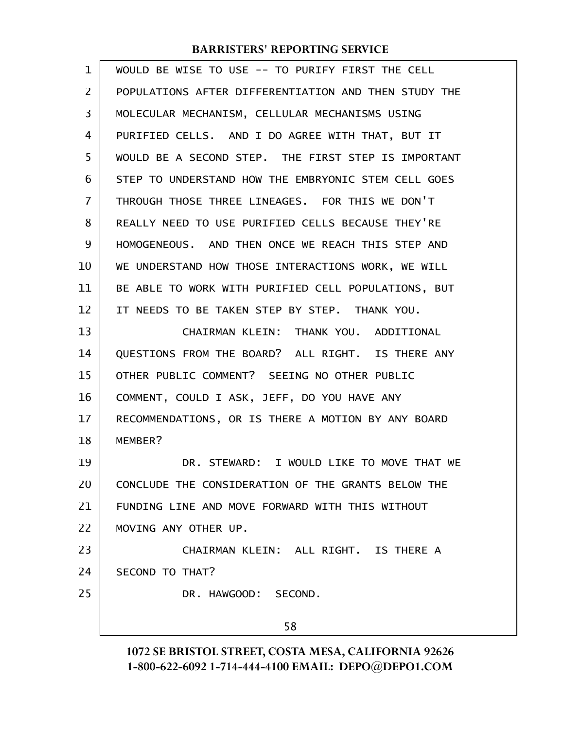| 1              | WOULD BE WISE TO USE -- TO PURIFY FIRST THE CELL     |
|----------------|------------------------------------------------------|
| $\overline{2}$ | POPULATIONS AFTER DIFFERENTIATION AND THEN STUDY THE |
| 3              | MOLECULAR MECHANISM, CELLULAR MECHANISMS USING       |
| 4              | PURIFIED CELLS. AND I DO AGREE WITH THAT, BUT IT     |
| 5              | WOULD BE A SECOND STEP. THE FIRST STEP IS IMPORTANT  |
| 6              | STEP TO UNDERSTAND HOW THE EMBRYONIC STEM CELL GOES  |
| $\overline{7}$ | THROUGH THOSE THREE LINEAGES. FOR THIS WE DON'T      |
| 8              | REALLY NEED TO USE PURIFIED CELLS BECAUSE THEY'RE    |
| 9              | HOMOGENEOUS. AND THEN ONCE WE REACH THIS STEP AND    |
| 10             | WE UNDERSTAND HOW THOSE INTERACTIONS WORK, WE WILL   |
| 11             | BE ABLE TO WORK WITH PURIFIED CELL POPULATIONS, BUT  |
| 12             | IT NEEDS TO BE TAKEN STEP BY STEP. THANK YOU.        |
| 13             | CHAIRMAN KLEIN: THANK YOU. ADDITIONAL                |
| 14             | QUESTIONS FROM THE BOARD? ALL RIGHT. IS THERE ANY    |
| 15             | OTHER PUBLIC COMMENT? SEEING NO OTHER PUBLIC         |
| 16             | COMMENT, COULD I ASK, JEFF, DO YOU HAVE ANY          |
| 17             | RECOMMENDATIONS, OR IS THERE A MOTION BY ANY BOARD   |
| 18             | MEMBER?                                              |
| 19             | DR. STEWARD: I WOULD LIKE TO MOVE THAT WE            |
| 20             | CONCLUDE THE CONSIDERATION OF THE GRANTS BELOW THE   |
| 21             | FUNDING LINE AND MOVE FORWARD WITH THIS WITHOUT      |
| 22             | MOVING ANY OTHER UP.                                 |
| 23             | CHAIRMAN KLEIN: ALL RIGHT. IS THERE A                |
| 24             | SECOND TO THAT?                                      |
| 25             | DR. HAWGOOD: SECOND.                                 |
|                | 58                                                   |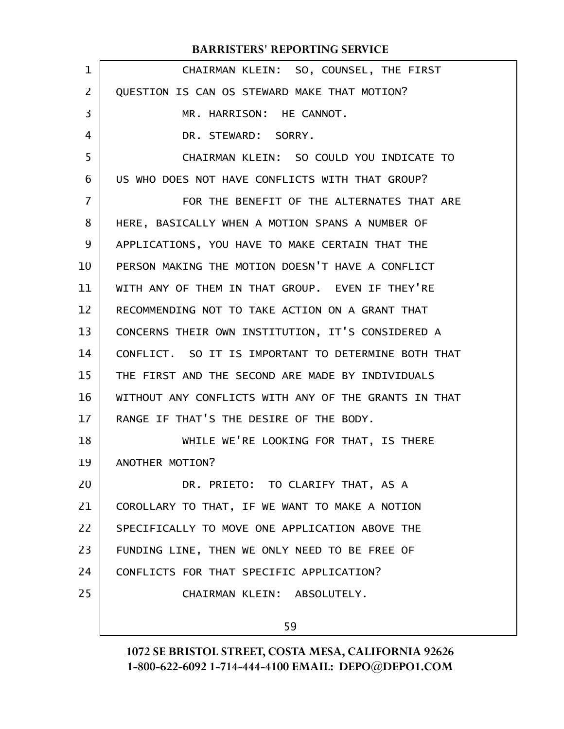| $\mathbf 1$       | CHAIRMAN KLEIN: SO, COUNSEL, THE FIRST               |
|-------------------|------------------------------------------------------|
| $\overline{2}$    | QUESTION IS CAN OS STEWARD MAKE THAT MOTION?         |
| 3                 | MR. HARRISON: HE CANNOT.                             |
| 4                 | DR. STEWARD: SORRY.                                  |
| 5                 | CHAIRMAN KLEIN: SO COULD YOU INDICATE TO             |
| 6                 | US WHO DOES NOT HAVE CONFLICTS WITH THAT GROUP?      |
| $\overline{7}$    | FOR THE BENEFIT OF THE ALTERNATES THAT ARE           |
| 8                 | HERE, BASICALLY WHEN A MOTION SPANS A NUMBER OF      |
| 9                 | APPLICATIONS, YOU HAVE TO MAKE CERTAIN THAT THE      |
| 10                | PERSON MAKING THE MOTION DOESN'T HAVE A CONFLICT     |
| 11                | WITH ANY OF THEM IN THAT GROUP. EVEN IF THEY'RE      |
| $12 \overline{ }$ | RECOMMENDING NOT TO TAKE ACTION ON A GRANT THAT      |
| 13                | CONCERNS THEIR OWN INSTITUTION, IT'S CONSIDERED A    |
| 14                | CONFLICT. SO IT IS IMPORTANT TO DETERMINE BOTH THAT  |
| 15                | THE FIRST AND THE SECOND ARE MADE BY INDIVIDUALS     |
| 16                | WITHOUT ANY CONFLICTS WITH ANY OF THE GRANTS IN THAT |
| 17                | RANGE IF THAT'S THE DESIRE OF THE BODY.              |
| 18                | WHILE WE'RE LOOKING FOR THAT, IS THERE               |
| 19                | ANOTHER MOTION?                                      |
| 20                | DR. PRIETO: TO CLARIFY THAT, AS A                    |
| 21                | COROLLARY TO THAT, IF WE WANT TO MAKE A NOTION       |
| 22                | SPECIFICALLY TO MOVE ONE APPLICATION ABOVE THE       |
| 23                | FUNDING LINE, THEN WE ONLY NEED TO BE FREE OF        |
| 24                | CONFLICTS FOR THAT SPECIFIC APPLICATION?             |
| 25                | CHAIRMAN KLEIN: ABSOLUTELY.                          |
|                   |                                                      |
|                   | 59                                                   |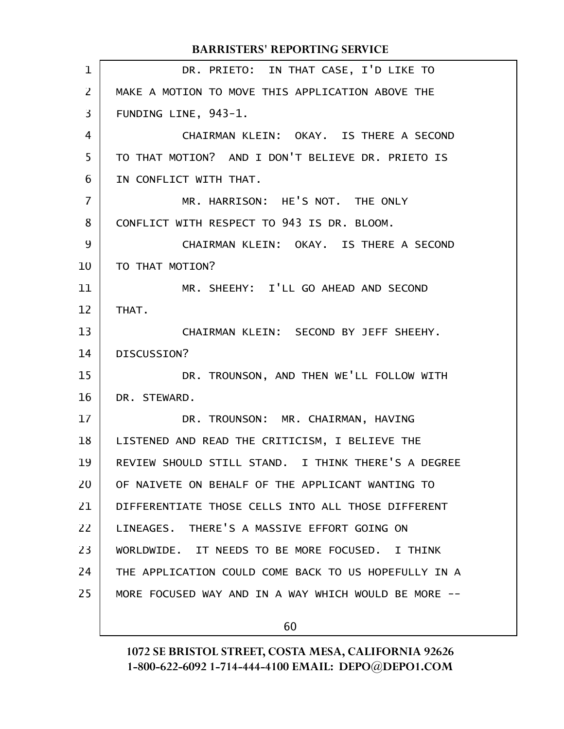|                | <b>BARRISTERS' REPORTING SERVICE</b>                  |
|----------------|-------------------------------------------------------|
| $\mathbf{1}$   | DR. PRIETO: IN THAT CASE, I'D LIKE TO                 |
| 2              | MAKE A MOTION TO MOVE THIS APPLICATION ABOVE THE      |
| 3              | FUNDING LINE, 943-1.                                  |
| 4              | CHAIRMAN KLEIN: OKAY. IS THERE A SECOND               |
| 5              | TO THAT MOTION? AND I DON'T BELIEVE DR. PRIETO IS     |
| 6              | IN CONFLICT WITH THAT.                                |
| $\overline{7}$ | MR. HARRISON: HE'S NOT. THE ONLY                      |
| 8              | CONFLICT WITH RESPECT TO 943 IS DR. BLOOM.            |
| 9              | CHAIRMAN KLEIN: OKAY, IS THERE A SECOND               |
| 10             | TO THAT MOTION?                                       |
| 11             | MR. SHEEHY: I'LL GO AHEAD AND SECOND                  |
| 12             | THAT.                                                 |
| 13             | CHAIRMAN KLEIN: SECOND BY JEFF SHEEHY.                |
| 14             | DISCUSSION?                                           |
| 15             | DR. TROUNSON, AND THEN WE'LL FOLLOW WITH              |
| 16             | DR. STEWARD.                                          |
| 17             | DR. TROUNSON: MR. CHAIRMAN, HAVING                    |
| 18             | LISTENED AND READ THE CRITICISM, I BELIEVE THE        |
| 19             | REVIEW SHOULD STILL STAND. I THINK THERE'S A DEGREE   |
| 20             | OF NAIVETE ON BEHALF OF THE APPLICANT WANTING TO      |
| 21             | DIFFERENTIATE THOSE CELLS INTO ALL THOSE DIFFERENT    |
| 22             | LINEAGES. THERE'S A MASSIVE EFFORT GOING ON           |
| 23             | IT NEEDS TO BE MORE FOCUSED.<br>WORLDWIDE.<br>I THINK |
| 24             | THE APPLICATION COULD COME BACK TO US HOPEFULLY IN A  |
| 25             | MORE FOCUSED WAY AND IN A WAY WHICH WOULD BE MORE --  |
|                |                                                       |

60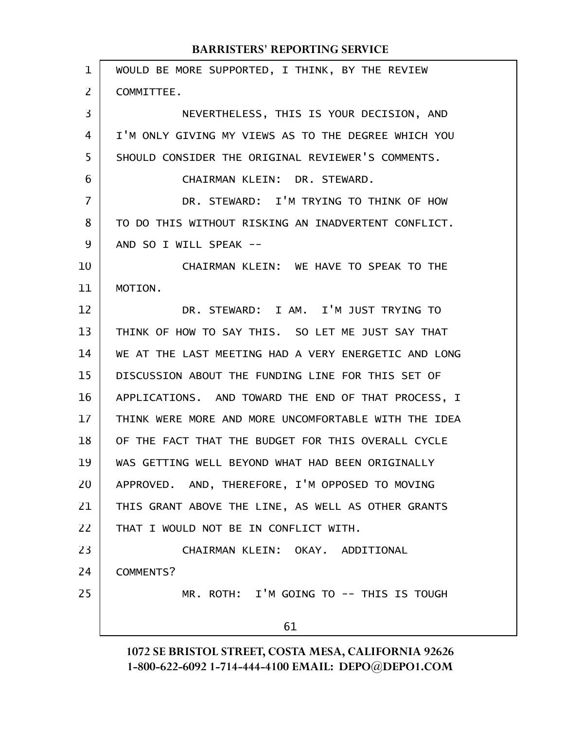| $\mathbf 1$ | WOULD BE MORE SUPPORTED, I THINK, BY THE REVIEW      |
|-------------|------------------------------------------------------|
| 2           | COMMITTEE.                                           |
| 3           | NEVERTHELESS, THIS IS YOUR DECISION, AND             |
| 4           | I'M ONLY GIVING MY VIEWS AS TO THE DEGREE WHICH YOU  |
| 5           | SHOULD CONSIDER THE ORIGINAL REVIEWER'S COMMENTS.    |
| 6           | CHAIRMAN KLEIN: DR. STEWARD.                         |
| 7           | DR. STEWARD: I'M TRYING TO THINK OF HOW              |
| 8           | TO DO THIS WITHOUT RISKING AN INADVERTENT CONFLICT.  |
| 9           | AND SO I WILL SPEAK --                               |
| 10          | CHAIRMAN KLEIN: WE HAVE TO SPEAK TO THE              |
| 11          | MOTION.                                              |
| 12          | DR. STEWARD: I AM. I'M JUST TRYING TO                |
| 13          | THINK OF HOW TO SAY THIS. SO LET ME JUST SAY THAT    |
| 14          | WE AT THE LAST MEETING HAD A VERY ENERGETIC AND LONG |
| 15          | DISCUSSION ABOUT THE FUNDING LINE FOR THIS SET OF    |
| 16          | APPLICATIONS. AND TOWARD THE END OF THAT PROCESS, I  |
| 17          | THINK WERE MORE AND MORE UNCOMFORTABLE WITH THE IDEA |
| 18          | OF THE FACT THAT THE BUDGET FOR THIS OVERALL CYCLE   |
| 19          | WAS GETTING WELL BEYOND WHAT HAD BEEN ORIGINALLY     |
| 20          | APPROVED. AND, THEREFORE, I'M OPPOSED TO MOVING      |
| 21          | THIS GRANT ABOVE THE LINE, AS WELL AS OTHER GRANTS   |
| 22          | THAT I WOULD NOT BE IN CONFLICT WITH.                |
| 23          | CHAIRMAN KLEIN: OKAY. ADDITIONAL                     |
| 24          | COMMENTS?                                            |
| 25          | MR. ROTH: I'M GOING TO -- THIS IS TOUGH              |
|             | 61                                                   |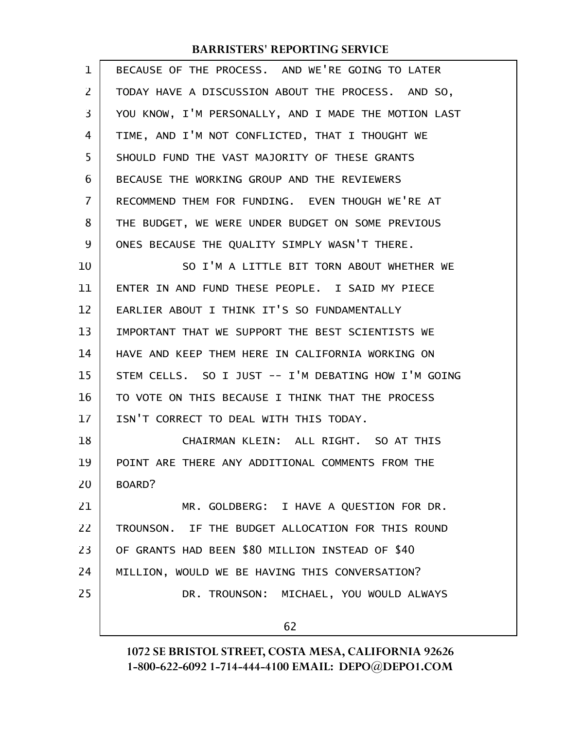| $\mathbf 1$    | BECAUSE OF THE PROCESS. AND WE'RE GOING TO LATER     |
|----------------|------------------------------------------------------|
| $\overline{2}$ | TODAY HAVE A DISCUSSION ABOUT THE PROCESS. AND SO,   |
| 3              | YOU KNOW, I'M PERSONALLY, AND I MADE THE MOTION LAST |
| 4              | TIME, AND I'M NOT CONFLICTED, THAT I THOUGHT WE      |
| 5              | SHOULD FUND THE VAST MAJORITY OF THESE GRANTS        |
| 6              | BECAUSE THE WORKING GROUP AND THE REVIEWERS          |
| $\overline{7}$ | RECOMMEND THEM FOR FUNDING. EVEN THOUGH WE'RE AT     |
| 8              | THE BUDGET, WE WERE UNDER BUDGET ON SOME PREVIOUS    |
| 9              | ONES BECAUSE THE QUALITY SIMPLY WASN'T THERE.        |
| 10             | SO I'M A LITTLE BIT TORN ABOUT WHETHER WE            |
| 11             | ENTER IN AND FUND THESE PEOPLE. I SAID MY PIECE      |
| 12             | EARLIER ABOUT I THINK IT'S SO FUNDAMENTALLY          |
| 13             | IMPORTANT THAT WE SUPPORT THE BEST SCIENTISTS WE     |
| 14             | HAVE AND KEEP THEM HERE IN CALIFORNIA WORKING ON     |
| 15             | STEM CELLS. SO I JUST -- I'M DEBATING HOW I'M GOING  |
| 16             | TO VOTE ON THIS BECAUSE I THINK THAT THE PROCESS     |
| 17             | ISN'T CORRECT TO DEAL WITH THIS TODAY.               |
| 18             | CHAIRMAN KLEIN: ALL RIGHT. SO AT THIS                |
| 19             | POINT ARE THERE ANY ADDITIONAL COMMENTS FROM THE     |
| 20             | BOARD?                                               |
| 21             | MR. GOLDBERG: I HAVE A QUESTION FOR DR.              |
| 22             | TROUNSON. IF THE BUDGET ALLOCATION FOR THIS ROUND    |
| 23             | OF GRANTS HAD BEEN \$80 MILLION INSTEAD OF \$40      |
| 24             | MILLION, WOULD WE BE HAVING THIS CONVERSATION?       |
| 25             | DR. TROUNSON: MICHAEL, YOU WOULD ALWAYS              |
|                | 62                                                   |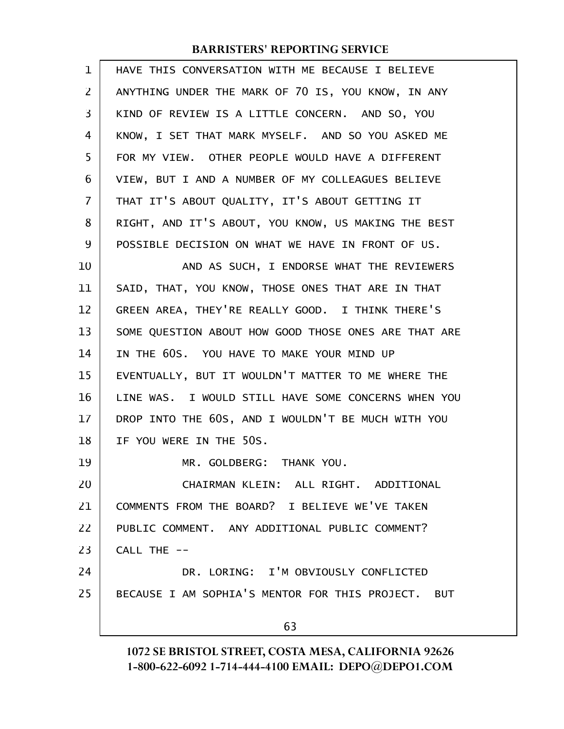| 1              | HAVE THIS CONVERSATION WITH ME BECAUSE I BELIEVE             |
|----------------|--------------------------------------------------------------|
| $\overline{2}$ | ANYTHING UNDER THE MARK OF 70 IS, YOU KNOW, IN ANY           |
| 3              | KIND OF REVIEW IS A LITTLE CONCERN. AND SO, YOU              |
| 4              | KNOW, I SET THAT MARK MYSELF. AND SO YOU ASKED ME            |
| 5              | FOR MY VIEW. OTHER PEOPLE WOULD HAVE A DIFFERENT             |
| 6              | VIEW, BUT I AND A NUMBER OF MY COLLEAGUES BELIEVE            |
| 7              | THAT IT'S ABOUT QUALITY, IT'S ABOUT GETTING IT               |
| 8              | RIGHT, AND IT'S ABOUT, YOU KNOW, US MAKING THE BEST          |
| 9              | POSSIBLE DECISION ON WHAT WE HAVE IN FRONT OF US.            |
| 10             | AND AS SUCH, I ENDORSE WHAT THE REVIEWERS                    |
| 11             | SAID, THAT, YOU KNOW, THOSE ONES THAT ARE IN THAT            |
| 12             | GREEN AREA, THEY'RE REALLY GOOD. I THINK THERE'S             |
| 13             | SOME QUESTION ABOUT HOW GOOD THOSE ONES ARE THAT ARE         |
| 14             | IN THE 60S. YOU HAVE TO MAKE YOUR MIND UP                    |
| 15             | EVENTUALLY, BUT IT WOULDN'T MATTER TO ME WHERE THE           |
| 16             | LINE WAS. I WOULD STILL HAVE SOME CONCERNS WHEN YOU          |
| 17             | DROP INTO THE 60S, AND I WOULDN'T BE MUCH WITH YOU           |
| 18             | IF YOU WERE IN THE 50S.                                      |
| 19             | MR. GOLDBERG: THANK YOU.                                     |
| 20             | CHAIRMAN KLEIN: ALL RIGHT. ADDITIONAL                        |
| 21             | COMMENTS FROM THE BOARD? I BELIEVE WE'VE TAKEN               |
| 22             | PUBLIC COMMENT. ANY ADDITIONAL PUBLIC COMMENT?               |
| 23             | CALL THE --                                                  |
| 24             | DR. LORING: I'M OBVIOUSLY CONFLICTED                         |
| 25             | BECAUSE I AM SOPHIA'S MENTOR FOR THIS PROJECT.<br><b>BUT</b> |
|                | 63                                                           |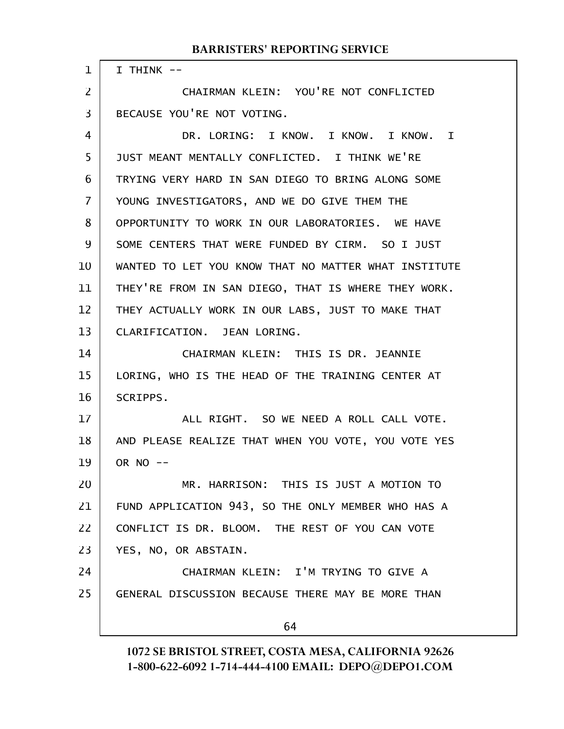I THINK -- CHAIRMAN KLEIN: YOU'RE NOT CONFLICTED BECAUSE YOU'RE NOT VOTING. DR. LORING: I KNOW. I KNOW. I KNOW. I JUST MEANT MENTALLY CONFLICTED. I THINK WE'RE TRYING VERY HARD IN SAN DIEGO TO BRING ALONG SOME YOUNG INVESTIGATORS, AND WE DO GIVE THEM THE OPPORTUNITY TO WORK IN OUR LABORATORIES. WE HAVE SOME CENTERS THAT WERE FUNDED BY CIRM. SO I JUST WANTED TO LET YOU KNOW THAT NO MATTER WHAT INSTITUTE THEY'RE FROM IN SAN DIEGO, THAT IS WHERE THEY WORK. THEY ACTUALLY WORK IN OUR LABS, JUST TO MAKE THAT CLARIFICATION. JEAN LORING. CHAIRMAN KLEIN: THIS IS DR. JEANNIE LORING, WHO IS THE HEAD OF THE TRAINING CENTER AT SCRIPPS. ALL RIGHT. SO WE NEED A ROLL CALL VOTE. AND PLEASE REALIZE THAT WHEN YOU VOTE, YOU VOTE YES OR  $NO$  --MR. HARRISON: THIS IS JUST A MOTION TO FUND APPLICATION 943, SO THE ONLY MEMBER WHO HAS A CONFLICT IS DR. BLOOM. THE REST OF YOU CAN VOTE YES, NO, OR ABSTAIN. CHAIRMAN KLEIN: I'M TRYING TO GIVE A GENERAL DISCUSSION BECAUSE THERE MAY BE MORE THAN 64 1 2 3 4 5 6 7 8 9 10 11 12 13 14 15 16 17 18 19 20 21 22 23 24 25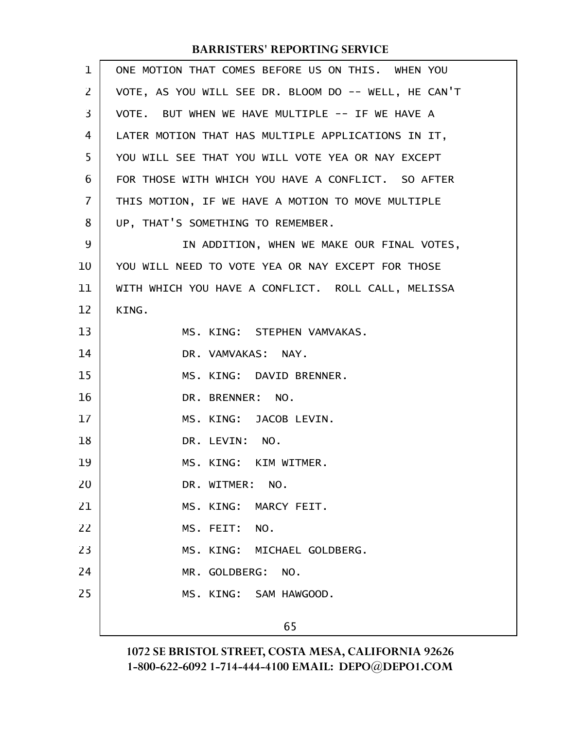| $\mathbf{1}$   | ONE MOTION THAT COMES BEFORE US ON THIS. WHEN YOU    |
|----------------|------------------------------------------------------|
| 2              | VOTE, AS YOU WILL SEE DR. BLOOM DO -- WELL, HE CAN'T |
| 3              | VOTE. BUT WHEN WE HAVE MULTIPLE -- IF WE HAVE A      |
| 4              | LATER MOTION THAT HAS MULTIPLE APPLICATIONS IN IT,   |
| 5              | YOU WILL SEE THAT YOU WILL VOTE YEA OR NAY EXCEPT    |
| 6              | FOR THOSE WITH WHICH YOU HAVE A CONFLICT. SO AFTER   |
| $\overline{7}$ | THIS MOTION, IF WE HAVE A MOTION TO MOVE MULTIPLE    |
| 8              | UP, THAT'S SOMETHING TO REMEMBER.                    |
| 9              | IN ADDITION, WHEN WE MAKE OUR FINAL VOTES,           |
| 10             | YOU WILL NEED TO VOTE YEA OR NAY EXCEPT FOR THOSE    |
| 11             | WITH WHICH YOU HAVE A CONFLICT. ROLL CALL, MELISSA   |
| 12             | KING.                                                |
| 13             | MS. KING: STEPHEN VAMVAKAS.                          |
| 14             | DR. VAMVAKAS: NAY.                                   |
| 15             | MS. KING: DAVID BRENNER.                             |
| 16             | DR. BRENNER: NO.                                     |
| 17             | MS. KING: JACOB LEVIN.                               |
| 18             | DR. LEVIN: NO.                                       |
| 19             | MS. KING: KIM WITMER.                                |
| 20             | DR. WITMER: NO.                                      |
| 21             | MS. KING: MARCY FEIT.                                |
| 22             | MS. FEIT: NO.                                        |
| 23             | MS. KING: MICHAEL GOLDBERG.                          |
| 24             | MR. GOLDBERG: NO.                                    |
| 25             | MS. KING: SAM HAWGOOD.                               |
|                | 65                                                   |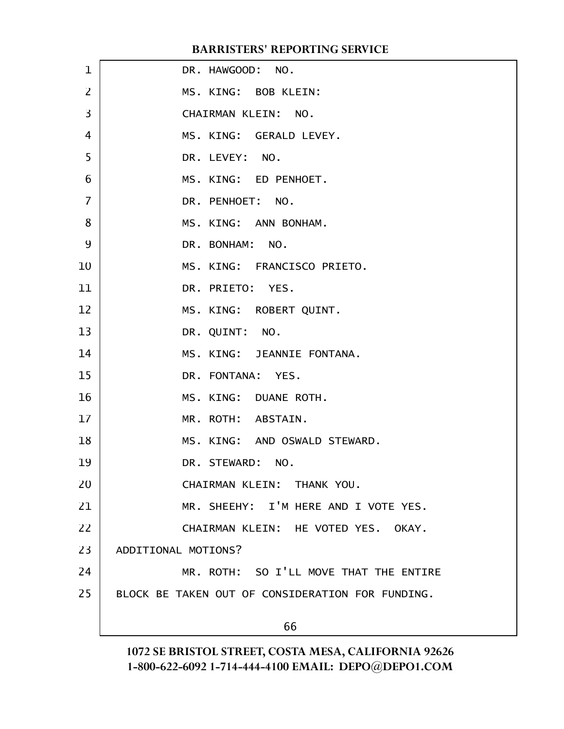| $\mathbf 1$     | DR. HAWGOOD: NO.                                 |
|-----------------|--------------------------------------------------|
| $\overline{2}$  | MS. KING: BOB KLEIN:                             |
| 3               | CHAIRMAN KLEIN: NO.                              |
| $\overline{4}$  | MS. KING: GERALD LEVEY.                          |
| 5               | DR. LEVEY: NO.                                   |
| 6               | MS. KING: ED PENHOET.                            |
| $\overline{7}$  | DR. PENHOET: NO.                                 |
| 8               | MS. KING: ANN BONHAM.                            |
| 9               | DR. BONHAM: NO.                                  |
| 10              | MS. KING: FRANCISCO PRIETO.                      |
| 11              | DR. PRIETO: YES.                                 |
| 12              | MS. KING: ROBERT QUINT.                          |
| 13              | DR. QUINT: NO.                                   |
| 14              | MS. KING: JEANNIE FONTANA.                       |
| 15              | DR. FONTANA: YES.                                |
| 16              | MS. KING: DUANE ROTH.                            |
| 17 <sup>2</sup> | MR. ROTH: ABSTAIN.                               |
| 18              | MS. KING: AND OSWALD STEWARD.                    |
| 19              | DR. STEWARD: NO.                                 |
| 20              | CHAIRMAN KLEIN: THANK YOU.                       |
| 21              | MR. SHEEHY: I'M HERE AND I VOTE YES.             |
| 22              | CHAIRMAN KLEIN: HE VOTED YES. OKAY.              |
| 23              | ADDITIONAL MOTIONS?                              |
| 24              | MR. ROTH: SO I'LL MOVE THAT THE ENTIRE           |
| 25              | BLOCK BE TAKEN OUT OF CONSIDERATION FOR FUNDING. |
|                 | 66                                               |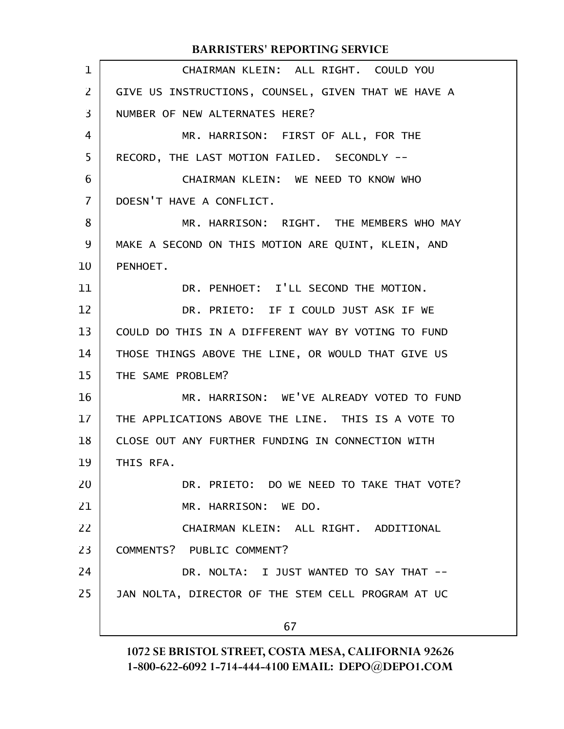|                | <b>BARRISTERS' REPORTING SERVICE</b>                |
|----------------|-----------------------------------------------------|
| 1              | CHAIRMAN KLEIN: ALL RIGHT. COULD YOU                |
| 2              | GIVE US INSTRUCTIONS, COUNSEL, GIVEN THAT WE HAVE A |
| 3              | NUMBER OF NEW ALTERNATES HERE?                      |
| 4              | MR. HARRISON: FIRST OF ALL, FOR THE                 |
| 5              | RECORD, THE LAST MOTION FAILED. SECONDLY --         |
| 6              | CHAIRMAN KLEIN: WE NEED TO KNOW WHO                 |
| $\overline{7}$ | DOESN'T HAVE A CONFLICT.                            |
| 8              | MR. HARRISON: RIGHT. THE MEMBERS WHO MAY            |
| 9              | MAKE A SECOND ON THIS MOTION ARE QUINT, KLEIN, AND  |
| 10             | PENHOET.                                            |
| 11             | DR. PENHOET: I'LL SECOND THE MOTION.                |
| 12             | DR. PRIETO: IF I COULD JUST ASK IF WE               |
| 13             | COULD DO THIS IN A DIFFERENT WAY BY VOTING TO FUND  |
| 14             | THOSE THINGS ABOVE THE LINE, OR WOULD THAT GIVE US  |
| 15             | THE SAME PROBLEM?                                   |
| 16             | MR. HARRISON: WE'VE ALREADY VOTED TO FUND           |
| 17             | THE APPLICATIONS ABOVE THE LINE. THIS IS A VOTE TO  |
| 18             | CLOSE OUT ANY FURTHER FUNDING IN CONNECTION WITH    |
| 19             | THIS RFA.                                           |
| 20             | DR. PRIETO: DO WE NEED TO TAKE THAT VOTE?           |
| 21             | MR. HARRISON: WE DO.                                |
| 22             | CHAIRMAN KLEIN: ALL RIGHT. ADDITIONAL               |
| 23             | COMMENTS? PUBLIC COMMENT?                           |
| 24             | DR. NOLTA: I JUST WANTED TO SAY THAT --             |
| 25             | JAN NOLTA, DIRECTOR OF THE STEM CELL PROGRAM AT UC  |
|                | 67                                                  |
|                |                                                     |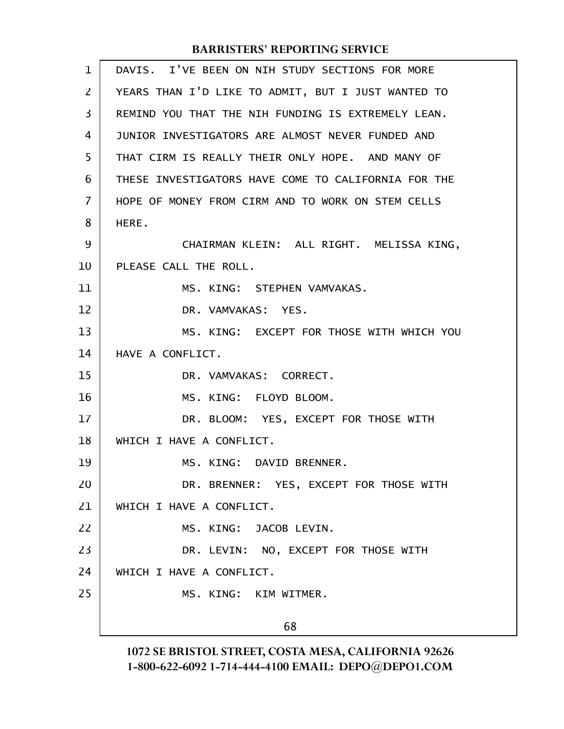| $\mathbf{1}$ | DAVIS. I'VE BEEN ON NIH STUDY SECTIONS FOR MORE     |
|--------------|-----------------------------------------------------|
| 2            | YEARS THAN I'D LIKE TO ADMIT, BUT I JUST WANTED TO  |
| 3            | REMIND YOU THAT THE NIH FUNDING IS EXTREMELY LEAN.  |
| 4            | JUNIOR INVESTIGATORS ARE ALMOST NEVER FUNDED AND    |
| 5            | THAT CIRM IS REALLY THEIR ONLY HOPE. AND MANY OF    |
| 6            | THESE INVESTIGATORS HAVE COME TO CALIFORNIA FOR THE |
| 7            | HOPE OF MONEY FROM CIRM AND TO WORK ON STEM CELLS   |
| 8            | HERE.                                               |
| 9            | CHAIRMAN KLEIN: ALL RIGHT. MELISSA KING,            |
| 10           | PLEASE CALL THE ROLL.                               |
| 11           | MS. KING: STEPHEN VAMVAKAS.                         |
| 12           | DR. VAMVAKAS: YES.                                  |
| 13           | MS. KING: EXCEPT FOR THOSE WITH WHICH YOU           |
| 14           | HAVE A CONFLICT.                                    |
| 15           | DR. VAMVAKAS: CORRECT.                              |
| 16           | MS. KING: FLOYD BLOOM.                              |
| 17           | DR. BLOOM: YES, EXCEPT FOR THOSE WITH               |
| 18           | WHICH I HAVE A CONFLICT.                            |
| 19           | MS. KING: DAVID BRENNER.                            |
| 20           | DR. BRENNER: YES, EXCEPT FOR THOSE WITH             |
| 21           | WHICH I HAVE A CONFLICT.                            |
| 22           | MS. KING: JACOB LEVIN.                              |
| 23           | DR. LEVIN: NO, EXCEPT FOR THOSE WITH                |
| 24           | WHICH I HAVE A CONFLICT.                            |
| 25           | MS. KING: KIM WITMER.                               |
|              | 68                                                  |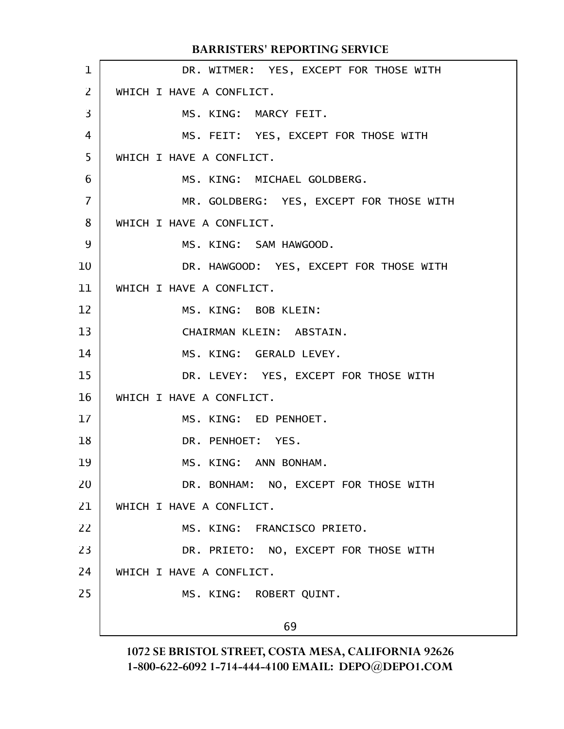DR. WITMER: YES, EXCEPT FOR THOSE WITH WHICH I HAVE A CONFLICT. MS. KING: MARCY FEIT. MS. FEIT: YES, EXCEPT FOR THOSE WITH WHICH I HAVE A CONFLICT. MS. KING: MICHAEL GOLDBERG. MR. GOLDBERG: YES, EXCEPT FOR THOSE WITH WHICH I HAVE A CONFLICT. MS. KING: SAM HAWGOOD. DR. HAWGOOD: YES, EXCEPT FOR THOSE WITH WHICH I HAVE A CONFLICT. MS. KING: BOB KLEIN: CHAIRMAN KLEIN: ABSTAIN. MS. KING: GERALD LEVEY. DR. LEVEY: YES, EXCEPT FOR THOSE WITH WHICH I HAVE A CONFLICT. MS. KING: ED PENHOET. DR. PENHOET: YES. MS. KING: ANN BONHAM. DR. BONHAM: NO, EXCEPT FOR THOSE WITH WHICH I HAVE A CONFLICT. MS. KING: FRANCISCO PRIETO. DR. PRIETO: NO, EXCEPT FOR THOSE WITH WHICH I HAVE A CONFLICT. MS. KING: ROBERT QUINT. 69 BARRISTERS' REPORTING SERVICE 1 2 3 4 5 6 7 8 9 10 11 12 13 14 15 16 17 18 19 20 21 22 23 24 25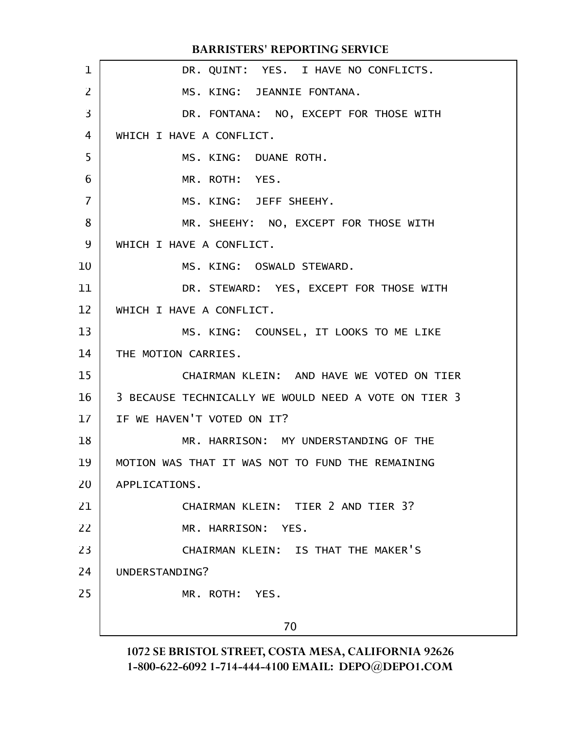DR. QUINT: YES. I HAVE NO CONFLICTS. MS. KING: JEANNIE FONTANA. DR. FONTANA: NO, EXCEPT FOR THOSE WITH WHICH I HAVE A CONFLICT. MS. KING: DUANE ROTH. MR. ROTH: YES. MS. KING: JEFF SHEEHY. MR. SHEEHY: NO, EXCEPT FOR THOSE WITH WHICH I HAVE A CONFLICT. MS. KING: OSWALD STEWARD. DR. STEWARD: YES, EXCEPT FOR THOSE WITH WHICH I HAVE A CONFLICT. MS. KING: COUNSEL, IT LOOKS TO ME LIKE THE MOTION CARRIES. CHAIRMAN KLEIN: AND HAVE WE VOTED ON TIER 3 BECAUSE TECHNICALLY WE WOULD NEED A VOTE ON TIER 3 IF WE HAVEN'T VOTED ON IT? MR. HARRISON: MY UNDERSTANDING OF THE MOTION WAS THAT IT WAS NOT TO FUND THE REMAINING APPLICATIONS. CHAIRMAN KLEIN: TIER 2 AND TIER 3? MR. HARRISON: YES. CHAIRMAN KLEIN: IS THAT THE MAKER'S UNDERSTANDING? MR. ROTH: YES. 70 BARRISTERS' REPORTING SERVICE 1 2 3 4 5 6 7 8 9 10 11 12 13 14 15 16 17 18 19 20 21 22 23 24 25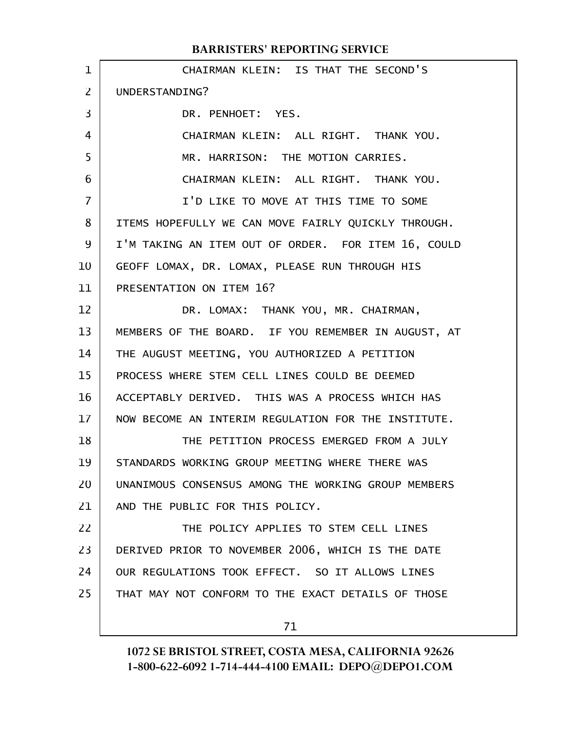| $\mathbf{1}$   | CHAIRMAN KLEIN: IS THAT THE SECOND'S                |
|----------------|-----------------------------------------------------|
| $\overline{2}$ | UNDERSTANDING?                                      |
| 3              | DR. PENHOET: YES.                                   |
| 4              | CHAIRMAN KLEIN: ALL RIGHT. THANK YOU.               |
| 5              | MR. HARRISON: THE MOTION CARRIES.                   |
| 6              | CHAIRMAN KLEIN: ALL RIGHT. THANK YOU.               |
| $\overline{7}$ | I'D LIKE TO MOVE AT THIS TIME TO SOME               |
| 8              | ITEMS HOPEFULLY WE CAN MOVE FAIRLY QUICKLY THROUGH. |
| 9              | I'M TAKING AN ITEM OUT OF ORDER. FOR ITEM 16, COULD |
| 10             | GEOFF LOMAX, DR. LOMAX, PLEASE RUN THROUGH HIS      |
| 11             | PRESENTATION ON ITEM 16?                            |
| 12             | DR. LOMAX: THANK YOU, MR. CHAIRMAN,                 |
| 13             | MEMBERS OF THE BOARD. IF YOU REMEMBER IN AUGUST, AT |
| 14             | THE AUGUST MEETING, YOU AUTHORIZED A PETITION       |
| 15             | PROCESS WHERE STEM CELL LINES COULD BE DEEMED       |
| 16             | ACCEPTABLY DERIVED. THIS WAS A PROCESS WHICH HAS    |
| 17             | NOW BECOME AN INTERIM REGULATION FOR THE INSTITUTE. |
| 18             | THE PETITION PROCESS EMERGED FROM A JULY            |
| 19             | STANDARDS WORKING GROUP MEETING WHERE THERE WAS     |
| 20             | UNANIMOUS CONSENSUS AMONG THE WORKING GROUP MEMBERS |
| 21             | AND THE PUBLIC FOR THIS POLICY.                     |
| 22             | THE POLICY APPLIES TO STEM CELL LINES               |
| 23             | DERIVED PRIOR TO NOVEMBER 2006, WHICH IS THE DATE   |
| 24             | OUR REGULATIONS TOOK EFFECT. SO IT ALLOWS LINES     |
| 25             | THAT MAY NOT CONFORM TO THE EXACT DETAILS OF THOSE  |
|                | 71                                                  |
|                |                                                     |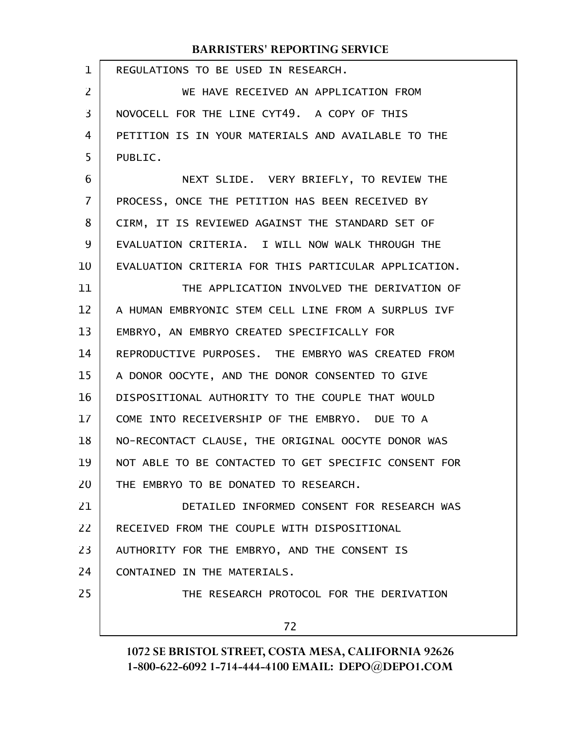| $\mathbf 1$ | REGULATIONS TO BE USED IN RESEARCH.                  |
|-------------|------------------------------------------------------|
| 2           | WE HAVE RECEIVED AN APPLICATION FROM                 |
| 3           | NOVOCELL FOR THE LINE CYT49. A COPY OF THIS          |
| 4           | PETITION IS IN YOUR MATERIALS AND AVAILABLE TO THE   |
| 5           | PUBLIC.                                              |
| 6           | NEXT SLIDE. VERY BRIEFLY, TO REVIEW THE              |
| 7           | PROCESS, ONCE THE PETITION HAS BEEN RECEIVED BY      |
| 8           | CIRM, IT IS REVIEWED AGAINST THE STANDARD SET OF     |
| 9           | EVALUATION CRITERIA. I WILL NOW WALK THROUGH THE     |
| 10          | EVALUATION CRITERIA FOR THIS PARTICULAR APPLICATION. |
| 11          | THE APPLICATION INVOLVED THE DERIVATION OF           |
| 12          | A HUMAN EMBRYONIC STEM CELL LINE FROM A SURPLUS IVF  |
| 13          | EMBRYO, AN EMBRYO CREATED SPECIFICALLY FOR           |
| 14          | REPRODUCTIVE PURPOSES. THE EMBRYO WAS CREATED FROM   |
| 15          | A DONOR OOCYTE, AND THE DONOR CONSENTED TO GIVE      |
| 16          | DISPOSITIONAL AUTHORITY TO THE COUPLE THAT WOULD     |
| 17          | COME INTO RECEIVERSHIP OF THE EMBRYO. DUE TO A       |
| 18          | NO-RECONTACT CLAUSE, THE ORIGINAL OOCYTE DONOR WAS   |
| 19          | NOT ABLE TO BE CONTACTED TO GET SPECIFIC CONSENT FOR |
| 20          | THE EMBRYO TO BE DONATED TO RESEARCH.                |
| 21          | DETAILED INFORMED CONSENT FOR RESEARCH WAS           |
| 22          | RECEIVED FROM THE COUPLE WITH DISPOSITIONAL          |
| 23          | AUTHORITY FOR THE EMBRYO, AND THE CONSENT IS         |
| 24          | CONTAINED IN THE MATERIALS.                          |
| 25          | THE RESEARCH PROTOCOL FOR THE DERIVATION             |
|             | 72                                                   |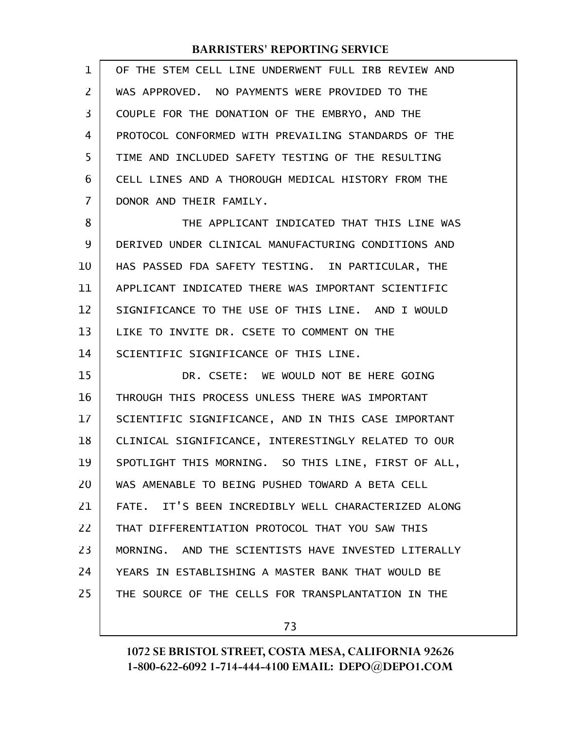| $\mathbf 1$    | OF THE STEM CELL LINE UNDERWENT FULL IRB REVIEW AND    |
|----------------|--------------------------------------------------------|
| $\overline{2}$ | WAS APPROVED. NO PAYMENTS WERE PROVIDED TO THE         |
| 3              | COUPLE FOR THE DONATION OF THE EMBRYO, AND THE         |
| 4              | PROTOCOL CONFORMED WITH PREVAILING STANDARDS OF THE    |
| 5              | TIME AND INCLUDED SAFETY TESTING OF THE RESULTING      |
| 6              | CELL LINES AND A THOROUGH MEDICAL HISTORY FROM THE     |
| 7              | DONOR AND THEIR FAMILY.                                |
| 8              | THE APPLICANT INDICATED THAT THIS LINE WAS             |
| 9              | DERIVED UNDER CLINICAL MANUFACTURING CONDITIONS AND    |
| 10             | HAS PASSED FDA SAFETY TESTING. IN PARTICULAR, THE      |
| 11             | APPLICANT INDICATED THERE WAS IMPORTANT SCIENTIFIC     |
| 12             | SIGNIFICANCE TO THE USE OF THIS LINE. AND I WOULD      |
| 13             | LIKE TO INVITE DR. CSETE TO COMMENT ON THE             |
| 14             | SCIENTIFIC SIGNIFICANCE OF THIS LINE.                  |
| 15             | DR. CSETE: WE WOULD NOT BE HERE GOING                  |
| 16             | THROUGH THIS PROCESS UNLESS THERE WAS IMPORTANT        |
| 17             | SCIENTIFIC SIGNIFICANCE, AND IN THIS CASE IMPORTANT    |
| 18             | CLINICAL SIGNIFICANCE, INTERESTINGLY RELATED TO OUR    |
| 19             | SPOTLIGHT THIS MORNING. SO THIS LINE, FIRST OF ALL,    |
| 20             | WAS AMENABLE TO BEING PUSHED TOWARD A BETA CELL        |
| 21             | IT'S BEEN INCREDIBLY WELL CHARACTERIZED ALONG<br>FATE. |
| 22             | THAT DIFFERENTIATION PROTOCOL THAT YOU SAW THIS        |
| 23             | MORNING. AND THE SCIENTISTS HAVE INVESTED LITERALLY    |
| 24             | YEARS IN ESTABLISHING A MASTER BANK THAT WOULD BE      |
| 25             | THE SOURCE OF THE CELLS FOR TRANSPLANTATION IN THE     |
|                |                                                        |

73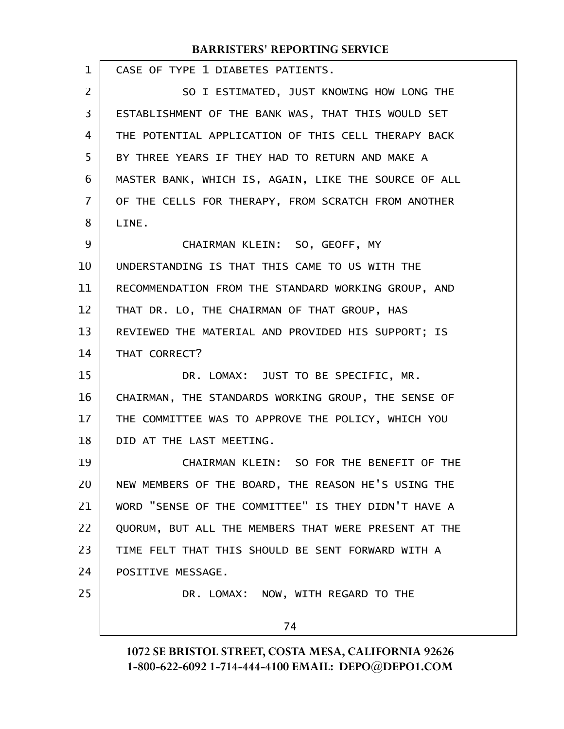CASE OF TYPE 1 DIABETES PATIENTS. SO I ESTIMATED, JUST KNOWING HOW LONG THE ESTABLISHMENT OF THE BANK WAS, THAT THIS WOULD SET THE POTENTIAL APPLICATION OF THIS CELL THERAPY BACK BY THREE YEARS IF THEY HAD TO RETURN AND MAKE A MASTER BANK, WHICH IS, AGAIN, LIKE THE SOURCE OF ALL OF THE CELLS FOR THERAPY, FROM SCRATCH FROM ANOTHER LINE. CHAIRMAN KLEIN: SO, GEOFF, MY UNDERSTANDING IS THAT THIS CAME TO US WITH THE RECOMMENDATION FROM THE STANDARD WORKING GROUP, AND THAT DR. LO, THE CHAIRMAN OF THAT GROUP, HAS REVIEWED THE MATERIAL AND PROVIDED HIS SUPPORT; IS THAT CORRECT? DR. LOMAX: JUST TO BE SPECIFIC, MR. CHAIRMAN, THE STANDARDS WORKING GROUP, THE SENSE OF THE COMMITTEE WAS TO APPROVE THE POLICY, WHICH YOU DID AT THE LAST MEETING. CHAIRMAN KLEIN: SO FOR THE BENEFIT OF THE NEW MEMBERS OF THE BOARD, THE REASON HE'S USING THE WORD "SENSE OF THE COMMITTEE" IS THEY DIDN'T HAVE A QUORUM, BUT ALL THE MEMBERS THAT WERE PRESENT AT THE TIME FELT THAT THIS SHOULD BE SENT FORWARD WITH A POSITIVE MESSAGE. DR. LOMAX: NOW, WITH REGARD TO THE 74 1 2 3 4 5 6 7 8 9 10 11 12 13 14 15 16 17 18 19 20 21 22 23 24 25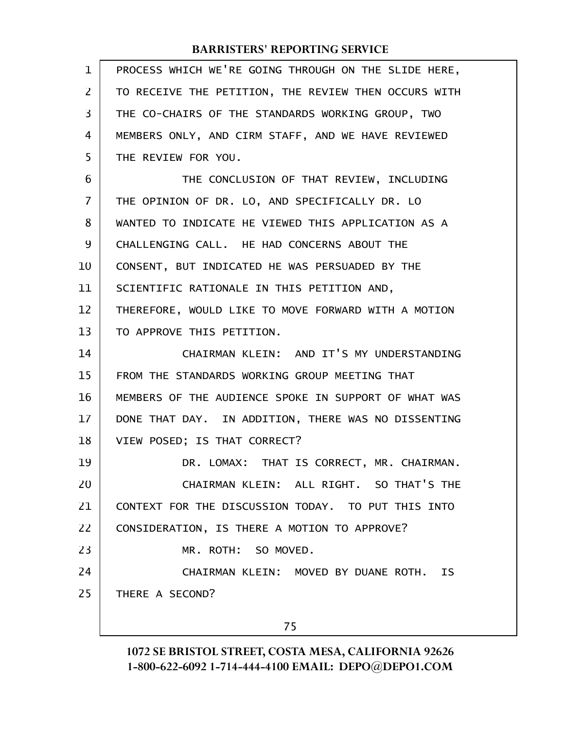| 1              | PROCESS WHICH WE'RE GOING THROUGH ON THE SLIDE HERE, |
|----------------|------------------------------------------------------|
| $\overline{2}$ | TO RECEIVE THE PETITION, THE REVIEW THEN OCCURS WITH |
| 3              | THE CO-CHAIRS OF THE STANDARDS WORKING GROUP, TWO    |
| 4              | MEMBERS ONLY, AND CIRM STAFF, AND WE HAVE REVIEWED   |
| 5              | THE REVIEW FOR YOU.                                  |
| 6              | THE CONCLUSION OF THAT REVIEW, INCLUDING             |
| $\overline{7}$ | THE OPINION OF DR. LO, AND SPECIFICALLY DR. LO       |
| 8              | WANTED TO INDICATE HE VIEWED THIS APPLICATION AS A   |
| 9              | CHALLENGING CALL. HE HAD CONCERNS ABOUT THE          |
| 10             | CONSENT, BUT INDICATED HE WAS PERSUADED BY THE       |
| 11             | SCIENTIFIC RATIONALE IN THIS PETITION AND,           |
| 12             | THEREFORE, WOULD LIKE TO MOVE FORWARD WITH A MOTION  |
| 13             | TO APPROVE THIS PETITION.                            |
| 14             | CHAIRMAN KLEIN: AND IT'S MY UNDERSTANDING            |
| 15             | FROM THE STANDARDS WORKING GROUP MEETING THAT        |
| 16             | MEMBERS OF THE AUDIENCE SPOKE IN SUPPORT OF WHAT WAS |
| 17             | DONE THAT DAY. IN ADDITION, THERE WAS NO DISSENTING  |
| 18             | VIEW POSED; IS THAT CORRECT?                         |
| 19             | DR. LOMAX: THAT IS CORRECT, MR. CHAIRMAN.            |
| 20             | CHAIRMAN KLEIN: ALL RIGHT. SO THAT'S THE             |
| 21             | CONTEXT FOR THE DISCUSSION TODAY. TO PUT THIS INTO   |
| 22             | CONSIDERATION, IS THERE A MOTION TO APPROVE?         |
| 23             | MR. ROTH: SO MOVED.                                  |
| 24             | CHAIRMAN KLEIN: MOVED BY DUANE ROTH.<br>ΙS.          |
| 25             | THERE A SECOND?                                      |
|                |                                                      |
|                | 75                                                   |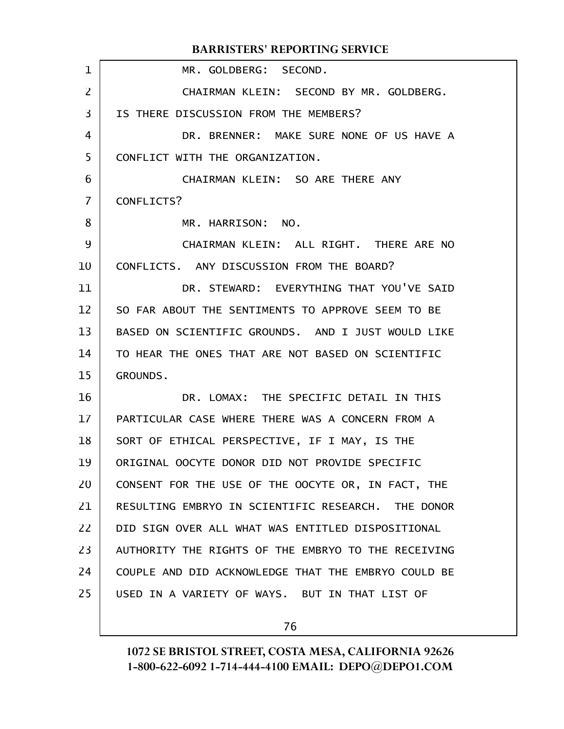MR. GOLDBERG: SECOND. CHAIRMAN KLEIN: SECOND BY MR. GOLDBERG. IS THERE DISCUSSION FROM THE MEMBERS? DR. BRENNER: MAKE SURE NONE OF US HAVE A CONFLICT WITH THE ORGANIZATION. CHAIRMAN KLEIN: SO ARE THERE ANY CONFLICTS? MR. HARRISON: NO. CHAIRMAN KLEIN: ALL RIGHT. THERE ARE NO CONFLICTS. ANY DISCUSSION FROM THE BOARD? DR. STEWARD: EVERYTHING THAT YOU'VE SAID SO FAR ABOUT THE SENTIMENTS TO APPROVE SEEM TO BE BASED ON SCIENTIFIC GROUNDS. AND I JUST WOULD LIKE TO HEAR THE ONES THAT ARE NOT BASED ON SCIENTIFIC GROUNDS. DR. LOMAX: THE SPECIFIC DETAIL IN THIS PARTICULAR CASE WHERE THERE WAS A CONCERN FROM A SORT OF ETHICAL PERSPECTIVE, IF I MAY, IS THE ORIGINAL OOCYTE DONOR DID NOT PROVIDE SPECIFIC CONSENT FOR THE USE OF THE OOCYTE OR, IN FACT, THE RESULTING EMBRYO IN SCIENTIFIC RESEARCH. THE DONOR DID SIGN OVER ALL WHAT WAS ENTITLED DISPOSITIONAL AUTHORITY THE RIGHTS OF THE EMBRYO TO THE RECEIVING COUPLE AND DID ACKNOWLEDGE THAT THE EMBRYO COULD BE USED IN A VARIETY OF WAYS. BUT IN THAT LIST OF 1 2 3 4 5 6 7 8 9 10 11 12 13 14 15 16 17 18 19 20 21 22 23 24 25

76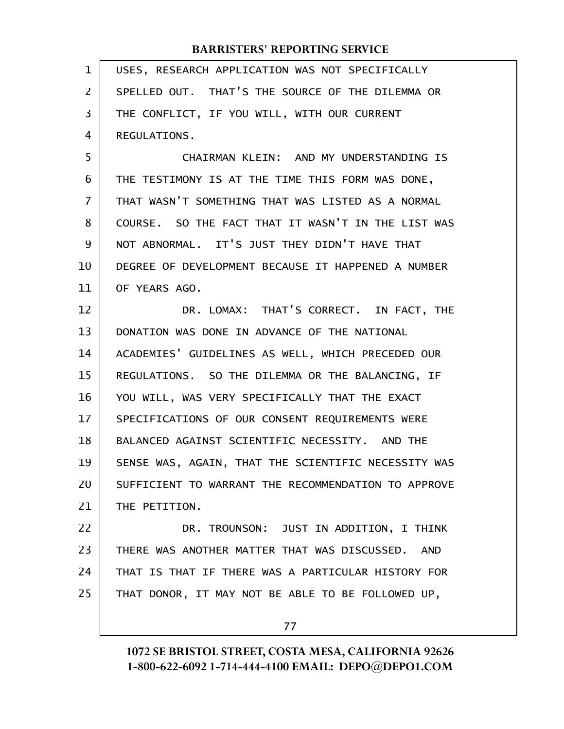| $\mathbf 1$    | USES, RESEARCH APPLICATION WAS NOT SPECIFICALLY            |
|----------------|------------------------------------------------------------|
| $\overline{2}$ | SPELLED OUT. THAT'S THE SOURCE OF THE DILEMMA OR           |
| 3              | THE CONFLICT, IF YOU WILL, WITH OUR CURRENT                |
| $\overline{4}$ | REGULATIONS.                                               |
| 5              | CHAIRMAN KLEIN: AND MY UNDERSTANDING IS                    |
| 6              | THE TESTIMONY IS AT THE TIME THIS FORM WAS DONE,           |
| 7              | THAT WASN'T SOMETHING THAT WAS LISTED AS A NORMAL          |
| 8              | COURSE. SO THE FACT THAT IT WASN'T IN THE LIST WAS         |
| 9              | NOT ABNORMAL. IT'S JUST THEY DIDN'T HAVE THAT              |
| 10             | DEGREE OF DEVELOPMENT BECAUSE IT HAPPENED A NUMBER         |
| 11             | OF YEARS AGO.                                              |
| 12             | DR. LOMAX: THAT'S CORRECT. IN FACT, THE                    |
| 13             | DONATION WAS DONE IN ADVANCE OF THE NATIONAL               |
| 14             | ACADEMIES' GUIDELINES AS WELL, WHICH PRECEDED OUR          |
| 15             | REGULATIONS. SO THE DILEMMA OR THE BALANCING, IF           |
| 16             | YOU WILL, WAS VERY SPECIFICALLY THAT THE EXACT             |
| 17             | SPECIFICATIONS OF OUR CONSENT REQUIREMENTS WERE            |
| 18             | BALANCED AGAINST SCIENTIFIC NECESSITY. AND THE             |
| 19             | SENSE WAS, AGAIN, THAT THE SCIENTIFIC NECESSITY WAS        |
| 20             | SUFFICIENT TO WARRANT THE RECOMMENDATION TO APPROVE        |
| 21             | THE PETITION.                                              |
| 22             | DR. TROUNSON: JUST IN ADDITION, I THINK                    |
| 23             | THERE WAS ANOTHER MATTER THAT WAS DISCUSSED.<br><b>AND</b> |
| 24             | THAT IS THAT IF THERE WAS A PARTICULAR HISTORY FOR         |
| 25             | THAT DONOR, IT MAY NOT BE ABLE TO BE FOLLOWED UP,          |
|                |                                                            |

77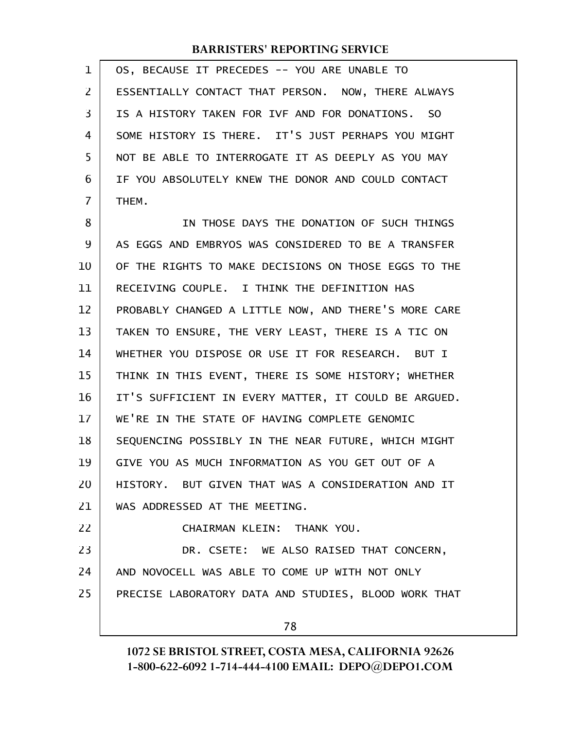| $\mathbf 1$    | OS, BECAUSE IT PRECEDES -- YOU ARE UNABLE TO         |
|----------------|------------------------------------------------------|
| $\overline{2}$ | ESSENTIALLY CONTACT THAT PERSON. NOW, THERE ALWAYS   |
| 3              | IS A HISTORY TAKEN FOR IVF AND FOR DONATIONS. SO     |
| 4              | SOME HISTORY IS THERE. IT'S JUST PERHAPS YOU MIGHT   |
| 5              | NOT BE ABLE TO INTERROGATE IT AS DEEPLY AS YOU MAY   |
| 6              | IF YOU ABSOLUTELY KNEW THE DONOR AND COULD CONTACT   |
| 7              | THEM.                                                |
| 8              | IN THOSE DAYS THE DONATION OF SUCH THINGS            |
| 9              | AS EGGS AND EMBRYOS WAS CONSIDERED TO BE A TRANSFER  |
| 10             | OF THE RIGHTS TO MAKE DECISIONS ON THOSE EGGS TO THE |
| 11             | RECEIVING COUPLE. I THINK THE DEFINITION HAS         |
| 12             | PROBABLY CHANGED A LITTLE NOW, AND THERE'S MORE CARE |
| 13             | TAKEN TO ENSURE, THE VERY LEAST, THERE IS A TIC ON   |
| 14             | WHETHER YOU DISPOSE OR USE IT FOR RESEARCH. BUT I    |
| 15             | THINK IN THIS EVENT, THERE IS SOME HISTORY; WHETHER  |
| 16             | IT'S SUFFICIENT IN EVERY MATTER, IT COULD BE ARGUED. |
| 17             | WE'RE IN THE STATE OF HAVING COMPLETE GENOMIC        |
| 18             | SEQUENCING POSSIBLY IN THE NEAR FUTURE, WHICH MIGHT  |
| 19             | GIVE YOU AS MUCH INFORMATION AS YOU GET OUT OF A     |
| 20             | HISTORY. BUT GIVEN THAT WAS A CONSIDERATION AND IT   |
| 21             | WAS ADDRESSED AT THE MEETING.                        |
| 22             | CHAIRMAN KLEIN: THANK YOU.                           |
| 23             | DR. CSETE: WE ALSO RAISED THAT CONCERN,              |
| 24             | AND NOVOCELL WAS ABLE TO COME UP WITH NOT ONLY       |
| 25             | PRECISE LABORATORY DATA AND STUDIES, BLOOD WORK THAT |
|                | 78                                                   |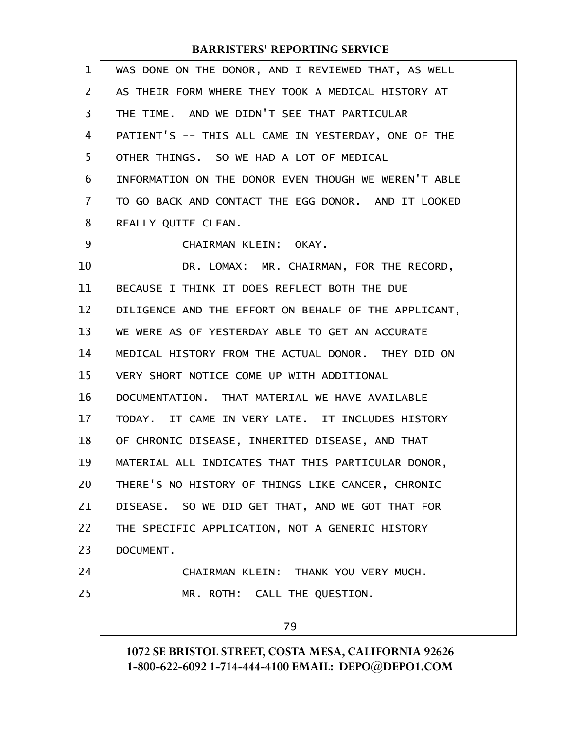| 1              | WAS DONE ON THE DONOR, AND I REVIEWED THAT, AS WELL  |
|----------------|------------------------------------------------------|
| $\overline{2}$ | AS THEIR FORM WHERE THEY TOOK A MEDICAL HISTORY AT   |
| 3              | THE TIME. AND WE DIDN'T SEE THAT PARTICULAR          |
| 4              | PATIENT'S -- THIS ALL CAME IN YESTERDAY, ONE OF THE  |
| 5              | OTHER THINGS. SO WE HAD A LOT OF MEDICAL             |
| 6              | INFORMATION ON THE DONOR EVEN THOUGH WE WEREN'T ABLE |
| 7              | TO GO BACK AND CONTACT THE EGG DONOR. AND IT LOOKED  |
| 8              | REALLY QUITE CLEAN.                                  |
| 9              | CHAIRMAN KLEIN: OKAY.                                |
| 10             | DR. LOMAX: MR. CHAIRMAN, FOR THE RECORD,             |
| 11             | BECAUSE I THINK IT DOES REFLECT BOTH THE DUE         |
| 12             | DILIGENCE AND THE EFFORT ON BEHALF OF THE APPLICANT, |
| 13             | WE WERE AS OF YESTERDAY ABLE TO GET AN ACCURATE      |
| 14             | MEDICAL HISTORY FROM THE ACTUAL DONOR. THEY DID ON   |
| 15             | VERY SHORT NOTICE COME UP WITH ADDITIONAL            |
| 16             | DOCUMENTATION. THAT MATERIAL WE HAVE AVAILABLE       |
| 17             | TODAY. IT CAME IN VERY LATE. IT INCLUDES HISTORY     |
| 18             | OF CHRONIC DISEASE, INHERITED DISEASE, AND THAT      |
| 19             | MATERIAL ALL INDICATES THAT THIS PARTICULAR DONOR,   |
| 20             | THERE'S NO HISTORY OF THINGS LIKE CANCER, CHRONIC    |
| 21             | DISEASE. SO WE DID GET THAT, AND WE GOT THAT FOR     |
| 22             | THE SPECIFIC APPLICATION, NOT A GENERIC HISTORY      |
| 23             | DOCUMENT.                                            |
| 24             | CHAIRMAN KLEIN: THANK YOU VERY MUCH.                 |
| 25             | MR. ROTH: CALL THE QUESTION.                         |
|                | 79                                                   |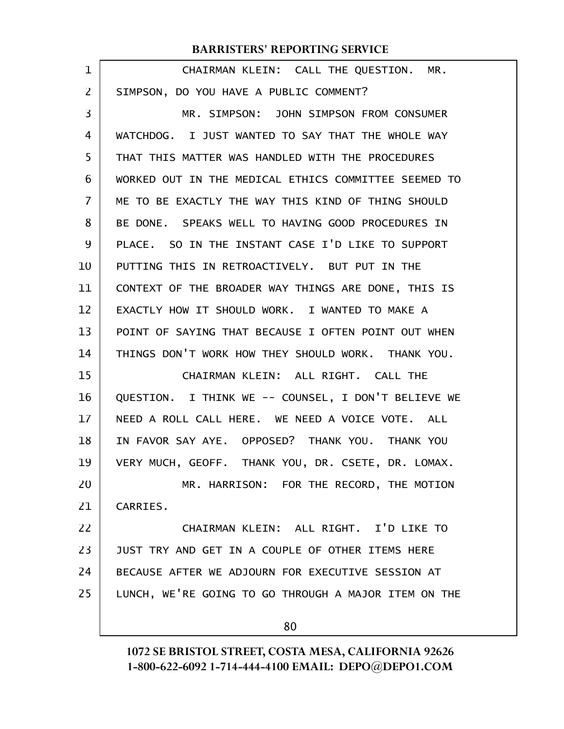| 1              | CHAIRMAN KLEIN: CALL THE QUESTION. MR.               |
|----------------|------------------------------------------------------|
| $\overline{2}$ | SIMPSON, DO YOU HAVE A PUBLIC COMMENT?               |
| 3              | MR. SIMPSON: JOHN SIMPSON FROM CONSUMER              |
| 4              | WATCHDOG. I JUST WANTED TO SAY THAT THE WHOLE WAY    |
| 5              | THAT THIS MATTER WAS HANDLED WITH THE PROCEDURES     |
| 6              | WORKED OUT IN THE MEDICAL ETHICS COMMITTEE SEEMED TO |
| $\overline{7}$ | ME TO BE EXACTLY THE WAY THIS KIND OF THING SHOULD   |
| 8              | BE DONE. SPEAKS WELL TO HAVING GOOD PROCEDURES IN    |
| 9              | SO IN THE INSTANT CASE I'D LIKE TO SUPPORT<br>PLACE. |
| 10             | PUTTING THIS IN RETROACTIVELY. BUT PUT IN THE        |
| 11             | CONTEXT OF THE BROADER WAY THINGS ARE DONE, THIS IS  |
| 12             | EXACTLY HOW IT SHOULD WORK. I WANTED TO MAKE A       |
| 13             | POINT OF SAYING THAT BECAUSE I OFTEN POINT OUT WHEN  |
| 14             | THINGS DON'T WORK HOW THEY SHOULD WORK. THANK YOU.   |
| 15             | CHAIRMAN KLEIN: ALL RIGHT. CALL THE                  |
| 16             | QUESTION. I THINK WE -- COUNSEL, I DON'T BELIEVE WE  |
| 17             | NEED A ROLL CALL HERE. WE NEED A VOICE VOTE. ALL     |
| 18             | IN FAVOR SAY AYE. OPPOSED? THANK YOU. THANK YOU      |
| 19             | VERY MUCH, GEOFF. THANK YOU, DR. CSETE, DR. LOMAX.   |
| 20             | MR. HARRISON: FOR THE RECORD, THE MOTION             |
| 21             | CARRIES.                                             |
| 22             | CHAIRMAN KLEIN: ALL RIGHT. I'D LIKE TO               |
| 23             | JUST TRY AND GET IN A COUPLE OF OTHER ITEMS HERE     |
| 24             | BECAUSE AFTER WE ADJOURN FOR EXECUTIVE SESSION AT    |
| 25             | LUNCH, WE'RE GOING TO GO THROUGH A MAJOR ITEM ON THE |
|                | 80                                                   |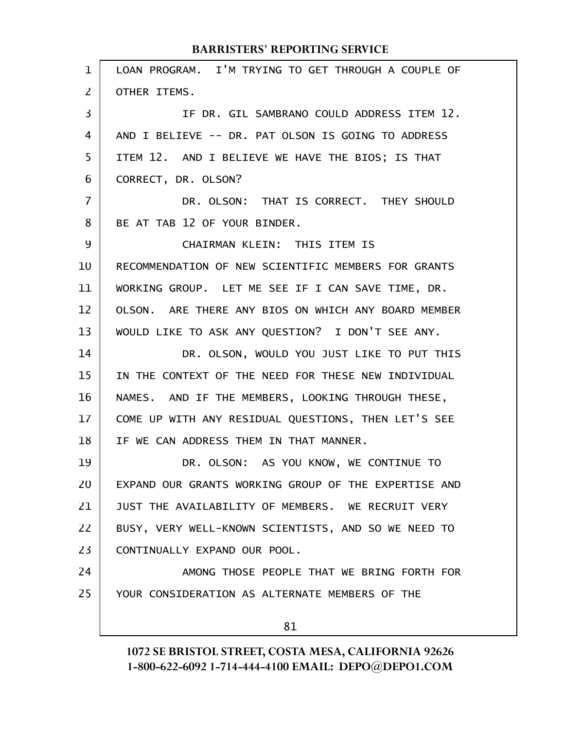| $\mathbf 1$    | LOAN PROGRAM. I'M TRYING TO GET THROUGH A COUPLE OF  |
|----------------|------------------------------------------------------|
| 2              | OTHER ITEMS.                                         |
| 3              | IF DR. GIL SAMBRANO COULD ADDRESS ITEM 12.           |
| 4              | AND I BELIEVE -- DR. PAT OLSON IS GOING TO ADDRESS   |
| 5              | ITEM 12. AND I BELIEVE WE HAVE THE BIOS; IS THAT     |
| 6              | CORRECT, DR. OLSON?                                  |
| $\overline{7}$ | DR. OLSON: THAT IS CORRECT. THEY SHOULD              |
| 8              | BE AT TAB 12 OF YOUR BINDER.                         |
| 9              | CHAIRMAN KLEIN: THIS ITEM IS                         |
| 10             | RECOMMENDATION OF NEW SCIENTIFIC MEMBERS FOR GRANTS  |
| 11             | WORKING GROUP. LET ME SEE IF I CAN SAVE TIME, DR.    |
| 12             | OLSON. ARE THERE ANY BIOS ON WHICH ANY BOARD MEMBER  |
| 13             | WOULD LIKE TO ASK ANY QUESTION? I DON'T SEE ANY.     |
| 14             | DR. OLSON, WOULD YOU JUST LIKE TO PUT THIS           |
| 15             | IN THE CONTEXT OF THE NEED FOR THESE NEW INDIVIDUAL  |
| 16             | NAMES. AND IF THE MEMBERS, LOOKING THROUGH THESE,    |
| 17             | COME UP WITH ANY RESIDUAL QUESTIONS, THEN LET'S SEE  |
| 18             | IF WE CAN ADDRESS THEM IN THAT MANNER.               |
| 19             | DR. OLSON: AS YOU KNOW, WE CONTINUE TO               |
| 20             | EXPAND OUR GRANTS WORKING GROUP OF THE EXPERTISE AND |
| 21             | JUST THE AVAILABILITY OF MEMBERS. WE RECRUIT VERY    |
| 22             | BUSY, VERY WELL-KNOWN SCIENTISTS, AND SO WE NEED TO  |
| 23             | CONTINUALLY EXPAND OUR POOL.                         |
| 24             | AMONG THOSE PEOPLE THAT WE BRING FORTH FOR           |
| 25             | YOUR CONSIDERATION AS ALTERNATE MEMBERS OF THE       |
|                | 81                                                   |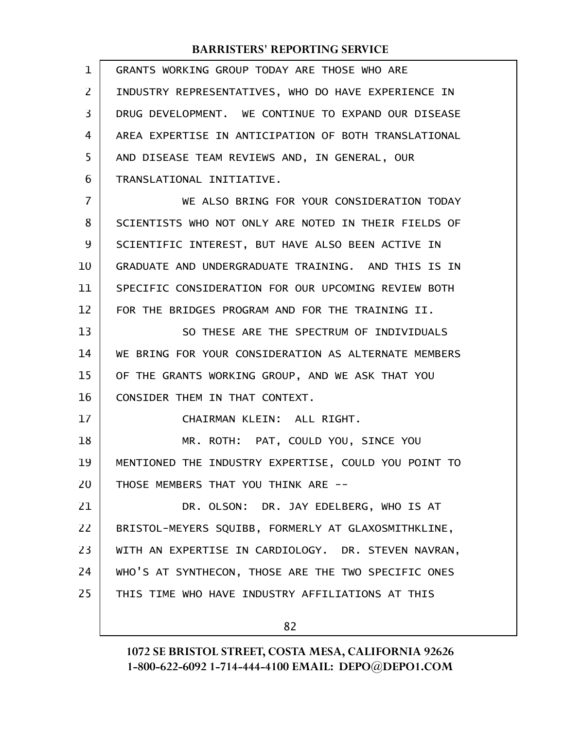| $\mathbf 1$ | GRANTS WORKING GROUP TODAY ARE THOSE WHO ARE         |
|-------------|------------------------------------------------------|
| 2           | INDUSTRY REPRESENTATIVES, WHO DO HAVE EXPERIENCE IN  |
| 3           | DRUG DEVELOPMENT. WE CONTINUE TO EXPAND OUR DISEASE  |
| 4           | AREA EXPERTISE IN ANTICIPATION OF BOTH TRANSLATIONAL |
| 5           | AND DISEASE TEAM REVIEWS AND, IN GENERAL, OUR        |
| 6           | TRANSLATIONAL INITIATIVE.                            |
| 7           | WE ALSO BRING FOR YOUR CONSIDERATION TODAY           |
| 8           | SCIENTISTS WHO NOT ONLY ARE NOTED IN THEIR FIELDS OF |
| 9           | SCIENTIFIC INTEREST, BUT HAVE ALSO BEEN ACTIVE IN    |
| 10          | GRADUATE AND UNDERGRADUATE TRAINING. AND THIS IS IN  |
| 11          | SPECIFIC CONSIDERATION FOR OUR UPCOMING REVIEW BOTH  |
| 12          | FOR THE BRIDGES PROGRAM AND FOR THE TRAINING II.     |
| 13          | SO THESE ARE THE SPECTRUM OF INDIVIDUALS             |
| 14          | WE BRING FOR YOUR CONSIDERATION AS ALTERNATE MEMBERS |
| 15          | OF THE GRANTS WORKING GROUP, AND WE ASK THAT YOU     |
| 16          | CONSIDER THEM IN THAT CONTEXT.                       |
| 17          | CHAIRMAN KLEIN: ALL RIGHT.                           |
| 18          | MR. ROTH: PAT, COULD YOU, SINCE YOU                  |
| 19          | MENTIONED THE INDUSTRY EXPERTISE, COULD YOU POINT TO |
| 20          | THOSE MEMBERS THAT YOU THINK ARE --                  |
| 21          | DR. OLSON: DR. JAY EDELBERG, WHO IS AT               |
| 22          | BRISTOL-MEYERS SQUIBB, FORMERLY AT GLAXOSMITHKLINE,  |
| 23          | WITH AN EXPERTISE IN CARDIOLOGY. DR. STEVEN NAVRAN,  |
| 24          | WHO'S AT SYNTHECON, THOSE ARE THE TWO SPECIFIC ONES  |
| 25          | THIS TIME WHO HAVE INDUSTRY AFFILIATIONS AT THIS     |
|             | 82                                                   |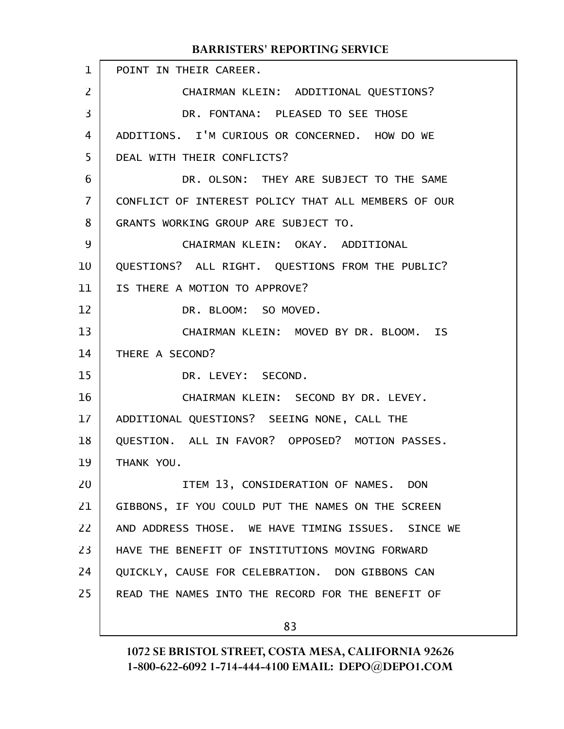| $\mathbf 1$ | POINT IN THEIR CAREER.                              |
|-------------|-----------------------------------------------------|
| 2           | CHAIRMAN KLEIN: ADDITIONAL QUESTIONS?               |
| 3           | DR. FONTANA: PLEASED TO SEE THOSE                   |
| 4           | ADDITIONS. I'M CURIOUS OR CONCERNED. HOW DO WE      |
| 5           | DEAL WITH THEIR CONFLICTS?                          |
| 6           | DR. OLSON: THEY ARE SUBJECT TO THE SAME             |
| 7           | CONFLICT OF INTEREST POLICY THAT ALL MEMBERS OF OUR |
| 8           | GRANTS WORKING GROUP ARE SUBJECT TO.                |
| 9           | CHAIRMAN KLEIN: OKAY, ADDITIONAL                    |
| 10          | QUESTIONS? ALL RIGHT. QUESTIONS FROM THE PUBLIC?    |
| 11          | IS THERE A MOTION TO APPROVE?                       |
| 12          | DR. BLOOM: SO MOVED.                                |
| 13          | CHAIRMAN KLEIN: MOVED BY DR. BLOOM. IS              |
| 14          | THERE A SECOND?                                     |
| 15          | DR. LEVEY: SECOND.                                  |
| 16          | CHAIRMAN KLEIN: SECOND BY DR. LEVEY.                |
| 17          | ADDITIONAL QUESTIONS? SEEING NONE, CALL THE         |
| 18          | QUESTION. ALL IN FAVOR? OPPOSED? MOTION PASSES.     |
| 19          | THANK YOU.                                          |
| 20          | ITEM 13, CONSIDERATION OF NAMES. DON                |
| 21          | GIBBONS, IF YOU COULD PUT THE NAMES ON THE SCREEN   |
| 22          | AND ADDRESS THOSE. WE HAVE TIMING ISSUES. SINCE WE  |
| 23          | HAVE THE BENEFIT OF INSTITUTIONS MOVING FORWARD     |
| 24          | QUICKLY, CAUSE FOR CELEBRATION. DON GIBBONS CAN     |
| 25          | READ THE NAMES INTO THE RECORD FOR THE BENEFIT OF   |
|             | 83                                                  |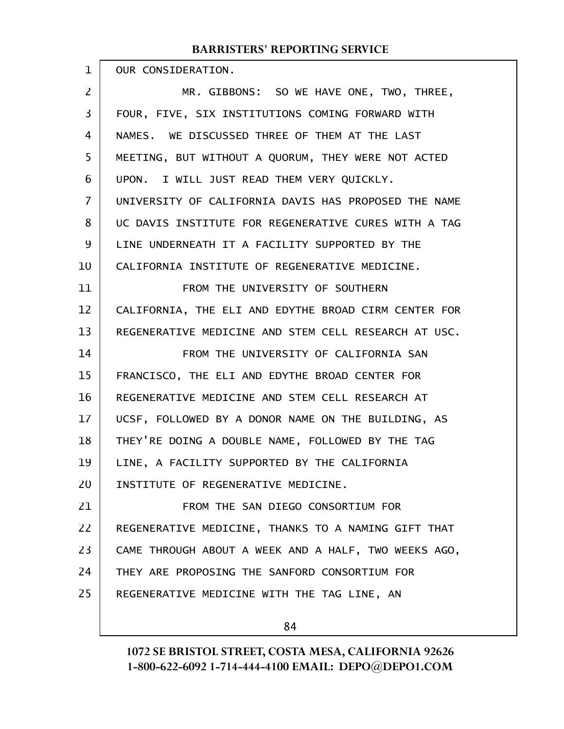| 1              | OUR CONSIDERATION.                                   |
|----------------|------------------------------------------------------|
| $\overline{2}$ | MR. GIBBONS: SO WE HAVE ONE, TWO, THREE,             |
| 3              | FOUR, FIVE, SIX INSTITUTIONS COMING FORWARD WITH     |
| 4              | NAMES. WE DISCUSSED THREE OF THEM AT THE LAST        |
| 5              | MEETING, BUT WITHOUT A QUORUM, THEY WERE NOT ACTED   |
| 6              | UPON. I WILL JUST READ THEM VERY QUICKLY.            |
| 7              | UNIVERSITY OF CALIFORNIA DAVIS HAS PROPOSED THE NAME |
| 8              | UC DAVIS INSTITUTE FOR REGENERATIVE CURES WITH A TAG |
| 9              | LINE UNDERNEATH IT A FACILITY SUPPORTED BY THE       |
| 10             | CALIFORNIA INSTITUTE OF REGENERATIVE MEDICINE.       |
| 11             | FROM THE UNIVERSITY OF SOUTHERN                      |
| 12             | CALIFORNIA, THE ELI AND EDYTHE BROAD CIRM CENTER FOR |
| 13             | REGENERATIVE MEDICINE AND STEM CELL RESEARCH AT USC. |
| 14             | FROM THE UNIVERSITY OF CALIFORNIA SAN                |
| 15             | FRANCISCO, THE ELI AND EDYTHE BROAD CENTER FOR       |
| 16             | REGENERATIVE MEDICINE AND STEM CELL RESEARCH AT      |
| 17             | UCSF, FOLLOWED BY A DONOR NAME ON THE BUILDING, AS   |
| 18             | THEY'RE DOING A DOUBLE NAME, FOLLOWED BY THE TAG     |
| 19             | LINE, A FACILITY SUPPORTED BY THE CALIFORNIA         |
| 20             | INSTITUTE OF REGENERATIVE MEDICINE.                  |
| 21             | FROM THE SAN DIEGO CONSORTIUM FOR                    |
| 22             | REGENERATIVE MEDICINE, THANKS TO A NAMING GIFT THAT  |
| 23             | CAME THROUGH ABOUT A WEEK AND A HALF, TWO WEEKS AGO, |
| 24             | THEY ARE PROPOSING THE SANFORD CONSORTIUM FOR        |
| 25             | REGENERATIVE MEDICINE WITH THE TAG LINE, AN          |
|                |                                                      |

84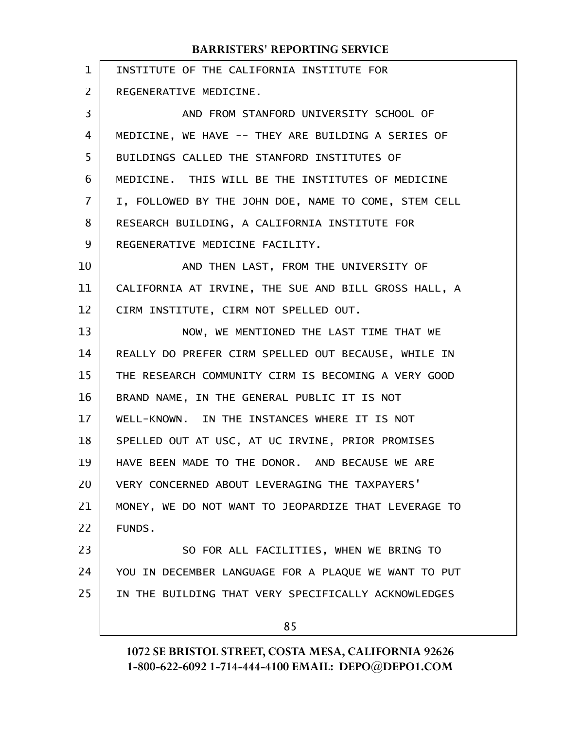| $\mathbf{1}$      | INSTITUTE OF THE CALIFORNIA INSTITUTE FOR            |
|-------------------|------------------------------------------------------|
| $\overline{2}$    | REGENERATIVE MEDICINE.                               |
| 3                 | AND FROM STANFORD UNIVERSITY SCHOOL OF               |
| 4                 | MEDICINE, WE HAVE -- THEY ARE BUILDING A SERIES OF   |
| 5                 | BUILDINGS CALLED THE STANFORD INSTITUTES OF          |
| 6                 | MEDICINE. THIS WILL BE THE INSTITUTES OF MEDICINE    |
| 7                 | I, FOLLOWED BY THE JOHN DOE, NAME TO COME, STEM CELL |
| 8                 | RESEARCH BUILDING, A CALIFORNIA INSTITUTE FOR        |
| 9                 | REGENERATIVE MEDICINE FACILITY.                      |
| 10                | AND THEN LAST, FROM THE UNIVERSITY OF                |
| 11                | CALIFORNIA AT IRVINE, THE SUE AND BILL GROSS HALL, A |
| $12 \overline{ }$ | CIRM INSTITUTE, CIRM NOT SPELLED OUT.                |
| 13                | NOW, WE MENTIONED THE LAST TIME THAT WE              |
| 14                | REALLY DO PREFER CIRM SPELLED OUT BECAUSE, WHILE IN  |
| 15                | THE RESEARCH COMMUNITY CIRM IS BECOMING A VERY GOOD  |
| 16                | BRAND NAME, IN THE GENERAL PUBLIC IT IS NOT          |
| 17                | WELL-KNOWN. IN THE INSTANCES WHERE IT IS NOT         |
| 18                | SPELLED OUT AT USC, AT UC IRVINE, PRIOR PROMISES     |
| 19                | HAVE BEEN MADE TO THE DONOR. AND BECAUSE WE ARE      |
| 20                | VERY CONCERNED ABOUT LEVERAGING THE TAXPAYERS'       |
| 21                | MONEY, WE DO NOT WANT TO JEOPARDIZE THAT LEVERAGE TO |
| 22                | FUNDS.                                               |
| 23                | SO FOR ALL FACILITIES, WHEN WE BRING TO              |
| 24                | YOU IN DECEMBER LANGUAGE FOR A PLAQUE WE WANT TO PUT |
| 25                | IN THE BUILDING THAT VERY SPECIFICALLY ACKNOWLEDGES  |
|                   | 85                                                   |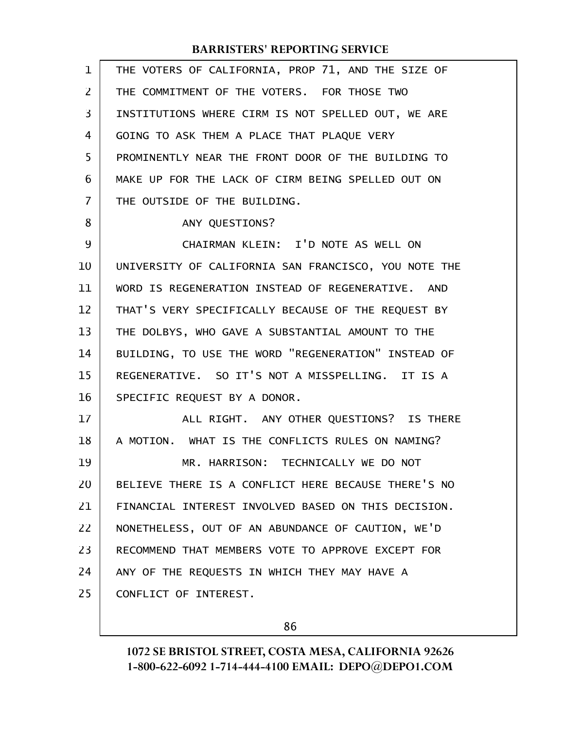| $\mathbf 1$ | THE VOTERS OF CALIFORNIA, PROP 71, AND THE SIZE OF   |
|-------------|------------------------------------------------------|
| 2           | THE COMMITMENT OF THE VOTERS. FOR THOSE TWO          |
| 3           | INSTITUTIONS WHERE CIRM IS NOT SPELLED OUT, WE ARE   |
| 4           | GOING TO ASK THEM A PLACE THAT PLAQUE VERY           |
| 5           | PROMINENTLY NEAR THE FRONT DOOR OF THE BUILDING TO   |
| 6           | MAKE UP FOR THE LACK OF CIRM BEING SPELLED OUT ON    |
| 7           | THE OUTSIDE OF THE BUILDING.                         |
| 8           | ANY QUESTIONS?                                       |
| 9           | CHAIRMAN KLEIN: I'D NOTE AS WELL ON                  |
| 10          | UNIVERSITY OF CALIFORNIA SAN FRANCISCO, YOU NOTE THE |
| 11          | WORD IS REGENERATION INSTEAD OF REGENERATIVE. AND    |
| 12          | THAT'S VERY SPECIFICALLY BECAUSE OF THE REQUEST BY   |
| 13          | THE DOLBYS, WHO GAVE A SUBSTANTIAL AMOUNT TO THE     |
| 14          | BUILDING, TO USE THE WORD "REGENERATION" INSTEAD OF  |
| 15          | REGENERATIVE. SO IT'S NOT A MISSPELLING. IT IS A     |
| 16          | SPECIFIC REQUEST BY A DONOR.                         |
| 17          | ALL RIGHT. ANY OTHER QUESTIONS? IS THERE             |
| 18          | A MOTION. WHAT IS THE CONFLICTS RULES ON NAMING?     |
| 19          | MR. HARRISON: TECHNICALLY WE DO NOT                  |
| 20          | BELIEVE THERE IS A CONFLICT HERE BECAUSE THERE'S NO  |
| 21          | FINANCIAL INTEREST INVOLVED BASED ON THIS DECISION.  |
| 22          | NONETHELESS, OUT OF AN ABUNDANCE OF CAUTION, WE'D    |
| 23          | RECOMMEND THAT MEMBERS VOTE TO APPROVE EXCEPT FOR    |
| 24          | ANY OF THE REQUESTS IN WHICH THEY MAY HAVE A         |
| 25          | CONFLICT OF INTEREST.                                |
|             |                                                      |

86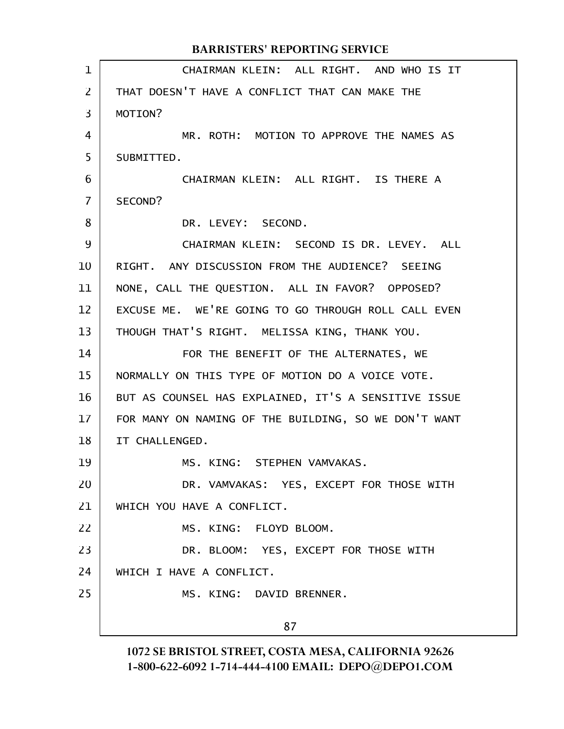CHAIRMAN KLEIN: ALL RIGHT. AND WHO IS IT THAT DOESN'T HAVE A CONFLICT THAT CAN MAKE THE MOTION? MR. ROTH: MOTION TO APPROVE THE NAMES AS SUBMITTED. CHAIRMAN KLEIN: ALL RIGHT. IS THERE A SECOND? DR. LEVEY: SECOND. CHAIRMAN KLEIN: SECOND IS DR. LEVEY. ALL RIGHT. ANY DISCUSSION FROM THE AUDIENCE? SEEING NONE, CALL THE QUESTION. ALL IN FAVOR? OPPOSED? EXCUSE ME. WE'RE GOING TO GO THROUGH ROLL CALL EVEN THOUGH THAT'S RIGHT. MELISSA KING, THANK YOU. FOR THE BENEFIT OF THE ALTERNATES, WE NORMALLY ON THIS TYPE OF MOTION DO A VOICE VOTE. BUT AS COUNSEL HAS EXPLAINED, IT'S A SENSITIVE ISSUE FOR MANY ON NAMING OF THE BUILDING, SO WE DON'T WANT IT CHALLENGED. MS. KING: STEPHEN VAMVAKAS. DR. VAMVAKAS: YES, EXCEPT FOR THOSE WITH WHICH YOU HAVE A CONFLICT. MS. KING: FLOYD BLOOM. DR. BLOOM: YES, EXCEPT FOR THOSE WITH WHICH I HAVE A CONFLICT. MS. KING: DAVID BRENNER. 87 BARRISTERS' REPORTING SERVICE 1 2 3 4 5 6 7 8 9 10 11 12 13 14 15 16 17 18 19 20 21 22 23 24 25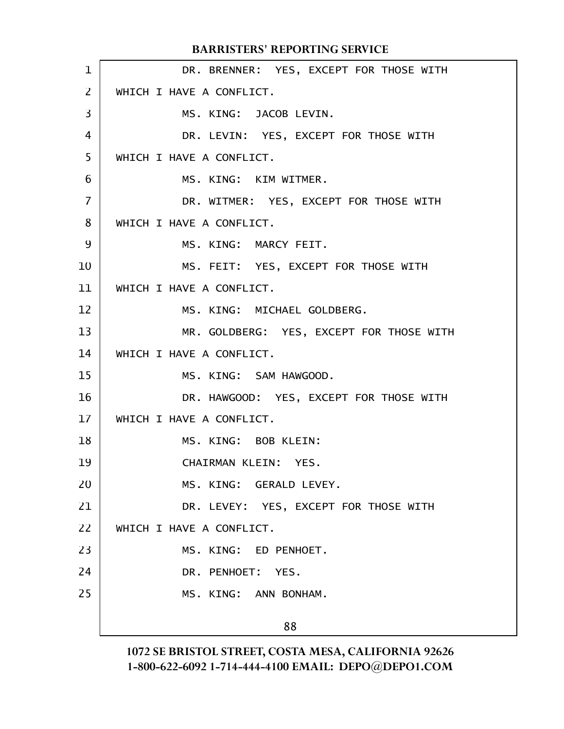DR. BRENNER: YES, EXCEPT FOR THOSE WITH WHICH I HAVE A CONFLICT. MS. KING: JACOB LEVIN. DR. LEVIN: YES, EXCEPT FOR THOSE WITH WHICH I HAVE A CONFLICT. MS. KING: KIM WITMER. DR. WITMER: YES, EXCEPT FOR THOSE WITH WHICH I HAVE A CONFLICT. MS. KING: MARCY FEIT. MS. FEIT: YES, EXCEPT FOR THOSE WITH WHICH I HAVE A CONFLICT. MS. KING: MICHAEL GOLDBERG. MR. GOLDBERG: YES, EXCEPT FOR THOSE WITH WHICH I HAVE A CONFLICT. MS. KING: SAM HAWGOOD. DR. HAWGOOD: YES, EXCEPT FOR THOSE WITH WHICH I HAVE A CONFLICT. MS. KING: BOB KLEIN: CHAIRMAN KLEIN: YES. MS. KING: GERALD LEVEY. DR. LEVEY: YES, EXCEPT FOR THOSE WITH WHICH I HAVE A CONFLICT. MS. KING: ED PENHOET. DR. PENHOET: YES. MS. KING: ANN BONHAM. 88 BARRISTERS' REPORTING SERVICE 1 2 3 4 5 6 7 8 9 10 11 12 13 14 15 16 17 18 19 20 21 22 23 24 25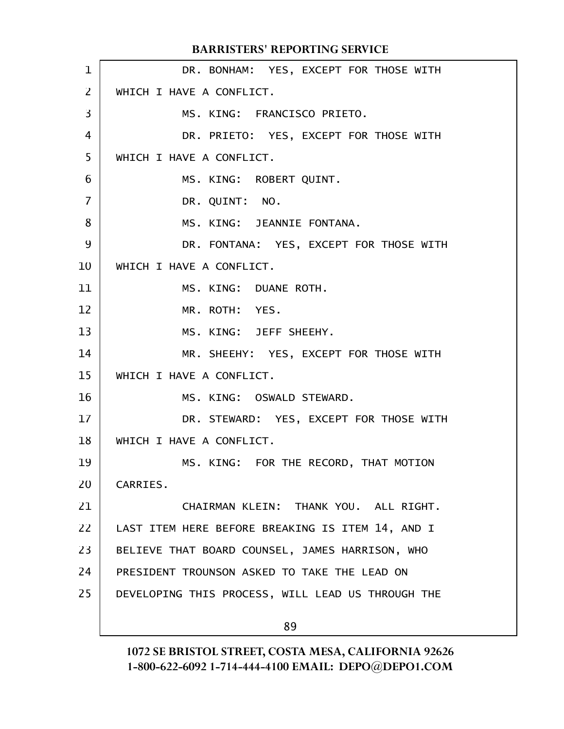|              | <b>BARRISTERS' REPORTING SERVICE</b>              |
|--------------|---------------------------------------------------|
| $\mathbf{1}$ | DR. BONHAM: YES, EXCEPT FOR THOSE WITH            |
| 2            | WHICH I HAVE A CONFLICT.                          |
| 3            | MS. KING: FRANCISCO PRIETO.                       |
| 4            | DR. PRIETO: YES, EXCEPT FOR THOSE WITH            |
| 5            | WHICH I HAVE A CONFLICT.                          |
| 6            | MS. KING: ROBERT QUINT.                           |
| 7            | DR. QUINT: NO.                                    |
| 8            | MS. KING: JEANNIE FONTANA.                        |
| 9            | DR. FONTANA: YES, EXCEPT FOR THOSE WITH           |
| 10           | WHICH I HAVE A CONFLICT.                          |
| 11           | MS. KING: DUANE ROTH.                             |
| 12           | MR. ROTH: YES.                                    |
| 13           | MS. KING: JEFF SHEEHY.                            |
| 14           | MR. SHEEHY: YES, EXCEPT FOR THOSE WITH            |
| 15           | WHICH I HAVE A CONFLICT.                          |
| 16           | MS. KING: OSWALD STEWARD.                         |
| 17           | DR. STEWARD: YES, EXCEPT FOR THOSE WITH           |
| 18           | WHICH I HAVE A CONFLICT.                          |
| 19           | MS. KING: FOR THE RECORD, THAT MOTION             |
| 20           | CARRIES.                                          |
| 21           | CHAIRMAN KLEIN: THANK YOU. ALL RIGHT.             |
| 22           | LAST ITEM HERE BEFORE BREAKING IS ITEM 14, AND I  |
| 23           | BELIEVE THAT BOARD COUNSEL, JAMES HARRISON, WHO   |
| 24           | PRESIDENT TROUNSON ASKED TO TAKE THE LEAD ON      |
| 25           | DEVELOPING THIS PROCESS, WILL LEAD US THROUGH THE |
|              |                                                   |
|              | 89                                                |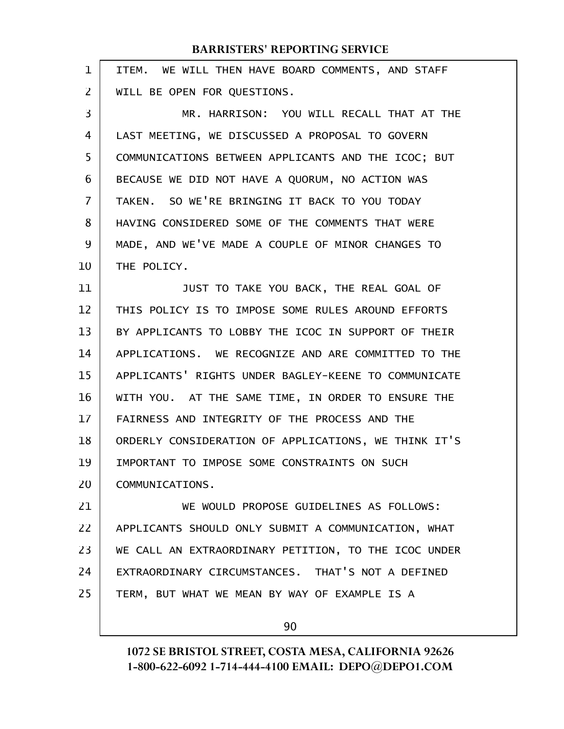| $\mathbf 1$    | WE WILL THEN HAVE BOARD COMMENTS, AND STAFF<br>ITEM. |
|----------------|------------------------------------------------------|
| 2              | WILL BE OPEN FOR QUESTIONS.                          |
| 3              | MR. HARRISON: YOU WILL RECALL THAT AT THE            |
| 4              | LAST MEETING, WE DISCUSSED A PROPOSAL TO GOVERN      |
| 5              | COMMUNICATIONS BETWEEN APPLICANTS AND THE ICOC; BUT  |
| 6              | BECAUSE WE DID NOT HAVE A QUORUM, NO ACTION WAS      |
| $\overline{7}$ | TAKEN. SO WE'RE BRINGING IT BACK TO YOU TODAY        |
| 8              | HAVING CONSIDERED SOME OF THE COMMENTS THAT WERE     |
| 9              | MADE, AND WE'VE MADE A COUPLE OF MINOR CHANGES TO    |
| 10             | THE POLICY.                                          |
| 11             | JUST TO TAKE YOU BACK, THE REAL GOAL OF              |
| 12             | THIS POLICY IS TO IMPOSE SOME RULES AROUND EFFORTS   |
| 13             | BY APPLICANTS TO LOBBY THE ICOC IN SUPPORT OF THEIR  |
| 14             | APPLICATIONS. WE RECOGNIZE AND ARE COMMITTED TO THE  |
| 15             | APPLICANTS' RIGHTS UNDER BAGLEY-KEENE TO COMMUNICATE |
| 16             | WITH YOU. AT THE SAME TIME, IN ORDER TO ENSURE THE   |
| 17             | FAIRNESS AND INTEGRITY OF THE PROCESS AND THE        |
| 18             | ORDERLY CONSIDERATION OF APPLICATIONS, WE THINK IT'S |
| 19             | IMPORTANT TO IMPOSE SOME CONSTRAINTS ON SUCH         |
| 20             | COMMUNICATIONS.                                      |
| 21             | WE WOULD PROPOSE GUIDELINES AS FOLLOWS:              |
| 22             | APPLICANTS SHOULD ONLY SUBMIT A COMMUNICATION, WHAT  |
| 23             | WE CALL AN EXTRAORDINARY PETITION, TO THE ICOC UNDER |
| 24             | EXTRAORDINARY CIRCUMSTANCES. THAT'S NOT A DEFINED    |
| 25             | TERM, BUT WHAT WE MEAN BY WAY OF EXAMPLE IS A        |
|                |                                                      |

90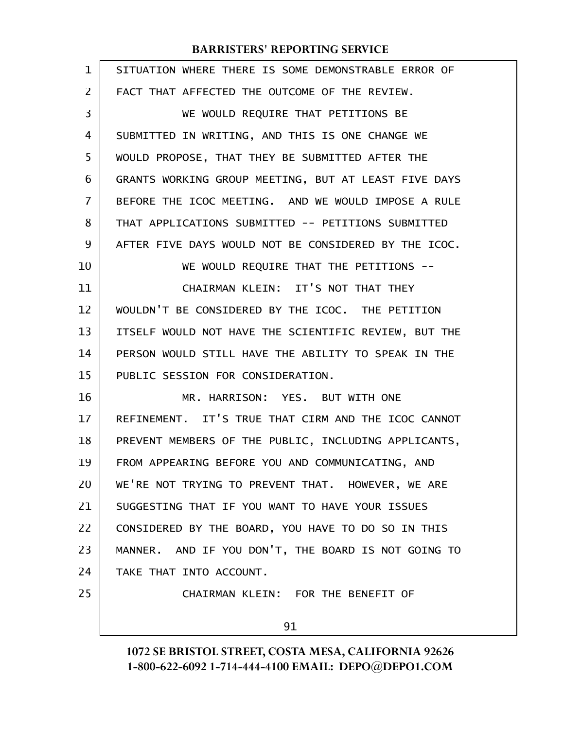| 1              | SITUATION WHERE THERE IS SOME DEMONSTRABLE ERROR OF  |
|----------------|------------------------------------------------------|
| 2              | FACT THAT AFFECTED THE OUTCOME OF THE REVIEW.        |
| 3              | WE WOULD REQUIRE THAT PETITIONS BE                   |
| 4              | SUBMITTED IN WRITING, AND THIS IS ONE CHANGE WE      |
| 5              | WOULD PROPOSE, THAT THEY BE SUBMITTED AFTER THE      |
| 6              | GRANTS WORKING GROUP MEETING, BUT AT LEAST FIVE DAYS |
| $\overline{7}$ | BEFORE THE ICOC MEETING. AND WE WOULD IMPOSE A RULE  |
| 8              | THAT APPLICATIONS SUBMITTED -- PETITIONS SUBMITTED   |
| 9              | AFTER FIVE DAYS WOULD NOT BE CONSIDERED BY THE ICOC. |
| 10             | WE WOULD REQUIRE THAT THE PETITIONS --               |
| 11             | CHAIRMAN KLEIN: IT'S NOT THAT THEY                   |
| 12             | WOULDN'T BE CONSIDERED BY THE ICOC. THE PETITION     |
| 13             | ITSELF WOULD NOT HAVE THE SCIENTIFIC REVIEW, BUT THE |
| 14             | PERSON WOULD STILL HAVE THE ABILITY TO SPEAK IN THE  |
| 15             | PUBLIC SESSION FOR CONSIDERATION.                    |
| 16             | MR. HARRISON: YES. BUT WITH ONE                      |
| 17             | REFINEMENT. IT'S TRUE THAT CIRM AND THE ICOC CANNOT  |
| 18             | PREVENT MEMBERS OF THE PUBLIC, INCLUDING APPLICANTS, |
| 19             | FROM APPEARING BEFORE YOU AND COMMUNICATING, AND     |
| 20             | WE'RE NOT TRYING TO PREVENT THAT. HOWEVER, WE ARE    |
| 21             | SUGGESTING THAT IF YOU WANT TO HAVE YOUR ISSUES      |
| 22             | CONSIDERED BY THE BOARD, YOU HAVE TO DO SO IN THIS   |
| 23             | MANNER. AND IF YOU DON'T, THE BOARD IS NOT GOING TO  |
| 24             | TAKE THAT INTO ACCOUNT.                              |
| 25             | CHAIRMAN KLEIN: FOR THE BENEFIT OF                   |
|                | 91                                                   |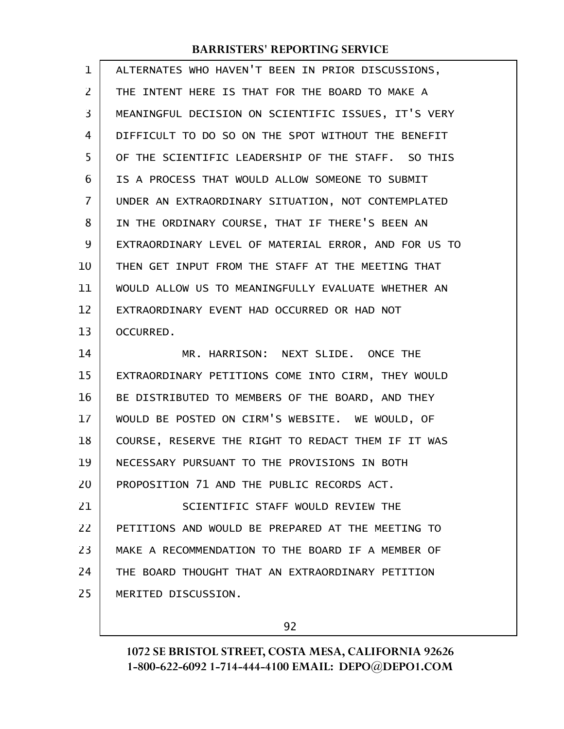| $\mathbf 1$    | ALTERNATES WHO HAVEN'T BEEN IN PRIOR DISCUSSIONS,    |
|----------------|------------------------------------------------------|
| $\overline{2}$ | THE INTENT HERE IS THAT FOR THE BOARD TO MAKE A      |
| 3              | MEANINGFUL DECISION ON SCIENTIFIC ISSUES, IT'S VERY  |
| 4              | DIFFICULT TO DO SO ON THE SPOT WITHOUT THE BENEFIT   |
| 5              | OF THE SCIENTIFIC LEADERSHIP OF THE STAFF. SO THIS   |
| 6              | IS A PROCESS THAT WOULD ALLOW SOMEONE TO SUBMIT      |
| 7              | UNDER AN EXTRAORDINARY SITUATION, NOT CONTEMPLATED   |
| 8              | IN THE ORDINARY COURSE, THAT IF THERE'S BEEN AN      |
| 9              | EXTRAORDINARY LEVEL OF MATERIAL ERROR, AND FOR US TO |
| 10             | THEN GET INPUT FROM THE STAFF AT THE MEETING THAT    |
| 11             | WOULD ALLOW US TO MEANINGFULLY EVALUATE WHETHER AN   |
| 12             | EXTRAORDINARY EVENT HAD OCCURRED OR HAD NOT          |
| 13             | <b>OCCURRED.</b>                                     |
| 14             | MR. HARRISON: NEXT SLIDE. ONCE THE                   |
| 15             | EXTRAORDINARY PETITIONS COME INTO CIRM, THEY WOULD   |
| 16             | BE DISTRIBUTED TO MEMBERS OF THE BOARD, AND THEY     |
| 17             | WOULD BE POSTED ON CIRM'S WEBSITE. WE WOULD, OF      |
| 18             | COURSE, RESERVE THE RIGHT TO REDACT THEM IF IT WAS   |
| 19             | NECESSARY PURSUANT TO THE PROVISIONS IN BOTH         |
| 20             | PROPOSITION 71 AND THE PUBLIC RECORDS ACT.           |
| 21             | SCIENTIFIC STAFF WOULD REVIEW THE                    |
| 22             | PETITIONS AND WOULD BE PREPARED AT THE MEETING TO    |
| 23             | MAKE A RECOMMENDATION TO THE BOARD IF A MEMBER OF    |
| 24             | THE BOARD THOUGHT THAT AN EXTRAORDINARY PETITION     |
|                |                                                      |
| 25             | MERITED DISCUSSION.                                  |

92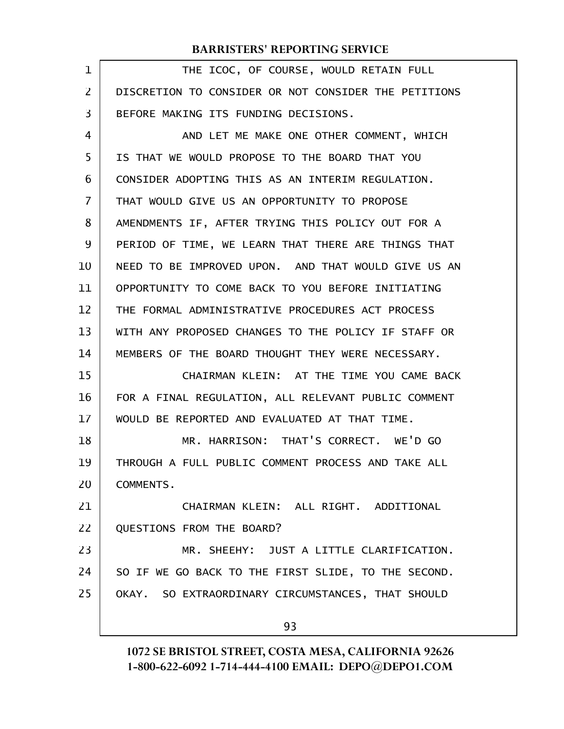| 1              | THE ICOC, OF COURSE, WOULD RETAIN FULL               |
|----------------|------------------------------------------------------|
| $\overline{2}$ | DISCRETION TO CONSIDER OR NOT CONSIDER THE PETITIONS |
| 3              | BEFORE MAKING ITS FUNDING DECISIONS.                 |
| 4              | AND LET ME MAKE ONE OTHER COMMENT, WHICH             |
| 5              | IS THAT WE WOULD PROPOSE TO THE BOARD THAT YOU       |
| 6              | CONSIDER ADOPTING THIS AS AN INTERIM REGULATION.     |
| 7              | THAT WOULD GIVE US AN OPPORTUNITY TO PROPOSE         |
| 8              | AMENDMENTS IF, AFTER TRYING THIS POLICY OUT FOR A    |
| 9              | PERIOD OF TIME, WE LEARN THAT THERE ARE THINGS THAT  |
| 10             | NEED TO BE IMPROVED UPON. AND THAT WOULD GIVE US AN  |
| 11             | OPPORTUNITY TO COME BACK TO YOU BEFORE INITIATING    |
| 12             | THE FORMAL ADMINISTRATIVE PROCEDURES ACT PROCESS     |
| 13             | WITH ANY PROPOSED CHANGES TO THE POLICY IF STAFF OR  |
| 14             | MEMBERS OF THE BOARD THOUGHT THEY WERE NECESSARY.    |
| 15             | CHAIRMAN KLEIN: AT THE TIME YOU CAME BACK            |
| 16             | FOR A FINAL REGULATION, ALL RELEVANT PUBLIC COMMENT  |
| 17             | WOULD BE REPORTED AND EVALUATED AT THAT TIME.        |
| 18             | MR. HARRISON: THAT'S CORRECT. WE'D GO                |
| 19             | THROUGH A FULL PUBLIC COMMENT PROCESS AND TAKE ALL   |
| 20             | COMMENTS.                                            |
| 21             | CHAIRMAN KLEIN: ALL RIGHT. ADDITIONAL                |
| 22             | QUESTIONS FROM THE BOARD?                            |
| 23             | MR. SHEEHY: JUST A LITTLE CLARIFICATION.             |
| 24             | SO IF WE GO BACK TO THE FIRST SLIDE, TO THE SECOND.  |
| 25             | OKAY. SO EXTRAORDINARY CIRCUMSTANCES, THAT SHOULD    |
|                | 93                                                   |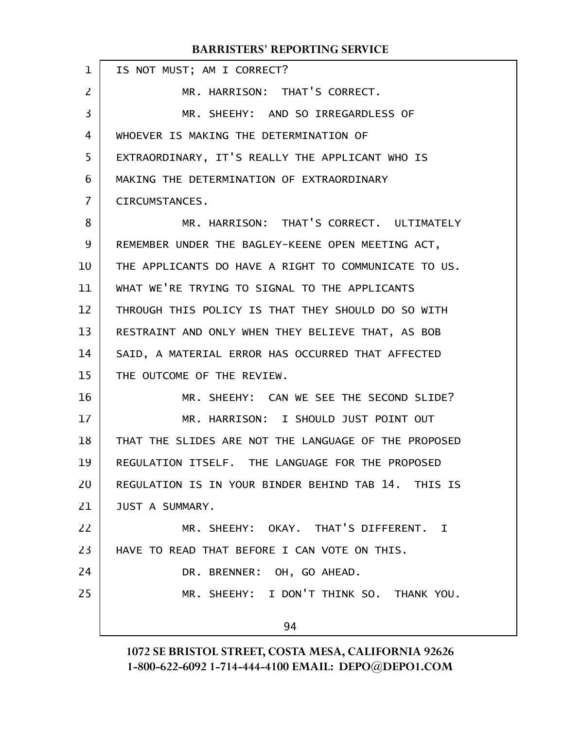| 1              | IS NOT MUST; AM I CORRECT?                           |
|----------------|------------------------------------------------------|
| 2              | MR. HARRISON: THAT'S CORRECT.                        |
| 3              | MR. SHEEHY: AND SO IRREGARDLESS OF                   |
| 4              | WHOEVER IS MAKING THE DETERMINATION OF               |
| 5              | EXTRAORDINARY, IT'S REALLY THE APPLICANT WHO IS      |
| 6              | MAKING THE DETERMINATION OF EXTRAORDINARY            |
| $\overline{7}$ | <b>CIRCUMSTANCES.</b>                                |
| 8              | MR. HARRISON: THAT'S CORRECT. ULTIMATELY             |
| 9              | REMEMBER UNDER THE BAGLEY-KEENE OPEN MEETING ACT,    |
| 10             | THE APPLICANTS DO HAVE A RIGHT TO COMMUNICATE TO US. |
| 11             | WHAT WE'RE TRYING TO SIGNAL TO THE APPLICANTS        |
| 12             | THROUGH THIS POLICY IS THAT THEY SHOULD DO SO WITH   |
| 13             | RESTRAINT AND ONLY WHEN THEY BELIEVE THAT, AS BOB    |
| 14             | SAID, A MATERIAL ERROR HAS OCCURRED THAT AFFECTED    |
| 15             | THE OUTCOME OF THE REVIEW.                           |
| 16             | MR. SHEEHY: CAN WE SEE THE SECOND SLIDE?             |
| 17             | MR. HARRISON: I SHOULD JUST POINT OUT                |
| 18             | THAT THE SLIDES ARE NOT THE LANGUAGE OF THE PROPOSED |
| 19             | REGULATION ITSELF. THE LANGUAGE FOR THE PROPOSED     |
| 20             | REGULATION IS IN YOUR BINDER BEHIND TAB 14. THIS IS  |
| 21             | JUST A SUMMARY.                                      |
| 22             | MR. SHEEHY: OKAY. THAT'S DIFFERENT. I                |
| 23             | HAVE TO READ THAT BEFORE I CAN VOTE ON THIS.         |
| 24             | DR. BRENNER: OH, GO AHEAD.                           |
| 25             | MR. SHEEHY: I DON'T THINK SO. THANK YOU.             |
|                | 94                                                   |
|                |                                                      |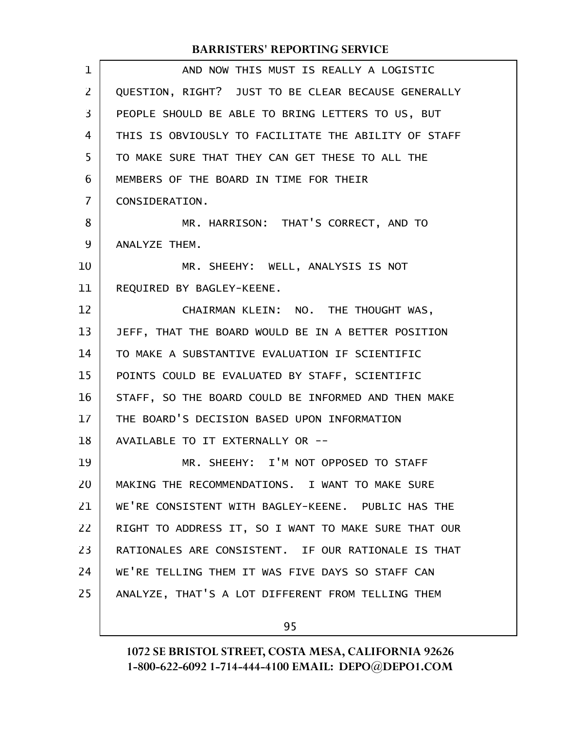| $\mathbf{1}$      | AND NOW THIS MUST IS REALLY A LOGISTIC               |
|-------------------|------------------------------------------------------|
| 2                 | QUESTION, RIGHT? JUST TO BE CLEAR BECAUSE GENERALLY  |
| 3                 | PEOPLE SHOULD BE ABLE TO BRING LETTERS TO US, BUT    |
| 4                 | THIS IS OBVIOUSLY TO FACILITATE THE ABILITY OF STAFF |
| 5                 | TO MAKE SURE THAT THEY CAN GET THESE TO ALL THE      |
| 6                 | MEMBERS OF THE BOARD IN TIME FOR THEIR               |
| 7                 | CONSIDERATION.                                       |
| 8                 | MR. HARRISON: THAT'S CORRECT, AND TO                 |
| 9                 | ANALYZE THEM.                                        |
| 10                | MR. SHEEHY: WELL, ANALYSIS IS NOT                    |
| 11                | REQUIRED BY BAGLEY-KEENE.                            |
| $12 \overline{ }$ | CHAIRMAN KLEIN: NO. THE THOUGHT WAS,                 |
| 13                | JEFF, THAT THE BOARD WOULD BE IN A BETTER POSITION   |
| 14                | TO MAKE A SUBSTANTIVE EVALUATION IF SCIENTIFIC       |
| 15                | POINTS COULD BE EVALUATED BY STAFF, SCIENTIFIC       |
| 16                | STAFF, SO THE BOARD COULD BE INFORMED AND THEN MAKE  |
| 17                | THE BOARD'S DECISION BASED UPON INFORMATION          |
| 18                | AVAILABLE TO IT EXTERNALLY OR --                     |
| 19                | MR. SHEEHY: I'M NOT OPPOSED TO STAFF                 |
| 20                | MAKING THE RECOMMENDATIONS. I WANT TO MAKE SURE      |
| 21                | WE'RE CONSISTENT WITH BAGLEY-KEENE. PUBLIC HAS THE   |
| 22                | RIGHT TO ADDRESS IT, SO I WANT TO MAKE SURE THAT OUR |
| 23                | RATIONALES ARE CONSISTENT. IF OUR RATIONALE IS THAT  |
| 24                | WE'RE TELLING THEM IT WAS FIVE DAYS SO STAFF CAN     |
| 25                | ANALYZE, THAT'S A LOT DIFFERENT FROM TELLING THEM    |
|                   |                                                      |

95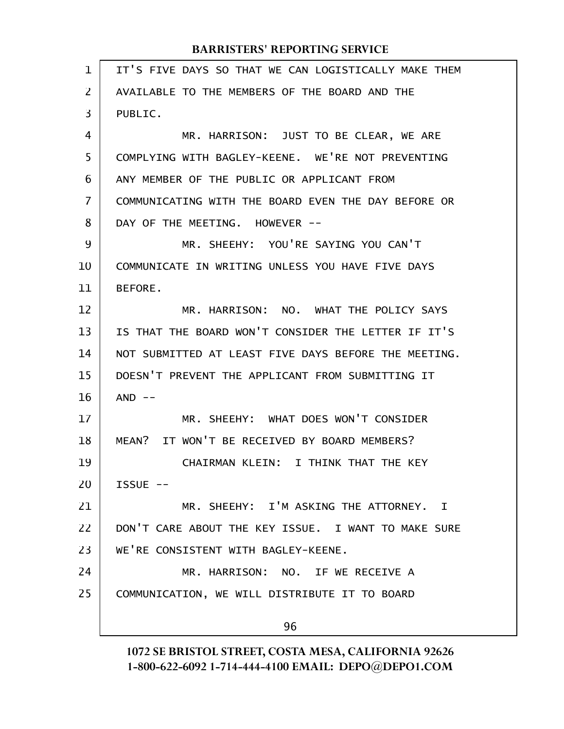| 1  | IT'S FIVE DAYS SO THAT WE CAN LOGISTICALLY MAKE THEM |
|----|------------------------------------------------------|
| 2  | AVAILABLE TO THE MEMBERS OF THE BOARD AND THE        |
| 3  | PUBLIC.                                              |
| 4  | MR. HARRISON: JUST TO BE CLEAR, WE ARE               |
| 5  | COMPLYING WITH BAGLEY-KEENE. WE'RE NOT PREVENTING    |
| 6  | ANY MEMBER OF THE PUBLIC OR APPLICANT FROM           |
| 7  | COMMUNICATING WITH THE BOARD EVEN THE DAY BEFORE OR  |
| 8  | DAY OF THE MEETING. HOWEVER --                       |
| 9  | MR. SHEEHY: YOU'RE SAYING YOU CAN'T                  |
| 10 | COMMUNICATE IN WRITING UNLESS YOU HAVE FIVE DAYS     |
| 11 | <b>BEFORE.</b>                                       |
| 12 | MR. HARRISON: NO. WHAT THE POLICY SAYS               |
| 13 | IS THAT THE BOARD WON'T CONSIDER THE LETTER IF IT'S  |
| 14 | NOT SUBMITTED AT LEAST FIVE DAYS BEFORE THE MEETING. |
| 15 | DOESN'T PREVENT THE APPLICANT FROM SUBMITTING IT     |
| 16 | $AND$ --                                             |
| 17 | MR. SHEEHY: WHAT DOES WON'T CONSIDER                 |
| 18 | IT WON'T BE RECEIVED BY BOARD MEMBERS?<br>MEAN?      |
| 19 | CHAIRMAN KLEIN: I THINK THAT THE KEY                 |
| 20 | ISSUE --                                             |
| 21 | MR. SHEEHY: I'M ASKING THE ATTORNEY. I               |
| 22 | DON'T CARE ABOUT THE KEY ISSUE. I WANT TO MAKE SURE  |
| 23 | WE'RE CONSISTENT WITH BAGLEY-KEENE.                  |
| 24 | MR. HARRISON: NO. IF WE RECEIVE A                    |
| 25 | COMMUNICATION, WE WILL DISTRIBUTE IT TO BOARD        |
|    | 96                                                   |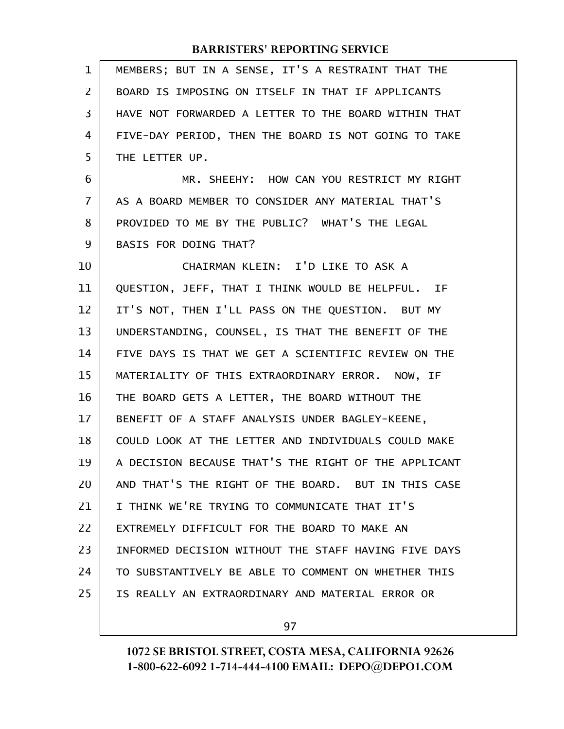| 1              | MEMBERS; BUT IN A SENSE, IT'S A RESTRAINT THAT THE   |
|----------------|------------------------------------------------------|
| $\overline{2}$ | BOARD IS IMPOSING ON ITSELF IN THAT IF APPLICANTS    |
| 3              | HAVE NOT FORWARDED A LETTER TO THE BOARD WITHIN THAT |
| 4              | FIVE-DAY PERIOD, THEN THE BOARD IS NOT GOING TO TAKE |
| 5              | THE LETTER UP.                                       |
| 6              | MR. SHEEHY: HOW CAN YOU RESTRICT MY RIGHT            |
| $\overline{7}$ | AS A BOARD MEMBER TO CONSIDER ANY MATERIAL THAT'S    |
| 8              | PROVIDED TO ME BY THE PUBLIC? WHAT'S THE LEGAL       |
| 9              | BASIS FOR DOING THAT?                                |
| 10             | CHAIRMAN KLEIN: I'D LIKE TO ASK A                    |
| 11             | QUESTION, JEFF, THAT I THINK WOULD BE HELPFUL. IF    |
| 12             | IT'S NOT, THEN I'LL PASS ON THE QUESTION. BUT MY     |
| 13             | UNDERSTANDING, COUNSEL, IS THAT THE BENEFIT OF THE   |
| 14             | FIVE DAYS IS THAT WE GET A SCIENTIFIC REVIEW ON THE  |
| 15             | MATERIALITY OF THIS EXTRAORDINARY ERROR. NOW, IF     |
| 16             | THE BOARD GETS A LETTER, THE BOARD WITHOUT THE       |
| 17             | BENEFIT OF A STAFF ANALYSIS UNDER BAGLEY-KEENE,      |
| 18             | COULD LOOK AT THE LETTER AND INDIVIDUALS COULD MAKE  |
| 19             | A DECISION BECAUSE THAT'S THE RIGHT OF THE APPLICANT |
| 20             | AND THAT'S THE RIGHT OF THE BOARD. BUT IN THIS CASE  |
| 21             | I THINK WE'RE TRYING TO COMMUNICATE THAT IT'S        |
| 22             | EXTREMELY DIFFICULT FOR THE BOARD TO MAKE AN         |
| 23             | INFORMED DECISION WITHOUT THE STAFF HAVING FIVE DAYS |
| 24             | TO SUBSTANTIVELY BE ABLE TO COMMENT ON WHETHER THIS  |
| 25             | IS REALLY AN EXTRAORDINARY AND MATERIAL ERROR OR     |
|                |                                                      |

97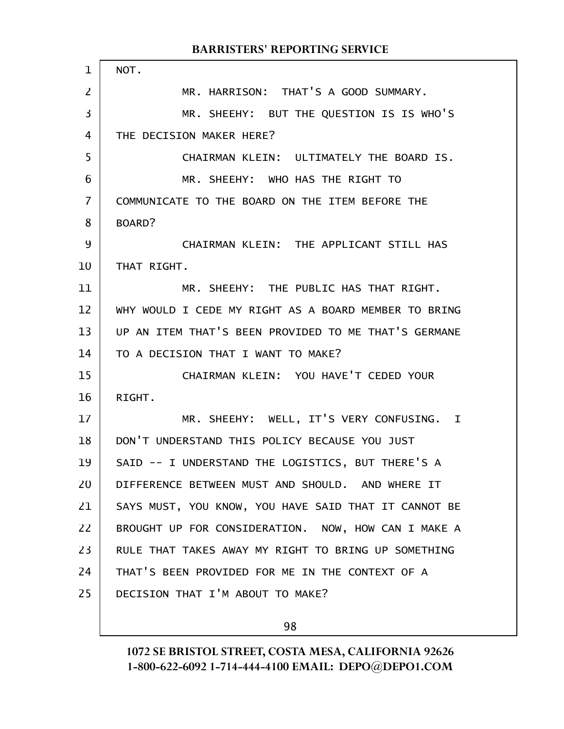NOT. MR. HARRISON: THAT'S A GOOD SUMMARY. MR. SHEEHY: BUT THE QUESTION IS IS WHO'S THE DECISION MAKER HERE? CHAIRMAN KLEIN: ULTIMATELY THE BOARD IS. MR. SHEEHY: WHO HAS THE RIGHT TO COMMUNICATE TO THE BOARD ON THE ITEM BEFORE THE BOARD? CHAIRMAN KLEIN: THE APPLICANT STILL HAS THAT RIGHT. MR. SHEEHY: THE PUBLIC HAS THAT RIGHT. WHY WOULD I CEDE MY RIGHT AS A BOARD MEMBER TO BRING UP AN ITEM THAT'S BEEN PROVIDED TO ME THAT'S GERMANE TO A DECISION THAT I WANT TO MAKE? CHAIRMAN KLEIN: YOU HAVE'T CEDED YOUR RIGHT. MR. SHEEHY: WELL, IT'S VERY CONFUSING. I DON'T UNDERSTAND THIS POLICY BECAUSE YOU JUST SAID -- I UNDERSTAND THE LOGISTICS, BUT THERE'S A DIFFERENCE BETWEEN MUST AND SHOULD. AND WHERE IT SAYS MUST, YOU KNOW, YOU HAVE SAID THAT IT CANNOT BE BROUGHT UP FOR CONSIDERATION. NOW, HOW CAN I MAKE A RULE THAT TAKES AWAY MY RIGHT TO BRING UP SOMETHING THAT'S BEEN PROVIDED FOR ME IN THE CONTEXT OF A DECISION THAT I'M ABOUT TO MAKE? 1 2 3 4 5 6 7 8 9 10 11 12 13 14 15 16 17 18 19 20 21 22 23 24 25

98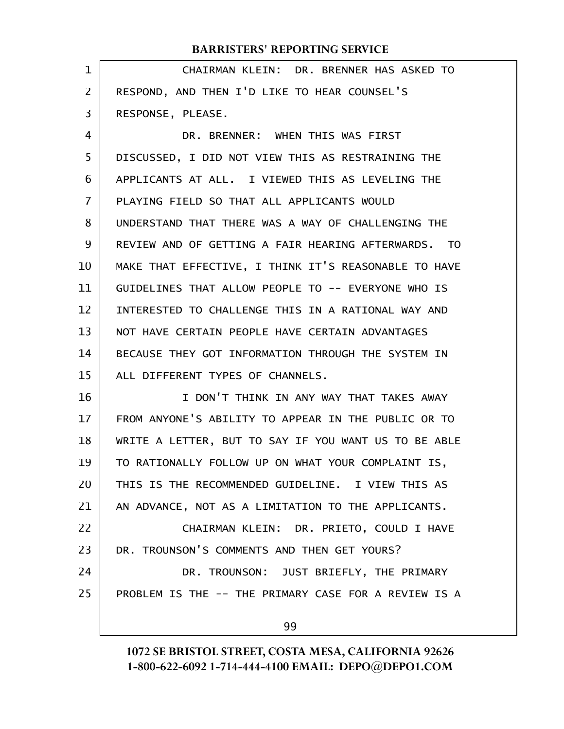| $\mathbf{1}$ | CHAIRMAN KLEIN: DR. BRENNER HAS ASKED TO             |
|--------------|------------------------------------------------------|
| 2            | RESPOND, AND THEN I'D LIKE TO HEAR COUNSEL'S         |
| 3            | RESPONSE, PLEASE.                                    |
| 4            | DR. BRENNER: WHEN THIS WAS FIRST                     |
| 5            | DISCUSSED, I DID NOT VIEW THIS AS RESTRAINING THE    |
| 6            | APPLICANTS AT ALL. I VIEWED THIS AS LEVELING THE     |
| 7            | PLAYING FIELD SO THAT ALL APPLICANTS WOULD           |
| 8            | UNDERSTAND THAT THERE WAS A WAY OF CHALLENGING THE   |
| 9            | REVIEW AND OF GETTING A FAIR HEARING AFTERWARDS. TO  |
| 10           | MAKE THAT EFFECTIVE, I THINK IT'S REASONABLE TO HAVE |
| 11           | GUIDELINES THAT ALLOW PEOPLE TO -- EVERYONE WHO IS   |
| 12           | INTERESTED TO CHALLENGE THIS IN A RATIONAL WAY AND   |
| 13           | NOT HAVE CERTAIN PEOPLE HAVE CERTAIN ADVANTAGES      |
| 14           | BECAUSE THEY GOT INFORMATION THROUGH THE SYSTEM IN   |
| 15           | ALL DIFFERENT TYPES OF CHANNELS.                     |
| 16           | I DON'T THINK IN ANY WAY THAT TAKES AWAY             |
| 17           | FROM ANYONE'S ABILITY TO APPEAR IN THE PUBLIC OR TO  |
| 18           | WRITE A LETTER, BUT TO SAY IF YOU WANT US TO BE ABLE |
| 19           | TO RATIONALLY FOLLOW UP ON WHAT YOUR COMPLAINT IS,   |
| 20           | THIS IS THE RECOMMENDED GUIDELINE. I VIEW THIS AS    |
| 21           | AN ADVANCE, NOT AS A LIMITATION TO THE APPLICANTS.   |
| 22           | CHAIRMAN KLEIN: DR. PRIETO, COULD I HAVE             |
| 23           | DR. TROUNSON'S COMMENTS AND THEN GET YOURS?          |
| 24           | DR. TROUNSON: JUST BRIEFLY, THE PRIMARY              |
| 25           | PROBLEM IS THE -- THE PRIMARY CASE FOR A REVIEW IS A |
|              | 99                                                   |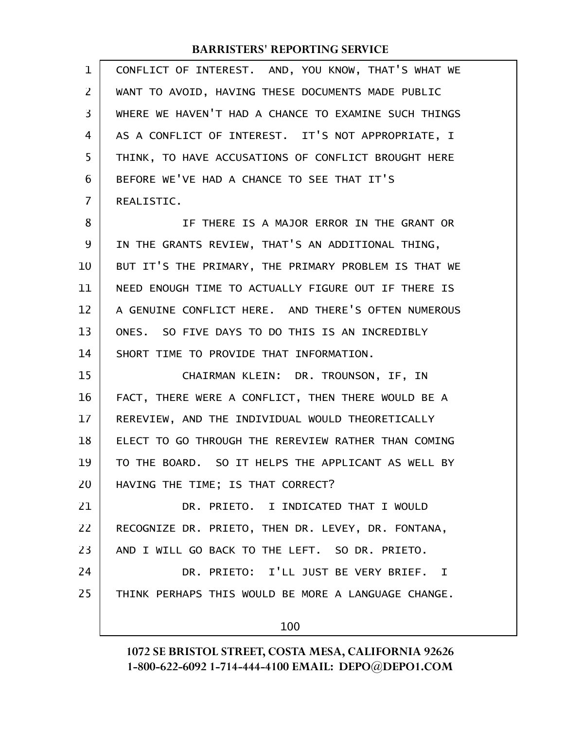| $\mathbf 1$ | CONFLICT OF INTEREST. AND, YOU KNOW, THAT'S WHAT WE  |
|-------------|------------------------------------------------------|
| 2           | WANT TO AVOID, HAVING THESE DOCUMENTS MADE PUBLIC    |
| 3           | WHERE WE HAVEN'T HAD A CHANCE TO EXAMINE SUCH THINGS |
| 4           | AS A CONFLICT OF INTEREST. IT'S NOT APPROPRIATE, I   |
| 5           | THINK, TO HAVE ACCUSATIONS OF CONFLICT BROUGHT HERE  |
| 6           | BEFORE WE'VE HAD A CHANCE TO SEE THAT IT'S           |
| 7           | REALISTIC.                                           |
| 8           | IF THERE IS A MAJOR ERROR IN THE GRANT OR            |
| 9           | IN THE GRANTS REVIEW, THAT'S AN ADDITIONAL THING,    |
| 10          | BUT IT'S THE PRIMARY, THE PRIMARY PROBLEM IS THAT WE |
| 11          | NEED ENOUGH TIME TO ACTUALLY FIGURE OUT IF THERE IS  |
| 12          | A GENUINE CONFLICT HERE. AND THERE'S OFTEN NUMEROUS  |
| 13          | ONES. SO FIVE DAYS TO DO THIS IS AN INCREDIBLY       |
| 14          | SHORT TIME TO PROVIDE THAT INFORMATION.              |
| 15          | CHAIRMAN KLEIN: DR. TROUNSON, IF, IN                 |
| 16          | FACT, THERE WERE A CONFLICT, THEN THERE WOULD BE A   |
| 17          | REREVIEW, AND THE INDIVIDUAL WOULD THEORETICALLY     |
| 18          | ELECT TO GO THROUGH THE REREVIEW RATHER THAN COMING  |
| 19          | TO THE BOARD. SO IT HELPS THE APPLICANT AS WELL BY   |
| 20          | HAVING THE TIME; IS THAT CORRECT?                    |
| 21          | DR. PRIETO. I INDICATED THAT I WOULD                 |
| 22          | RECOGNIZE DR. PRIETO, THEN DR. LEVEY, DR. FONTANA,   |
| 23          | AND I WILL GO BACK TO THE LEFT. SO DR. PRIETO.       |
| 24          | DR. PRIETO: I'LL JUST BE VERY BRIEF. I               |
| 25          | THINK PERHAPS THIS WOULD BE MORE A LANGUAGE CHANGE.  |
|             | 100                                                  |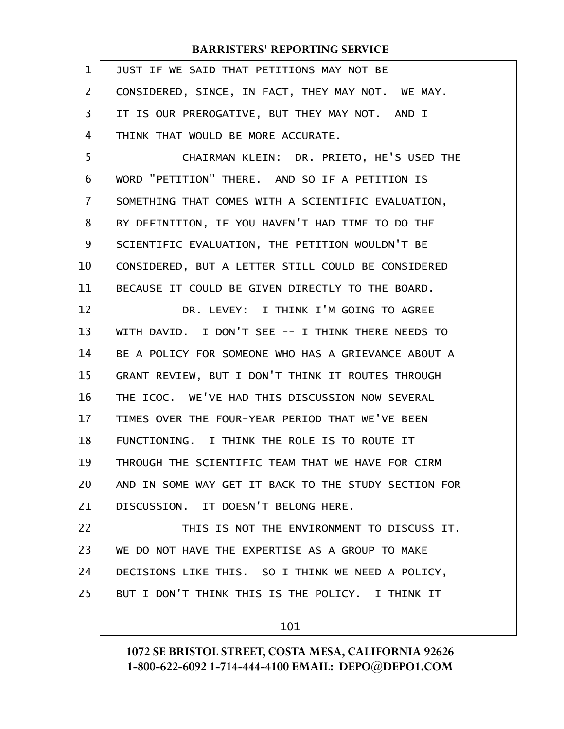| 1              | JUST IF WE SAID THAT PETITIONS MAY NOT BE            |
|----------------|------------------------------------------------------|
| 2              | CONSIDERED, SINCE, IN FACT, THEY MAY NOT. WE MAY.    |
| 3              | IT IS OUR PREROGATIVE, BUT THEY MAY NOT. AND I       |
| 4              | THINK THAT WOULD BE MORE ACCURATE.                   |
| 5              | CHAIRMAN KLEIN: DR. PRIETO, HE'S USED THE            |
| 6              | WORD "PETITION" THERE. AND SO IF A PETITION IS       |
| $\overline{7}$ | SOMETHING THAT COMES WITH A SCIENTIFIC EVALUATION,   |
| 8              | BY DEFINITION, IF YOU HAVEN'T HAD TIME TO DO THE     |
| 9              | SCIENTIFIC EVALUATION, THE PETITION WOULDN'T BE      |
| 10             | CONSIDERED, BUT A LETTER STILL COULD BE CONSIDERED   |
| 11             | BECAUSE IT COULD BE GIVEN DIRECTLY TO THE BOARD.     |
| 12             | DR. LEVEY: I THINK I'M GOING TO AGREE                |
| 13             | WITH DAVID. I DON'T SEE -- I THINK THERE NEEDS TO    |
| 14             | BE A POLICY FOR SOMEONE WHO HAS A GRIEVANCE ABOUT A  |
| 15             | GRANT REVIEW, BUT I DON'T THINK IT ROUTES THROUGH    |
| 16             | THE ICOC. WE'VE HAD THIS DISCUSSION NOW SEVERAL      |
| 17             | TIMES OVER THE FOUR-YEAR PERIOD THAT WE'VE BEEN      |
| 18             | FUNCTIONING. I THINK THE ROLE IS TO ROUTE IT         |
| 19             | THROUGH THE SCIENTIFIC TEAM THAT WE HAVE FOR CIRM    |
| 20             | AND IN SOME WAY GET IT BACK TO THE STUDY SECTION FOR |
| 21             | DISCUSSION. IT DOESN'T BELONG HERE.                  |
| 22             | THIS IS NOT THE ENVIRONMENT TO DISCUSS IT.           |
| 23             | WE DO NOT HAVE THE EXPERTISE AS A GROUP TO MAKE      |
| 24             | DECISIONS LIKE THIS. SO I THINK WE NEED A POLICY,    |
| 25             | BUT I DON'T THINK THIS IS THE POLICY. I THINK IT     |
|                | 101                                                  |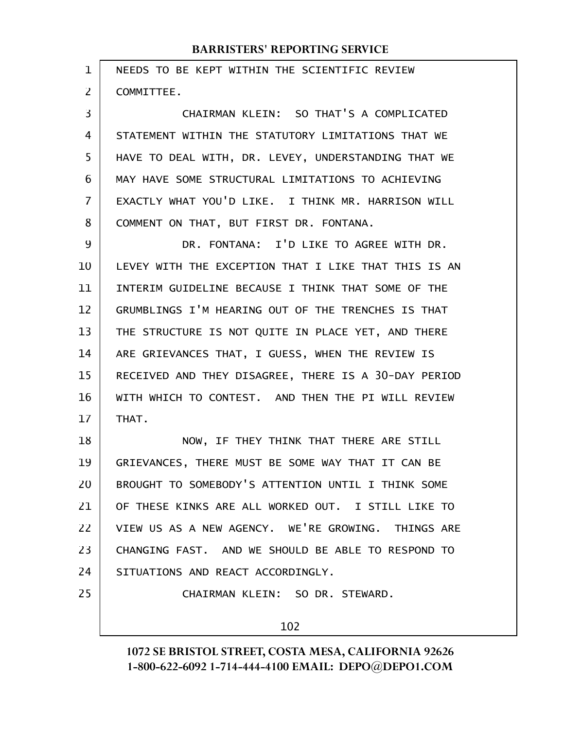| $\mathbf 1$    | NEEDS TO BE KEPT WITHIN THE SCIENTIFIC REVIEW        |
|----------------|------------------------------------------------------|
| $\overline{2}$ | COMMITTEE.                                           |
| 3              | CHAIRMAN KLEIN: SO THAT'S A COMPLICATED              |
| 4              | STATEMENT WITHIN THE STATUTORY LIMITATIONS THAT WE   |
| 5              | HAVE TO DEAL WITH, DR. LEVEY, UNDERSTANDING THAT WE  |
| 6              | MAY HAVE SOME STRUCTURAL LIMITATIONS TO ACHIEVING    |
| 7              | EXACTLY WHAT YOU'D LIKE. I THINK MR. HARRISON WILL   |
| 8              | COMMENT ON THAT, BUT FIRST DR. FONTANA.              |
| 9              | DR. FONTANA: I'D LIKE TO AGREE WITH DR.              |
| 10             | LEVEY WITH THE EXCEPTION THAT I LIKE THAT THIS IS AN |
| 11             | INTERIM GUIDELINE BECAUSE I THINK THAT SOME OF THE   |
| 12             | GRUMBLINGS I'M HEARING OUT OF THE TRENCHES IS THAT   |
| 13             | THE STRUCTURE IS NOT QUITE IN PLACE YET, AND THERE   |
| 14             | ARE GRIEVANCES THAT, I GUESS, WHEN THE REVIEW IS     |
| 15             | RECEIVED AND THEY DISAGREE, THERE IS A 30-DAY PERIOD |
| 16             | WITH WHICH TO CONTEST. AND THEN THE PI WILL REVIEW   |
| 17             | THAT.                                                |
| 18             | NOW, IF THEY THINK THAT THERE ARE STILL              |
| 19             | GRIEVANCES, THERE MUST BE SOME WAY THAT IT CAN BE    |
| 20             | BROUGHT TO SOMEBODY'S ATTENTION UNTIL I THINK SOME   |
| 21             | OF THESE KINKS ARE ALL WORKED OUT. I STILL LIKE TO   |
| 22             | VIEW US AS A NEW AGENCY. WE'RE GROWING. THINGS ARE   |
| 23             | CHANGING FAST. AND WE SHOULD BE ABLE TO RESPOND TO   |
| 24             | SITUATIONS AND REACT ACCORDINGLY.                    |
| 25             | CHAIRMAN KLEIN: SO DR. STEWARD.                      |
|                | 102                                                  |
|                |                                                      |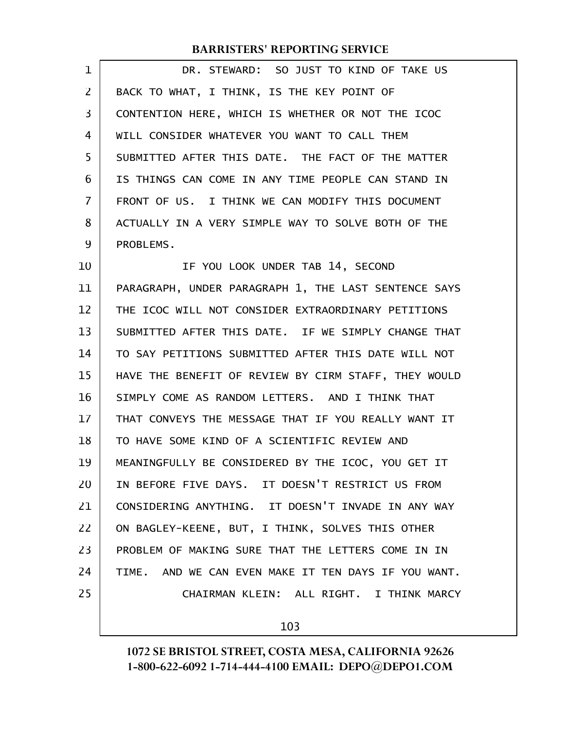| $\mathbf 1$ | DR. STEWARD: SO JUST TO KIND OF TAKE US              |
|-------------|------------------------------------------------------|
| 2           | BACK TO WHAT, I THINK, IS THE KEY POINT OF           |
| 3           | CONTENTION HERE, WHICH IS WHETHER OR NOT THE ICOC    |
| 4           | WILL CONSIDER WHATEVER YOU WANT TO CALL THEM         |
| 5           | SUBMITTED AFTER THIS DATE. THE FACT OF THE MATTER    |
| 6           | IS THINGS CAN COME IN ANY TIME PEOPLE CAN STAND IN   |
| 7           | FRONT OF US. I THINK WE CAN MODIFY THIS DOCUMENT     |
| 8           | ACTUALLY IN A VERY SIMPLE WAY TO SOLVE BOTH OF THE   |
| 9           | PROBLEMS.                                            |
| 10          | IF YOU LOOK UNDER TAB 14, SECOND                     |
| 11          | PARAGRAPH, UNDER PARAGRAPH 1, THE LAST SENTENCE SAYS |
| 12          | THE ICOC WILL NOT CONSIDER EXTRAORDINARY PETITIONS   |
| 13          | SUBMITTED AFTER THIS DATE. IF WE SIMPLY CHANGE THAT  |
| 14          | TO SAY PETITIONS SUBMITTED AFTER THIS DATE WILL NOT  |
| 15          | HAVE THE BENEFIT OF REVIEW BY CIRM STAFF, THEY WOULD |
| 16          | SIMPLY COME AS RANDOM LETTERS. AND I THINK THAT      |
| 17          | THAT CONVEYS THE MESSAGE THAT IF YOU REALLY WANT IT  |
| 18          | TO HAVE SOME KIND OF A SCIENTIFIC REVIEW AND         |
| 19          | MEANINGFULLY BE CONSIDERED BY THE ICOC, YOU GET IT   |
| 20          | IN BEFORE FIVE DAYS. IT DOESN'T RESTRICT US FROM     |
| 21          | CONSIDERING ANYTHING. IT DOESN'T INVADE IN ANY WAY   |
| 22          | ON BAGLEY-KEENE, BUT, I THINK, SOLVES THIS OTHER     |
| 23          | PROBLEM OF MAKING SURE THAT THE LETTERS COME IN IN   |
| 24          | TIME. AND WE CAN EVEN MAKE IT TEN DAYS IF YOU WANT.  |
| 25          | CHAIRMAN KLEIN: ALL RIGHT. I THINK MARCY             |
|             |                                                      |

103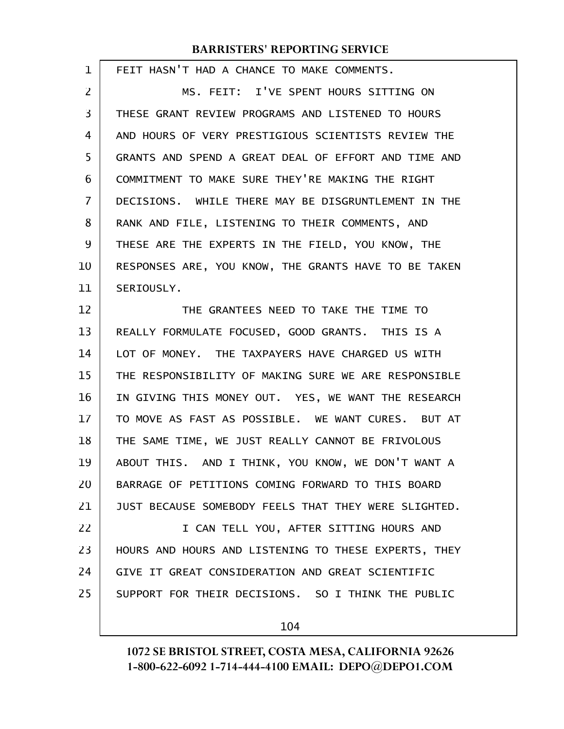| $\mathbf 1$    | FEIT HASN'T HAD A CHANCE TO MAKE COMMENTS.           |
|----------------|------------------------------------------------------|
| $\overline{2}$ | MS. FEIT: I'VE SPENT HOURS SITTING ON                |
| 3              | THESE GRANT REVIEW PROGRAMS AND LISTENED TO HOURS    |
| 4              | AND HOURS OF VERY PRESTIGIOUS SCIENTISTS REVIEW THE  |
| 5              | GRANTS AND SPEND A GREAT DEAL OF EFFORT AND TIME AND |
| 6              | COMMITMENT TO MAKE SURE THEY'RE MAKING THE RIGHT     |
| 7              | DECISIONS. WHILE THERE MAY BE DISGRUNTLEMENT IN THE  |
| 8              | RANK AND FILE, LISTENING TO THEIR COMMENTS, AND      |
| 9              | THESE ARE THE EXPERTS IN THE FIELD, YOU KNOW, THE    |
| 10             | RESPONSES ARE, YOU KNOW, THE GRANTS HAVE TO BE TAKEN |
| 11             | SERIOUSLY.                                           |
| 12             | THE GRANTEES NEED TO TAKE THE TIME TO                |
| 13             | REALLY FORMULATE FOCUSED, GOOD GRANTS. THIS IS A     |
| 14             | LOT OF MONEY. THE TAXPAYERS HAVE CHARGED US WITH     |
| 15             | THE RESPONSIBILITY OF MAKING SURE WE ARE RESPONSIBLE |
| 16             | IN GIVING THIS MONEY OUT. YES, WE WANT THE RESEARCH  |
| 17             | TO MOVE AS FAST AS POSSIBLE. WE WANT CURES. BUT AT   |
| 18             | THE SAME TIME, WE JUST REALLY CANNOT BE FRIVOLOUS    |
| 19             | ABOUT THIS. AND I THINK, YOU KNOW, WE DON'T WANT A   |
| 20             | BARRAGE OF PETITIONS COMING FORWARD TO THIS BOARD    |
| 21             | JUST BECAUSE SOMEBODY FEELS THAT THEY WERE SLIGHTED. |
| 22             | I CAN TELL YOU, AFTER SITTING HOURS AND              |
| 23             | HOURS AND HOURS AND LISTENING TO THESE EXPERTS, THEY |
| 24             | GIVE IT GREAT CONSIDERATION AND GREAT SCIENTIFIC     |
| 25             | SUPPORT FOR THEIR DECISIONS. SO I THINK THE PUBLIC   |
|                |                                                      |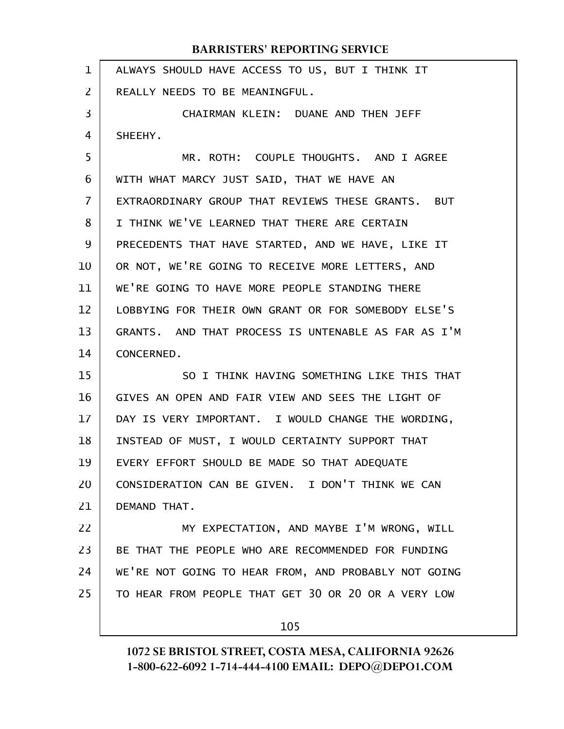| $\mathbf{1}$ | ALWAYS SHOULD HAVE ACCESS TO US, BUT I THINK IT      |
|--------------|------------------------------------------------------|
| 2            | REALLY NEEDS TO BE MEANINGFUL.                       |
| 3            | CHAIRMAN KLEIN: DUANE AND THEN JEFF                  |
| 4            | SHEEHY.                                              |
| 5            | MR. ROTH: COUPLE THOUGHTS. AND I AGREE               |
| 6            | WITH WHAT MARCY JUST SAID, THAT WE HAVE AN           |
| 7            | EXTRAORDINARY GROUP THAT REVIEWS THESE GRANTS. BUT   |
| 8            | I THINK WE'VE LEARNED THAT THERE ARE CERTAIN         |
| 9            | PRECEDENTS THAT HAVE STARTED, AND WE HAVE, LIKE IT   |
| 10           | OR NOT, WE'RE GOING TO RECEIVE MORE LETTERS, AND     |
| 11           | WE'RE GOING TO HAVE MORE PEOPLE STANDING THERE       |
| 12           | LOBBYING FOR THEIR OWN GRANT OR FOR SOMEBODY ELSE'S  |
| 13           | GRANTS. AND THAT PROCESS IS UNTENABLE AS FAR AS I'M  |
| 14           | CONCERNED.                                           |
| 15           | SO I THINK HAVING SOMETHING LIKE THIS THAT           |
| 16           | GIVES AN OPEN AND FAIR VIEW AND SEES THE LIGHT OF    |
| 17           | DAY IS VERY IMPORTANT. I WOULD CHANGE THE WORDING,   |
| 18           | INSTEAD OF MUST, I WOULD CERTAINTY SUPPORT THAT      |
| 19           | EVERY EFFORT SHOULD BE MADE SO THAT ADEQUATE         |
| 20           | CONSIDERATION CAN BE GIVEN. I DON'T THINK WE CAN     |
| 21           | DEMAND THAT.                                         |
| 22           | MY EXPECTATION, AND MAYBE I'M WRONG, WILL            |
| 23           | BE THAT THE PEOPLE WHO ARE RECOMMENDED FOR FUNDING   |
| 24           | WE'RE NOT GOING TO HEAR FROM, AND PROBABLY NOT GOING |
| 25           | TO HEAR FROM PEOPLE THAT GET 30 OR 20 OR A VERY LOW  |
|              | 105                                                  |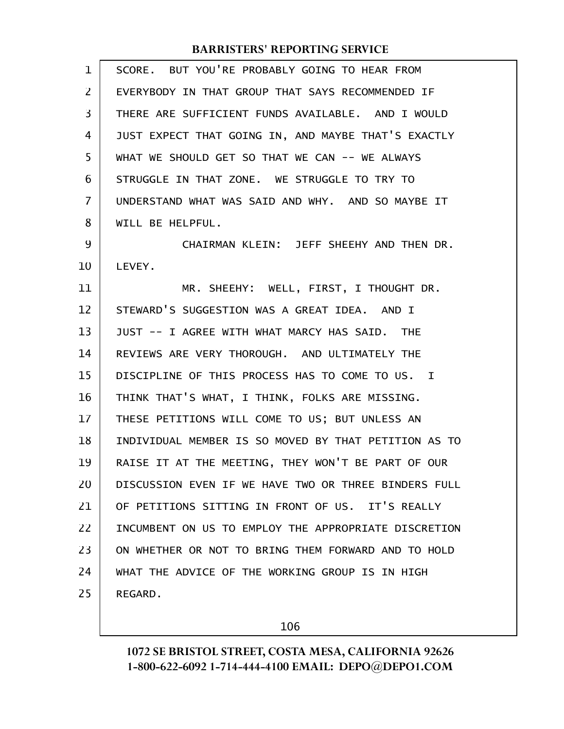| $\mathbf 1$    | SCORE. BUT YOU'RE PROBABLY GOING TO HEAR FROM        |
|----------------|------------------------------------------------------|
| $\overline{2}$ | EVERYBODY IN THAT GROUP THAT SAYS RECOMMENDED IF     |
| 3              | THERE ARE SUFFICIENT FUNDS AVAILABLE. AND I WOULD    |
| 4              | JUST EXPECT THAT GOING IN, AND MAYBE THAT'S EXACTLY  |
| 5              | WHAT WE SHOULD GET SO THAT WE CAN -- WE ALWAYS       |
| 6              | STRUGGLE IN THAT ZONE. WE STRUGGLE TO TRY TO         |
| $\overline{7}$ | UNDERSTAND WHAT WAS SAID AND WHY. AND SO MAYBE IT    |
| 8              | WILL BE HELPFUL.                                     |
| 9              | CHAIRMAN KLEIN: JEFF SHEEHY AND THEN DR.             |
| 10             | LEVEY.                                               |
| 11             | MR. SHEEHY: WELL, FIRST, I THOUGHT DR.               |
| 12             | STEWARD'S SUGGESTION WAS A GREAT IDEA. AND I         |
| 13             | JUST -- I AGREE WITH WHAT MARCY HAS SAID. THE        |
| 14             | REVIEWS ARE VERY THOROUGH. AND ULTIMATELY THE        |
| 15             | DISCIPLINE OF THIS PROCESS HAS TO COME TO US. I      |
| 16             | THINK THAT'S WHAT, I THINK, FOLKS ARE MISSING.       |
| 17             | THESE PETITIONS WILL COME TO US; BUT UNLESS AN       |
| 18             | INDIVIDUAL MEMBER IS SO MOVED BY THAT PETITION AS TO |
| 19             | RAISE IT AT THE MEETING, THEY WON'T BE PART OF OUR   |
| 20             | DISCUSSION EVEN IF WE HAVE TWO OR THREE BINDERS FULL |
| 21             | OF PETITIONS SITTING IN FRONT OF US. IT'S REALLY     |
| 22             | INCUMBENT ON US TO EMPLOY THE APPROPRIATE DISCRETION |
| 23             | ON WHETHER OR NOT TO BRING THEM FORWARD AND TO HOLD  |
| 24             | WHAT THE ADVICE OF THE WORKING GROUP IS IN HIGH      |
| 25             | REGARD.                                              |
|                |                                                      |

106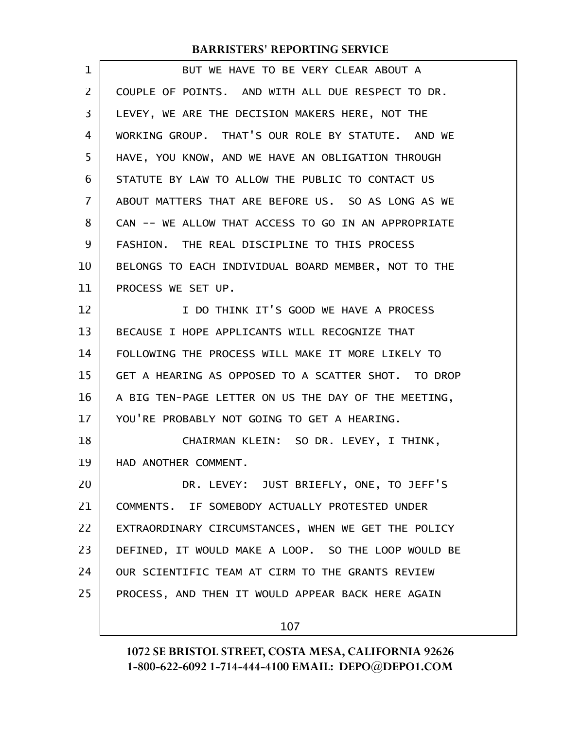| $\mathbf 1$ | BUT WE HAVE TO BE VERY CLEAR ABOUT A                |
|-------------|-----------------------------------------------------|
| 2           | COUPLE OF POINTS. AND WITH ALL DUE RESPECT TO DR.   |
| 3           | LEVEY, WE ARE THE DECISION MAKERS HERE, NOT THE     |
| 4           | WORKING GROUP. THAT'S OUR ROLE BY STATUTE. AND WE   |
| 5           | HAVE, YOU KNOW, AND WE HAVE AN OBLIGATION THROUGH   |
| 6           | STATUTE BY LAW TO ALLOW THE PUBLIC TO CONTACT US    |
| 7           | ABOUT MATTERS THAT ARE BEFORE US. SO AS LONG AS WE  |
| 8           | CAN -- WE ALLOW THAT ACCESS TO GO IN AN APPROPRIATE |
| 9           | FASHION. THE REAL DISCIPLINE TO THIS PROCESS        |
| 10          | BELONGS TO EACH INDIVIDUAL BOARD MEMBER, NOT TO THE |
| 11          | PROCESS WE SET UP.                                  |
| 12          | I DO THINK IT'S GOOD WE HAVE A PROCESS              |
| 13          | BECAUSE I HOPE APPLICANTS WILL RECOGNIZE THAT       |
| 14          | FOLLOWING THE PROCESS WILL MAKE IT MORE LIKELY TO   |
| 15          | GET A HEARING AS OPPOSED TO A SCATTER SHOT. TO DROP |
| 16          | A BIG TEN-PAGE LETTER ON US THE DAY OF THE MEETING, |
| 17          | YOU'RE PROBABLY NOT GOING TO GET A HEARING.         |
| 18          | CHAIRMAN KLEIN: SO DR. LEVEY, I THINK,              |
| 19          | HAD ANOTHER COMMENT.                                |
| 20          | DR. LEVEY: JUST BRIEFLY, ONE, TO JEFF'S             |
| 21          | COMMENTS. IF SOMEBODY ACTUALLY PROTESTED UNDER      |
| 22          | EXTRAORDINARY CIRCUMSTANCES, WHEN WE GET THE POLICY |
| 23          | DEFINED, IT WOULD MAKE A LOOP. SO THE LOOP WOULD BE |
| 24          | OUR SCIENTIFIC TEAM AT CIRM TO THE GRANTS REVIEW    |
| 25          | PROCESS, AND THEN IT WOULD APPEAR BACK HERE AGAIN   |
|             | 107                                                 |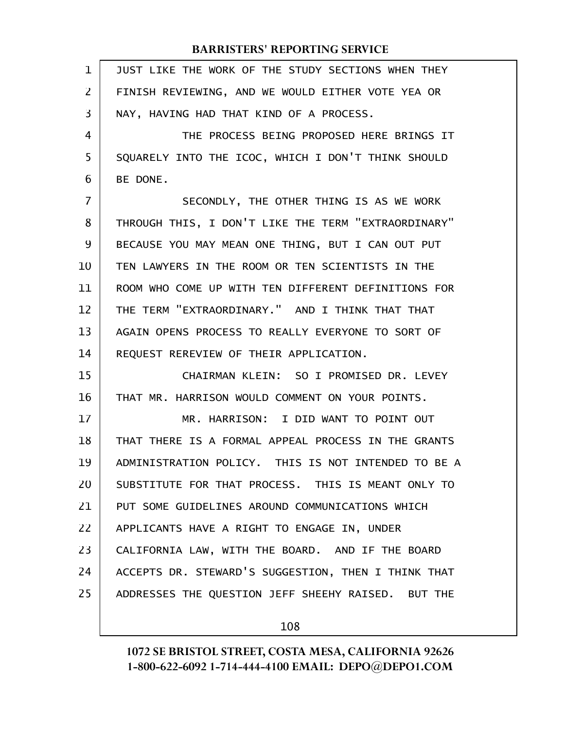| $\mathbf{1}$   | JUST LIKE THE WORK OF THE STUDY SECTIONS WHEN THEY  |
|----------------|-----------------------------------------------------|
| $\overline{2}$ | FINISH REVIEWING, AND WE WOULD EITHER VOTE YEA OR   |
| 3              | NAY, HAVING HAD THAT KIND OF A PROCESS.             |
| 4              | THE PROCESS BEING PROPOSED HERE BRINGS IT           |
| 5              | SQUARELY INTO THE ICOC, WHICH I DON'T THINK SHOULD  |
| 6              | BE DONE.                                            |
| $\overline{7}$ | SECONDLY, THE OTHER THING IS AS WE WORK             |
| 8              | THROUGH THIS, I DON'T LIKE THE TERM "EXTRAORDINARY" |
| 9              | BECAUSE YOU MAY MEAN ONE THING, BUT I CAN OUT PUT   |
| 10             | TEN LAWYERS IN THE ROOM OR TEN SCIENTISTS IN THE    |
| 11             | ROOM WHO COME UP WITH TEN DIFFERENT DEFINITIONS FOR |
| 12             | THE TERM "EXTRAORDINARY." AND I THINK THAT THAT     |
| 13             | AGAIN OPENS PROCESS TO REALLY EVERYONE TO SORT OF   |
| 14             | REQUEST REREVIEW OF THEIR APPLICATION.              |
| 15             | CHAIRMAN KLEIN: SO I PROMISED DR. LEVEY             |
| 16             | THAT MR. HARRISON WOULD COMMENT ON YOUR POINTS.     |
| 17             | MR. HARRISON: I DID WANT TO POINT OUT               |
| 18             | THAT THERE IS A FORMAL APPEAL PROCESS IN THE GRANTS |
| 19             | ADMINISTRATION POLICY. THIS IS NOT INTENDED TO BE A |
| 20             | SUBSTITUTE FOR THAT PROCESS. THIS IS MEANT ONLY TO  |
| 21             | PUT SOME GUIDELINES AROUND COMMUNICATIONS WHICH     |
| 22             | APPLICANTS HAVE A RIGHT TO ENGAGE IN, UNDER         |
| 23             | CALIFORNIA LAW, WITH THE BOARD. AND IF THE BOARD    |
| 24             | ACCEPTS DR. STEWARD'S SUGGESTION, THEN I THINK THAT |
| 25             | ADDRESSES THE QUESTION JEFF SHEEHY RAISED. BUT THE  |
|                |                                                     |

108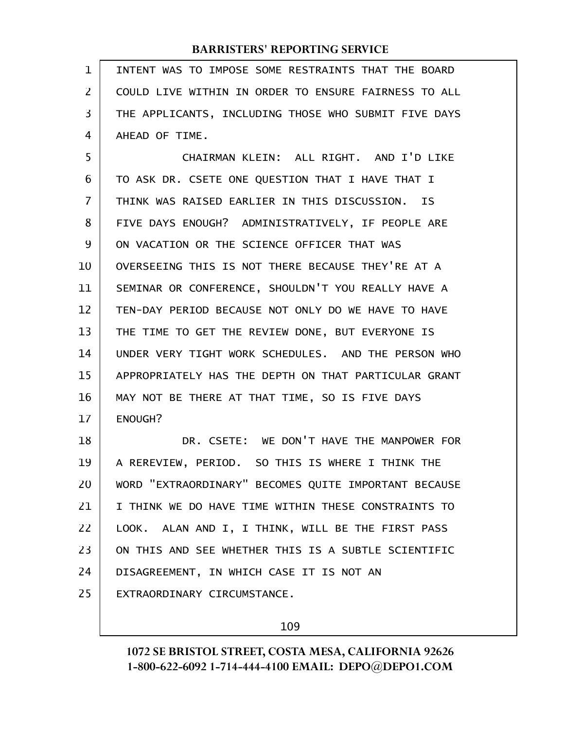| $\mathbf{1}$ | INTENT WAS TO IMPOSE SOME RESTRAINTS THAT THE BOARD  |
|--------------|------------------------------------------------------|
| 2            | COULD LIVE WITHIN IN ORDER TO ENSURE FAIRNESS TO ALL |
| 3            | THE APPLICANTS, INCLUDING THOSE WHO SUBMIT FIVE DAYS |
| 4            | AHEAD OF TIME.                                       |
| 5            | CHAIRMAN KLEIN: ALL RIGHT. AND I'D LIKE              |
| 6            | TO ASK DR. CSETE ONE QUESTION THAT I HAVE THAT I     |
| 7            | THINK WAS RAISED EARLIER IN THIS DISCUSSION. IS      |
| 8            | FIVE DAYS ENOUGH? ADMINISTRATIVELY, IF PEOPLE ARE    |
| 9            | ON VACATION OR THE SCIENCE OFFICER THAT WAS          |
| 10           | OVERSEEING THIS IS NOT THERE BECAUSE THEY'RE AT A    |
| 11           | SEMINAR OR CONFERENCE, SHOULDN'T YOU REALLY HAVE A   |
| 12           | TEN-DAY PERIOD BECAUSE NOT ONLY DO WE HAVE TO HAVE   |
| 13           | THE TIME TO GET THE REVIEW DONE, BUT EVERYONE IS     |
| 14           | UNDER VERY TIGHT WORK SCHEDULES. AND THE PERSON WHO  |
| 15           | APPROPRIATELY HAS THE DEPTH ON THAT PARTICULAR GRANT |
| 16           | MAY NOT BE THERE AT THAT TIME, SO IS FIVE DAYS       |
| 17           | <b>ENOUGH?</b>                                       |
| 18           | DR. CSETE: WE DON'T HAVE THE MANPOWER FOR            |
| 19           | A REREVIEW, PERIOD. SO THIS IS WHERE I THINK THE     |

WORD "EXTRAORDINARY" BECOMES QUITE IMPORTANT BECAUSE I THINK WE DO HAVE TIME WITHIN THESE CONSTRAINTS TO LOOK. ALAN AND I, I THINK, WILL BE THE FIRST PASS ON THIS AND SEE WHETHER THIS IS A SUBTLE SCIENTIFIC DISAGREEMENT, IN WHICH CASE IT IS NOT AN EXTRAORDINARY CIRCUMSTANCE. 20 21 22 23 24 25

109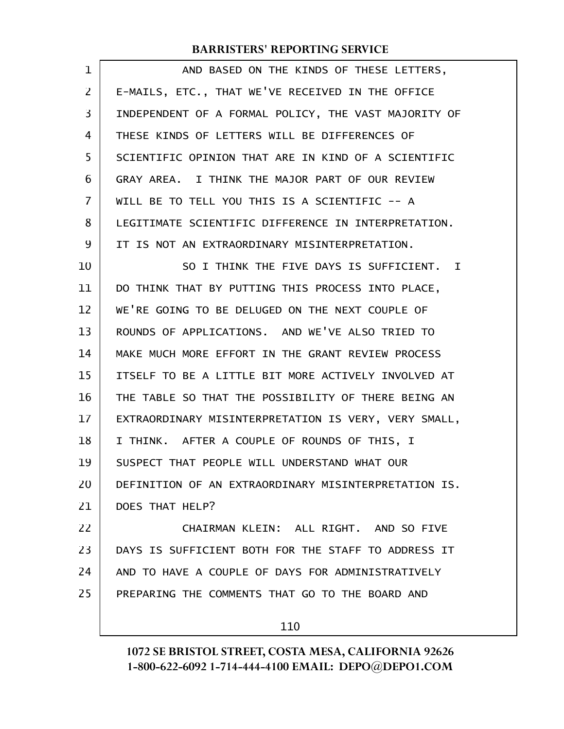| $\mathbf 1$ | AND BASED ON THE KINDS OF THESE LETTERS,             |
|-------------|------------------------------------------------------|
| 2           | E-MAILS, ETC., THAT WE'VE RECEIVED IN THE OFFICE     |
| 3           | INDEPENDENT OF A FORMAL POLICY, THE VAST MAJORITY OF |
| 4           | THESE KINDS OF LETTERS WILL BE DIFFERENCES OF        |
| 5           | SCIENTIFIC OPINION THAT ARE IN KIND OF A SCIENTIFIC  |
| 6           | GRAY AREA. I THINK THE MAJOR PART OF OUR REVIEW      |
| 7           | WILL BE TO TELL YOU THIS IS A SCIENTIFIC -- A        |
| 8           | LEGITIMATE SCIENTIFIC DIFFERENCE IN INTERPRETATION.  |
| 9           | IT IS NOT AN EXTRAORDINARY MISINTERPRETATION.        |
| 10          | SO I THINK THE FIVE DAYS IS SUFFICIENT. I            |
| 11          | DO THINK THAT BY PUTTING THIS PROCESS INTO PLACE,    |
| 12          | WE'RE GOING TO BE DELUGED ON THE NEXT COUPLE OF      |
| 13          | ROUNDS OF APPLICATIONS. AND WE'VE ALSO TRIED TO      |
| 14          | MAKE MUCH MORE EFFORT IN THE GRANT REVIEW PROCESS    |
| 15          | ITSELF TO BE A LITTLE BIT MORE ACTIVELY INVOLVED AT  |
| 16          | THE TABLE SO THAT THE POSSIBILITY OF THERE BEING AN  |
| 17          | EXTRAORDINARY MISINTERPRETATION IS VERY, VERY SMALL, |
| 18          | I THINK. AFTER A COUPLE OF ROUNDS OF THIS, I         |
| 19          | SUSPECT THAT PEOPLE WILL UNDERSTAND WHAT OUR         |
| 20          | DEFINITION OF AN EXTRAORDINARY MISINTERPRETATION IS. |
| 21          | DOES THAT HELP?                                      |
| 22          | CHAIRMAN KLEIN: ALL RIGHT. AND SO FIVE               |
| 23          | DAYS IS SUFFICIENT BOTH FOR THE STAFF TO ADDRESS IT  |
| 24          | AND TO HAVE A COUPLE OF DAYS FOR ADMINISTRATIVELY    |
| 25          | PREPARING THE COMMENTS THAT GO TO THE BOARD AND      |
|             | 110                                                  |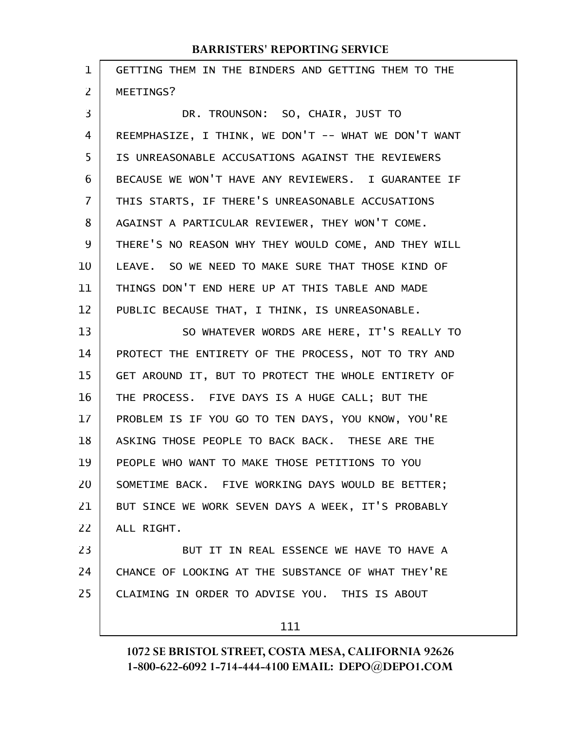| $\mathbf 1$    | GETTING THEM IN THE BINDERS AND GETTING THEM TO THE  |
|----------------|------------------------------------------------------|
| $\overline{2}$ | MEETINGS?                                            |
| 3              | DR. TROUNSON: SO, CHAIR, JUST TO                     |
| 4              | REEMPHASIZE, I THINK, WE DON'T -- WHAT WE DON'T WANT |
| 5              | IS UNREASONABLE ACCUSATIONS AGAINST THE REVIEWERS    |
| 6              | BECAUSE WE WON'T HAVE ANY REVIEWERS. I GUARANTEE IF  |
| $\overline{7}$ | THIS STARTS, IF THERE'S UNREASONABLE ACCUSATIONS     |
| 8              | AGAINST A PARTICULAR REVIEWER, THEY WON'T COME.      |
| 9              | THERE'S NO REASON WHY THEY WOULD COME, AND THEY WILL |
| 10             | SO WE NEED TO MAKE SURE THAT THOSE KIND OF<br>LEAVE. |
| 11             | THINGS DON'T END HERE UP AT THIS TABLE AND MADE      |
| 12             | PUBLIC BECAUSE THAT, I THINK, IS UNREASONABLE.       |
| 13             | SO WHATEVER WORDS ARE HERE, IT'S REALLY TO           |
| 14             | PROTECT THE ENTIRETY OF THE PROCESS, NOT TO TRY AND  |
| 15             | GET AROUND IT, BUT TO PROTECT THE WHOLE ENTIRETY OF  |
| 16             | THE PROCESS. FIVE DAYS IS A HUGE CALL; BUT THE       |
| 17             | PROBLEM IS IF YOU GO TO TEN DAYS, YOU KNOW, YOU'RE   |
| 18             | ASKING THOSE PEOPLE TO BACK BACK. THESE ARE THE      |
| 19             | PEOPLE WHO WANT TO MAKE THOSE PETITIONS TO YOU       |
| 20             | SOMETIME BACK. FIVE WORKING DAYS WOULD BE BETTER;    |
| 21             | BUT SINCE WE WORK SEVEN DAYS A WEEK, IT'S PROBABLY   |
| 22             | ALL RIGHT.                                           |
| 23             | BUT IT IN REAL ESSENCE WE HAVE TO HAVE A             |
| 24             | CHANCE OF LOOKING AT THE SUBSTANCE OF WHAT THEY'RE   |
| 25             | CLAIMING IN ORDER TO ADVISE YOU. THIS IS ABOUT       |
|                | 111                                                  |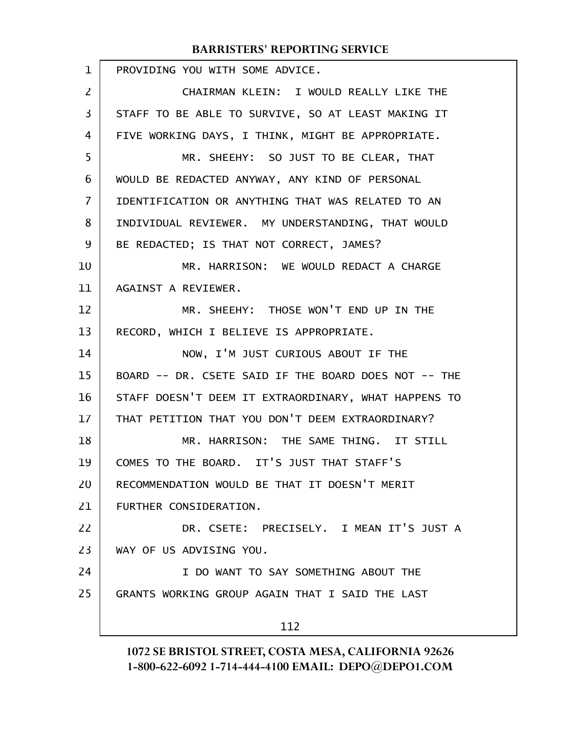| $\mathbf{1}$ | PROVIDING YOU WITH SOME ADVICE.                      |
|--------------|------------------------------------------------------|
| 2            | CHAIRMAN KLEIN: I WOULD REALLY LIKE THE              |
| 3            | STAFF TO BE ABLE TO SURVIVE, SO AT LEAST MAKING IT   |
| 4            | FIVE WORKING DAYS, I THINK, MIGHT BE APPROPRIATE.    |
| 5            | MR. SHEEHY: SO JUST TO BE CLEAR, THAT                |
| 6            | WOULD BE REDACTED ANYWAY, ANY KIND OF PERSONAL       |
| 7            | IDENTIFICATION OR ANYTHING THAT WAS RELATED TO AN    |
| 8            | INDIVIDUAL REVIEWER. MY UNDERSTANDING, THAT WOULD    |
| 9            | BE REDACTED; IS THAT NOT CORRECT, JAMES?             |
| 10           | MR. HARRISON: WE WOULD REDACT A CHARGE               |
| 11           | AGAINST A REVIEWER.                                  |
| 12           | MR. SHEEHY: THOSE WON'T END UP IN THE                |
| 13           | RECORD, WHICH I BELIEVE IS APPROPRIATE.              |
| 14           | NOW, I'M JUST CURIOUS ABOUT IF THE                   |
| 15           | BOARD -- DR. CSETE SAID IF THE BOARD DOES NOT -- THE |
| 16           | STAFF DOESN'T DEEM IT EXTRAORDINARY, WHAT HAPPENS TO |
| 17           | THAT PETITION THAT YOU DON'T DEEM EXTRAORDINARY?     |
| 18           | MR. HARRISON: THE SAME THING. IT STILL               |
| 19           | COMES TO THE BOARD. IT'S JUST THAT STAFF'S           |
| 20           | RECOMMENDATION WOULD BE THAT IT DOESN'T MERIT        |
| 21           | FURTHER CONSIDERATION.                               |
| 22           | DR. CSETE: PRECISELY. I MEAN IT'S JUST A             |
| 23           | WAY OF US ADVISING YOU.                              |
| 24           | I DO WANT TO SAY SOMETHING ABOUT THE                 |
| 25           | GRANTS WORKING GROUP AGAIN THAT I SAID THE LAST      |
|              | 112                                                  |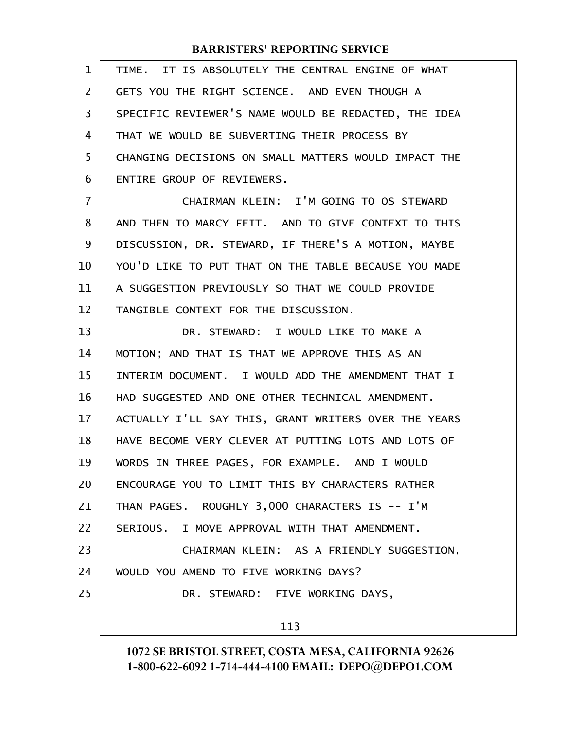| $\mathbf{1}$   | TIME. IT IS ABSOLUTELY THE CENTRAL ENGINE OF WHAT    |
|----------------|------------------------------------------------------|
| $\overline{2}$ | GETS YOU THE RIGHT SCIENCE. AND EVEN THOUGH A        |
| 3              | SPECIFIC REVIEWER'S NAME WOULD BE REDACTED, THE IDEA |
| 4              | THAT WE WOULD BE SUBVERTING THEIR PROCESS BY         |
| 5              | CHANGING DECISIONS ON SMALL MATTERS WOULD IMPACT THE |
| 6              | ENTIRE GROUP OF REVIEWERS.                           |
| $\overline{7}$ | CHAIRMAN KLEIN: I'M GOING TO OS STEWARD              |
| 8              | AND THEN TO MARCY FEIT. AND TO GIVE CONTEXT TO THIS  |
| 9              | DISCUSSION, DR. STEWARD, IF THERE'S A MOTION, MAYBE  |
| 10             | YOU'D LIKE TO PUT THAT ON THE TABLE BECAUSE YOU MADE |
| 11             | A SUGGESTION PREVIOUSLY SO THAT WE COULD PROVIDE     |
| 12             | TANGIBLE CONTEXT FOR THE DISCUSSION.                 |
| 13             | DR. STEWARD: I WOULD LIKE TO MAKE A                  |
| 14             | MOTION; AND THAT IS THAT WE APPROVE THIS AS AN       |
| 15             | INTERIM DOCUMENT. I WOULD ADD THE AMENDMENT THAT I   |
| 16             | HAD SUGGESTED AND ONE OTHER TECHNICAL AMENDMENT.     |
| 17             | ACTUALLY I'LL SAY THIS, GRANT WRITERS OVER THE YEARS |
| 18             | HAVE BECOME VERY CLEVER AT PUTTING LOTS AND LOTS OF  |
| 19             | WORDS IN THREE PAGES, FOR EXAMPLE. AND I WOULD       |
| 20             | ENCOURAGE YOU TO LIMIT THIS BY CHARACTERS RATHER     |
| 21             | THAN PAGES. ROUGHLY 3,000 CHARACTERS IS -- I'M       |
| 22             | SERIOUS. I MOVE APPROVAL WITH THAT AMENDMENT.        |
| 23             | CHAIRMAN KLEIN: AS A FRIENDLY SUGGESTION,            |
| 24             | WOULD YOU AMEND TO FIVE WORKING DAYS?                |
| 25             | DR. STEWARD: FIVE WORKING DAYS,                      |
|                | 113                                                  |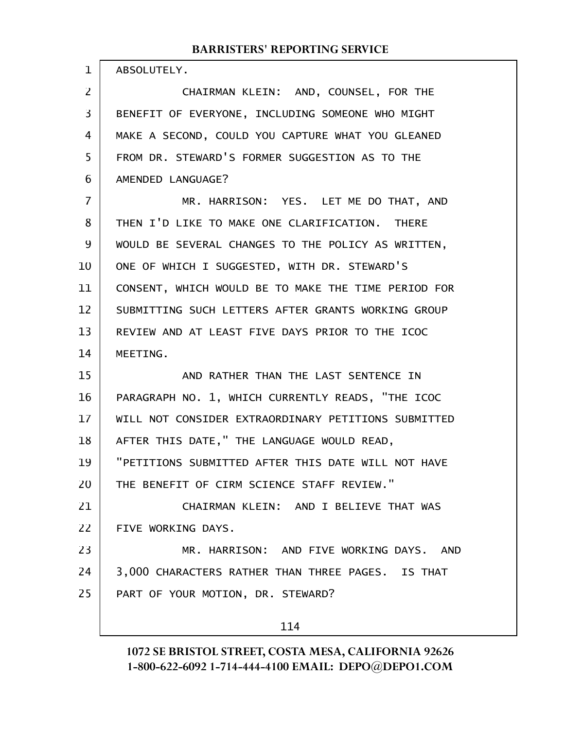ABSOLUTELY.

1

CHAIRMAN KLEIN: AND, COUNSEL, FOR THE BENEFIT OF EVERYONE, INCLUDING SOMEONE WHO MIGHT MAKE A SECOND, COULD YOU CAPTURE WHAT YOU GLEANED FROM DR. STEWARD'S FORMER SUGGESTION AS TO THE AMENDED LANGUAGE? 2 3 4 5 6

MR. HARRISON: YES. LET ME DO THAT, AND THEN I'D LIKE TO MAKE ONE CLARIFICATION. THERE WOULD BE SEVERAL CHANGES TO THE POLICY AS WRITTEN, ONE OF WHICH I SUGGESTED, WITH DR. STEWARD'S CONSENT, WHICH WOULD BE TO MAKE THE TIME PERIOD FOR SUBMITTING SUCH LETTERS AFTER GRANTS WORKING GROUP REVIEW AND AT LEAST FIVE DAYS PRIOR TO THE ICOC MEETING. 7 8 9 10 11 12 13 14

AND RATHER THAN THE LAST SENTENCE IN PARAGRAPH NO. 1, WHICH CURRENTLY READS, "THE ICOC WILL NOT CONSIDER EXTRAORDINARY PETITIONS SUBMITTED AFTER THIS DATE," THE LANGUAGE WOULD READ, "PETITIONS SUBMITTED AFTER THIS DATE WILL NOT HAVE THE BENEFIT OF CIRM SCIENCE STAFF REVIEW." CHAIRMAN KLEIN: AND I BELIEVE THAT WAS FIVE WORKING DAYS. MR. HARRISON: AND FIVE WORKING DAYS. AND 3,000 CHARACTERS RATHER THAN THREE PAGES. IS THAT 15 16 17 18 19 20 21 22 23 24

PART OF YOUR MOTION, DR. STEWARD? 25

114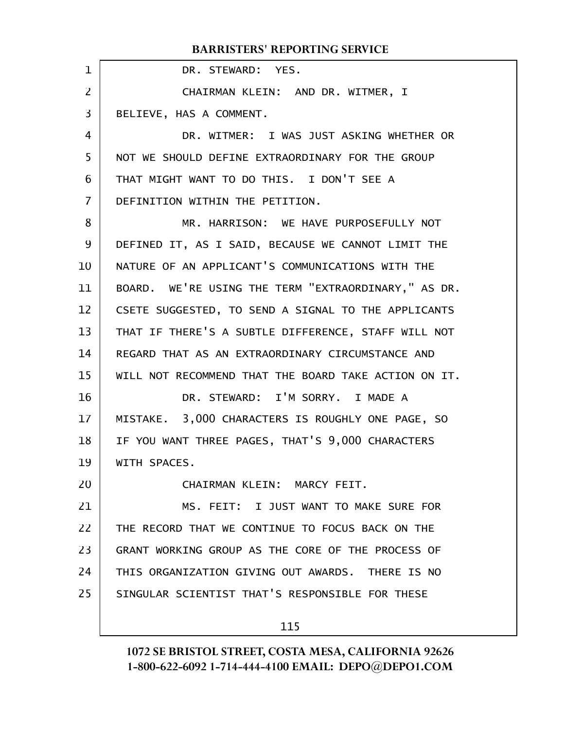|                | <b>BARRISTERS' REPORTING SERVICE</b>                 |
|----------------|------------------------------------------------------|
| $\mathbf{1}$   | DR. STEWARD: YES.                                    |
| $\overline{2}$ | CHAIRMAN KLEIN: AND DR. WITMER, I                    |
| 3              | BELIEVE, HAS A COMMENT.                              |
| 4              | DR. WITMER: I WAS JUST ASKING WHETHER OR             |
| 5              | NOT WE SHOULD DEFINE EXTRAORDINARY FOR THE GROUP     |
| 6              | THAT MIGHT WANT TO DO THIS. I DON'T SEE A            |
| $\overline{7}$ | DEFINITION WITHIN THE PETITION.                      |
| 8              | MR. HARRISON: WE HAVE PURPOSEFULLY NOT               |
| 9              | DEFINED IT, AS I SAID, BECAUSE WE CANNOT LIMIT THE   |
| 10             | NATURE OF AN APPLICANT'S COMMUNICATIONS WITH THE     |
| 11             | BOARD. WE'RE USING THE TERM "EXTRAORDINARY," AS DR.  |
| 12             | CSETE SUGGESTED, TO SEND A SIGNAL TO THE APPLICANTS  |
| 13             | THAT IF THERE'S A SUBTLE DIFFERENCE, STAFF WILL NOT  |
| 14             | REGARD THAT AS AN EXTRAORDINARY CIRCUMSTANCE AND     |
| 15             | WILL NOT RECOMMEND THAT THE BOARD TAKE ACTION ON IT. |
| 16             | DR. STEWARD: I'M SORRY. I MADE A                     |
| 17             | MISTAKE. 3,000 CHARACTERS IS ROUGHLY ONE PAGE, SO    |
| 18             | IF YOU WANT THREE PAGES, THAT'S 9,000 CHARACTERS     |
| 19             | WITH SPACES.                                         |
| 20             | CHAIRMAN KLEIN: MARCY FEIT.                          |
| 21             | MS. FEIT: I JUST WANT TO MAKE SURE FOR               |
| 22             | THE RECORD THAT WE CONTINUE TO FOCUS BACK ON THE     |
| 23             | GRANT WORKING GROUP AS THE CORE OF THE PROCESS OF    |
| 24             | THIS ORGANIZATION GIVING OUT AWARDS. THERE IS NO     |
| 25             | SINGULAR SCIENTIST THAT'S RESPONSIBLE FOR THESE      |
|                | 115                                                  |
|                |                                                      |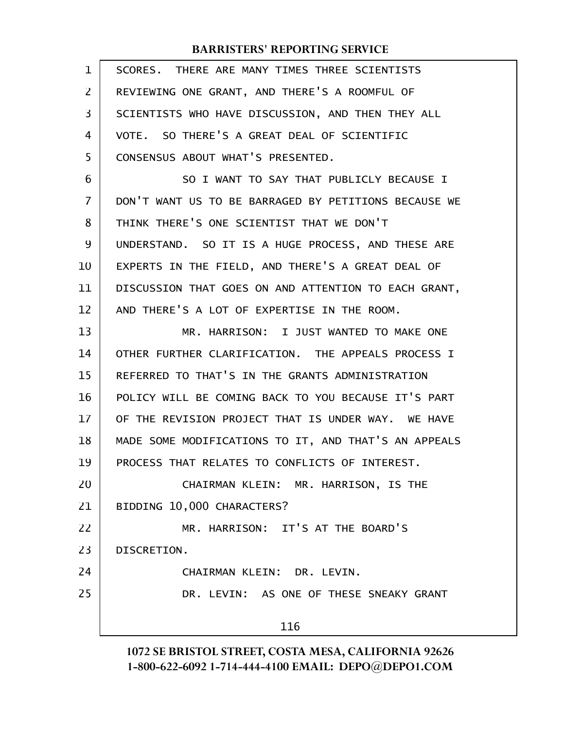| $\mathbf{1}$   | SCORES. THERE ARE MANY TIMES THREE SCIENTISTS        |
|----------------|------------------------------------------------------|
| $\overline{2}$ | REVIEWING ONE GRANT, AND THERE'S A ROOMFUL OF        |
| 3              | SCIENTISTS WHO HAVE DISCUSSION, AND THEN THEY ALL    |
| 4              | VOTE. SO THERE'S A GREAT DEAL OF SCIENTIFIC          |
| 5              | CONSENSUS ABOUT WHAT'S PRESENTED.                    |
| 6              | SO I WANT TO SAY THAT PUBLICLY BECAUSE I             |
| $\overline{7}$ | DON'T WANT US TO BE BARRAGED BY PETITIONS BECAUSE WE |
| 8              | THINK THERE'S ONE SCIENTIST THAT WE DON'T            |
| 9              | UNDERSTAND. SO IT IS A HUGE PROCESS, AND THESE ARE   |
| 10             | EXPERTS IN THE FIELD, AND THERE'S A GREAT DEAL OF    |
| 11             | DISCUSSION THAT GOES ON AND ATTENTION TO EACH GRANT, |
| 12             | AND THERE'S A LOT OF EXPERTISE IN THE ROOM.          |
| 13             | MR. HARRISON: I JUST WANTED TO MAKE ONE              |
| 14             | OTHER FURTHER CLARIFICATION. THE APPEALS PROCESS I   |
| 15             | REFERRED TO THAT'S IN THE GRANTS ADMINISTRATION      |
| 16             | POLICY WILL BE COMING BACK TO YOU BECAUSE IT'S PART  |
| 17             | OF THE REVISION PROJECT THAT IS UNDER WAY. WE HAVE   |
| 18             | MADE SOME MODIFICATIONS TO IT, AND THAT'S AN APPEALS |
| 19             | PROCESS THAT RELATES TO CONFLICTS OF INTEREST.       |
| 20             | CHAIRMAN KLEIN: MR. HARRISON, IS THE                 |
| 21             | BIDDING 10,000 CHARACTERS?                           |
| 22             | MR. HARRISON: IT'S AT THE BOARD'S                    |
| 23             | DISCRETION.                                          |
| 24             | CHAIRMAN KLEIN: DR. LEVIN.                           |
| 25             | DR. LEVIN: AS ONE OF THESE SNEAKY GRANT              |
|                | 116                                                  |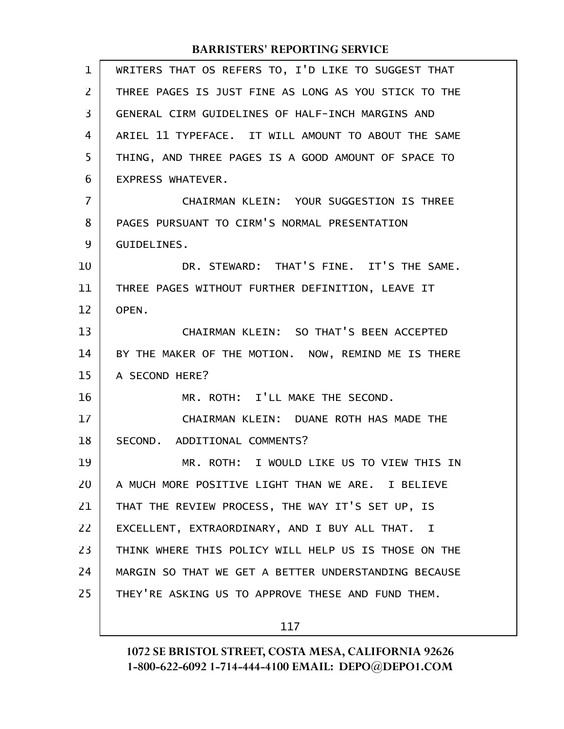| $\mathbf{1}$   | WRITERS THAT OS REFERS TO, I'D LIKE TO SUGGEST THAT  |
|----------------|------------------------------------------------------|
| 2              | THREE PAGES IS JUST FINE AS LONG AS YOU STICK TO THE |
| 3              | GENERAL CIRM GUIDELINES OF HALF-INCH MARGINS AND     |
| 4              | ARIEL 11 TYPEFACE. IT WILL AMOUNT TO ABOUT THE SAME  |
| 5              | THING, AND THREE PAGES IS A GOOD AMOUNT OF SPACE TO  |
| 6              | EXPRESS WHATEVER.                                    |
| $\overline{7}$ | CHAIRMAN KLEIN: YOUR SUGGESTION IS THREE             |
| 8              | PAGES PURSUANT TO CIRM'S NORMAL PRESENTATION         |
| 9              | GUIDELINES.                                          |
| 10             | DR. STEWARD: THAT'S FINE. IT'S THE SAME.             |
| 11             | THREE PAGES WITHOUT FURTHER DEFINITION, LEAVE IT     |
| 12             | OPEN.                                                |
| 13             | CHAIRMAN KLEIN: SO THAT'S BEEN ACCEPTED              |
| 14             | BY THE MAKER OF THE MOTION. NOW, REMIND ME IS THERE  |
| 15             | A SECOND HERE?                                       |
| 16             | MR. ROTH: I'LL MAKE THE SECOND.                      |
| 17             | CHAIRMAN KLEIN: DUANE ROTH HAS MADE THE              |
| 18             | SECOND. ADDITIONAL COMMENTS?                         |
| 19             | MR. ROTH: I WOULD LIKE US TO VIEW THIS IN            |
| 20             | A MUCH MORE POSITIVE LIGHT THAN WE ARE. I BELIEVE    |
| 21             | THAT THE REVIEW PROCESS, THE WAY IT'S SET UP, IS     |
| 22             | EXCELLENT, EXTRAORDINARY, AND I BUY ALL THAT. I      |
| 23             | THINK WHERE THIS POLICY WILL HELP US IS THOSE ON THE |
| 24             | MARGIN SO THAT WE GET A BETTER UNDERSTANDING BECAUSE |
| 25             | THEY'RE ASKING US TO APPROVE THESE AND FUND THEM.    |
|                | 117                                                  |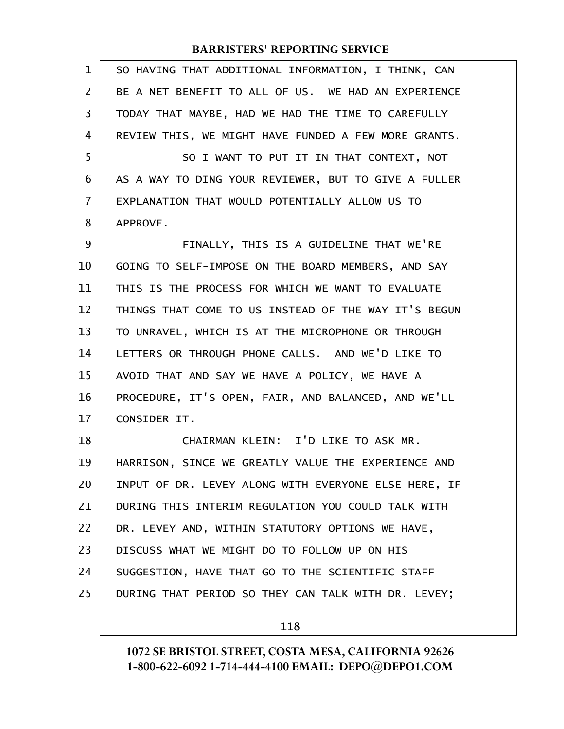| 1  | SO HAVING THAT ADDITIONAL INFORMATION, I THINK, CAN  |
|----|------------------------------------------------------|
| 2  | BE A NET BENEFIT TO ALL OF US. WE HAD AN EXPERIENCE  |
| 3  | TODAY THAT MAYBE, HAD WE HAD THE TIME TO CAREFULLY   |
| 4  | REVIEW THIS, WE MIGHT HAVE FUNDED A FEW MORE GRANTS. |
| 5  | SO I WANT TO PUT IT IN THAT CONTEXT, NOT             |
| 6  | AS A WAY TO DING YOUR REVIEWER, BUT TO GIVE A FULLER |
| 7  | EXPLANATION THAT WOULD POTENTIALLY ALLOW US TO       |
| 8  | APPROVE.                                             |
| 9  | FINALLY, THIS IS A GUIDELINE THAT WE'RE              |
| 10 | GOING TO SELF-IMPOSE ON THE BOARD MEMBERS, AND SAY   |
| 11 | THIS IS THE PROCESS FOR WHICH WE WANT TO EVALUATE    |
| 12 | THINGS THAT COME TO US INSTEAD OF THE WAY IT'S BEGUN |
| 13 | TO UNRAVEL, WHICH IS AT THE MICROPHONE OR THROUGH    |
| 14 | LETTERS OR THROUGH PHONE CALLS. AND WE'D LIKE TO     |
| 15 | AVOID THAT AND SAY WE HAVE A POLICY, WE HAVE A       |
| 16 | PROCEDURE, IT'S OPEN, FAIR, AND BALANCED, AND WE'LL  |
| 17 | CONSIDER IT.                                         |
| 18 | CHAIRMAN KLEIN: I'D LIKE TO ASK MR.                  |
| 19 | HARRISON, SINCE WE GREATLY VALUE THE EXPERIENCE AND  |
| 20 | INPUT OF DR. LEVEY ALONG WITH EVERYONE ELSE HERE, IF |
| 21 | DURING THIS INTERIM REGULATION YOU COULD TALK WITH   |
| 22 | DR. LEVEY AND, WITHIN STATUTORY OPTIONS WE HAVE,     |
| 23 | DISCUSS WHAT WE MIGHT DO TO FOLLOW UP ON HIS         |
| 24 | SUGGESTION, HAVE THAT GO TO THE SCIENTIFIC STAFF     |
| 25 | DURING THAT PERIOD SO THEY CAN TALK WITH DR. LEVEY;  |
|    |                                                      |

118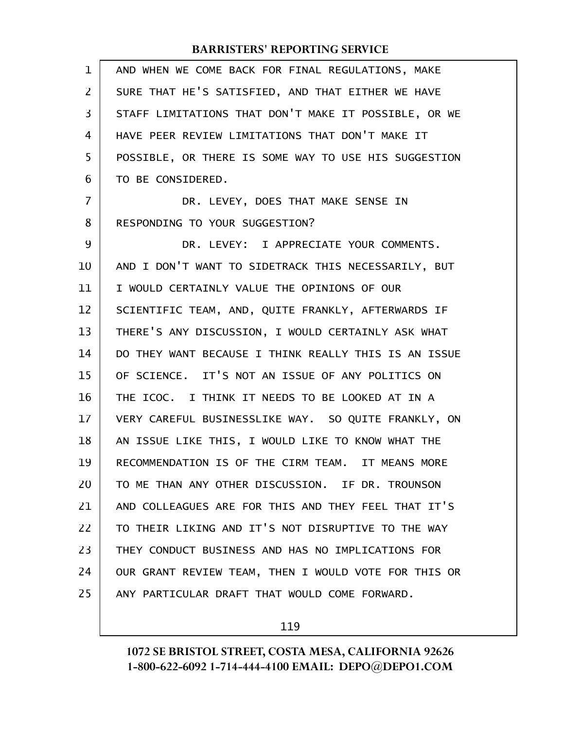| AND WHEN WE COME BACK FOR FINAL REGULATIONS, MAKE    |
|------------------------------------------------------|
| SURE THAT HE'S SATISFIED, AND THAT EITHER WE HAVE    |
| STAFF LIMITATIONS THAT DON'T MAKE IT POSSIBLE, OR WE |
| HAVE PEER REVIEW LIMITATIONS THAT DON'T MAKE IT      |
| POSSIBLE, OR THERE IS SOME WAY TO USE HIS SUGGESTION |
| TO BE CONSIDERED.                                    |
| DR. LEVEY, DOES THAT MAKE SENSE IN                   |
| RESPONDING TO YOUR SUGGESTION?                       |
| DR. LEVEY: I APPRECIATE YOUR COMMENTS.               |
| AND I DON'T WANT TO SIDETRACK THIS NECESSARILY, BUT  |
| I WOULD CERTAINLY VALUE THE OPINIONS OF OUR          |
| SCIENTIFIC TEAM, AND, QUITE FRANKLY, AFTERWARDS IF   |
| THERE'S ANY DISCUSSION, I WOULD CERTAINLY ASK WHAT   |
| DO THEY WANT BECAUSE I THINK REALLY THIS IS AN ISSUE |
| OF SCIENCE. IT'S NOT AN ISSUE OF ANY POLITICS ON     |
| THE ICOC. I THINK IT NEEDS TO BE LOOKED AT IN A      |
| VERY CAREFUL BUSINESSLIKE WAY. SO QUITE FRANKLY, ON  |
| AN ISSUE LIKE THIS, I WOULD LIKE TO KNOW WHAT THE    |
| RECOMMENDATION IS OF THE CIRM TEAM. IT MEANS MORE    |
| TO ME THAN ANY OTHER DISCUSSION. IF DR. TROUNSON     |
| AND COLLEAGUES ARE FOR THIS AND THEY FEEL THAT IT'S  |
| TO THEIR LIKING AND IT'S NOT DISRUPTIVE TO THE WAY   |
| THEY CONDUCT BUSINESS AND HAS NO IMPLICATIONS FOR    |
| OUR GRANT REVIEW TEAM, THEN I WOULD VOTE FOR THIS OR |
| ANY PARTICULAR DRAFT THAT WOULD COME FORWARD.        |
|                                                      |

119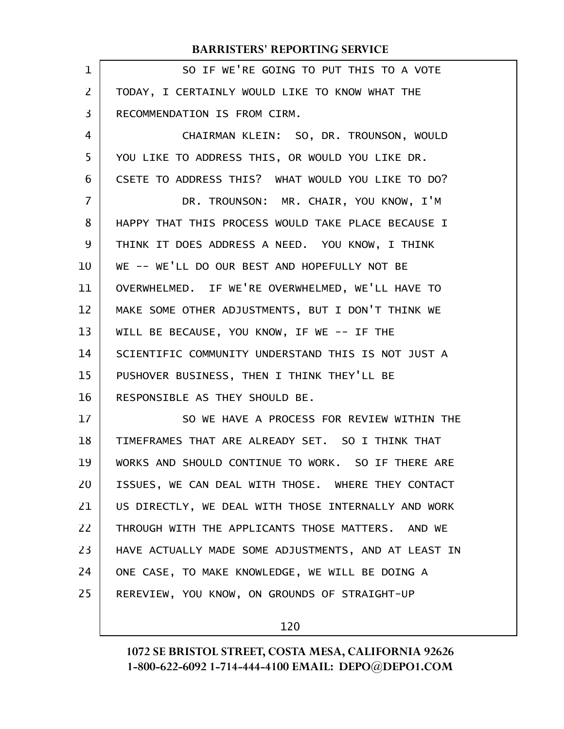| $\mathbf 1$ | SO IF WE'RE GOING TO PUT THIS TO A VOTE              |
|-------------|------------------------------------------------------|
| 2           | TODAY, I CERTAINLY WOULD LIKE TO KNOW WHAT THE       |
| 3           | RECOMMENDATION IS FROM CIRM.                         |
| 4           | CHAIRMAN KLEIN: SO, DR. TROUNSON, WOULD              |
| 5           | YOU LIKE TO ADDRESS THIS, OR WOULD YOU LIKE DR.      |
| 6           | CSETE TO ADDRESS THIS? WHAT WOULD YOU LIKE TO DO?    |
| 7           | DR. TROUNSON: MR. CHAIR, YOU KNOW, I'M               |
| 8           | HAPPY THAT THIS PROCESS WOULD TAKE PLACE BECAUSE I   |
| 9           | THINK IT DOES ADDRESS A NEED. YOU KNOW, I THINK      |
| 10          | WE -- WE'LL DO OUR BEST AND HOPEFULLY NOT BE         |
| 11          | OVERWHELMED. IF WE'RE OVERWHELMED, WE'LL HAVE TO     |
| 12          | MAKE SOME OTHER ADJUSTMENTS, BUT I DON'T THINK WE    |
| 13          | WILL BE BECAUSE, YOU KNOW, IF WE -- IF THE           |
| 14          | SCIENTIFIC COMMUNITY UNDERSTAND THIS IS NOT JUST A   |
| 15          | PUSHOVER BUSINESS, THEN I THINK THEY'LL BE           |
| 16          | RESPONSIBLE AS THEY SHOULD BE.                       |
| 17          | SO WE HAVE A PROCESS FOR REVIEW WITHIN THE           |
| 18          | TIMEFRAMES THAT ARE ALREADY SET. SO I THINK THAT     |
| 19          | WORKS AND SHOULD CONTINUE TO WORK. SO IF THERE ARE   |
| 20          | ISSUES, WE CAN DEAL WITH THOSE. WHERE THEY CONTACT   |
| 21          | US DIRECTLY, WE DEAL WITH THOSE INTERNALLY AND WORK  |
| 22          | THROUGH WITH THE APPLICANTS THOSE MATTERS. AND WE    |
| 23          | HAVE ACTUALLY MADE SOME ADJUSTMENTS, AND AT LEAST IN |
| 24          | ONE CASE, TO MAKE KNOWLEDGE, WE WILL BE DOING A      |
| 25          | REREVIEW, YOU KNOW, ON GROUNDS OF STRAIGHT-UP        |
|             |                                                      |

120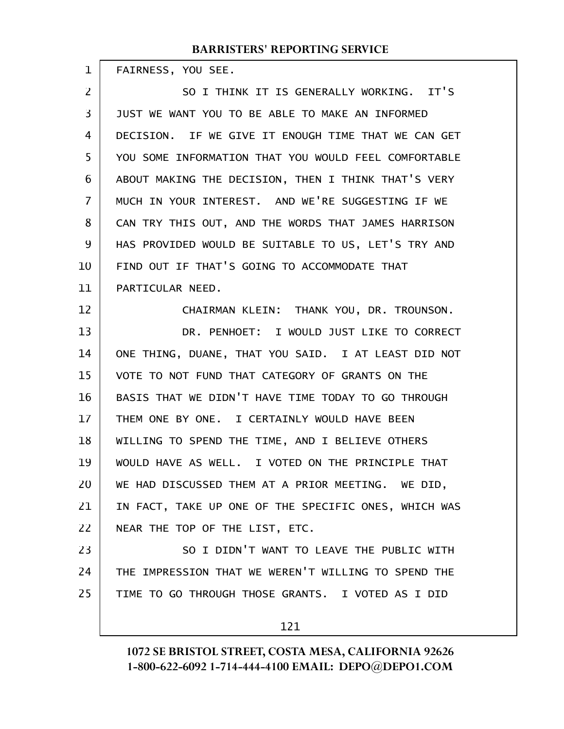| $\mathbf 1$ | FAIRNESS, YOU SEE.                                   |
|-------------|------------------------------------------------------|
| 2           | SO I THINK IT IS GENERALLY WORKING. IT'S             |
| 3           | JUST WE WANT YOU TO BE ABLE TO MAKE AN INFORMED      |
| 4           | DECISION. IF WE GIVE IT ENOUGH TIME THAT WE CAN GET  |
| 5           | YOU SOME INFORMATION THAT YOU WOULD FEEL COMFORTABLE |
| 6           | ABOUT MAKING THE DECISION, THEN I THINK THAT'S VERY  |
| 7           | MUCH IN YOUR INTEREST. AND WE'RE SUGGESTING IF WE    |
| 8           | CAN TRY THIS OUT, AND THE WORDS THAT JAMES HARRISON  |
| 9           | HAS PROVIDED WOULD BE SUITABLE TO US, LET'S TRY AND  |
| 10          | FIND OUT IF THAT'S GOING TO ACCOMMODATE THAT         |
| 11          | PARTICULAR NEED.                                     |
| 12          | CHAIRMAN KLEIN: THANK YOU, DR. TROUNSON.             |
| 13          | DR. PENHOET: I WOULD JUST LIKE TO CORRECT            |
| 14          | ONE THING, DUANE, THAT YOU SAID. I AT LEAST DID NOT  |
| 15          | VOTE TO NOT FUND THAT CATEGORY OF GRANTS ON THE      |
| 16          | BASIS THAT WE DIDN'T HAVE TIME TODAY TO GO THROUGH   |
| 17          | THEM ONE BY ONE. I CERTAINLY WOULD HAVE BEEN         |
| 18          | WILLING TO SPEND THE TIME, AND I BELIEVE OTHERS      |
| 19          | WOULD HAVE AS WELL. I VOTED ON THE PRINCIPLE THAT    |
| 20          | WE HAD DISCUSSED THEM AT A PRIOR MEETING. WE DID,    |
| 21          | IN FACT, TAKE UP ONE OF THE SPECIFIC ONES, WHICH WAS |
| 22          | NEAR THE TOP OF THE LIST, ETC.                       |
| 23          | SO I DIDN'T WANT TO LEAVE THE PUBLIC WITH            |
| 24          | THE IMPRESSION THAT WE WEREN'T WILLING TO SPEND THE  |
| 25          | TIME TO GO THROUGH THOSE GRANTS. I VOTED AS I DID    |
|             | 121                                                  |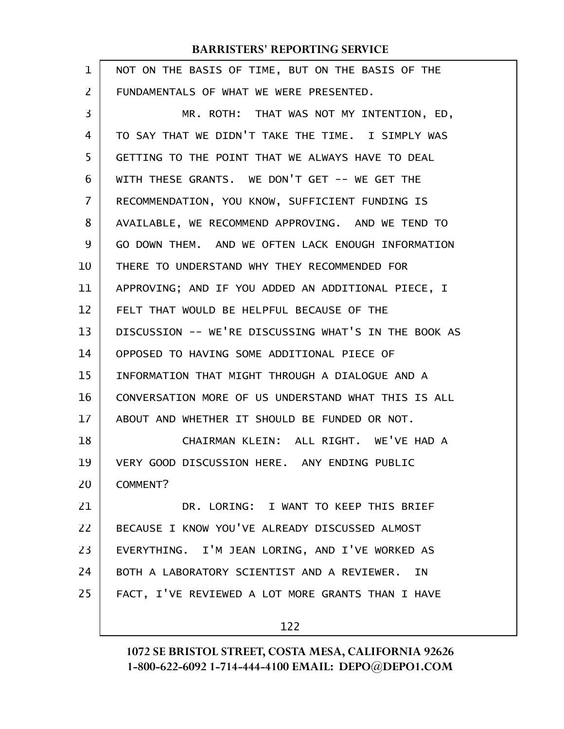| $\mathbf 1$ | NOT ON THE BASIS OF TIME, BUT ON THE BASIS OF THE        |
|-------------|----------------------------------------------------------|
| 2           | FUNDAMENTALS OF WHAT WE WERE PRESENTED.                  |
| 3           | MR. ROTH: THAT WAS NOT MY INTENTION, ED,                 |
| 4           | TO SAY THAT WE DIDN'T TAKE THE TIME. I SIMPLY WAS        |
| 5           | GETTING TO THE POINT THAT WE ALWAYS HAVE TO DEAL         |
| 6           | WITH THESE GRANTS. WE DON'T GET -- WE GET THE            |
| 7           | RECOMMENDATION, YOU KNOW, SUFFICIENT FUNDING IS          |
| 8           | AVAILABLE, WE RECOMMEND APPROVING. AND WE TEND TO        |
| 9           | GO DOWN THEM. AND WE OFTEN LACK ENOUGH INFORMATION       |
| 10          | THERE TO UNDERSTAND WHY THEY RECOMMENDED FOR             |
| 11          | APPROVING; AND IF YOU ADDED AN ADDITIONAL PIECE, I       |
| 12          | FELT THAT WOULD BE HELPFUL BECAUSE OF THE                |
| 13          | DISCUSSION -- WE'RE DISCUSSING WHAT'S IN THE BOOK AS     |
| 14          | OPPOSED TO HAVING SOME ADDITIONAL PIECE OF               |
| 15          | INFORMATION THAT MIGHT THROUGH A DIALOGUE AND A          |
| 16          | CONVERSATION MORE OF US UNDERSTAND WHAT THIS IS ALL      |
| 17          | ABOUT AND WHETHER IT SHOULD BE FUNDED OR NOT.            |
| 18          | CHAIRMAN KLEIN: ALL RIGHT. WE'VE HAD A                   |
| 19          | VERY GOOD DISCUSSION HERE. ANY ENDING PUBLIC             |
| 20          | COMMENT?                                                 |
| 21          | DR. LORING: I WANT TO KEEP THIS BRIEF                    |
| 22          | BECAUSE I KNOW YOU'VE ALREADY DISCUSSED ALMOST           |
| 23          | EVERYTHING. I'M JEAN LORING, AND I'VE WORKED AS          |
| 24          | BOTH A LABORATORY SCIENTIST AND A REVIEWER.<br><b>IN</b> |
| 25          | FACT, I'VE REVIEWED A LOT MORE GRANTS THAN I HAVE        |
|             |                                                          |

122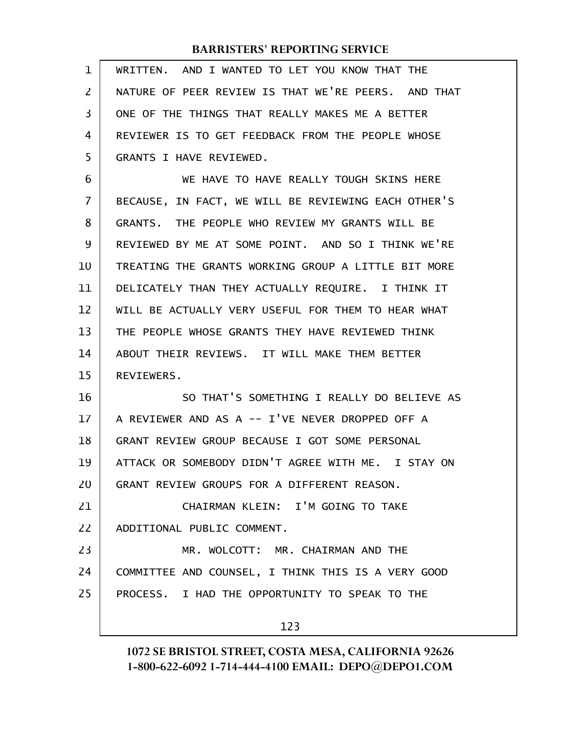| $\mathbf 1$    | AND I WANTED TO LET YOU KNOW THAT THE<br>WRITTEN.   |
|----------------|-----------------------------------------------------|
| $\overline{2}$ | NATURE OF PEER REVIEW IS THAT WE'RE PEERS. AND THAT |
| 3              | ONE OF THE THINGS THAT REALLY MAKES ME A BETTER     |
| 4              | REVIEWER IS TO GET FEEDBACK FROM THE PEOPLE WHOSE   |
| 5              | GRANTS I HAVE REVIEWED.                             |
| 6              | WE HAVE TO HAVE REALLY TOUGH SKINS HERE             |
| 7              | BECAUSE, IN FACT, WE WILL BE REVIEWING EACH OTHER'S |
| 8              | GRANTS. THE PEOPLE WHO REVIEW MY GRANTS WILL BE     |
| 9              | REVIEWED BY ME AT SOME POINT. AND SO I THINK WE'RE  |
| 10             | TREATING THE GRANTS WORKING GROUP A LITTLE BIT MORE |
| 11             | DELICATELY THAN THEY ACTUALLY REQUIRE. I THINK IT   |
| 12             | WILL BE ACTUALLY VERY USEFUL FOR THEM TO HEAR WHAT  |
| 13             | THE PEOPLE WHOSE GRANTS THEY HAVE REVIEWED THINK    |
| 14             | ABOUT THEIR REVIEWS. IT WILL MAKE THEM BETTER       |
| 15             | REVIEWERS.                                          |
| 16             | SO THAT'S SOMETHING I REALLY DO BELIEVE AS          |
| 17             | A REVIEWER AND AS A -- I'VE NEVER DROPPED OFF A     |
| 18             | GRANT REVIEW GROUP BECAUSE I GOT SOME PERSONAL      |
| 19             | ATTACK OR SOMEBODY DIDN'T AGREE WITH ME. I STAY ON  |
| 20             | GRANT REVIEW GROUPS FOR A DIFFERENT REASON.         |
| 21             | CHAIRMAN KLEIN: I'M GOING TO TAKE                   |
| 22             | ADDITIONAL PUBLIC COMMENT.                          |
| 23             | MR. WOLCOTT: MR. CHAIRMAN AND THE                   |
| 24             | COMMITTEE AND COUNSEL, I THINK THIS IS A VERY GOOD  |
| 25             | PROCESS. I HAD THE OPPORTUNITY TO SPEAK TO THE      |
|                | 123                                                 |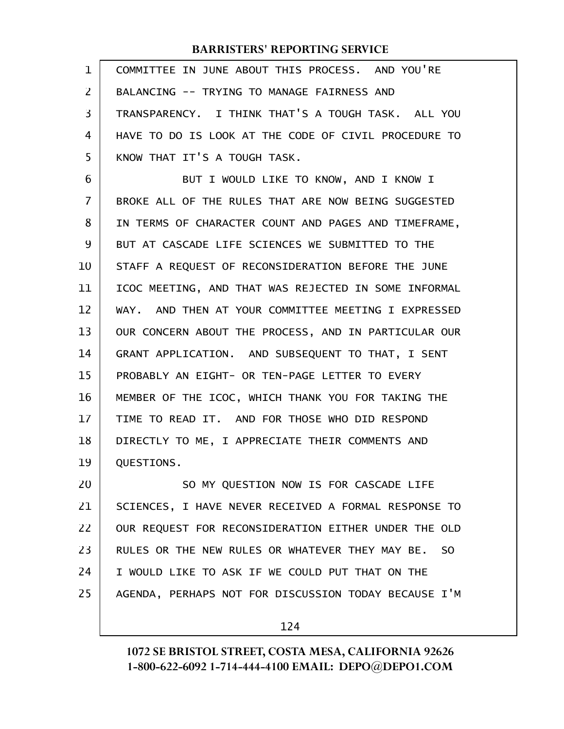| $\mathbf 1$    | COMMITTEE IN JUNE ABOUT THIS PROCESS. AND YOU'RE                  |
|----------------|-------------------------------------------------------------------|
| $\overline{2}$ | BALANCING -- TRYING TO MANAGE FAIRNESS AND                        |
| 3              | TRANSPARENCY. I THINK THAT'S A TOUGH TASK. ALL YOU                |
| 4              | HAVE TO DO IS LOOK AT THE CODE OF CIVIL PROCEDURE TO              |
| 5              | KNOW THAT IT'S A TOUGH TASK.                                      |
| 6              | BUT I WOULD LIKE TO KNOW, AND I KNOW I                            |
| 7              | BROKE ALL OF THE RULES THAT ARE NOW BEING SUGGESTED               |
| 8              | IN TERMS OF CHARACTER COUNT AND PAGES AND TIMEFRAME,              |
| 9              | BUT AT CASCADE LIFE SCIENCES WE SUBMITTED TO THE                  |
| 10             | STAFF A REQUEST OF RECONSIDERATION BEFORE THE JUNE                |
| 11             | ICOC MEETING, AND THAT WAS REJECTED IN SOME INFORMAL              |
| 12             | WAY. AND THEN AT YOUR COMMITTEE MEETING I EXPRESSED               |
| 13             | OUR CONCERN ABOUT THE PROCESS, AND IN PARTICULAR OUR              |
| 14             | GRANT APPLICATION. AND SUBSEQUENT TO THAT, I SENT                 |
| 15             | PROBABLY AN EIGHT- OR TEN-PAGE LETTER TO EVERY                    |
| 16             | MEMBER OF THE ICOC, WHICH THANK YOU FOR TAKING THE                |
| 17             | TIME TO READ IT. AND FOR THOSE WHO DID RESPOND                    |
| 18             | DIRECTLY TO ME, I APPRECIATE THEIR COMMENTS AND                   |
| 19             | QUESTIONS.                                                        |
| 20             | SO MY QUESTION NOW IS FOR CASCADE LIFE                            |
| 21             | SCIENCES, I HAVE NEVER RECEIVED A FORMAL RESPONSE TO              |
| 22             | OUR REQUEST FOR RECONSIDERATION EITHER UNDER THE OLD              |
| 23             | RULES OR THE NEW RULES OR WHATEVER THEY MAY BE.<br>S <sub>0</sub> |
| 24             | I WOULD LIKE TO ASK IF WE COULD PUT THAT ON THE                   |
|                |                                                                   |
| 25             | AGENDA, PERHAPS NOT FOR DISCUSSION TODAY BECAUSE I'M              |

124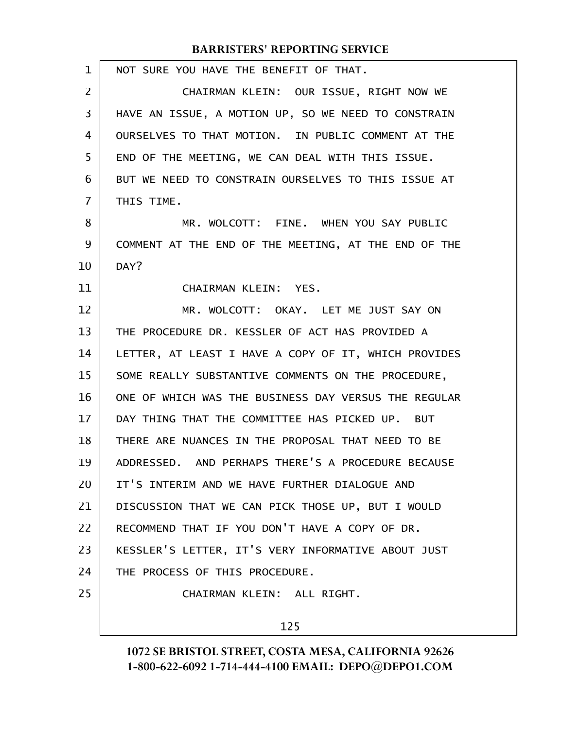| $\mathbf 1$    | NOT SURE YOU HAVE THE BENEFIT OF THAT.               |
|----------------|------------------------------------------------------|
| 2              | CHAIRMAN KLEIN: OUR ISSUE, RIGHT NOW WE              |
| $\overline{3}$ | HAVE AN ISSUE, A MOTION UP, SO WE NEED TO CONSTRAIN  |
| 4              | OURSELVES TO THAT MOTION. IN PUBLIC COMMENT AT THE   |
| 5              | END OF THE MEETING, WE CAN DEAL WITH THIS ISSUE.     |
| 6              | BUT WE NEED TO CONSTRAIN OURSELVES TO THIS ISSUE AT  |
| 7              | THIS TIME.                                           |
| 8              | MR. WOLCOTT: FINE. WHEN YOU SAY PUBLIC               |
| 9              | COMMENT AT THE END OF THE MEETING, AT THE END OF THE |
| 10             | DAY?                                                 |
| 11             | CHAIRMAN KLEIN: YES.                                 |
| 12             | MR. WOLCOTT: OKAY. LET ME JUST SAY ON                |
| 13             | THE PROCEDURE DR. KESSLER OF ACT HAS PROVIDED A      |
| 14             | LETTER, AT LEAST I HAVE A COPY OF IT, WHICH PROVIDES |
| 15             | SOME REALLY SUBSTANTIVE COMMENTS ON THE PROCEDURE,   |
| 16             | ONE OF WHICH WAS THE BUSINESS DAY VERSUS THE REGULAR |
| 17             | DAY THING THAT THE COMMITTEE HAS PICKED UP. BUT      |
| 18             | THERE ARE NUANCES IN THE PROPOSAL THAT NEED TO BE    |
| 19             | ADDRESSED. AND PERHAPS THERE'S A PROCEDURE BECAUSE   |
| 20             | IT'S INTERIM AND WE HAVE FURTHER DIALOGUE AND        |
| 21             | DISCUSSION THAT WE CAN PICK THOSE UP, BUT I WOULD    |
| 22             | RECOMMEND THAT IF YOU DON'T HAVE A COPY OF DR.       |
| 23             | KESSLER'S LETTER, IT'S VERY INFORMATIVE ABOUT JUST   |
| 24             | THE PROCESS OF THIS PROCEDURE.                       |
| 25             | CHAIRMAN KLEIN: ALL RIGHT.                           |
|                | 125                                                  |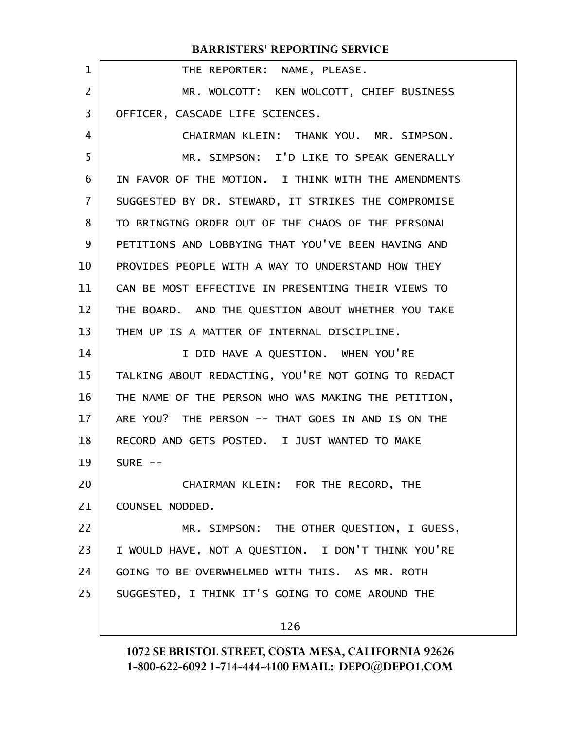| $\mathbf 1$    | THE REPORTER: NAME, PLEASE.                         |
|----------------|-----------------------------------------------------|
| $\overline{2}$ | MR. WOLCOTT: KEN WOLCOTT, CHIEF BUSINESS            |
| 3              | OFFICER, CASCADE LIFE SCIENCES.                     |
| 4              | CHAIRMAN KLEIN: THANK YOU. MR. SIMPSON.             |
| 5              | MR. SIMPSON: I'D LIKE TO SPEAK GENERALLY            |
| 6              | IN FAVOR OF THE MOTION. I THINK WITH THE AMENDMENTS |
| 7              | SUGGESTED BY DR. STEWARD, IT STRIKES THE COMPROMISE |
| 8              | TO BRINGING ORDER OUT OF THE CHAOS OF THE PERSONAL  |
| 9              | PETITIONS AND LOBBYING THAT YOU'VE BEEN HAVING AND  |
| 10             | PROVIDES PEOPLE WITH A WAY TO UNDERSTAND HOW THEY   |
| 11             | CAN BE MOST EFFECTIVE IN PRESENTING THEIR VIEWS TO  |
| 12             | THE BOARD. AND THE QUESTION ABOUT WHETHER YOU TAKE  |
| 13             | THEM UP IS A MATTER OF INTERNAL DISCIPLINE.         |
| 14             | I DID HAVE A QUESTION. WHEN YOU'RE                  |
| 15             | TALKING ABOUT REDACTING, YOU'RE NOT GOING TO REDACT |
| 16             | THE NAME OF THE PERSON WHO WAS MAKING THE PETITION, |
| 17             | ARE YOU? THE PERSON -- THAT GOES IN AND IS ON THE   |
| 18             | RECORD AND GETS POSTED. I JUST WANTED TO MAKE       |
| 19             | SURE $--$                                           |
| 20             | CHAIRMAN KLEIN: FOR THE RECORD, THE                 |
| 21             | COUNSEL NODDED.                                     |
| 22             | MR. SIMPSON: THE OTHER QUESTION, I GUESS,           |
| 23             | I WOULD HAVE, NOT A QUESTION. I DON'T THINK YOU'RE  |
| 24             | GOING TO BE OVERWHELMED WITH THIS. AS MR. ROTH      |
| 25             | SUGGESTED, I THINK IT'S GOING TO COME AROUND THE    |
|                | 126                                                 |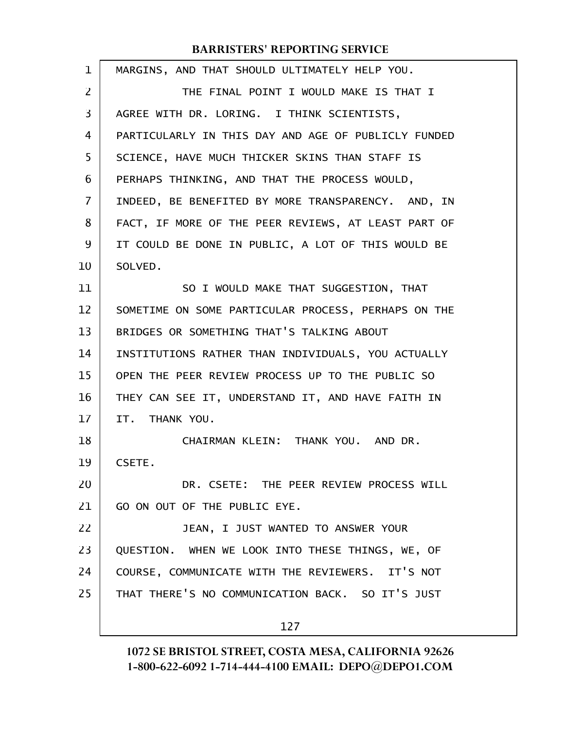| $\mathbf 1$       | MARGINS, AND THAT SHOULD ULTIMATELY HELP YOU.       |
|-------------------|-----------------------------------------------------|
| 2                 | THE FINAL POINT I WOULD MAKE IS THAT I              |
| 3                 | AGREE WITH DR. LORING. I THINK SCIENTISTS,          |
| 4                 | PARTICULARLY IN THIS DAY AND AGE OF PUBLICLY FUNDED |
| 5                 | SCIENCE, HAVE MUCH THICKER SKINS THAN STAFF IS      |
| 6                 | PERHAPS THINKING, AND THAT THE PROCESS WOULD,       |
| 7                 | INDEED, BE BENEFITED BY MORE TRANSPARENCY. AND, IN  |
| 8                 | FACT, IF MORE OF THE PEER REVIEWS, AT LEAST PART OF |
| 9                 | IT COULD BE DONE IN PUBLIC, A LOT OF THIS WOULD BE  |
| 10                | SOLVED.                                             |
| 11                | SO I WOULD MAKE THAT SUGGESTION, THAT               |
| $12 \overline{ }$ | SOMETIME ON SOME PARTICULAR PROCESS, PERHAPS ON THE |
| 13                | BRIDGES OR SOMETHING THAT'S TALKING ABOUT           |
| 14                | INSTITUTIONS RATHER THAN INDIVIDUALS, YOU ACTUALLY  |
| 15                | OPEN THE PEER REVIEW PROCESS UP TO THE PUBLIC SO    |
| 16                | THEY CAN SEE IT, UNDERSTAND IT, AND HAVE FAITH IN   |
| 17                | IT. THANK YOU.                                      |
| 18                | CHAIRMAN KLEIN: THANK YOU. AND DR.                  |
| 19                | CSETE.                                              |
| 20                | DR. CSETE: THE PEER REVIEW PROCESS WILL             |
| 21                | GO ON OUT OF THE PUBLIC EYE.                        |
| 22                | JEAN, I JUST WANTED TO ANSWER YOUR                  |
| 23                | QUESTION. WHEN WE LOOK INTO THESE THINGS, WE, OF    |
| 24                | COURSE, COMMUNICATE WITH THE REVIEWERS. IT'S NOT    |
| 25                | THAT THERE'S NO COMMUNICATION BACK. SO IT'S JUST    |
|                   | 127                                                 |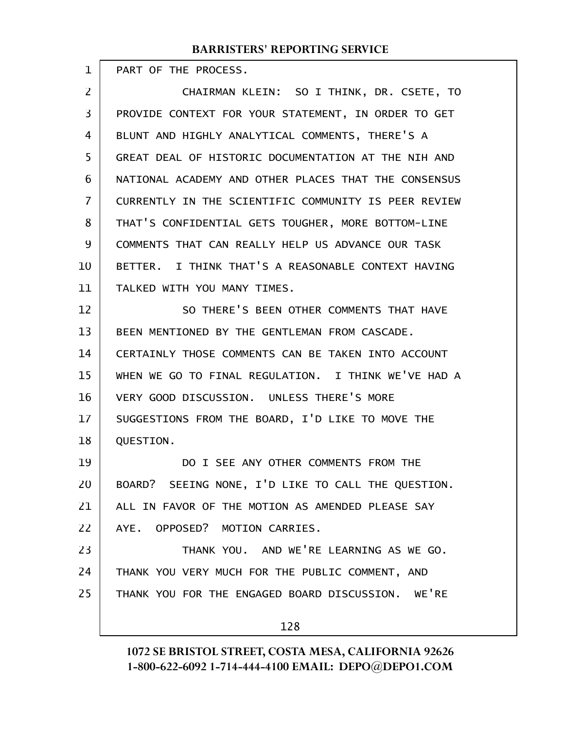PART OF THE PROCESS. 1

CHAIRMAN KLEIN: SO I THINK, DR. CSETE, TO PROVIDE CONTEXT FOR YOUR STATEMENT, IN ORDER TO GET BLUNT AND HIGHLY ANALYTICAL COMMENTS, THERE'S A GREAT DEAL OF HISTORIC DOCUMENTATION AT THE NIH AND NATIONAL ACADEMY AND OTHER PLACES THAT THE CONSENSUS CURRENTLY IN THE SCIENTIFIC COMMUNITY IS PEER REVIEW THAT'S CONFIDENTIAL GETS TOUGHER, MORE BOTTOM-LINE COMMENTS THAT CAN REALLY HELP US ADVANCE OUR TASK BETTER. I THINK THAT'S A REASONABLE CONTEXT HAVING TALKED WITH YOU MANY TIMES. SO THERE'S BEEN OTHER COMMENTS THAT HAVE BEEN MENTIONED BY THE GENTLEMAN FROM CASCADE. CERTAINLY THOSE COMMENTS CAN BE TAKEN INTO ACCOUNT WHEN WE GO TO FINAL REGULATION. I THINK WE'VE HAD A 2 3 4 5 6 7 8 9 10 11 12 13 14 15

VERY GOOD DISCUSSION. UNLESS THERE'S MORE SUGGESTIONS FROM THE BOARD, I'D LIKE TO MOVE THE QUESTION. 16 17 18

DO I SEE ANY OTHER COMMENTS FROM THE BOARD? SEEING NONE, I'D LIKE TO CALL THE QUESTION. ALL IN FAVOR OF THE MOTION AS AMENDED PLEASE SAY AYE. OPPOSED? MOTION CARRIES. THANK YOU. AND WE'RE LEARNING AS WE GO. THANK YOU VERY MUCH FOR THE PUBLIC COMMENT, AND 19 20 21 22 23 24

THANK YOU FOR THE ENGAGED BOARD DISCUSSION. WE'RE 25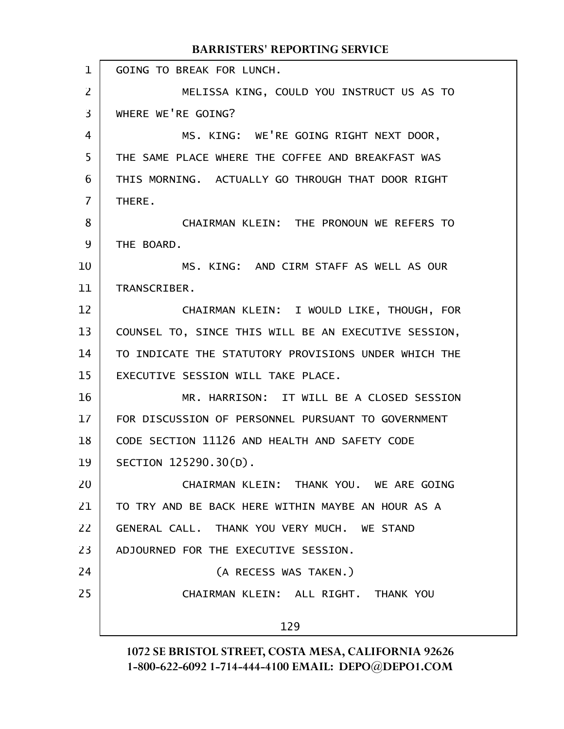| $\mathbf 1$    | GOING TO BREAK FOR LUNCH.                            |
|----------------|------------------------------------------------------|
| 2              | MELISSA KING, COULD YOU INSTRUCT US AS TO            |
| $\overline{3}$ | WHERE WE'RE GOING?                                   |
| 4              | MS. KING: WE'RE GOING RIGHT NEXT DOOR,               |
| 5              | THE SAME PLACE WHERE THE COFFEE AND BREAKFAST WAS    |
| 6              | THIS MORNING. ACTUALLY GO THROUGH THAT DOOR RIGHT    |
| $\overline{7}$ | THERE.                                               |
| 8              | CHAIRMAN KLEIN: THE PRONOUN WE REFERS TO             |
| 9              | THE BOARD.                                           |
| 10             | MS. KING: AND CIRM STAFF AS WELL AS OUR              |
| 11             | TRANSCRIBER.                                         |
| 12             | CHAIRMAN KLEIN: I WOULD LIKE, THOUGH, FOR            |
| 13             | COUNSEL TO, SINCE THIS WILL BE AN EXECUTIVE SESSION, |
| 14             | TO INDICATE THE STATUTORY PROVISIONS UNDER WHICH THE |
| 15             | EXECUTIVE SESSION WILL TAKE PLACE.                   |
| 16             | MR. HARRISON: IT WILL BE A CLOSED SESSION            |
| 17             | FOR DISCUSSION OF PERSONNEL PURSUANT TO GOVERNMENT   |
| 18             | CODE SECTION 11126 AND HEALTH AND SAFETY CODE        |
| 19             | SECTION 125290.30(D).                                |
| 20             | CHAIRMAN KLEIN: THANK YOU. WE ARE GOING              |
| 21             | TO TRY AND BE BACK HERE WITHIN MAYBE AN HOUR AS A    |
| 22             | GENERAL CALL. THANK YOU VERY MUCH. WE STAND          |
| 23             | ADJOURNED FOR THE EXECUTIVE SESSION.                 |
| 24             | (A RECESS WAS TAKEN.)                                |
| 25             | CHAIRMAN KLEIN: ALL RIGHT. THANK YOU                 |
|                | 129                                                  |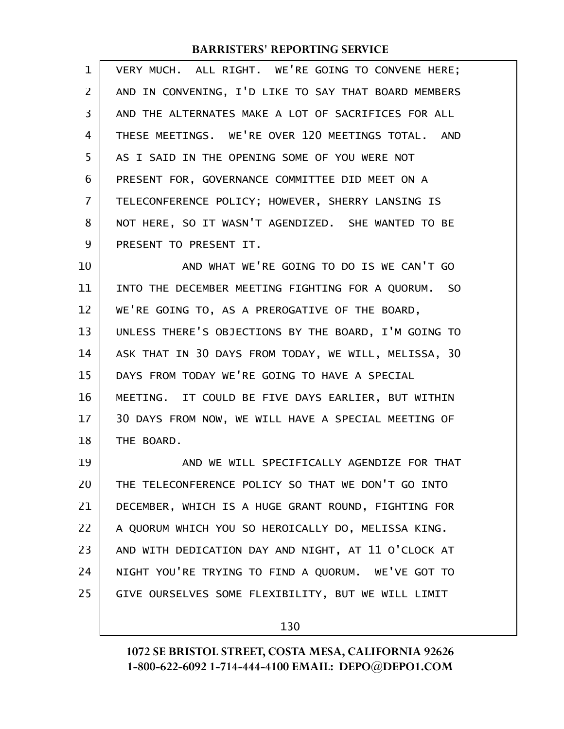| $\mathbf{1}$   | VERY MUCH. ALL RIGHT. WE'RE GOING TO CONVENE HERE;   |
|----------------|------------------------------------------------------|
| $\overline{2}$ | AND IN CONVENING, I'D LIKE TO SAY THAT BOARD MEMBERS |
| $\overline{3}$ | AND THE ALTERNATES MAKE A LOT OF SACRIFICES FOR ALL  |
| 4              | THESE MEETINGS. WE'RE OVER 120 MEETINGS TOTAL. AND   |
| 5              | AS I SAID IN THE OPENING SOME OF YOU WERE NOT        |
| 6              | PRESENT FOR, GOVERNANCE COMMITTEE DID MEET ON A      |
| $\overline{7}$ | TELECONFERENCE POLICY; HOWEVER, SHERRY LANSING IS    |
| 8              | NOT HERE, SO IT WASN'T AGENDIZED. SHE WANTED TO BE   |
| 9              | PRESENT TO PRESENT IT.                               |

AND WHAT WE'RE GOING TO DO IS WE CAN'T GO INTO THE DECEMBER MEETING FIGHTING FOR A QUORUM. SO WE'RE GOING TO, AS A PREROGATIVE OF THE BOARD, UNLESS THERE'S OBJECTIONS BY THE BOARD, I'M GOING TO ASK THAT IN 30 DAYS FROM TODAY, WE WILL, MELISSA, 30 DAYS FROM TODAY WE'RE GOING TO HAVE A SPECIAL MEETING. IT COULD BE FIVE DAYS EARLIER, BUT WITHIN 30 DAYS FROM NOW, WE WILL HAVE A SPECIAL MEETING OF THE BOARD. 10 11 12 13 14 15 16 17 18

AND WE WILL SPECIFICALLY AGENDIZE FOR THAT THE TELECONFERENCE POLICY SO THAT WE DON'T GO INTO DECEMBER, WHICH IS A HUGE GRANT ROUND, FIGHTING FOR A QUORUM WHICH YOU SO HEROICALLY DO, MELISSA KING. AND WITH DEDICATION DAY AND NIGHT, AT 11 O'CLOCK AT NIGHT YOU'RE TRYING TO FIND A QUORUM. WE'VE GOT TO GIVE OURSELVES SOME FLEXIBILITY, BUT WE WILL LIMIT 19 20 21 22 23 24 25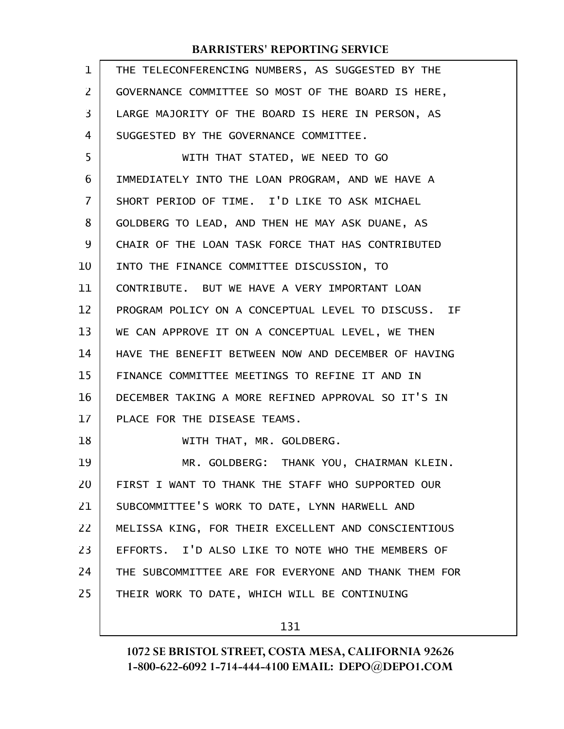| $\mathbf 1$ | THE TELECONFERENCING NUMBERS, AS SUGGESTED BY THE    |
|-------------|------------------------------------------------------|
| 2           | GOVERNANCE COMMITTEE SO MOST OF THE BOARD IS HERE,   |
| 3           | LARGE MAJORITY OF THE BOARD IS HERE IN PERSON, AS    |
| 4           | SUGGESTED BY THE GOVERNANCE COMMITTEE.               |
| 5           | WITH THAT STATED, WE NEED TO GO                      |
| 6           | IMMEDIATELY INTO THE LOAN PROGRAM, AND WE HAVE A     |
| 7           | SHORT PERIOD OF TIME. I'D LIKE TO ASK MICHAEL        |
| 8           | GOLDBERG TO LEAD, AND THEN HE MAY ASK DUANE, AS      |
| 9           | CHAIR OF THE LOAN TASK FORCE THAT HAS CONTRIBUTED    |
| 10          | INTO THE FINANCE COMMITTEE DISCUSSION, TO            |
| 11          | CONTRIBUTE. BUT WE HAVE A VERY IMPORTANT LOAN        |
| 12          | PROGRAM POLICY ON A CONCEPTUAL LEVEL TO DISCUSS. IF  |
| 13          | WE CAN APPROVE IT ON A CONCEPTUAL LEVEL, WE THEN     |
| 14          | HAVE THE BENEFIT BETWEEN NOW AND DECEMBER OF HAVING  |
| 15          | FINANCE COMMITTEE MEETINGS TO REFINE IT AND IN       |
| 16          | DECEMBER TAKING A MORE REFINED APPROVAL SO IT'S IN   |
| 17          | PLACE FOR THE DISEASE TEAMS.                         |
| 18          | WITH THAT, MR. GOLDBERG.                             |
| 19          | MR. GOLDBERG: THANK YOU, CHAIRMAN KLEIN.             |
| 20          | FIRST I WANT TO THANK THE STAFF WHO SUPPORTED OUR    |
| 21          | SUBCOMMITTEE'S WORK TO DATE, LYNN HARWELL AND        |
| 22          | MELISSA KING, FOR THEIR EXCELLENT AND CONSCIENTIOUS  |
| 23          | EFFORTS. I'D ALSO LIKE TO NOTE WHO THE MEMBERS OF    |
| 24          | THE SUBCOMMITTEE ARE FOR EVERYONE AND THANK THEM FOR |
| 25          | THEIR WORK TO DATE, WHICH WILL BE CONTINUING         |
|             |                                                      |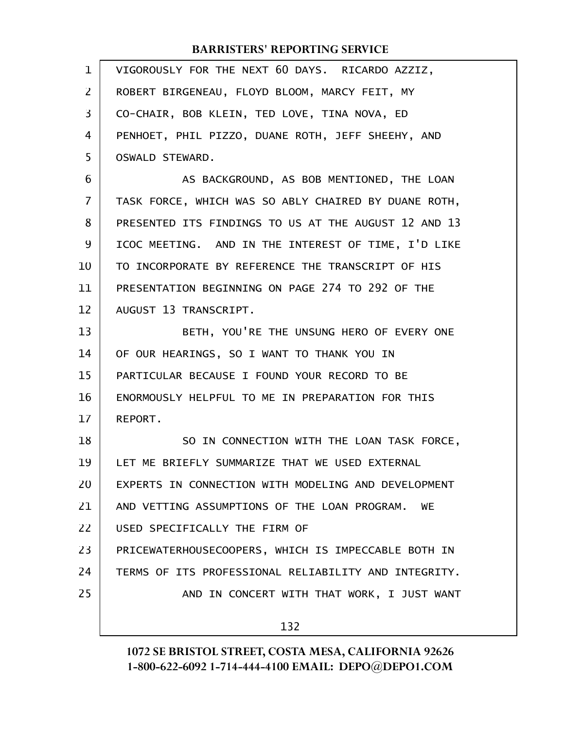| $\mathbf{1}$   | VIGOROUSLY FOR THE NEXT 60 DAYS. RICARDO AZZIZ,      |
|----------------|------------------------------------------------------|
| $\overline{2}$ | ROBERT BIRGENEAU, FLOYD BLOOM, MARCY FEIT, MY        |
| 3              | CO-CHAIR, BOB KLEIN, TED LOVE, TINA NOVA, ED         |
| 4              | PENHOET, PHIL PIZZO, DUANE ROTH, JEFF SHEEHY, AND    |
| 5              | OSWALD STEWARD.                                      |
| 6              | AS BACKGROUND, AS BOB MENTIONED, THE LOAN            |
| 7              | TASK FORCE, WHICH WAS SO ABLY CHAIRED BY DUANE ROTH, |
| 8              | PRESENTED ITS FINDINGS TO US AT THE AUGUST 12 AND 13 |
| 9              | ICOC MEETING. AND IN THE INTEREST OF TIME, I'D LIKE  |
| 10             | TO INCORPORATE BY REFERENCE THE TRANSCRIPT OF HIS    |
| 11             | PRESENTATION BEGINNING ON PAGE 274 TO 292 OF THE     |
| 12             | AUGUST 13 TRANSCRIPT.                                |
| 13             | BETH, YOU'RE THE UNSUNG HERO OF EVERY ONE            |
| 14             | OF OUR HEARINGS, SO I WANT TO THANK YOU IN           |
| 15             | PARTICULAR BECAUSE I FOUND YOUR RECORD TO BE         |
| 16             | ENORMOUSLY HELPFUL TO ME IN PREPARATION FOR THIS     |
| 17             | REPORT.                                              |
| 18             | SO IN CONNECTION WITH THE LOAN TASK FORCE,           |
| 19             | LET ME BRIEFLY SUMMARIZE THAT WE USED EXTERNAL       |
| 20             | EXPERTS IN CONNECTION WITH MODELING AND DEVELOPMENT  |
| 21             | AND VETTING ASSUMPTIONS OF THE LOAN PROGRAM. WE      |
| 22             | USED SPECIFICALLY THE FIRM OF                        |
| 23             | PRICEWATERHOUSECOOPERS, WHICH IS IMPECCABLE BOTH IN  |
| 24             | TERMS OF ITS PROFESSIONAL RELIABILITY AND INTEGRITY. |
| 25             | AND IN CONCERT WITH THAT WORK, I JUST WANT           |
|                | 132                                                  |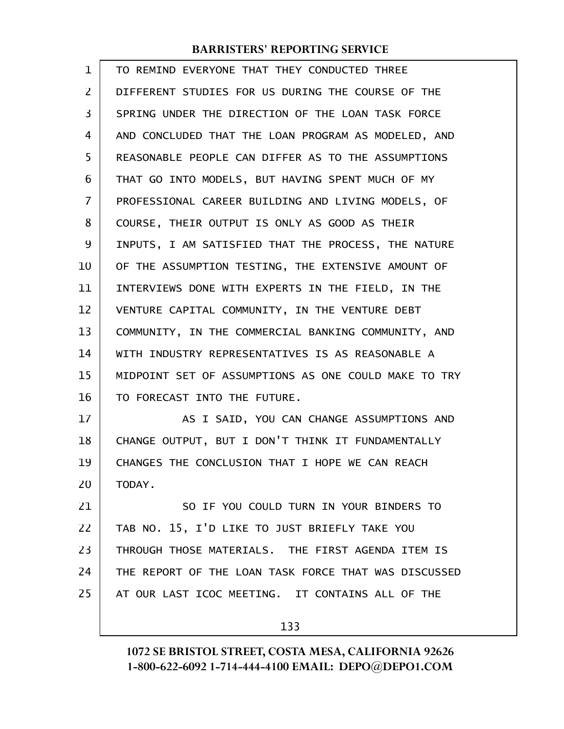| 1                 | TO REMIND EVERYONE THAT THEY CONDUCTED THREE         |
|-------------------|------------------------------------------------------|
| $\overline{2}$    | DIFFERENT STUDIES FOR US DURING THE COURSE OF THE    |
| 3                 | SPRING UNDER THE DIRECTION OF THE LOAN TASK FORCE    |
| 4                 | AND CONCLUDED THAT THE LOAN PROGRAM AS MODELED, AND  |
| 5                 | REASONABLE PEOPLE CAN DIFFER AS TO THE ASSUMPTIONS   |
| 6                 | THAT GO INTO MODELS, BUT HAVING SPENT MUCH OF MY     |
| 7                 | PROFESSIONAL CAREER BUILDING AND LIVING MODELS, OF   |
| 8                 | COURSE, THEIR OUTPUT IS ONLY AS GOOD AS THEIR        |
| 9                 | INPUTS, I AM SATISFIED THAT THE PROCESS, THE NATURE  |
| 10                | OF THE ASSUMPTION TESTING, THE EXTENSIVE AMOUNT OF   |
| 11                | INTERVIEWS DONE WITH EXPERTS IN THE FIELD, IN THE    |
| $12 \overline{ }$ | VENTURE CAPITAL COMMUNITY, IN THE VENTURE DEBT       |
| 13                | COMMUNITY, IN THE COMMERCIAL BANKING COMMUNITY, AND  |
| 14                | WITH INDUSTRY REPRESENTATIVES IS AS REASONABLE A     |
| 15                | MIDPOINT SET OF ASSUMPTIONS AS ONE COULD MAKE TO TRY |
| 16                | TO FORECAST INTO THE FUTURE.                         |
| 17                | AS I SAID, YOU CAN CHANGE ASSUMPTIONS AND            |
| 18                | CHANGE OUTPUT, BUT I DON'T THINK IT FUNDAMENTALLY    |
| 19                | CHANGES THE CONCLUSION THAT I HOPE WE CAN REACH      |
| 20                | TODAY.                                               |
| 21                | SO IF YOU COULD TURN IN YOUR BINDERS TO              |
| 22                | TAB NO. 15, I'D LIKE TO JUST BRIEFLY TAKE YOU        |
| 23                | THROUGH THOSE MATERIALS. THE FIRST AGENDA ITEM IS    |
| 24                | THE REPORT OF THE LOAN TASK FORCE THAT WAS DISCUSSED |
| 25                | AT OUR LAST ICOC MEETING. IT CONTAINS ALL OF THE     |
|                   |                                                      |

133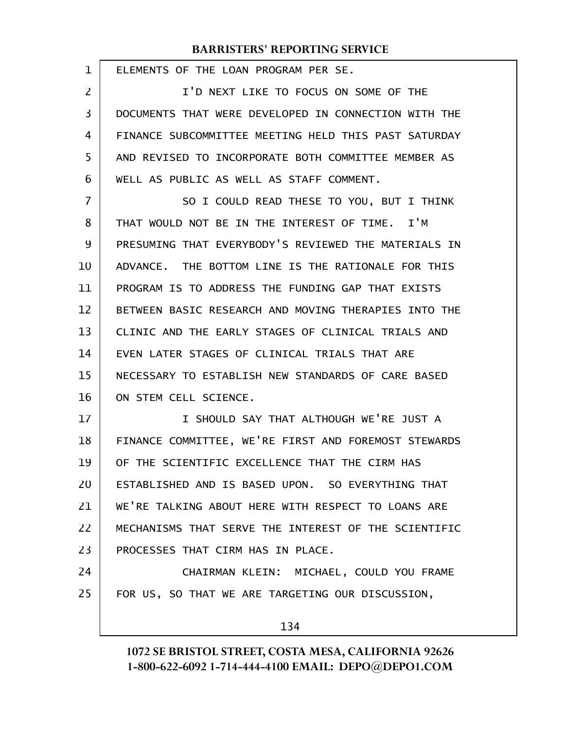| 1  | ELEMENTS OF THE LOAN PROGRAM PER SE.                 |
|----|------------------------------------------------------|
| 2  | I'D NEXT LIKE TO FOCUS ON SOME OF THE                |
| 3  | DOCUMENTS THAT WERE DEVELOPED IN CONNECTION WITH THE |
| 4  | FINANCE SUBCOMMITTEE MEETING HELD THIS PAST SATURDAY |
| 5  | AND REVISED TO INCORPORATE BOTH COMMITTEE MEMBER AS  |
| 6  | WELL AS PUBLIC AS WELL AS STAFF COMMENT.             |
| 7  | SO I COULD READ THESE TO YOU, BUT I THINK            |
| 8  | THAT WOULD NOT BE IN THE INTEREST OF TIME. I'M       |
| 9  | PRESUMING THAT EVERYBODY'S REVIEWED THE MATERIALS IN |
| 10 | ADVANCE. THE BOTTOM LINE IS THE RATIONALE FOR THIS   |
| 11 | PROGRAM IS TO ADDRESS THE FUNDING GAP THAT EXISTS    |
| 12 | BETWEEN BASIC RESEARCH AND MOVING THERAPIES INTO THE |
| 13 | CLINIC AND THE EARLY STAGES OF CLINICAL TRIALS AND   |
| 14 | EVEN LATER STAGES OF CLINICAL TRIALS THAT ARE        |
| 15 | NECESSARY TO ESTABLISH NEW STANDARDS OF CARE BASED   |
| 16 | ON STEM CELL SCIENCE.                                |
| 17 | I SHOULD SAY THAT ALTHOUGH WE'RE JUST A              |
| 18 | FINANCE COMMITTEE, WE'RE FIRST AND FOREMOST STEWARDS |
| 19 | OF THE SCIENTIFIC EXCELLENCE THAT THE CIRM HAS       |
| 20 | ESTABLISHED AND IS BASED UPON. SO EVERYTHING THAT    |
| 21 | WE'RE TALKING ABOUT HERE WITH RESPECT TO LOANS ARE   |
| 22 | MECHANISMS THAT SERVE THE INTEREST OF THE SCIENTIFIC |
| 23 | PROCESSES THAT CIRM HAS IN PLACE.                    |
| 24 | CHAIRMAN KLEIN: MICHAEL, COULD YOU FRAME             |
| 25 | FOR US, SO THAT WE ARE TARGETING OUR DISCUSSION,     |
|    | 134                                                  |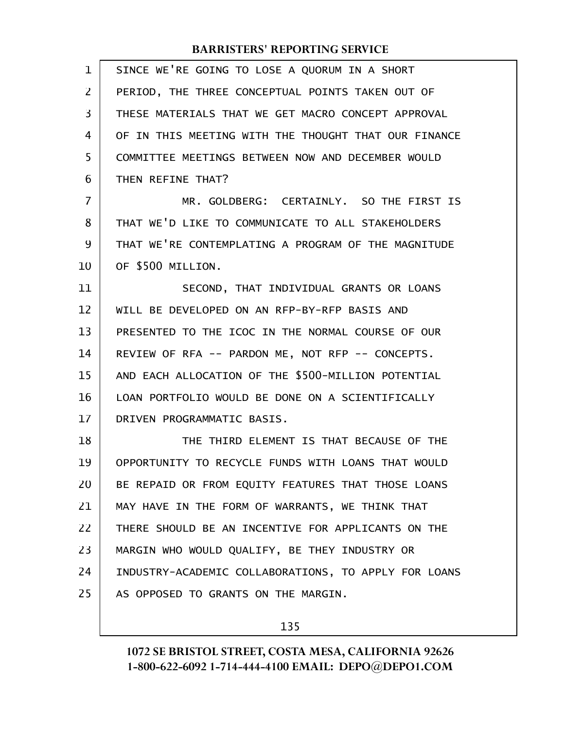| $\mathbf 1$    | SINCE WE'RE GOING TO LOSE A QUORUM IN A SHORT        |
|----------------|------------------------------------------------------|
| $\overline{2}$ | PERIOD, THE THREE CONCEPTUAL POINTS TAKEN OUT OF     |
| 3              | THESE MATERIALS THAT WE GET MACRO CONCEPT APPROVAL   |
| 4              | OF IN THIS MEETING WITH THE THOUGHT THAT OUR FINANCE |
| 5              | COMMITTEE MEETINGS BETWEEN NOW AND DECEMBER WOULD    |
| 6              | THEN REFINE THAT?                                    |
| $\overline{7}$ | MR. GOLDBERG: CERTAINLY. SO THE FIRST IS             |
| 8              | THAT WE'D LIKE TO COMMUNICATE TO ALL STAKEHOLDERS    |
| 9              | THAT WE'RE CONTEMPLATING A PROGRAM OF THE MAGNITUDE  |
| 10             | OF \$500 MILLION.                                    |
| 11             | SECOND, THAT INDIVIDUAL GRANTS OR LOANS              |
| 12             | WILL BE DEVELOPED ON AN RFP-BY-RFP BASIS AND         |
| 13             | PRESENTED TO THE ICOC IN THE NORMAL COURSE OF OUR    |
| 14             | REVIEW OF RFA -- PARDON ME, NOT RFP -- CONCEPTS.     |
| 15             | AND EACH ALLOCATION OF THE \$500-MILLION POTENTIAL   |
| 16             | LOAN PORTFOLIO WOULD BE DONE ON A SCIENTIFICALLY     |
| 17             | DRIVEN PROGRAMMATIC BASIS.                           |
| 18             | THE THIRD ELEMENT IS THAT BECAUSE OF THE             |
| 19             | OPPORTUNITY TO RECYCLE FUNDS WITH LOANS THAT WOULD   |
| 20             | BE REPAID OR FROM EQUITY FEATURES THAT THOSE LOANS   |
| 21             | MAY HAVE IN THE FORM OF WARRANTS, WE THINK THAT      |
| 22             | THERE SHOULD BE AN INCENTIVE FOR APPLICANTS ON THE   |
| 23             | MARGIN WHO WOULD QUALIFY, BE THEY INDUSTRY OR        |
| 24             | INDUSTRY-ACADEMIC COLLABORATIONS, TO APPLY FOR LOANS |
| 25             | AS OPPOSED TO GRANTS ON THE MARGIN.                  |
|                |                                                      |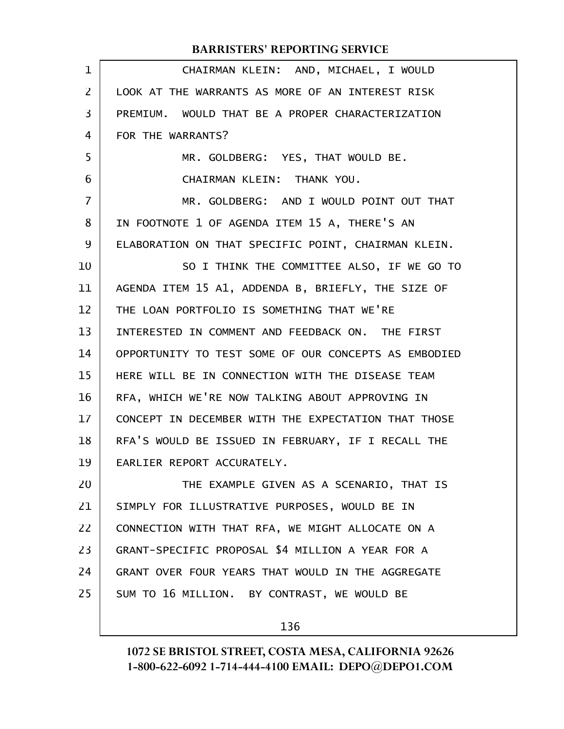| CHAIRMAN KLEIN: AND, MICHAEL, I WOULD                |
|------------------------------------------------------|
| LOOK AT THE WARRANTS AS MORE OF AN INTEREST RISK     |
| PREMIUM. WOULD THAT BE A PROPER CHARACTERIZATION     |
| FOR THE WARRANTS?                                    |
| MR. GOLDBERG: YES, THAT WOULD BE.                    |
| CHAIRMAN KLEIN: THANK YOU.                           |
| MR. GOLDBERG: AND I WOULD POINT OUT THAT             |
| IN FOOTNOTE 1 OF AGENDA ITEM 15 A, THERE'S AN        |
| ELABORATION ON THAT SPECIFIC POINT, CHAIRMAN KLEIN.  |
| SO I THINK THE COMMITTEE ALSO, IF WE GO TO           |
| AGENDA ITEM 15 A1, ADDENDA B, BRIEFLY, THE SIZE OF   |
| THE LOAN PORTFOLIO IS SOMETHING THAT WE'RE           |
| INTERESTED IN COMMENT AND FEEDBACK ON. THE FIRST     |
| OPPORTUNITY TO TEST SOME OF OUR CONCEPTS AS EMBODIED |
| HERE WILL BE IN CONNECTION WITH THE DISEASE TEAM     |
| RFA, WHICH WE'RE NOW TALKING ABOUT APPROVING IN      |
| CONCEPT IN DECEMBER WITH THE EXPECTATION THAT THOSE  |
| RFA'S WOULD BE ISSUED IN FEBRUARY, IF I RECALL THE   |
| EARLIER REPORT ACCURATELY.                           |
| THE EXAMPLE GIVEN AS A SCENARIO, THAT IS             |
| SIMPLY FOR ILLUSTRATIVE PURPOSES, WOULD BE IN        |
| CONNECTION WITH THAT RFA, WE MIGHT ALLOCATE ON A     |
| GRANT-SPECIFIC PROPOSAL \$4 MILLION A YEAR FOR A     |
| GRANT OVER FOUR YEARS THAT WOULD IN THE AGGREGATE    |
| SUM TO 16 MILLION. BY CONTRAST, WE WOULD BE          |
|                                                      |

136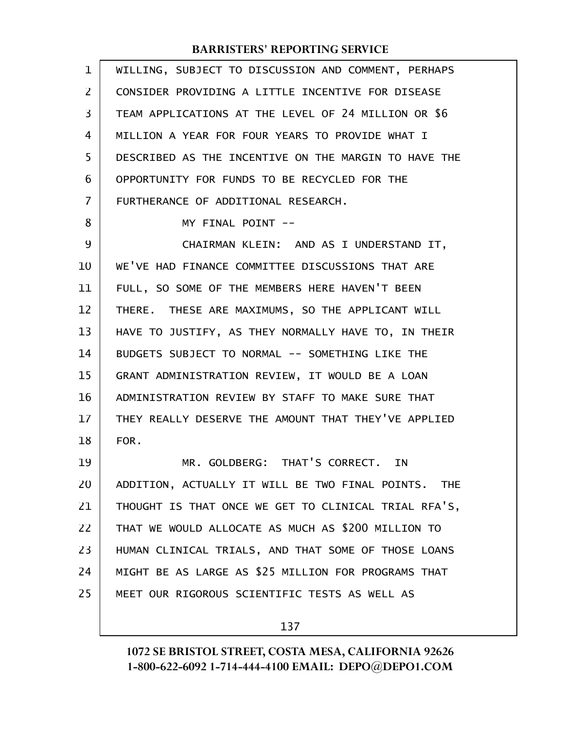| $\mathbf 1$       | WILLING, SUBJECT TO DISCUSSION AND COMMENT, PERHAPS  |
|-------------------|------------------------------------------------------|
| 2                 | CONSIDER PROVIDING A LITTLE INCENTIVE FOR DISEASE    |
| 3                 | TEAM APPLICATIONS AT THE LEVEL OF 24 MILLION OR \$6  |
| 4                 | MILLION A YEAR FOR FOUR YEARS TO PROVIDE WHAT I      |
| 5                 | DESCRIBED AS THE INCENTIVE ON THE MARGIN TO HAVE THE |
| 6                 | OPPORTUNITY FOR FUNDS TO BE RECYCLED FOR THE         |
| 7                 | FURTHERANCE OF ADDITIONAL RESEARCH.                  |
| 8                 | MY FINAL POINT --                                    |
| 9                 | CHAIRMAN KLEIN: AND AS I UNDERSTAND IT,              |
| 10                | WE'VE HAD FINANCE COMMITTEE DISCUSSIONS THAT ARE     |
| 11                | FULL, SO SOME OF THE MEMBERS HERE HAVEN'T BEEN       |
| $12 \overline{ }$ | THERE. THESE ARE MAXIMUMS, SO THE APPLICANT WILL     |
| 13                | HAVE TO JUSTIFY, AS THEY NORMALLY HAVE TO, IN THEIR  |
| 14                | BUDGETS SUBJECT TO NORMAL -- SOMETHING LIKE THE      |
| 15                | GRANT ADMINISTRATION REVIEW, IT WOULD BE A LOAN      |
| 16                | ADMINISTRATION REVIEW BY STAFF TO MAKE SURE THAT     |
| 17                | THEY REALLY DESERVE THE AMOUNT THAT THEY'VE APPLIED  |
| 18                | FOR.                                                 |
| 19                | MR. GOLDBERG: THAT'S CORRECT. IN                     |
| 20                | ADDITION, ACTUALLY IT WILL BE TWO FINAL POINTS. THE  |
| 21                | THOUGHT IS THAT ONCE WE GET TO CLINICAL TRIAL RFA'S, |
| 22                | THAT WE WOULD ALLOCATE AS MUCH AS \$200 MILLION TO   |
| 23                | HUMAN CLINICAL TRIALS, AND THAT SOME OF THOSE LOANS  |
| 24                | MIGHT BE AS LARGE AS \$25 MILLION FOR PROGRAMS THAT  |
| 25                | MEET OUR RIGOROUS SCIENTIFIC TESTS AS WELL AS        |
|                   |                                                      |

137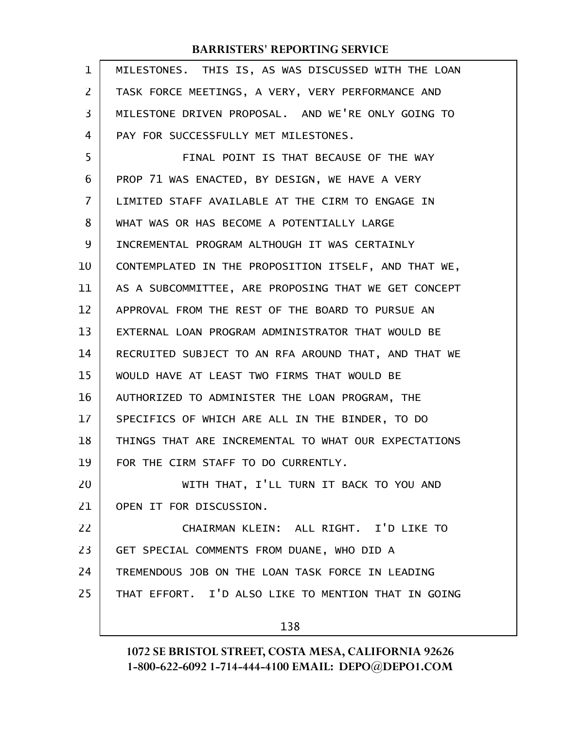| $\mathbf 1$       | MILESTONES. THIS IS, AS WAS DISCUSSED WITH THE LOAN  |
|-------------------|------------------------------------------------------|
| 2                 | TASK FORCE MEETINGS, A VERY, VERY PERFORMANCE AND    |
| 3                 | MILESTONE DRIVEN PROPOSAL. AND WE'RE ONLY GOING TO   |
| 4                 | PAY FOR SUCCESSFULLY MET MILESTONES.                 |
| 5                 | FINAL POINT IS THAT BECAUSE OF THE WAY               |
| 6                 | PROP 71 WAS ENACTED, BY DESIGN, WE HAVE A VERY       |
| 7                 | LIMITED STAFF AVAILABLE AT THE CIRM TO ENGAGE IN     |
| 8                 | WHAT WAS OR HAS BECOME A POTENTIALLY LARGE           |
| 9                 | INCREMENTAL PROGRAM ALTHOUGH IT WAS CERTAINLY        |
| 10                | CONTEMPLATED IN THE PROPOSITION ITSELF, AND THAT WE, |
| 11                | AS A SUBCOMMITTEE, ARE PROPOSING THAT WE GET CONCEPT |
| $12 \overline{ }$ | APPROVAL FROM THE REST OF THE BOARD TO PURSUE AN     |
| 13                | EXTERNAL LOAN PROGRAM ADMINISTRATOR THAT WOULD BE    |
| 14                | RECRUITED SUBJECT TO AN RFA AROUND THAT, AND THAT WE |
| 15                | WOULD HAVE AT LEAST TWO FIRMS THAT WOULD BE          |
| 16                | AUTHORIZED TO ADMINISTER THE LOAN PROGRAM, THE       |
| 17                | SPECIFICS OF WHICH ARE ALL IN THE BINDER, TO DO      |
| 18                | THINGS THAT ARE INCREMENTAL TO WHAT OUR EXPECTATIONS |
| 19                | FOR THE CIRM STAFF TO DO CURRENTLY.                  |
| 20                | WITH THAT, I'LL TURN IT BACK TO YOU AND              |
| 21                | OPEN IT FOR DISCUSSION.                              |
| 22                | CHAIRMAN KLEIN: ALL RIGHT. I'D LIKE TO               |
| 23                | GET SPECIAL COMMENTS FROM DUANE, WHO DID A           |
| 24                | TREMENDOUS JOB ON THE LOAN TASK FORCE IN LEADING     |
| 25                | THAT EFFORT. I'D ALSO LIKE TO MENTION THAT IN GOING  |
|                   | 138                                                  |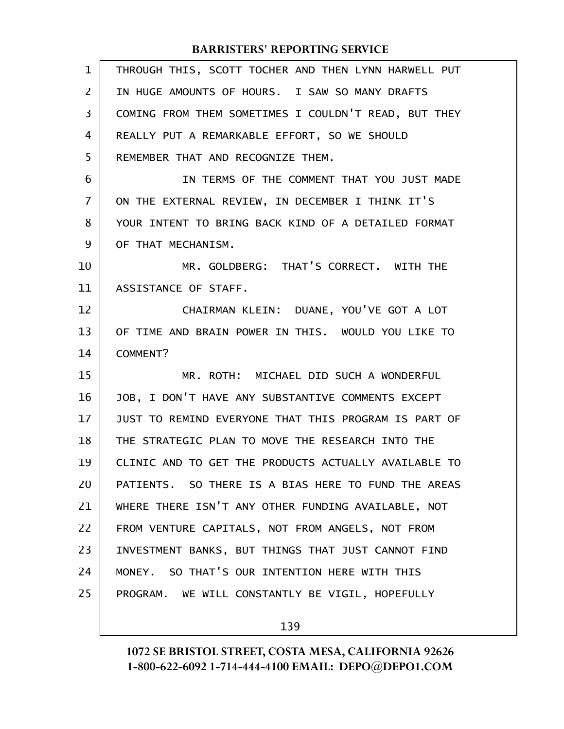| $\mathbf 1$    | THROUGH THIS, SCOTT TOCHER AND THEN LYNN HARWELL PUT |
|----------------|------------------------------------------------------|
| $\overline{2}$ | IN HUGE AMOUNTS OF HOURS. I SAW SO MANY DRAFTS       |
| 3              | COMING FROM THEM SOMETIMES I COULDN'T READ, BUT THEY |
| 4              | REALLY PUT A REMARKABLE EFFORT, SO WE SHOULD         |
| 5              | REMEMBER THAT AND RECOGNIZE THEM.                    |
| 6              | IN TERMS OF THE COMMENT THAT YOU JUST MADE           |
| $\overline{7}$ | ON THE EXTERNAL REVIEW, IN DECEMBER I THINK IT'S     |
| 8              | YOUR INTENT TO BRING BACK KIND OF A DETAILED FORMAT  |
| 9              | OF THAT MECHANISM.                                   |
| 10             | MR. GOLDBERG: THAT'S CORRECT. WITH THE               |
| 11             | ASSISTANCE OF STAFF.                                 |
| 12             | CHAIRMAN KLEIN: DUANE, YOU'VE GOT A LOT              |
| 13             | OF TIME AND BRAIN POWER IN THIS. WOULD YOU LIKE TO   |
|                |                                                      |
| 14             | COMMENT?                                             |
| 15             | MR. ROTH: MICHAEL DID SUCH A WONDERFUL               |
| 16             | JOB, I DON'T HAVE ANY SUBSTANTIVE COMMENTS EXCEPT    |
| 17             | JUST TO REMIND EVERYONE THAT THIS PROGRAM IS PART OF |
| 18             | THE STRATEGIC PLAN TO MOVE THE RESEARCH INTO THE     |
| 19             | CLINIC AND TO GET THE PRODUCTS ACTUALLY AVAILABLE TO |
| 20             | PATIENTS. SO THERE IS A BIAS HERE TO FUND THE AREAS  |
| 21             | WHERE THERE ISN'T ANY OTHER FUNDING AVAILABLE, NOT   |
| 22             | FROM VENTURE CAPITALS, NOT FROM ANGELS, NOT FROM     |
| 23             | INVESTMENT BANKS, BUT THINGS THAT JUST CANNOT FIND   |
| 24             | MONEY. SO THAT'S OUR INTENTION HERE WITH THIS        |
| 25             | PROGRAM. WE WILL CONSTANTLY BE VIGIL, HOPEFULLY      |

139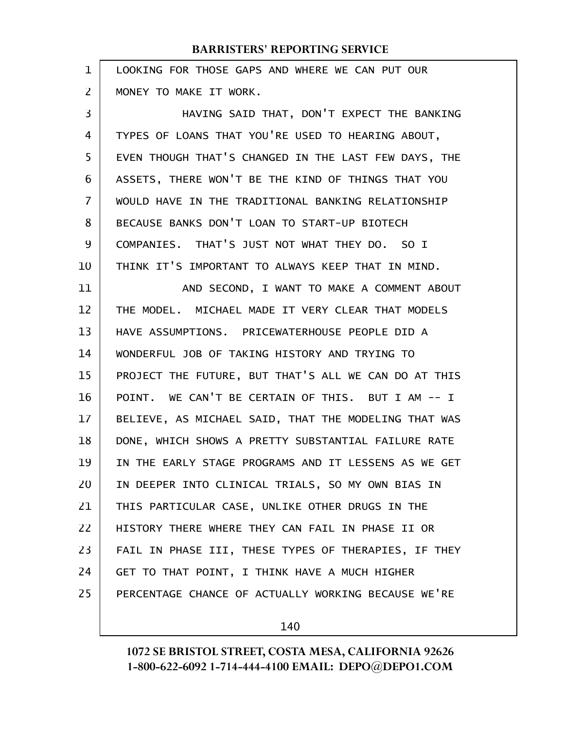| 1              | LOOKING FOR THOSE GAPS AND WHERE WE CAN PUT OUR      |
|----------------|------------------------------------------------------|
| 2              | MONEY TO MAKE IT WORK.                               |
| 3              | HAVING SAID THAT, DON'T EXPECT THE BANKING           |
| 4              | TYPES OF LOANS THAT YOU'RE USED TO HEARING ABOUT,    |
| 5              | EVEN THOUGH THAT'S CHANGED IN THE LAST FEW DAYS, THE |
| 6              | ASSETS, THERE WON'T BE THE KIND OF THINGS THAT YOU   |
| $\overline{7}$ | WOULD HAVE IN THE TRADITIONAL BANKING RELATIONSHIP   |
| 8              | BECAUSE BANKS DON'T LOAN TO START-UP BIOTECH         |
| 9              | COMPANIES. THAT'S JUST NOT WHAT THEY DO. SO I        |
| 10             | THINK IT'S IMPORTANT TO ALWAYS KEEP THAT IN MIND.    |
| 11             | AND SECOND, I WANT TO MAKE A COMMENT ABOUT           |
| 12             | THE MODEL. MICHAEL MADE IT VERY CLEAR THAT MODELS    |
| 13             | HAVE ASSUMPTIONS. PRICEWATERHOUSE PEOPLE DID A       |
| 14             | WONDERFUL JOB OF TAKING HISTORY AND TRYING TO        |
| 15             | PROJECT THE FUTURE, BUT THAT'S ALL WE CAN DO AT THIS |
| 16             | POINT. WE CAN'T BE CERTAIN OF THIS. BUT I AM -- I    |
| 17             | BELIEVE, AS MICHAEL SAID, THAT THE MODELING THAT WAS |
| 18             | DONE, WHICH SHOWS A PRETTY SUBSTANTIAL FAILURE RATE  |
| 19             | IN THE EARLY STAGE PROGRAMS AND IT LESSENS AS WE GET |
| 20             | IN DEEPER INTO CLINICAL TRIALS, SO MY OWN BIAS IN    |
| 21             | THIS PARTICULAR CASE, UNLIKE OTHER DRUGS IN THE      |
| 22             | HISTORY THERE WHERE THEY CAN FAIL IN PHASE II OR     |
| 23             | FAIL IN PHASE III, THESE TYPES OF THERAPIES, IF THEY |
| 24             | GET TO THAT POINT, I THINK HAVE A MUCH HIGHER        |
| 25             | PERCENTAGE CHANCE OF ACTUALLY WORKING BECAUSE WE'RE  |
|                |                                                      |

140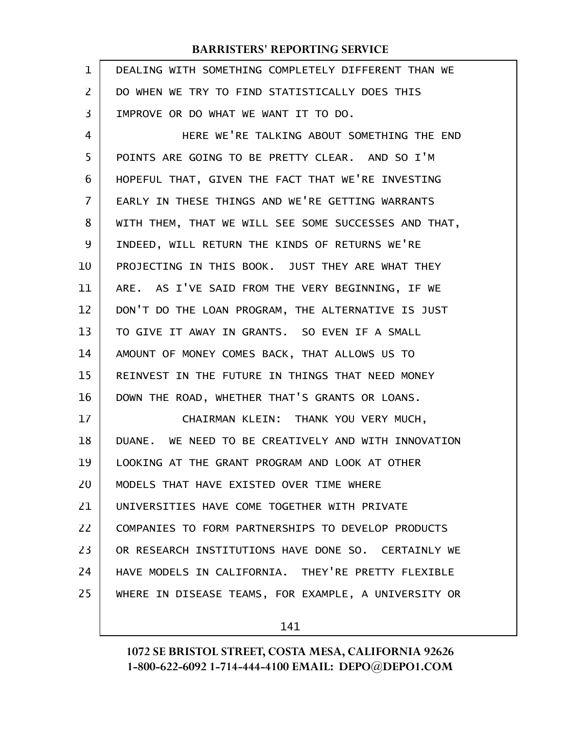| $\mathbf{1}$      | DEALING WITH SOMETHING COMPLETELY DIFFERENT THAN WE  |
|-------------------|------------------------------------------------------|
| $\overline{2}$    | DO WHEN WE TRY TO FIND STATISTICALLY DOES THIS       |
| 3                 | IMPROVE OR DO WHAT WE WANT IT TO DO.                 |
| 4                 | HERE WE'RE TALKING ABOUT SOMETHING THE END           |
| 5                 | POINTS ARE GOING TO BE PRETTY CLEAR. AND SO I'M      |
| 6                 | HOPEFUL THAT, GIVEN THE FACT THAT WE'RE INVESTING    |
| $\overline{7}$    | EARLY IN THESE THINGS AND WE'RE GETTING WARRANTS     |
| 8                 | WITH THEM, THAT WE WILL SEE SOME SUCCESSES AND THAT, |
| 9                 | INDEED, WILL RETURN THE KINDS OF RETURNS WE'RE       |
| 10                | PROJECTING IN THIS BOOK. JUST THEY ARE WHAT THEY     |
| 11                | ARE. AS I'VE SAID FROM THE VERY BEGINNING, IF WE     |
| $12 \overline{ }$ | DON'T DO THE LOAN PROGRAM, THE ALTERNATIVE IS JUST   |
| 13                | TO GIVE IT AWAY IN GRANTS. SO EVEN IF A SMALL        |
| 14                | AMOUNT OF MONEY COMES BACK, THAT ALLOWS US TO        |
| 15                | REINVEST IN THE FUTURE IN THINGS THAT NEED MONEY     |
| 16                | DOWN THE ROAD, WHETHER THAT'S GRANTS OR LOANS.       |
| 17                | CHAIRMAN KLEIN: THANK YOU VERY MUCH,                 |
| 18                | DUANE. WE NEED TO BE CREATIVELY AND WITH INNOVATION  |
| 19                | LOOKING AT THE GRANT PROGRAM AND LOOK AT OTHER       |
| 20                | MODELS THAT HAVE EXISTED OVER TIME WHERE             |
| 21                | UNIVERSITIES HAVE COME TOGETHER WITH PRIVATE         |
| 22                | COMPANIES TO FORM PARTNERSHIPS TO DEVELOP PRODUCTS   |
| 23                | OR RESEARCH INSTITUTIONS HAVE DONE SO. CERTAINLY WE  |
| 24                | HAVE MODELS IN CALIFORNIA. THEY'RE PRETTY FLEXIBLE   |
| 25                | WHERE IN DISEASE TEAMS, FOR EXAMPLE, A UNIVERSITY OR |
|                   |                                                      |

141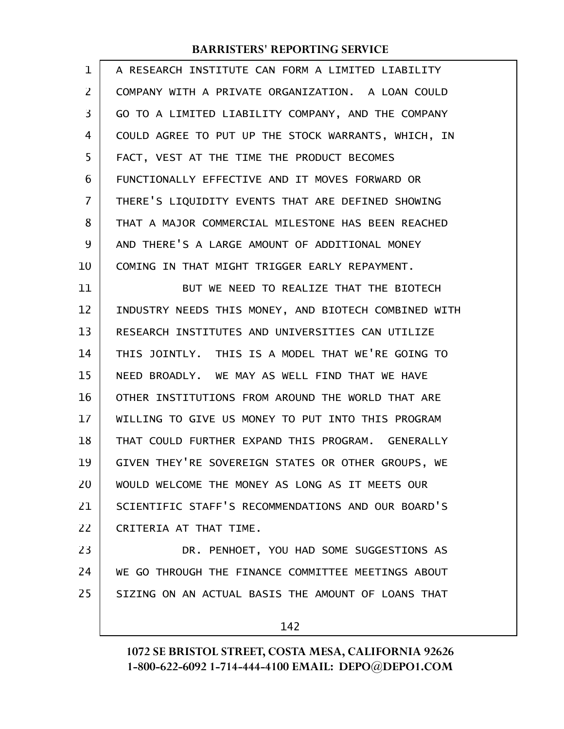| 1              | A RESEARCH INSTITUTE CAN FORM A LIMITED LIABILITY    |
|----------------|------------------------------------------------------|
| $\overline{2}$ | COMPANY WITH A PRIVATE ORGANIZATION. A LOAN COULD    |
| 3              | GO TO A LIMITED LIABILITY COMPANY, AND THE COMPANY   |
| 4              | COULD AGREE TO PUT UP THE STOCK WARRANTS, WHICH, IN  |
| 5              | FACT, VEST AT THE TIME THE PRODUCT BECOMES           |
| 6              | FUNCTIONALLY EFFECTIVE AND IT MOVES FORWARD OR       |
| $\overline{7}$ | THERE'S LIQUIDITY EVENTS THAT ARE DEFINED SHOWING    |
| 8              | THAT A MAJOR COMMERCIAL MILESTONE HAS BEEN REACHED   |
| 9              | AND THERE'S A LARGE AMOUNT OF ADDITIONAL MONEY       |
| 10             | COMING IN THAT MIGHT TRIGGER EARLY REPAYMENT.        |
| 11             | BUT WE NEED TO REALIZE THAT THE BIOTECH              |
| 12             | INDUSTRY NEEDS THIS MONEY, AND BIOTECH COMBINED WITH |
| 13             | RESEARCH INSTITUTES AND UNIVERSITIES CAN UTILIZE     |
| 14             | THIS JOINTLY. THIS IS A MODEL THAT WE'RE GOING TO    |
| 15             | NEED BROADLY. WE MAY AS WELL FIND THAT WE HAVE       |
| 16             | OTHER INSTITUTIONS FROM AROUND THE WORLD THAT ARE    |
| 17             | WILLING TO GIVE US MONEY TO PUT INTO THIS PROGRAM    |
| 18             | THAT COULD FURTHER EXPAND THIS PROGRAM. GENERALLY    |
| 19             | GIVEN THEY'RE SOVEREIGN STATES OR OTHER GROUPS, WE   |
| 20             | WOULD WELCOME THE MONEY AS LONG AS IT MEETS OUR      |
| 21             | SCIENTIFIC STAFF'S RECOMMENDATIONS AND OUR BOARD'S   |
| 22             | CRITERIA AT THAT TIME.                               |
| 23             | DR. PENHOET, YOU HAD SOME SUGGESTIONS AS             |
| 24             | WE GO THROUGH THE FINANCE COMMITTEE MEETINGS ABOUT   |
| 25             | SIZING ON AN ACTUAL BASIS THE AMOUNT OF LOANS THAT   |
|                | 142                                                  |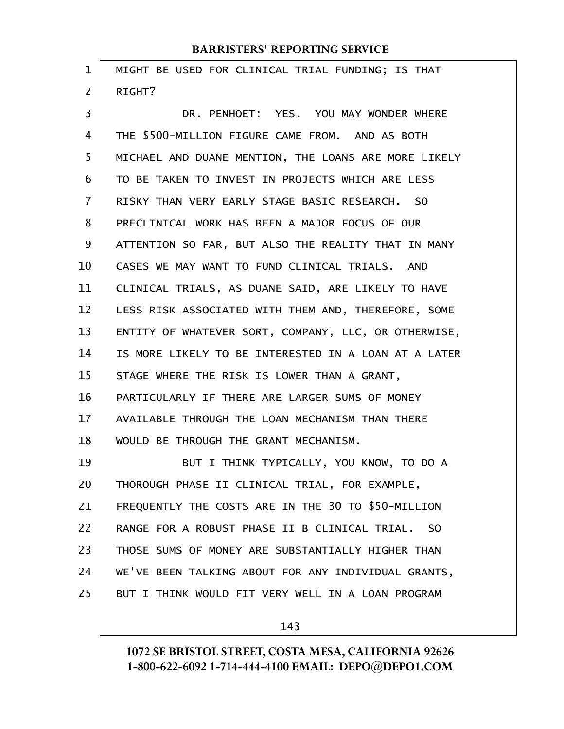| 1              | MIGHT BE USED FOR CLINICAL TRIAL FUNDING; IS THAT              |
|----------------|----------------------------------------------------------------|
| $\overline{2}$ | RIGHT?                                                         |
| 3              | DR. PENHOET: YES. YOU MAY WONDER WHERE                         |
| 4              | THE \$500-MILLION FIGURE CAME FROM. AND AS BOTH                |
| 5              | MICHAEL AND DUANE MENTION, THE LOANS ARE MORE LIKELY           |
| 6              | TO BE TAKEN TO INVEST IN PROJECTS WHICH ARE LESS               |
| $\overline{7}$ | RISKY THAN VERY EARLY STAGE BASIC RESEARCH. SO                 |
| 8              | PRECLINICAL WORK HAS BEEN A MAJOR FOCUS OF OUR                 |
| 9              | ATTENTION SO FAR, BUT ALSO THE REALITY THAT IN MANY            |
| 10             | CASES WE MAY WANT TO FUND CLINICAL TRIALS. AND                 |
| 11             | CLINICAL TRIALS, AS DUANE SAID, ARE LIKELY TO HAVE             |
| 12             | LESS RISK ASSOCIATED WITH THEM AND, THEREFORE, SOME            |
| 13             | ENTITY OF WHATEVER SORT, COMPANY, LLC, OR OTHERWISE,           |
| 14             | IS MORE LIKELY TO BE INTERESTED IN A LOAN AT A LATER           |
| 15             | STAGE WHERE THE RISK IS LOWER THAN A GRANT,                    |
| 16             | PARTICULARLY IF THERE ARE LARGER SUMS OF MONEY                 |
| 17             | AVAILABLE THROUGH THE LOAN MECHANISM THAN THERE                |
| 18             | WOULD BE THROUGH THE GRANT MECHANISM.                          |
| 19             | BUT I THINK TYPICALLY, YOU KNOW, TO DO A                       |
| 20             | THOROUGH PHASE II CLINICAL TRIAL, FOR EXAMPLE,                 |
| 21             | FREQUENTLY THE COSTS ARE IN THE 30 TO \$50-MILLION             |
| 22             | RANGE FOR A ROBUST PHASE II B CLINICAL TRIAL.<br><sub>SO</sub> |
| 23             | THOSE SUMS OF MONEY ARE SUBSTANTIALLY HIGHER THAN              |
| 24             | WE'VE BEEN TALKING ABOUT FOR ANY INDIVIDUAL GRANTS,            |
| 25             | BUT I THINK WOULD FIT VERY WELL IN A LOAN PROGRAM              |
|                |                                                                |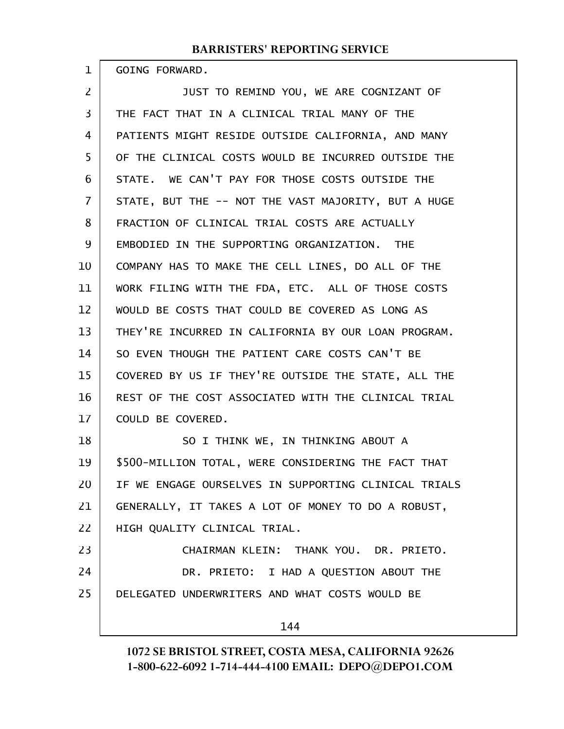GOING FORWARD.

1

JUST TO REMIND YOU, WE ARE COGNIZANT OF THE FACT THAT IN A CLINICAL TRIAL MANY OF THE PATIENTS MIGHT RESIDE OUTSIDE CALIFORNIA, AND MANY OF THE CLINICAL COSTS WOULD BE INCURRED OUTSIDE THE STATE. WE CAN'T PAY FOR THOSE COSTS OUTSIDE THE STATE, BUT THE -- NOT THE VAST MAJORITY, BUT A HUGE FRACTION OF CLINICAL TRIAL COSTS ARE ACTUALLY EMBODIED IN THE SUPPORTING ORGANIZATION. THE COMPANY HAS TO MAKE THE CELL LINES, DO ALL OF THE WORK FILING WITH THE FDA, ETC. ALL OF THOSE COSTS WOULD BE COSTS THAT COULD BE COVERED AS LONG AS THEY'RE INCURRED IN CALIFORNIA BY OUR LOAN PROGRAM. SO EVEN THOUGH THE PATIENT CARE COSTS CAN'T BE COVERED BY US IF THEY'RE OUTSIDE THE STATE, ALL THE REST OF THE COST ASSOCIATED WITH THE CLINICAL TRIAL COULD BE COVERED. SO I THINK WE, IN THINKING ABOUT A \$500-MILLION TOTAL, WERE CONSIDERING THE FACT THAT IF WE ENGAGE OURSELVES IN SUPPORTING CLINICAL TRIALS GENERALLY, IT TAKES A LOT OF MONEY TO DO A ROBUST, HIGH QUALITY CLINICAL TRIAL. CHAIRMAN KLEIN: THANK YOU. DR. PRIETO. DR. PRIETO: I HAD A QUESTION ABOUT THE DELEGATED UNDERWRITERS AND WHAT COSTS WOULD BE 144 2 3 4 5 6 7 8 9 10 11 12 13 14 15 16 17 18 19 20 21 22 23 24 25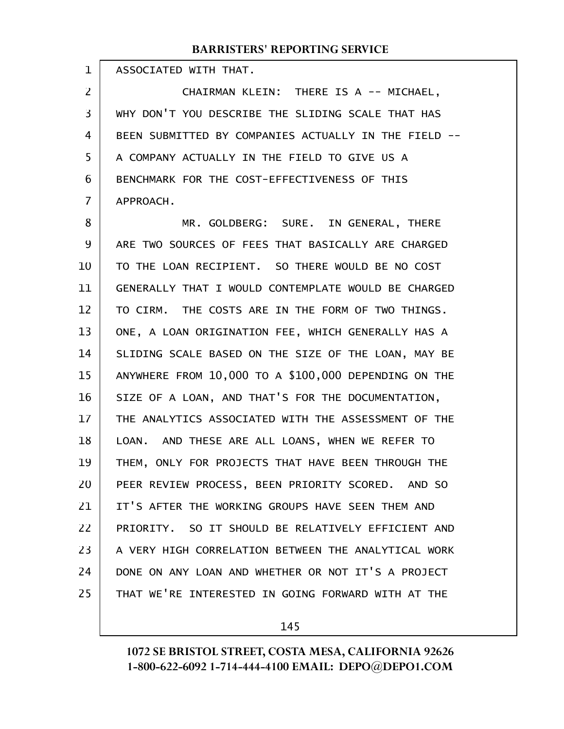ASSOCIATED WITH THAT.

1

CHAIRMAN KLEIN: THERE IS A -- MICHAEL, WHY DON'T YOU DESCRIBE THE SLIDING SCALE THAT HAS BEEN SUBMITTED BY COMPANIES ACTUALLY IN THE FIELD -- A COMPANY ACTUALLY IN THE FIELD TO GIVE US A BENCHMARK FOR THE COST-EFFECTIVENESS OF THIS APPROACH. 2 3 4 5 6 7

MR. GOLDBERG: SURE. IN GENERAL, THERE ARE TWO SOURCES OF FEES THAT BASICALLY ARE CHARGED TO THE LOAN RECIPIENT. SO THERE WOULD BE NO COST GENERALLY THAT I WOULD CONTEMPLATE WOULD BE CHARGED TO CIRM. THE COSTS ARE IN THE FORM OF TWO THINGS. ONE, A LOAN ORIGINATION FEE, WHICH GENERALLY HAS A SLIDING SCALE BASED ON THE SIZE OF THE LOAN, MAY BE ANYWHERE FROM 10,000 TO A \$100,000 DEPENDING ON THE SIZE OF A LOAN, AND THAT'S FOR THE DOCUMENTATION, THE ANALYTICS ASSOCIATED WITH THE ASSESSMENT OF THE LOAN. AND THESE ARE ALL LOANS, WHEN WE REFER TO THEM, ONLY FOR PROJECTS THAT HAVE BEEN THROUGH THE PEER REVIEW PROCESS, BEEN PRIORITY SCORED. AND SO IT'S AFTER THE WORKING GROUPS HAVE SEEN THEM AND PRIORITY. SO IT SHOULD BE RELATIVELY EFFICIENT AND A VERY HIGH CORRELATION BETWEEN THE ANALYTICAL WORK DONE ON ANY LOAN AND WHETHER OR NOT IT'S A PROJECT THAT WE'RE INTERESTED IN GOING FORWARD WITH AT THE 8 9 10 11 12 13 14 15 16 17 18 19 20 21 22 23 24 25

145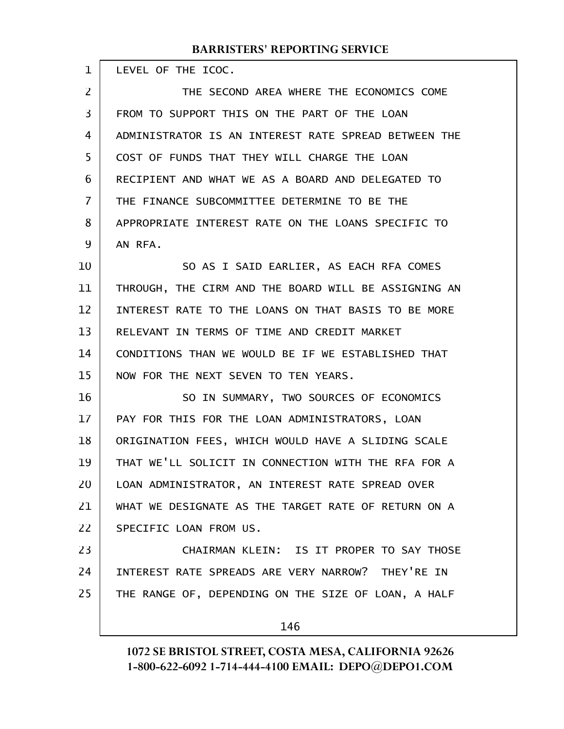| $\mathbf{1}$ | LEVEL OF THE ICOC.                                   |
|--------------|------------------------------------------------------|
| 2            | THE SECOND AREA WHERE THE ECONOMICS COME             |
| 3            | FROM TO SUPPORT THIS ON THE PART OF THE LOAN         |
| 4            | ADMINISTRATOR IS AN INTEREST RATE SPREAD BETWEEN THE |
| 5            | COST OF FUNDS THAT THEY WILL CHARGE THE LOAN         |
| 6            | RECIPIENT AND WHAT WE AS A BOARD AND DELEGATED TO    |
| 7            | THE FINANCE SUBCOMMITTEE DETERMINE TO BE THE         |
| 8            | APPROPRIATE INTEREST RATE ON THE LOANS SPECIFIC TO   |
| 9            | AN RFA.                                              |
| 10           | SO AS I SAID EARLIER, AS EACH RFA COMES              |
| 11           | THROUGH, THE CIRM AND THE BOARD WILL BE ASSIGNING AN |
| 12           | INTEREST RATE TO THE LOANS ON THAT BASIS TO BE MORE  |
| 13           | RELEVANT IN TERMS OF TIME AND CREDIT MARKET          |
| 14           | CONDITIONS THAN WE WOULD BE IF WE ESTABLISHED THAT   |
| 15           | NOW FOR THE NEXT SEVEN TO TEN YEARS.                 |
| 16           | SO IN SUMMARY, TWO SOURCES OF ECONOMICS              |
| 17           | PAY FOR THIS FOR THE LOAN ADMINISTRATORS, LOAN       |
| 18           | ORIGINATION FEES, WHICH WOULD HAVE A SLIDING SCALE   |
| 19           | THAT WE'LL SOLICIT IN CONNECTION WITH THE RFA FOR A  |
| 20           | LOAN ADMINISTRATOR, AN INTEREST RATE SPREAD OVER     |
| 21           | WHAT WE DESIGNATE AS THE TARGET RATE OF RETURN ON A  |
| 22           | SPECIFIC LOAN FROM US.                               |
| 23           | CHAIRMAN KLEIN: IS IT PROPER TO SAY THOSE            |
| 24           | INTEREST RATE SPREADS ARE VERY NARROW? THEY'RE IN    |
| 25           | THE RANGE OF, DEPENDING ON THE SIZE OF LOAN, A HALF  |
|              | 146                                                  |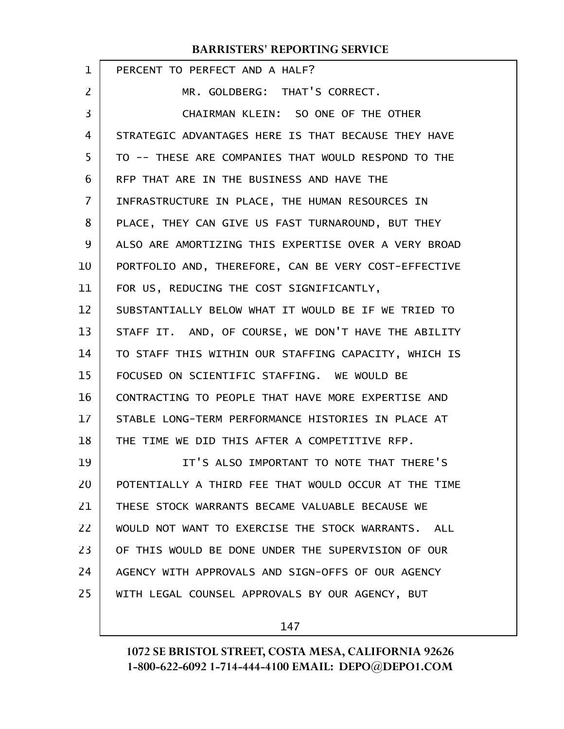| 1  | PERCENT TO PERFECT AND A HALF?                       |
|----|------------------------------------------------------|
| 2  | MR. GOLDBERG: THAT'S CORRECT.                        |
| 3  | CHAIRMAN KLEIN: SO ONE OF THE OTHER                  |
| 4  | STRATEGIC ADVANTAGES HERE IS THAT BECAUSE THEY HAVE  |
| 5  | TO -- THESE ARE COMPANIES THAT WOULD RESPOND TO THE  |
| 6  | RFP THAT ARE IN THE BUSINESS AND HAVE THE            |
| 7  | INFRASTRUCTURE IN PLACE, THE HUMAN RESOURCES IN      |
| 8  | PLACE, THEY CAN GIVE US FAST TURNAROUND, BUT THEY    |
| 9  | ALSO ARE AMORTIZING THIS EXPERTISE OVER A VERY BROAD |
| 10 | PORTFOLIO AND, THEREFORE, CAN BE VERY COST-EFFECTIVE |
| 11 | FOR US, REDUCING THE COST SIGNIFICANTLY,             |
| 12 | SUBSTANTIALLY BELOW WHAT IT WOULD BE IF WE TRIED TO  |
| 13 | STAFF IT. AND, OF COURSE, WE DON'T HAVE THE ABILITY  |
| 14 | TO STAFF THIS WITHIN OUR STAFFING CAPACITY, WHICH IS |
| 15 | FOCUSED ON SCIENTIFIC STAFFING. WE WOULD BE          |
| 16 | CONTRACTING TO PEOPLE THAT HAVE MORE EXPERTISE AND   |
| 17 | STABLE LONG-TERM PERFORMANCE HISTORIES IN PLACE AT   |
| 18 | THE TIME WE DID THIS AFTER A COMPETITIVE RFP.        |
| 19 | IT'S ALSO IMPORTANT TO NOTE THAT THERE'S             |
| 20 | POTENTIALLY A THIRD FEE THAT WOULD OCCUR AT THE TIME |
| 21 | THESE STOCK WARRANTS BECAME VALUABLE BECAUSE WE      |
| 22 | WOULD NOT WANT TO EXERCISE THE STOCK WARRANTS. ALL   |
| 23 | OF THIS WOULD BE DONE UNDER THE SUPERVISION OF OUR   |
| 24 | AGENCY WITH APPROVALS AND SIGN-OFFS OF OUR AGENCY    |
| 25 | WITH LEGAL COUNSEL APPROVALS BY OUR AGENCY, BUT      |
|    |                                                      |

147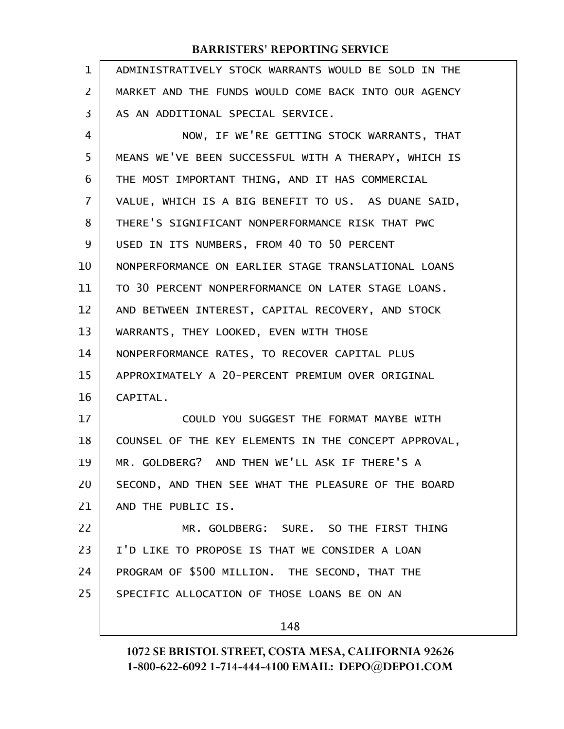| $\mathbf{1}$ | ADMINISTRATIVELY STOCK WARRANTS WOULD BE SOLD IN THE |
|--------------|------------------------------------------------------|
| 2            | MARKET AND THE FUNDS WOULD COME BACK INTO OUR AGENCY |
| 3            | AS AN ADDITIONAL SPECIAL SERVICE.                    |
| 4            | NOW, IF WE'RE GETTING STOCK WARRANTS, THAT           |
| 5            | MEANS WE'VE BEEN SUCCESSFUL WITH A THERAPY, WHICH IS |
| 6            | THE MOST IMPORTANT THING, AND IT HAS COMMERCIAL      |
| 7            | VALUE, WHICH IS A BIG BENEFIT TO US. AS DUANE SAID,  |
| 8            | THERE'S SIGNIFICANT NONPERFORMANCE RISK THAT PWC     |
| 9            | USED IN ITS NUMBERS, FROM 40 TO 50 PERCENT           |
| 10           | NONPERFORMANCE ON EARLIER STAGE TRANSLATIONAL LOANS  |
| 11           | TO 30 PERCENT NONPERFORMANCE ON LATER STAGE LOANS.   |
| 12           | AND BETWEEN INTEREST, CAPITAL RECOVERY, AND STOCK    |
| 13           | WARRANTS, THEY LOOKED, EVEN WITH THOSE               |
| 14           | NONPERFORMANCE RATES, TO RECOVER CAPITAL PLUS        |
| 15           | APPROXIMATELY A 20-PERCENT PREMIUM OVER ORIGINAL     |
| 16           | CAPITAL.                                             |
| 17           | COULD YOU SUGGEST THE FORMAT MAYBE WITH              |
| 18           | COUNSEL OF THE KEY ELEMENTS IN THE CONCEPT APPROVAL, |
| 19           | MR. GOLDBERG? AND THEN WE'LL ASK IF THERE'S A        |
| 20           | SECOND, AND THEN SEE WHAT THE PLEASURE OF THE BOARD  |
| 21           | AND THE PUBLIC IS.                                   |
| 22           | MR. GOLDBERG: SURE. SO THE FIRST THING               |
| 23           | I'D LIKE TO PROPOSE IS THAT WE CONSIDER A LOAN       |
| 24           | PROGRAM OF \$500 MILLION. THE SECOND, THAT THE       |
| 25           | SPECIFIC ALLOCATION OF THOSE LOANS BE ON AN          |
|              |                                                      |

148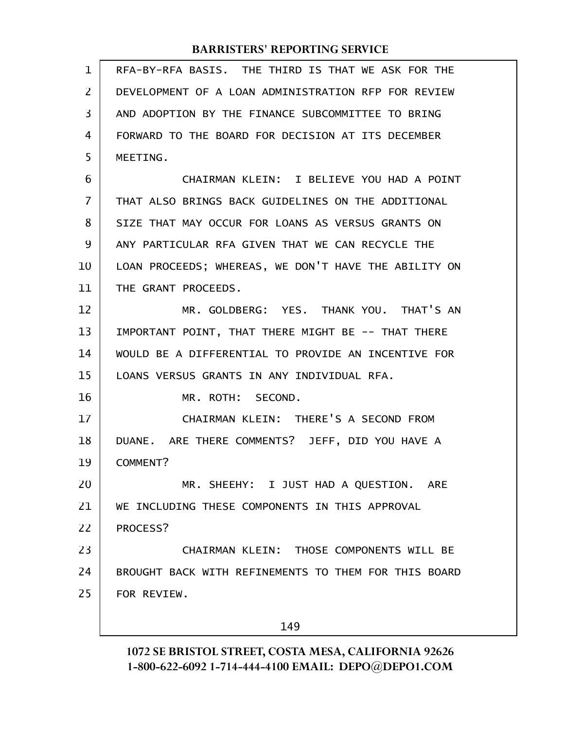| 1              | RFA-BY-RFA BASIS. THE THIRD IS THAT WE ASK FOR THE   |
|----------------|------------------------------------------------------|
| $\overline{2}$ | DEVELOPMENT OF A LOAN ADMINISTRATION RFP FOR REVIEW  |
| 3              | AND ADOPTION BY THE FINANCE SUBCOMMITTEE TO BRING    |
| 4              | FORWARD TO THE BOARD FOR DECISION AT ITS DECEMBER    |
| 5              | MEETING.                                             |
| 6              | CHAIRMAN KLEIN: I BELIEVE YOU HAD A POINT            |
| $\overline{7}$ | THAT ALSO BRINGS BACK GUIDELINES ON THE ADDITIONAL   |
| 8              | SIZE THAT MAY OCCUR FOR LOANS AS VERSUS GRANTS ON    |
| 9              | ANY PARTICULAR RFA GIVEN THAT WE CAN RECYCLE THE     |
| 10             | LOAN PROCEEDS; WHEREAS, WE DON'T HAVE THE ABILITY ON |
| 11             | THE GRANT PROCEEDS.                                  |
| 12             | MR. GOLDBERG: YES. THANK YOU. THAT'S AN              |
| 13             | IMPORTANT POINT, THAT THERE MIGHT BE -- THAT THERE   |
| 14             | WOULD BE A DIFFERENTIAL TO PROVIDE AN INCENTIVE FOR  |
| 15             | LOANS VERSUS GRANTS IN ANY INDIVIDUAL RFA.           |
| 16             | MR. ROTH: SECOND.                                    |
| 17             | CHAIRMAN KLEIN: THERE'S A SECOND FROM                |
| 18             | DUANE. ARE THERE COMMENTS? JEFF, DID YOU HAVE A      |
| 19             | COMMENT?                                             |
| 20             | MR. SHEEHY: I JUST HAD A QUESTION. ARE               |
| 21             | WE INCLUDING THESE COMPONENTS IN THIS APPROVAL       |
| 22             | PROCESS?                                             |
| 23             | CHAIRMAN KLEIN: THOSE COMPONENTS WILL BE             |
| 24             | BROUGHT BACK WITH REFINEMENTS TO THEM FOR THIS BOARD |
| 25             | FOR REVIEW.                                          |
|                | 149                                                  |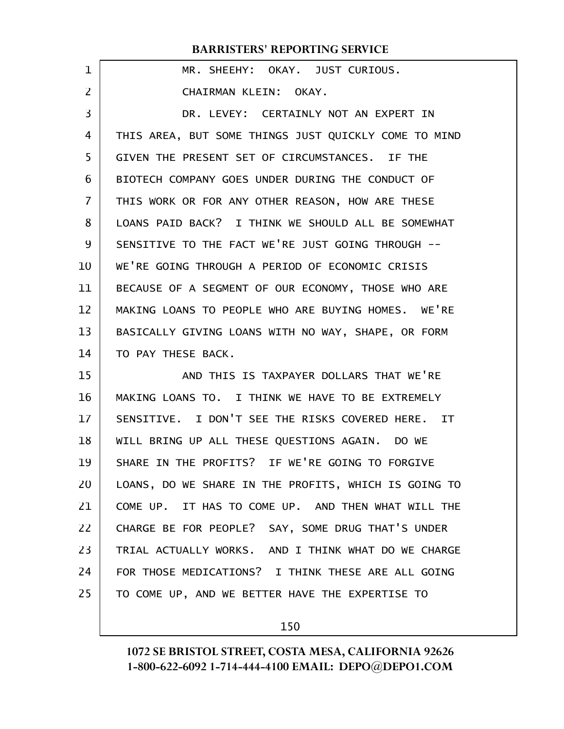| $\mathbf 1$    | MR. SHEEHY: OKAY. JUST CURIOUS.                      |
|----------------|------------------------------------------------------|
| $\overline{2}$ | CHAIRMAN KLEIN: OKAY.                                |
| 3              | DR. LEVEY: CERTAINLY NOT AN EXPERT IN                |
| 4              | THIS AREA, BUT SOME THINGS JUST QUICKLY COME TO MIND |
| 5              | GIVEN THE PRESENT SET OF CIRCUMSTANCES. IF THE       |
| 6              | BIOTECH COMPANY GOES UNDER DURING THE CONDUCT OF     |
| 7              | THIS WORK OR FOR ANY OTHER REASON, HOW ARE THESE     |
| 8              | LOANS PAID BACK? I THINK WE SHOULD ALL BE SOMEWHAT   |
| 9              | SENSITIVE TO THE FACT WE'RE JUST GOING THROUGH --    |
| 10             | WE'RE GOING THROUGH A PERIOD OF ECONOMIC CRISIS      |
| 11             | BECAUSE OF A SEGMENT OF OUR ECONOMY, THOSE WHO ARE   |
| 12             | MAKING LOANS TO PEOPLE WHO ARE BUYING HOMES. WE'RE   |
| 13             | BASICALLY GIVING LOANS WITH NO WAY, SHAPE, OR FORM   |
| 14             | TO PAY THESE BACK.                                   |
| 15             | AND THIS IS TAXPAYER DOLLARS THAT WE'RE              |
| 16             | MAKING LOANS TO. I THINK WE HAVE TO BE EXTREMELY     |
| 17             | SENSITIVE. I DON'T SEE THE RISKS COVERED HERE. IT    |
| 18             | WILL BRING UP ALL THESE QUESTIONS AGAIN. DO WE       |
| 19             | SHARE IN THE PROFITS? IF WE'RE GOING TO FORGIVE      |
| 20             | LOANS, DO WE SHARE IN THE PROFITS, WHICH IS GOING TO |
| 21             | COME UP. IT HAS TO COME UP. AND THEN WHAT WILL THE   |
| 22             | CHARGE BE FOR PEOPLE? SAY, SOME DRUG THAT'S UNDER    |
| 23             | TRIAL ACTUALLY WORKS. AND I THINK WHAT DO WE CHARGE  |
| 24             | FOR THOSE MEDICATIONS? I THINK THESE ARE ALL GOING   |
| 25             | TO COME UP, AND WE BETTER HAVE THE EXPERTISE TO      |
|                |                                                      |

150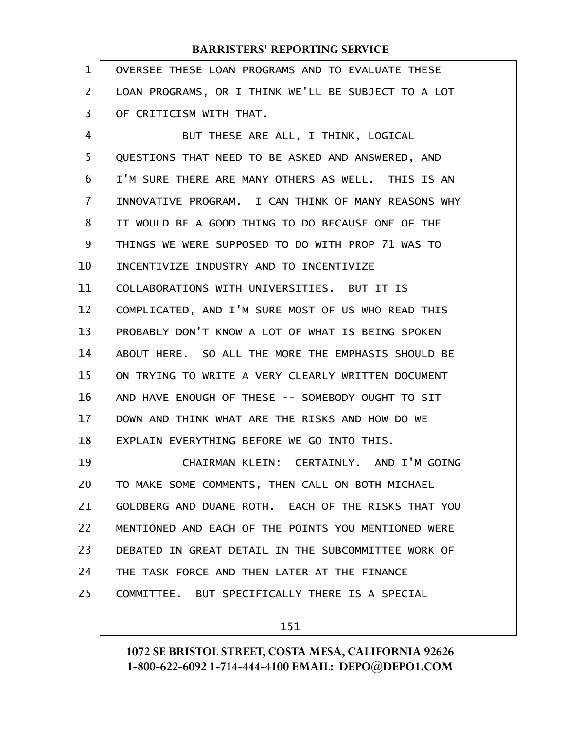| 1  | OVERSEE THESE LOAN PROGRAMS AND TO EVALUATE THESE   |
|----|-----------------------------------------------------|
| 2  | LOAN PROGRAMS, OR I THINK WE'LL BE SUBJECT TO A LOT |
| 3  | OF CRITICISM WITH THAT.                             |
| 4  | BUT THESE ARE ALL, I THINK, LOGICAL                 |
| 5  | QUESTIONS THAT NEED TO BE ASKED AND ANSWERED, AND   |
| 6  | I'M SURE THERE ARE MANY OTHERS AS WELL. THIS IS AN  |
| 7  | INNOVATIVE PROGRAM. I CAN THINK OF MANY REASONS WHY |
| 8  | IT WOULD BE A GOOD THING TO DO BECAUSE ONE OF THE   |
| 9  | THINGS WE WERE SUPPOSED TO DO WITH PROP 71 WAS TO   |
| 10 | INCENTIVIZE INDUSTRY AND TO INCENTIVIZE             |
| 11 | COLLABORATIONS WITH UNIVERSITIES. BUT IT IS         |
| 12 | COMPLICATED, AND I'M SURE MOST OF US WHO READ THIS  |
| 13 | PROBABLY DON'T KNOW A LOT OF WHAT IS BEING SPOKEN   |
| 14 | ABOUT HERE. SO ALL THE MORE THE EMPHASIS SHOULD BE  |
| 15 | ON TRYING TO WRITE A VERY CLEARLY WRITTEN DOCUMENT  |
| 16 | AND HAVE ENOUGH OF THESE -- SOMEBODY OUGHT TO SIT   |
| 17 | DOWN AND THINK WHAT ARE THE RISKS AND HOW DO WE     |
| 18 | EXPLAIN EVERYTHING BEFORE WE GO INTO THIS.          |
| 19 | CHAIRMAN KLEIN: CERTAINLY. AND I'M GOING            |
| 20 | TO MAKE SOME COMMENTS, THEN CALL ON BOTH MICHAEL    |
| 21 | GOLDBERG AND DUANE ROTH. EACH OF THE RISKS THAT YOU |
| 22 | MENTIONED AND EACH OF THE POINTS YOU MENTIONED WERE |
| 23 | DEBATED IN GREAT DETAIL IN THE SUBCOMMITTEE WORK OF |
| 24 | THE TASK FORCE AND THEN LATER AT THE FINANCE        |
| 25 | COMMITTEE. BUT SPECIFICALLY THERE IS A SPECIAL      |
|    |                                                     |

151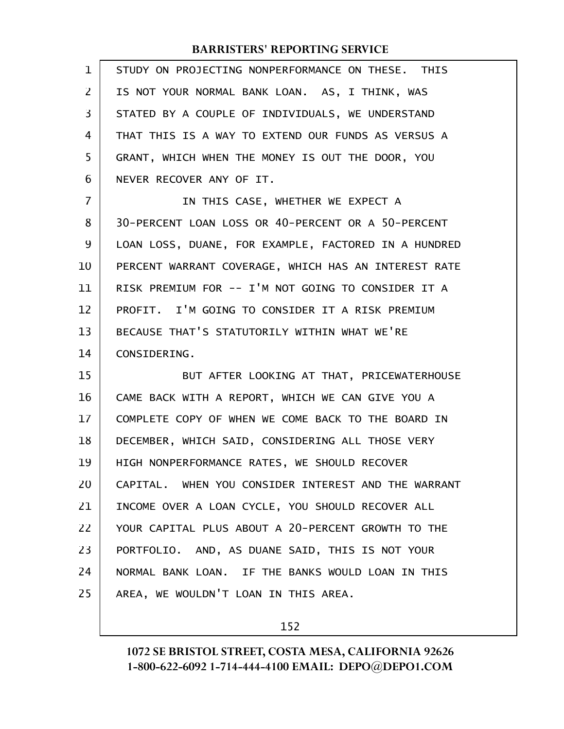| $\mathbf 1$    | STUDY ON PROJECTING NONPERFORMANCE ON THESE. THIS    |
|----------------|------------------------------------------------------|
| $\overline{2}$ | IS NOT YOUR NORMAL BANK LOAN. AS, I THINK, WAS       |
| 3              | STATED BY A COUPLE OF INDIVIDUALS, WE UNDERSTAND     |
| 4              | THAT THIS IS A WAY TO EXTEND OUR FUNDS AS VERSUS A   |
| 5              | GRANT, WHICH WHEN THE MONEY IS OUT THE DOOR, YOU     |
| 6              | NEVER RECOVER ANY OF IT.                             |
| $\overline{7}$ | IN THIS CASE, WHETHER WE EXPECT A                    |
| 8              | 30-PERCENT LOAN LOSS OR 40-PERCENT OR A 50-PERCENT   |
| 9              | LOAN LOSS, DUANE, FOR EXAMPLE, FACTORED IN A HUNDRED |
| 10             | PERCENT WARRANT COVERAGE, WHICH HAS AN INTEREST RATE |
| 11             | RISK PREMIUM FOR -- I'M NOT GOING TO CONSIDER IT A   |
| 12             | PROFIT. I'M GOING TO CONSIDER IT A RISK PREMIUM      |
| 13             | BECAUSE THAT'S STATUTORILY WITHIN WHAT WE'RE         |
| 14             | CONSIDERING.                                         |
| 15             | BUT AFTER LOOKING AT THAT, PRICEWATERHOUSE           |
| 16             | CAME BACK WITH A REPORT, WHICH WE CAN GIVE YOU A     |
| 17             | COMPLETE COPY OF WHEN WE COME BACK TO THE BOARD IN   |
| 18             | DECEMBER, WHICH SAID, CONSIDERING ALL THOSE VERY     |
| 19             | HIGH NONPERFORMANCE RATES, WE SHOULD RECOVER         |
| 20             | CAPITAL. WHEN YOU CONSIDER INTEREST AND THE WARRANT  |
| 21             | INCOME OVER A LOAN CYCLE, YOU SHOULD RECOVER ALL     |
| 22             | YOUR CAPITAL PLUS ABOUT A 20-PERCENT GROWTH TO THE   |
| 23             | PORTFOLIO. AND, AS DUANE SAID, THIS IS NOT YOUR      |
| 24             | NORMAL BANK LOAN. IF THE BANKS WOULD LOAN IN THIS    |
| 25             | AREA, WE WOULDN'T LOAN IN THIS AREA.                 |

152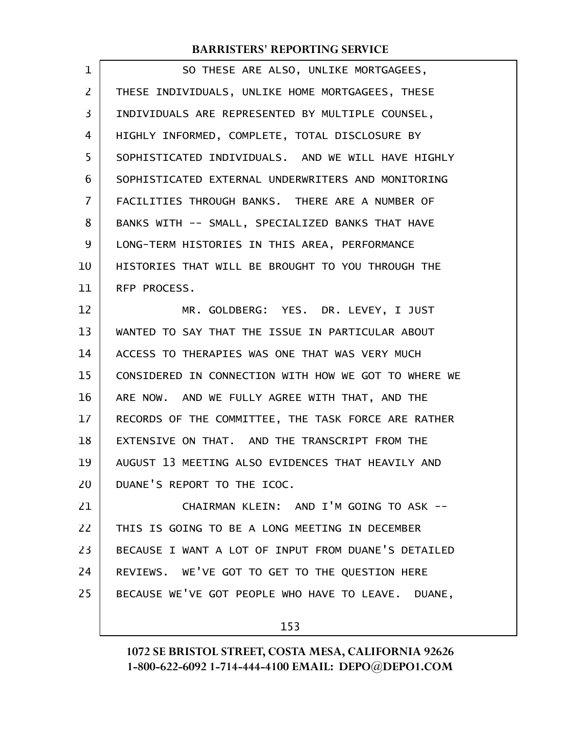| $\mathbf{1}$ | SO THESE ARE ALSO, UNLIKE MORTGAGEES,                |
|--------------|------------------------------------------------------|
| 2            | THESE INDIVIDUALS, UNLIKE HOME MORTGAGEES, THESE     |
| 3            | INDIVIDUALS ARE REPRESENTED BY MULTIPLE COUNSEL,     |
| 4            | HIGHLY INFORMED, COMPLETE, TOTAL DISCLOSURE BY       |
| 5            | SOPHISTICATED INDIVIDUALS. AND WE WILL HAVE HIGHLY   |
| 6            | SOPHISTICATED EXTERNAL UNDERWRITERS AND MONITORING   |
| 7            | FACILITIES THROUGH BANKS. THERE ARE A NUMBER OF      |
| 8            | BANKS WITH -- SMALL, SPECIALIZED BANKS THAT HAVE     |
| 9            | LONG-TERM HISTORIES IN THIS AREA, PERFORMANCE        |
| 10           | HISTORIES THAT WILL BE BROUGHT TO YOU THROUGH THE    |
| 11           | RFP PROCESS.                                         |
| 12           | MR. GOLDBERG: YES. DR. LEVEY, I JUST                 |
| 13           | WANTED TO SAY THAT THE ISSUE IN PARTICULAR ABOUT     |
| 14           | ACCESS TO THERAPIES WAS ONE THAT WAS VERY MUCH       |
| 15           | CONSIDERED IN CONNECTION WITH HOW WE GOT TO WHERE WE |
| 16           | ARE NOW. AND WE FULLY AGREE WITH THAT, AND THE       |
| 17           | RECORDS OF THE COMMITTEE, THE TASK FORCE ARE RATHER  |
| 18           | EXTENSIVE ON THAT. AND THE TRANSCRIPT FROM THE       |
| 19           | AUGUST 13 MEETING ALSO EVIDENCES THAT HEAVILY AND    |
| 20           | DUANE'S REPORT TO THE ICOC.                          |
| 21           | CHAIRMAN KLEIN: AND I'M GOING TO ASK --              |
| 22           | THIS IS GOING TO BE A LONG MEETING IN DECEMBER       |
| 23           | BECAUSE I WANT A LOT OF INPUT FROM DUANE'S DETAILED  |
| 24           | REVIEWS. WE'VE GOT TO GET TO THE QUESTION HERE       |
| 25           | BECAUSE WE'VE GOT PEOPLE WHO HAVE TO LEAVE. DUANE,   |
|              | 153                                                  |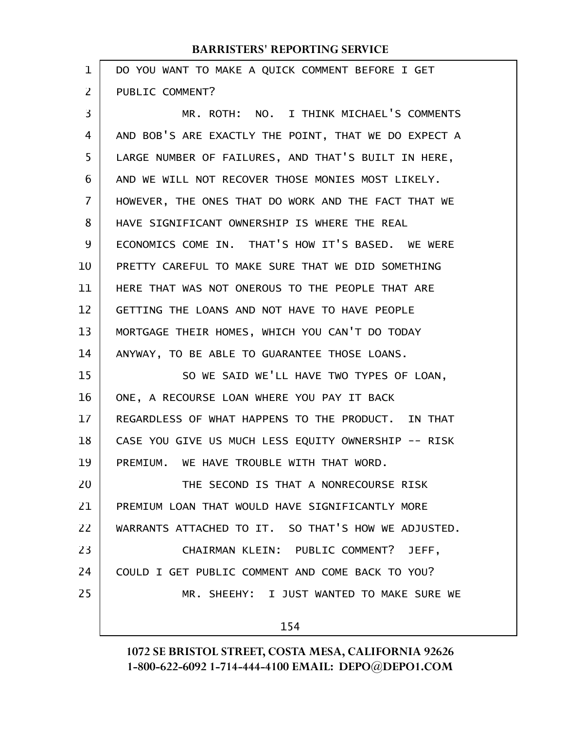| 1              | DO YOU WANT TO MAKE A QUICK COMMENT BEFORE I GET     |
|----------------|------------------------------------------------------|
| 2              | PUBLIC COMMENT?                                      |
| 3              | MR. ROTH: NO. I THINK MICHAEL'S COMMENTS             |
| 4              | AND BOB'S ARE EXACTLY THE POINT, THAT WE DO EXPECT A |
| 5              | LARGE NUMBER OF FAILURES, AND THAT'S BUILT IN HERE,  |
| 6              | AND WE WILL NOT RECOVER THOSE MONIES MOST LIKELY.    |
| $\overline{7}$ | HOWEVER, THE ONES THAT DO WORK AND THE FACT THAT WE  |
| 8              | HAVE SIGNIFICANT OWNERSHIP IS WHERE THE REAL         |
| 9              | ECONOMICS COME IN. THAT'S HOW IT'S BASED. WE WERE    |
| 10             | PRETTY CAREFUL TO MAKE SURE THAT WE DID SOMETHING    |
| 11             | HERE THAT WAS NOT ONEROUS TO THE PEOPLE THAT ARE     |
| 12             | GETTING THE LOANS AND NOT HAVE TO HAVE PEOPLE        |
| 13             | MORTGAGE THEIR HOMES, WHICH YOU CAN'T DO TODAY       |
| 14             | ANYWAY, TO BE ABLE TO GUARANTEE THOSE LOANS.         |
| 15             | SO WE SAID WE'LL HAVE TWO TYPES OF LOAN,             |
| 16             | ONE, A RECOURSE LOAN WHERE YOU PAY IT BACK           |
| 17             | REGARDLESS OF WHAT HAPPENS TO THE PRODUCT. IN THAT   |
| 18             | CASE YOU GIVE US MUCH LESS EQUITY OWNERSHIP -- RISK  |
| 19             | PREMIUM. WE HAVE TROUBLE WITH THAT WORD.             |
| 20             | THE SECOND IS THAT A NONRECOURSE RISK                |
| 21             | PREMIUM LOAN THAT WOULD HAVE SIGNIFICANTLY MORE      |
| 22             | WARRANTS ATTACHED TO IT. SO THAT'S HOW WE ADJUSTED.  |
| 23             | CHAIRMAN KLEIN: PUBLIC COMMENT?<br>JEFF,             |
| 24             | COULD I GET PUBLIC COMMENT AND COME BACK TO YOU?     |
| 25             | MR. SHEEHY: I JUST WANTED TO MAKE SURE WE            |
|                | 154                                                  |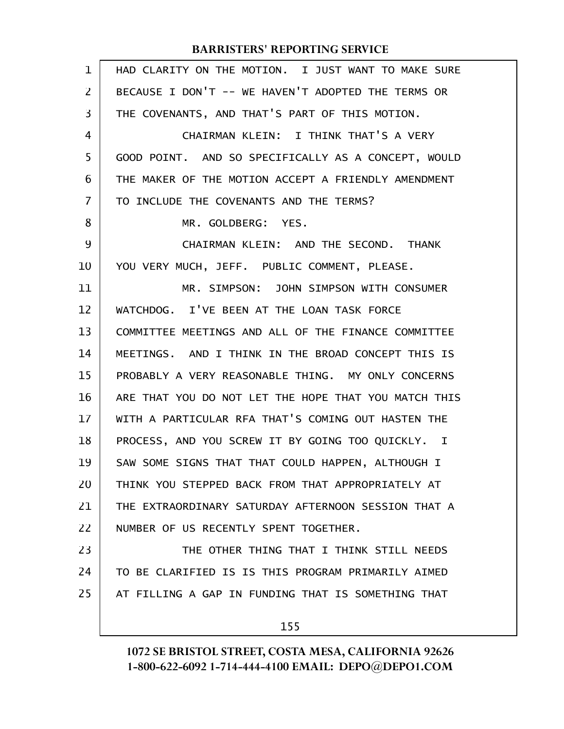| $\mathbf 1$ | HAD CLARITY ON THE MOTION. I JUST WANT TO MAKE SURE  |
|-------------|------------------------------------------------------|
| 2           | BECAUSE I DON'T -- WE HAVEN'T ADOPTED THE TERMS OR   |
| 3           | THE COVENANTS, AND THAT'S PART OF THIS MOTION.       |
| 4           | CHAIRMAN KLEIN: I THINK THAT'S A VERY                |
| 5           | GOOD POINT. AND SO SPECIFICALLY AS A CONCEPT, WOULD  |
| 6           | THE MAKER OF THE MOTION ACCEPT A FRIENDLY AMENDMENT  |
| 7           | TO INCLUDE THE COVENANTS AND THE TERMS?              |
| 8           | MR. GOLDBERG: YES.                                   |
| 9           | CHAIRMAN KLEIN: AND THE SECOND. THANK                |
| 10          | YOU VERY MUCH, JEFF. PUBLIC COMMENT, PLEASE.         |
| 11          | MR. SIMPSON: JOHN SIMPSON WITH CONSUMER              |
| 12          | WATCHDOG. I'VE BEEN AT THE LOAN TASK FORCE           |
| 13          | COMMITTEE MEETINGS AND ALL OF THE FINANCE COMMITTEE  |
| 14          | MEETINGS. AND I THINK IN THE BROAD CONCEPT THIS IS   |
| 15          | PROBABLY A VERY REASONABLE THING. MY ONLY CONCERNS   |
| 16          | ARE THAT YOU DO NOT LET THE HOPE THAT YOU MATCH THIS |
| 17          | WITH A PARTICULAR RFA THAT'S COMING OUT HASTEN THE   |
| 18          | PROCESS, AND YOU SCREW IT BY GOING TOO QUICKLY. I    |
| 19          | SAW SOME SIGNS THAT THAT COULD HAPPEN, ALTHOUGH I    |
| 20          | THINK YOU STEPPED BACK FROM THAT APPROPRIATELY AT    |
| 21          | THE EXTRAORDINARY SATURDAY AFTERNOON SESSION THAT A  |
| 22          | NUMBER OF US RECENTLY SPENT TOGETHER.                |
| 23          | THE OTHER THING THAT I THINK STILL NEEDS             |
| 24          | TO BE CLARIFIED IS IS THIS PROGRAM PRIMARILY AIMED   |
| 25          | AT FILLING A GAP IN FUNDING THAT IS SOMETHING THAT   |
|             | 155                                                  |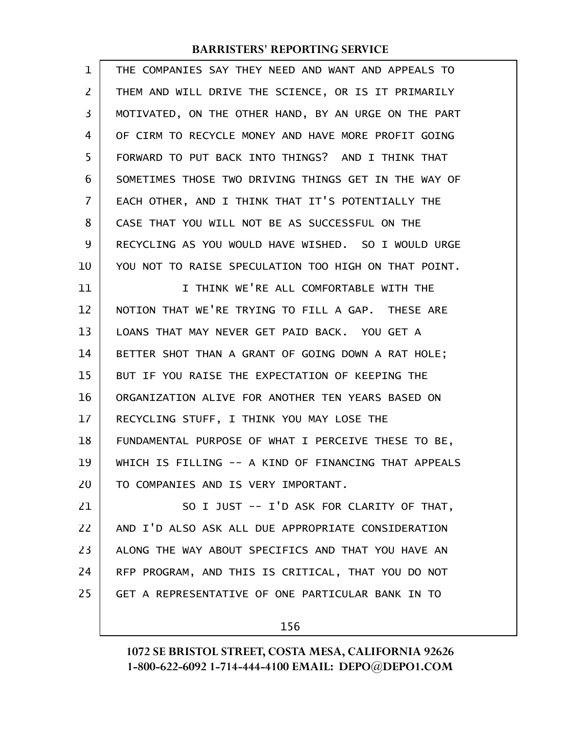| 1  | THE COMPANIES SAY THEY NEED AND WANT AND APPEALS TO  |
|----|------------------------------------------------------|
| 2  | THEM AND WILL DRIVE THE SCIENCE, OR IS IT PRIMARILY  |
| 3  | MOTIVATED, ON THE OTHER HAND, BY AN URGE ON THE PART |
| 4  | OF CIRM TO RECYCLE MONEY AND HAVE MORE PROFIT GOING  |
| 5  | FORWARD TO PUT BACK INTO THINGS? AND I THINK THAT    |
| 6  | SOMETIMES THOSE TWO DRIVING THINGS GET IN THE WAY OF |
| 7  | EACH OTHER, AND I THINK THAT IT'S POTENTIALLY THE    |
| 8  | CASE THAT YOU WILL NOT BE AS SUCCESSFUL ON THE       |
| 9  | RECYCLING AS YOU WOULD HAVE WISHED. SO I WOULD URGE  |
| 10 | YOU NOT TO RAISE SPECULATION TOO HIGH ON THAT POINT. |
| 11 | I THINK WE'RE ALL COMFORTABLE WITH THE               |
| 12 | NOTION THAT WE'RE TRYING TO FILL A GAP. THESE ARE    |
| 13 | LOANS THAT MAY NEVER GET PAID BACK. YOU GET A        |
| 14 | BETTER SHOT THAN A GRANT OF GOING DOWN A RAT HOLE;   |
| 15 | BUT IF YOU RAISE THE EXPECTATION OF KEEPING THE      |
| 16 | ORGANIZATION ALIVE FOR ANOTHER TEN YEARS BASED ON    |
| 17 | RECYCLING STUFF, I THINK YOU MAY LOSE THE            |
| 18 | FUNDAMENTAL PURPOSE OF WHAT I PERCEIVE THESE TO BE,  |
| 19 | WHICH IS FILLING -- A KIND OF FINANCING THAT APPEALS |
| 20 | TO COMPANIES AND IS VERY IMPORTANT.                  |
| 21 | SO I JUST -- I'D ASK FOR CLARITY OF THAT,            |
| 22 | AND I'D ALSO ASK ALL DUE APPROPRIATE CONSIDERATION   |
| 23 | ALONG THE WAY ABOUT SPECIFICS AND THAT YOU HAVE AN   |
| 24 | RFP PROGRAM, AND THIS IS CRITICAL, THAT YOU DO NOT   |
| 25 | GET A REPRESENTATIVE OF ONE PARTICULAR BANK IN TO    |
|    |                                                      |

156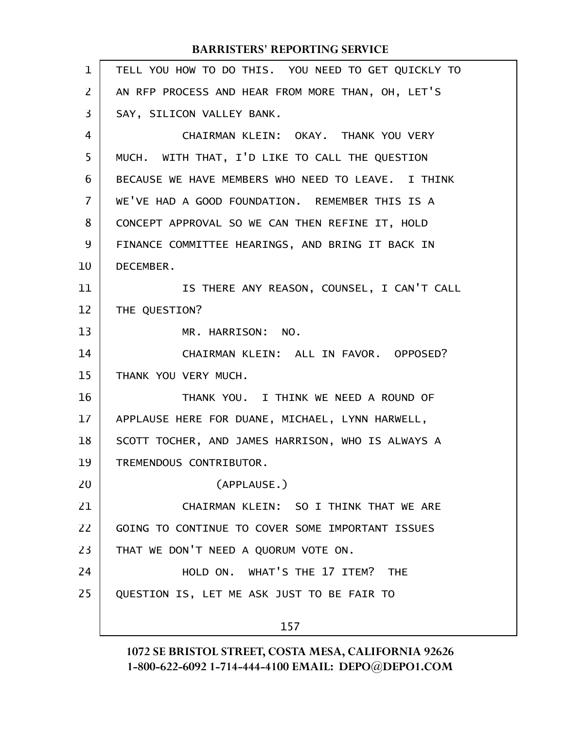| $\mathbf{1}$   | TELL YOU HOW TO DO THIS. YOU NEED TO GET QUICKLY TO |
|----------------|-----------------------------------------------------|
| $\overline{2}$ | AN RFP PROCESS AND HEAR FROM MORE THAN, OH, LET'S   |
| 3              | SAY, SILICON VALLEY BANK.                           |
| 4              | CHAIRMAN KLEIN: OKAY. THANK YOU VERY                |
| 5              | MUCH. WITH THAT, I'D LIKE TO CALL THE QUESTION      |
| 6              | BECAUSE WE HAVE MEMBERS WHO NEED TO LEAVE. I THINK  |
| $\overline{7}$ | WE'VE HAD A GOOD FOUNDATION. REMEMBER THIS IS A     |
| 8              | CONCEPT APPROVAL SO WE CAN THEN REFINE IT, HOLD     |
| 9              | FINANCE COMMITTEE HEARINGS, AND BRING IT BACK IN    |
| 10             | DECEMBER.                                           |
| 11             | IS THERE ANY REASON, COUNSEL, I CAN'T CALL          |
| 12             | THE QUESTION?                                       |
| 13             | MR. HARRISON: NO.                                   |
| 14             | CHAIRMAN KLEIN: ALL IN FAVOR. OPPOSED?              |
| 15             | THANK YOU VERY MUCH.                                |
| 16             | THANK YOU. I THINK WE NEED A ROUND OF               |
| 17             | APPLAUSE HERE FOR DUANE, MICHAEL, LYNN HARWELL,     |
| 18             | SCOTT TOCHER, AND JAMES HARRISON, WHO IS ALWAYS A   |
| 19             | TREMENDOUS CONTRIBUTOR.                             |
| 20             | (APPLAUSE.)                                         |
| 21             | CHAIRMAN KLEIN: SO I THINK THAT WE ARE              |
| 22             | GOING TO CONTINUE TO COVER SOME IMPORTANT ISSUES    |
| 23             | THAT WE DON'T NEED A QUORUM VOTE ON.                |
| 24             | HOLD ON. WHAT'S THE 17 ITEM? THE                    |
| 25             | QUESTION IS, LET ME ASK JUST TO BE FAIR TO          |
|                | 157                                                 |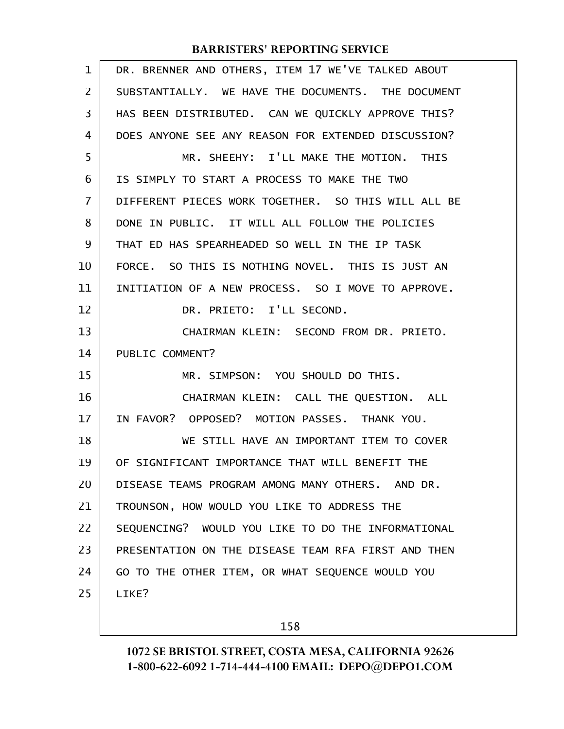| $\mathbf 1$ | DR. BRENNER AND OTHERS, ITEM 17 WE'VE TALKED ABOUT  |
|-------------|-----------------------------------------------------|
| 2           | SUBSTANTIALLY. WE HAVE THE DOCUMENTS. THE DOCUMENT  |
| 3           | HAS BEEN DISTRIBUTED. CAN WE QUICKLY APPROVE THIS?  |
| 4           | DOES ANYONE SEE ANY REASON FOR EXTENDED DISCUSSION? |
| 5           | MR. SHEEHY: I'LL MAKE THE MOTION. THIS              |
| 6           | IS SIMPLY TO START A PROCESS TO MAKE THE TWO        |
| 7           | DIFFERENT PIECES WORK TOGETHER. SO THIS WILL ALL BE |
| 8           | DONE IN PUBLIC. IT WILL ALL FOLLOW THE POLICIES     |
| 9           | THAT ED HAS SPEARHEADED SO WELL IN THE IP TASK      |
| 10          | FORCE. SO THIS IS NOTHING NOVEL. THIS IS JUST AN    |
| 11          | INITIATION OF A NEW PROCESS. SO I MOVE TO APPROVE.  |
| 12          | DR. PRIETO: I'LL SECOND.                            |
| 13          | CHAIRMAN KLEIN: SECOND FROM DR. PRIETO.             |
| 14          | PUBLIC COMMENT?                                     |
| 15          | MR. SIMPSON: YOU SHOULD DO THIS.                    |
| 16          | CHAIRMAN KLEIN: CALL THE QUESTION. ALL              |
| 17          | IN FAVOR? OPPOSED? MOTION PASSES, THANK YOU,        |
| 18          | WE STILL HAVE AN IMPORTANT ITEM TO COVER            |
| 19          | OF SIGNIFICANT IMPORTANCE THAT WILL BENEFIT THE     |
| 20          | DISEASE TEAMS PROGRAM AMONG MANY OTHERS. AND DR.    |
| 21          | TROUNSON, HOW WOULD YOU LIKE TO ADDRESS THE         |
| 22          | SEQUENCING? WOULD YOU LIKE TO DO THE INFORMATIONAL  |
| 23          | PRESENTATION ON THE DISEASE TEAM RFA FIRST AND THEN |
| 24          | GO TO THE OTHER ITEM, OR WHAT SEQUENCE WOULD YOU    |
| 25          | LIKE?                                               |
|             |                                                     |

158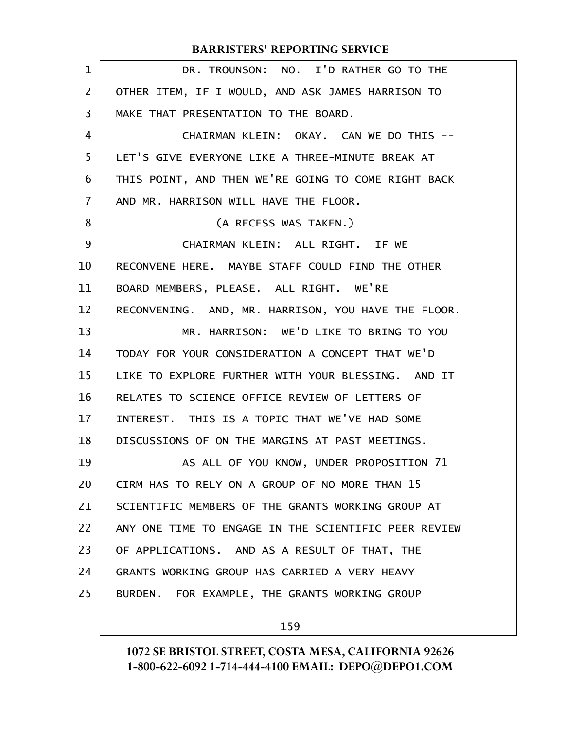| $\mathbf{1}$   | DR. TROUNSON: NO. I'D RATHER GO TO THE               |
|----------------|------------------------------------------------------|
| $\overline{2}$ | OTHER ITEM, IF I WOULD, AND ASK JAMES HARRISON TO    |
| 3              | MAKE THAT PRESENTATION TO THE BOARD.                 |
| 4              | CHAIRMAN KLEIN: OKAY. CAN WE DO THIS --              |
| 5              | LET'S GIVE EVERYONE LIKE A THREE-MINUTE BREAK AT     |
| 6              | THIS POINT, AND THEN WE'RE GOING TO COME RIGHT BACK  |
| 7              | AND MR. HARRISON WILL HAVE THE FLOOR.                |
| 8              | (A RECESS WAS TAKEN.)                                |
| 9              | CHAIRMAN KLEIN: ALL RIGHT. IF WE                     |
| 10             | RECONVENE HERE. MAYBE STAFF COULD FIND THE OTHER     |
| 11             | BOARD MEMBERS, PLEASE. ALL RIGHT. WE'RE              |
| 12             | RECONVENING. AND, MR. HARRISON, YOU HAVE THE FLOOR.  |
| 13             | MR. HARRISON: WE'D LIKE TO BRING TO YOU              |
| 14             | TODAY FOR YOUR CONSIDERATION A CONCEPT THAT WE'D     |
| 15             | LIKE TO EXPLORE FURTHER WITH YOUR BLESSING. AND IT   |
| 16             | RELATES TO SCIENCE OFFICE REVIEW OF LETTERS OF       |
| 17             | INTEREST. THIS IS A TOPIC THAT WE'VE HAD SOME        |
| 18             | DISCUSSIONS OF ON THE MARGINS AT PAST MEETINGS.      |
| 19             | AS ALL OF YOU KNOW, UNDER PROPOSITION 71             |
| 20             | CIRM HAS TO RELY ON A GROUP OF NO MORE THAN 15       |
| 21             | SCIENTIFIC MEMBERS OF THE GRANTS WORKING GROUP AT    |
| 22             | ANY ONE TIME TO ENGAGE IN THE SCIENTIFIC PEER REVIEW |
| 23             | OF APPLICATIONS. AND AS A RESULT OF THAT, THE        |
| 24             | GRANTS WORKING GROUP HAS CARRIED A VERY HEAVY        |
| 25             | BURDEN. FOR EXAMPLE, THE GRANTS WORKING GROUP        |
|                |                                                      |

159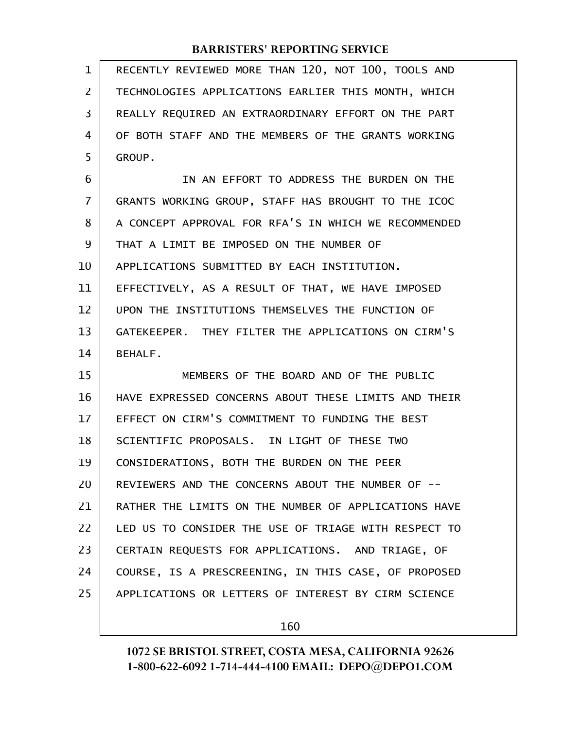| $\mathbf{1}$   | RECENTLY REVIEWED MORE THAN 120, NOT 100, TOOLS AND  |
|----------------|------------------------------------------------------|
| $\overline{2}$ | TECHNOLOGIES APPLICATIONS EARLIER THIS MONTH, WHICH  |
| 3              | REALLY REQUIRED AN EXTRAORDINARY EFFORT ON THE PART  |
| 4              | OF BOTH STAFF AND THE MEMBERS OF THE GRANTS WORKING  |
| 5              | GROUP.                                               |
| 6              | IN AN EFFORT TO ADDRESS THE BURDEN ON THE            |
| $\overline{7}$ | GRANTS WORKING GROUP, STAFF HAS BROUGHT TO THE ICOC  |
| 8              | A CONCEPT APPROVAL FOR RFA'S IN WHICH WE RECOMMENDED |
| 9              | THAT A LIMIT BE IMPOSED ON THE NUMBER OF             |
| 10             | APPLICATIONS SUBMITTED BY EACH INSTITUTION.          |
| 11             | EFFECTIVELY, AS A RESULT OF THAT, WE HAVE IMPOSED    |
| 12             | UPON THE INSTITUTIONS THEMSELVES THE FUNCTION OF     |
| 13             | GATEKEEPER. THEY FILTER THE APPLICATIONS ON CIRM'S   |
| 14             | <b>BEHALF.</b>                                       |
|                |                                                      |
| 15             | MEMBERS OF THE BOARD AND OF THE PUBLIC               |
| 16             | HAVE EXPRESSED CONCERNS ABOUT THESE LIMITS AND THEIR |
| 17             | EFFECT ON CIRM'S COMMITMENT TO FUNDING THE BEST      |
| 18             | SCIENTIFIC PROPOSALS. IN LIGHT OF THESE TWO          |
| 19             | CONSIDERATIONS, BOTH THE BURDEN ON THE PEER          |
| 20             | REVIEWERS AND THE CONCERNS ABOUT THE NUMBER OF --    |
| 21             | RATHER THE LIMITS ON THE NUMBER OF APPLICATIONS HAVE |
| 22             | LED US TO CONSIDER THE USE OF TRIAGE WITH RESPECT TO |
| 23             | CERTAIN REQUESTS FOR APPLICATIONS. AND TRIAGE, OF    |
| 24             | COURSE, IS A PRESCREENING, IN THIS CASE, OF PROPOSED |
| 25             | APPLICATIONS OR LETTERS OF INTEREST BY CIRM SCIENCE  |

160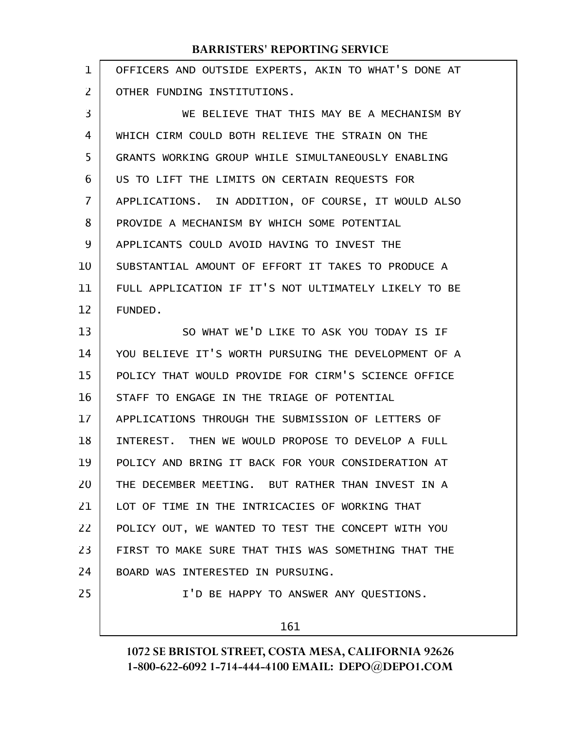| $\mathbf{1}$      | OFFICERS AND OUTSIDE EXPERTS, AKIN TO WHAT'S DONE AT |
|-------------------|------------------------------------------------------|
| $\overline{2}$    | OTHER FUNDING INSTITUTIONS.                          |
| 3                 | WE BELIEVE THAT THIS MAY BE A MECHANISM BY           |
| 4                 | WHICH CIRM COULD BOTH RELIEVE THE STRAIN ON THE      |
| 5                 | GRANTS WORKING GROUP WHILE SIMULTANEOUSLY ENABLING   |
| 6                 | US TO LIFT THE LIMITS ON CERTAIN REQUESTS FOR        |
| $\overline{7}$    | APPLICATIONS. IN ADDITION, OF COURSE, IT WOULD ALSO  |
| 8                 | PROVIDE A MECHANISM BY WHICH SOME POTENTIAL          |
| 9                 | APPLICANTS COULD AVOID HAVING TO INVEST THE          |
| 10                | SUBSTANTIAL AMOUNT OF EFFORT IT TAKES TO PRODUCE A   |
| 11                | FULL APPLICATION IF IT'S NOT ULTIMATELY LIKELY TO BE |
| $12 \overline{ }$ | FUNDED.                                              |
| 13                | SO WHAT WE'D LIKE TO ASK YOU TODAY IS IF             |
| 14                | YOU BELIEVE IT'S WORTH PURSUING THE DEVELOPMENT OF A |
| 15                | POLICY THAT WOULD PROVIDE FOR CIRM'S SCIENCE OFFICE  |
| 16                | STAFF TO ENGAGE IN THE TRIAGE OF POTENTIAL           |
| 17                | APPLICATIONS THROUGH THE SUBMISSION OF LETTERS OF    |
| 18                | INTEREST. THEN WE WOULD PROPOSE TO DEVELOP A FULL    |
| 19                | POLICY AND BRING IT BACK FOR YOUR CONSIDERATION AT   |
| 20                | THE DECEMBER MEETING. BUT RATHER THAN INVEST IN A    |
| 21                | LOT OF TIME IN THE INTRICACIES OF WORKING THAT       |
| 22                | POLICY OUT, WE WANTED TO TEST THE CONCEPT WITH YOU   |
| 23                | FIRST TO MAKE SURE THAT THIS WAS SOMETHING THAT THE  |
| 24                | BOARD WAS INTERESTED IN PURSUING.                    |
| 25                | I'D BE HAPPY TO ANSWER ANY QUESTIONS.                |
|                   | 161                                                  |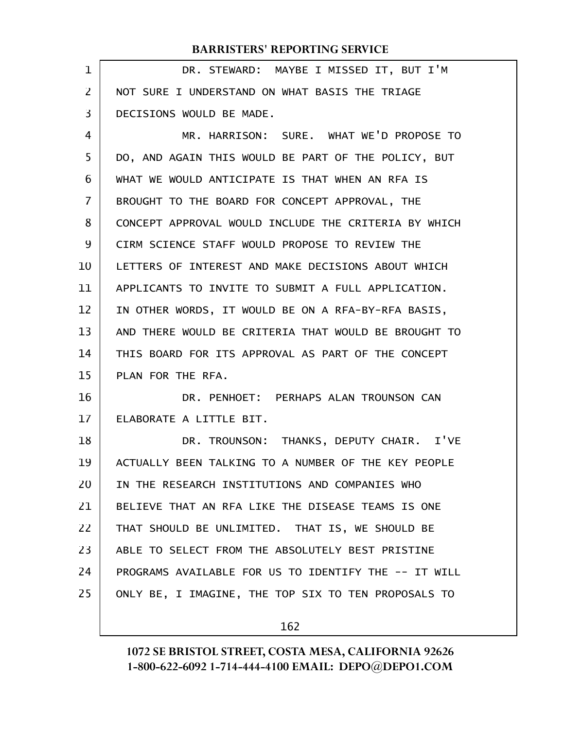| 1              | DR. STEWARD: MAYBE I MISSED IT, BUT I'M              |
|----------------|------------------------------------------------------|
| $\overline{2}$ | NOT SURE I UNDERSTAND ON WHAT BASIS THE TRIAGE       |
| 3              | DECISIONS WOULD BE MADE.                             |
| $\overline{4}$ | MR. HARRISON: SURE. WHAT WE'D PROPOSE TO             |
| 5              | DO, AND AGAIN THIS WOULD BE PART OF THE POLICY, BUT  |
| 6              | WHAT WE WOULD ANTICIPATE IS THAT WHEN AN RFA IS      |
| $\overline{7}$ | BROUGHT TO THE BOARD FOR CONCEPT APPROVAL, THE       |
| 8              | CONCEPT APPROVAL WOULD INCLUDE THE CRITERIA BY WHICH |
| 9              | CIRM SCIENCE STAFF WOULD PROPOSE TO REVIEW THE       |
| 10             | LETTERS OF INTEREST AND MAKE DECISIONS ABOUT WHICH   |
| 11             | APPLICANTS TO INVITE TO SUBMIT A FULL APPLICATION.   |
| 12             | IN OTHER WORDS, IT WOULD BE ON A RFA-BY-RFA BASIS,   |
| 13             | AND THERE WOULD BE CRITERIA THAT WOULD BE BROUGHT TO |
| 14             | THIS BOARD FOR ITS APPROVAL AS PART OF THE CONCEPT   |
| 15             | PLAN FOR THE RFA.                                    |
| 16             | DR. PENHOET: PERHAPS ALAN TROUNSON CAN               |
| 17             | ELABORATE A LITTLE BIT.                              |
| 18             | DR. TROUNSON: THANKS, DEPUTY CHAIR. I'VE             |
| 19             | ACTUALLY BEEN TALKING TO A NUMBER OF THE KEY PEOPLE  |
| 20             | IN THE RESEARCH INSTITUTIONS AND COMPANIES WHO       |
| 21             | BELIEVE THAT AN RFA LIKE THE DISEASE TEAMS IS ONE    |
| 22             | THAT SHOULD BE UNLIMITED. THAT IS, WE SHOULD BE      |
| 23             | ABLE TO SELECT FROM THE ABSOLUTELY BEST PRISTINE     |
| 24             | PROGRAMS AVAILABLE FOR US TO IDENTIFY THE -- IT WILL |
| 25             | ONLY BE, I IMAGINE, THE TOP SIX TO TEN PROPOSALS TO  |
|                |                                                      |

162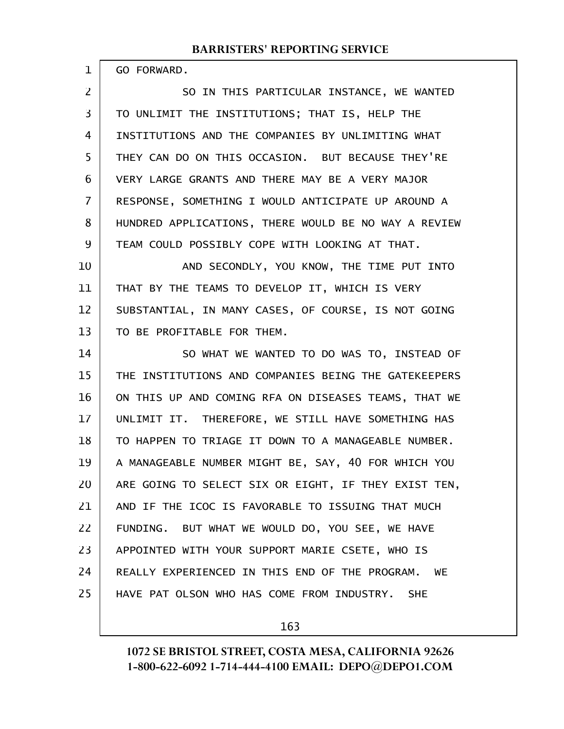GO FORWARD.

1

SO IN THIS PARTICULAR INSTANCE, WE WANTED TO UNLIMIT THE INSTITUTIONS; THAT IS, HELP THE INSTITUTIONS AND THE COMPANIES BY UNLIMITING WHAT THEY CAN DO ON THIS OCCASION. BUT BECAUSE THEY'RE VERY LARGE GRANTS AND THERE MAY BE A VERY MAJOR RESPONSE, SOMETHING I WOULD ANTICIPATE UP AROUND A HUNDRED APPLICATIONS, THERE WOULD BE NO WAY A REVIEW TEAM COULD POSSIBLY COPE WITH LOOKING AT THAT. 2 3 4 5 6 7 8 9

AND SECONDLY, YOU KNOW, THE TIME PUT INTO THAT BY THE TEAMS TO DEVELOP IT, WHICH IS VERY SUBSTANTIAL, IN MANY CASES, OF COURSE, IS NOT GOING TO BE PROFITABLE FOR THEM. 10 11 12 13

SO WHAT WE WANTED TO DO WAS TO, INSTEAD OF THE INSTITUTIONS AND COMPANIES BEING THE GATEKEEPERS ON THIS UP AND COMING RFA ON DISEASES TEAMS, THAT WE UNLIMIT IT. THEREFORE, WE STILL HAVE SOMETHING HAS TO HAPPEN TO TRIAGE IT DOWN TO A MANAGEABLE NUMBER. A MANAGEABLE NUMBER MIGHT BE, SAY, 40 FOR WHICH YOU ARE GOING TO SELECT SIX OR EIGHT, IF THEY EXIST TEN, AND IF THE ICOC IS FAVORABLE TO ISSUING THAT MUCH FUNDING. BUT WHAT WE WOULD DO, YOU SEE, WE HAVE APPOINTED WITH YOUR SUPPORT MARIE CSETE, WHO IS REALLY EXPERIENCED IN THIS END OF THE PROGRAM. WE HAVE PAT OLSON WHO HAS COME FROM INDUSTRY. SHE 14 15 16 17 18 19 20 21 22 23 24 25

163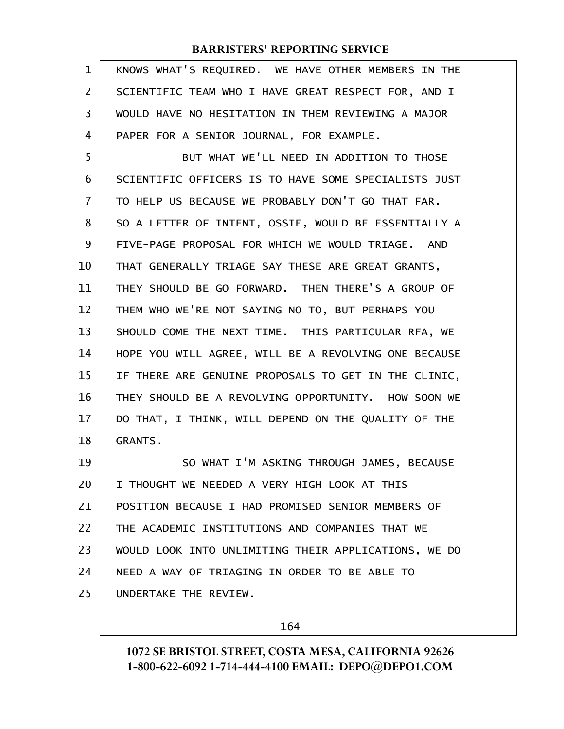| 1              | KNOWS WHAT'S REQUIRED. WE HAVE OTHER MEMBERS IN THE  |
|----------------|------------------------------------------------------|
| $\overline{2}$ | SCIENTIFIC TEAM WHO I HAVE GREAT RESPECT FOR, AND I  |
| 3              | WOULD HAVE NO HESITATION IN THEM REVIEWING A MAJOR   |
| 4              | PAPER FOR A SENIOR JOURNAL, FOR EXAMPLE.             |
| 5              | BUT WHAT WE'LL NEED IN ADDITION TO THOSE             |
| 6              | SCIENTIFIC OFFICERS IS TO HAVE SOME SPECIALISTS JUST |
| $\overline{7}$ | TO HELP US BECAUSE WE PROBABLY DON'T GO THAT FAR.    |
| 8              | SO A LETTER OF INTENT, OSSIE, WOULD BE ESSENTIALLY A |
| 9              | FIVE-PAGE PROPOSAL FOR WHICH WE WOULD TRIAGE. AND    |
| 10             | THAT GENERALLY TRIAGE SAY THESE ARE GREAT GRANTS,    |
| 11             | THEY SHOULD BE GO FORWARD. THEN THERE'S A GROUP OF   |
| 12             | THEM WHO WE'RE NOT SAYING NO TO, BUT PERHAPS YOU     |
| 13             | SHOULD COME THE NEXT TIME. THIS PARTICULAR RFA, WE   |
| 14             | HOPE YOU WILL AGREE, WILL BE A REVOLVING ONE BECAUSE |
| 15             | IF THERE ARE GENUINE PROPOSALS TO GET IN THE CLINIC, |
| 16             | THEY SHOULD BE A REVOLVING OPPORTUNITY. HOW SOON WE  |
| 17             | DO THAT, I THINK, WILL DEPEND ON THE QUALITY OF THE  |
| 18             | <b>GRANTS.</b>                                       |
| 19             | SO WHAT I'M ASKING THROUGH JAMES, BECAUSE            |
| 20             | I THOUGHT WE NEEDED A VERY HIGH LOOK AT THIS         |
| 21             | POSITION BECAUSE I HAD PROMISED SENIOR MEMBERS OF    |
| 22             | THE ACADEMIC INSTITUTIONS AND COMPANIES THAT WE      |
| 23             | WOULD LOOK INTO UNLIMITING THEIR APPLICATIONS, WE DO |
| 24             | NEED A WAY OF TRIAGING IN ORDER TO BE ABLE TO        |
| 25             | UNDERTAKE THE REVIEW.                                |
|                |                                                      |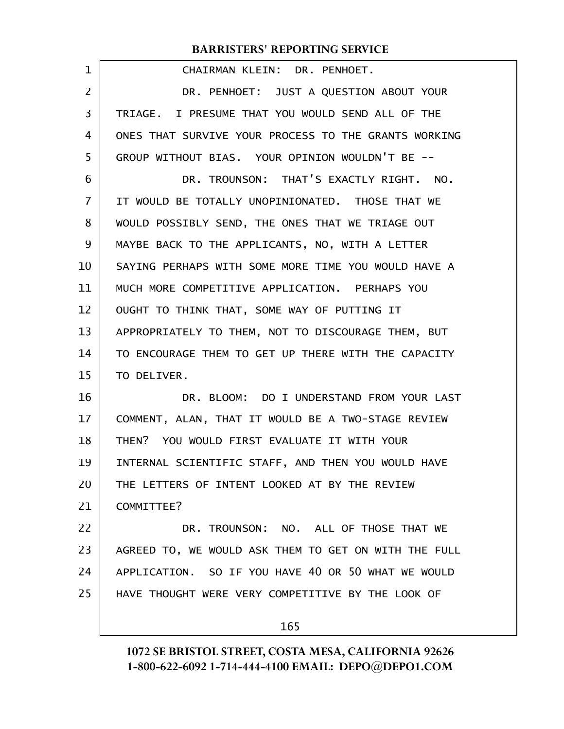| $\mathbf 1$    | CHAIRMAN KLEIN: DR. PENHOET.                         |
|----------------|------------------------------------------------------|
| $\overline{2}$ | DR. PENHOET: JUST A QUESTION ABOUT YOUR              |
| 3              | TRIAGE. I PRESUME THAT YOU WOULD SEND ALL OF THE     |
| 4              | ONES THAT SURVIVE YOUR PROCESS TO THE GRANTS WORKING |
| 5              | GROUP WITHOUT BIAS. YOUR OPINION WOULDN'T BE --      |
| 6              | DR. TROUNSON: THAT'S EXACTLY RIGHT. NO.              |
| 7              | IT WOULD BE TOTALLY UNOPINIONATED. THOSE THAT WE     |
| 8              | WOULD POSSIBLY SEND, THE ONES THAT WE TRIAGE OUT     |
| 9              | MAYBE BACK TO THE APPLICANTS, NO, WITH A LETTER      |
| 10             | SAYING PERHAPS WITH SOME MORE TIME YOU WOULD HAVE A  |
| 11             | MUCH MORE COMPETITIVE APPLICATION. PERHAPS YOU       |
| 12             | OUGHT TO THINK THAT, SOME WAY OF PUTTING IT          |
| 13             | APPROPRIATELY TO THEM, NOT TO DISCOURAGE THEM, BUT   |
| 14             | TO ENCOURAGE THEM TO GET UP THERE WITH THE CAPACITY  |
| 15             | TO DELIVER.                                          |
| 16             | DR. BLOOM: DO I UNDERSTAND FROM YOUR LAST            |
| 17             | COMMENT, ALAN, THAT IT WOULD BE A TWO-STAGE REVIEW   |
| 18             | THEN? YOU WOULD FIRST EVALUATE IT WITH YOUR          |
| 19             | INTERNAL SCIENTIFIC STAFF, AND THEN YOU WOULD HAVE   |
| 20             | THE LETTERS OF INTENT LOOKED AT BY THE REVIEW        |
| 21             | COMMITTEE?                                           |
| 22             | DR. TROUNSON: NO. ALL OF THOSE THAT WE               |
| 23             | AGREED TO, WE WOULD ASK THEM TO GET ON WITH THE FULL |
| 24             | APPLICATION. SO IF YOU HAVE 40 OR 50 WHAT WE WOULD   |
| 25             | HAVE THOUGHT WERE VERY COMPETITIVE BY THE LOOK OF    |
|                | 165                                                  |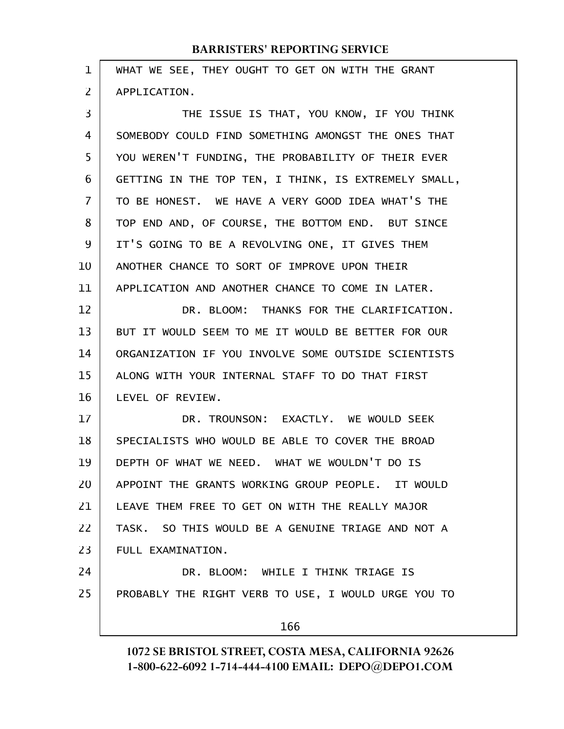| 1              | WHAT WE SEE, THEY OUGHT TO GET ON WITH THE GRANT     |
|----------------|------------------------------------------------------|
| $\overline{2}$ | APPLICATION.                                         |
| 3              | THE ISSUE IS THAT, YOU KNOW, IF YOU THINK            |
| 4              | SOMEBODY COULD FIND SOMETHING AMONGST THE ONES THAT  |
| 5              | YOU WEREN'T FUNDING, THE PROBABILITY OF THEIR EVER   |
| 6              | GETTING IN THE TOP TEN, I THINK, IS EXTREMELY SMALL, |
| 7              | TO BE HONEST. WE HAVE A VERY GOOD IDEA WHAT'S THE    |
| 8              | TOP END AND, OF COURSE, THE BOTTOM END. BUT SINCE    |
| 9              | IT'S GOING TO BE A REVOLVING ONE, IT GIVES THEM      |
| 10             | ANOTHER CHANCE TO SORT OF IMPROVE UPON THEIR         |
| 11             | APPLICATION AND ANOTHER CHANCE TO COME IN LATER.     |
| 12             | DR. BLOOM: THANKS FOR THE CLARIFICATION.             |
| 13             | BUT IT WOULD SEEM TO ME IT WOULD BE BETTER FOR OUR   |
| 14             | ORGANIZATION IF YOU INVOLVE SOME OUTSIDE SCIENTISTS  |
| 15             | ALONG WITH YOUR INTERNAL STAFF TO DO THAT FIRST      |
| 16             | LEVEL OF REVIEW.                                     |
| 17             | DR. TROUNSON: EXACTLY. WE WOULD SEEK                 |
| 18             | SPECIALISTS WHO WOULD BE ABLE TO COVER THE BROAD     |
| 19             | DEPTH OF WHAT WE NEED. WHAT WE WOULDN'T DO IS        |
| 20             | APPOINT THE GRANTS WORKING GROUP PEOPLE. IT WOULD    |
| 21             | LEAVE THEM FREE TO GET ON WITH THE REALLY MAJOR      |
| 22             | TASK. SO THIS WOULD BE A GENUINE TRIAGE AND NOT A    |
| 23             | FULL EXAMINATION.                                    |
| 24             | DR. BLOOM: WHILE I THINK TRIAGE IS                   |
| 25             | PROBABLY THE RIGHT VERB TO USE, I WOULD URGE YOU TO  |
|                | 166                                                  |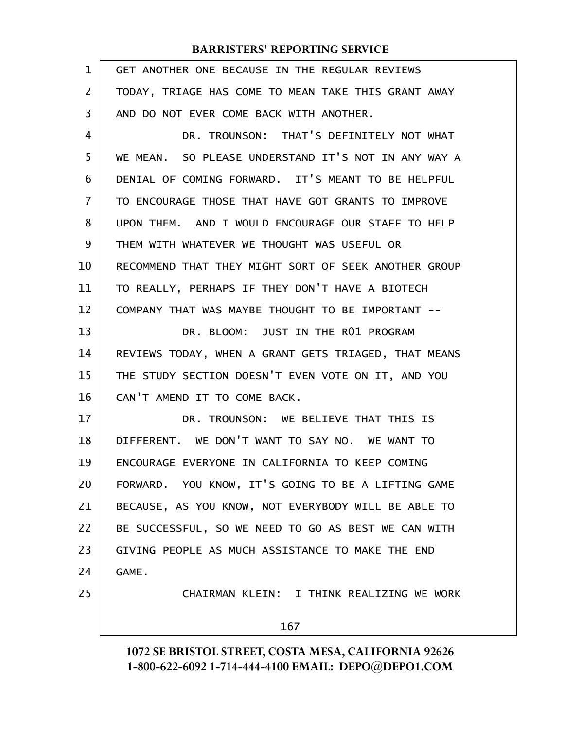| 1  | GET ANOTHER ONE BECAUSE IN THE REGULAR REVIEWS       |
|----|------------------------------------------------------|
| 2  | TODAY, TRIAGE HAS COME TO MEAN TAKE THIS GRANT AWAY  |
| 3  | AND DO NOT EVER COME BACK WITH ANOTHER.              |
| 4  | DR. TROUNSON: THAT'S DEFINITELY NOT WHAT             |
| 5  | WE MEAN. SO PLEASE UNDERSTAND IT'S NOT IN ANY WAY A  |
| 6  | DENIAL OF COMING FORWARD. IT'S MEANT TO BE HELPFUL   |
| 7  | TO ENCOURAGE THOSE THAT HAVE GOT GRANTS TO IMPROVE   |
| 8  | UPON THEM. AND I WOULD ENCOURAGE OUR STAFF TO HELP   |
| 9  | THEM WITH WHATEVER WE THOUGHT WAS USEFUL OR          |
| 10 | RECOMMEND THAT THEY MIGHT SORT OF SEEK ANOTHER GROUP |
| 11 | TO REALLY, PERHAPS IF THEY DON'T HAVE A BIOTECH      |
| 12 | COMPANY THAT WAS MAYBE THOUGHT TO BE IMPORTANT --    |
| 13 | DR. BLOOM: JUST IN THE RO1 PROGRAM                   |
| 14 | REVIEWS TODAY, WHEN A GRANT GETS TRIAGED, THAT MEANS |
| 15 | THE STUDY SECTION DOESN'T EVEN VOTE ON IT, AND YOU   |
| 16 | CAN'T AMEND IT TO COME BACK.                         |
| 17 | DR. TROUNSON: WE BELIEVE THAT THIS IS                |
| 18 | DIFFERENT. WE DON'T WANT TO SAY NO. WE WANT TO       |
| 19 | ENCOURAGE EVERYONE IN CALIFORNIA TO KEEP COMING      |
| 20 | FORWARD. YOU KNOW, IT'S GOING TO BE A LIFTING GAME   |
| 21 | BECAUSE, AS YOU KNOW, NOT EVERYBODY WILL BE ABLE TO  |
| 22 | BE SUCCESSFUL, SO WE NEED TO GO AS BEST WE CAN WITH  |
| 23 | GIVING PEOPLE AS MUCH ASSISTANCE TO MAKE THE END     |
| 24 | GAME.                                                |
| 25 | CHAIRMAN KLEIN: I THINK REALIZING WE WORK            |
|    | 167                                                  |
|    |                                                      |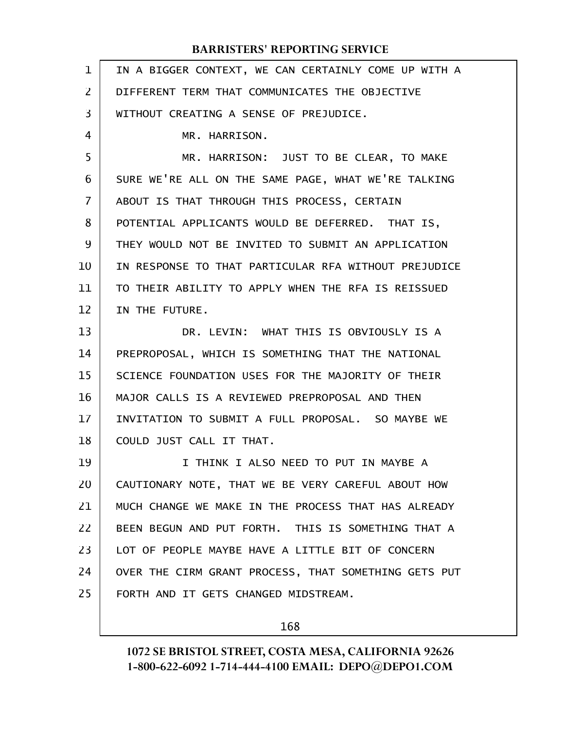| $\mathbf{1}$ | IN A BIGGER CONTEXT, WE CAN CERTAINLY COME UP WITH A |
|--------------|------------------------------------------------------|
| 2            | DIFFERENT TERM THAT COMMUNICATES THE OBJECTIVE       |
| 3            | WITHOUT CREATING A SENSE OF PREJUDICE.               |
| 4            | MR. HARRISON.                                        |
| 5            | MR. HARRISON: JUST TO BE CLEAR, TO MAKE              |
| 6            | SURE WE'RE ALL ON THE SAME PAGE, WHAT WE'RE TALKING  |
| 7            | ABOUT IS THAT THROUGH THIS PROCESS, CERTAIN          |
| 8            | POTENTIAL APPLICANTS WOULD BE DEFERRED. THAT IS,     |
| 9            | THEY WOULD NOT BE INVITED TO SUBMIT AN APPLICATION   |
| 10           | IN RESPONSE TO THAT PARTICULAR RFA WITHOUT PREJUDICE |
| 11           | TO THEIR ABILITY TO APPLY WHEN THE RFA IS REISSUED   |
| 12           | IN THE FUTURE.                                       |
| 13           | DR. LEVIN: WHAT THIS IS OBVIOUSLY IS A               |
| 14           | PREPROPOSAL, WHICH IS SOMETHING THAT THE NATIONAL    |
| 15           | SCIENCE FOUNDATION USES FOR THE MAJORITY OF THEIR    |
| 16           | MAJOR CALLS IS A REVIEWED PREPROPOSAL AND THEN       |
| 17           | INVITATION TO SUBMIT A FULL PROPOSAL. SO MAYBE WE    |
| 18           | COULD JUST CALL IT THAT.                             |
| 19           | I THINK I ALSO NEED TO PUT IN MAYBE A                |
| 20           | CAUTIONARY NOTE, THAT WE BE VERY CAREFUL ABOUT HOW   |
| 21           | MUCH CHANGE WE MAKE IN THE PROCESS THAT HAS ALREADY  |
| 22           | BEEN BEGUN AND PUT FORTH. THIS IS SOMETHING THAT A   |
| 23           | LOT OF PEOPLE MAYBE HAVE A LITTLE BIT OF CONCERN     |
| 24           | OVER THE CIRM GRANT PROCESS, THAT SOMETHING GETS PUT |
| 25           | FORTH AND IT GETS CHANGED MIDSTREAM.                 |
|              |                                                      |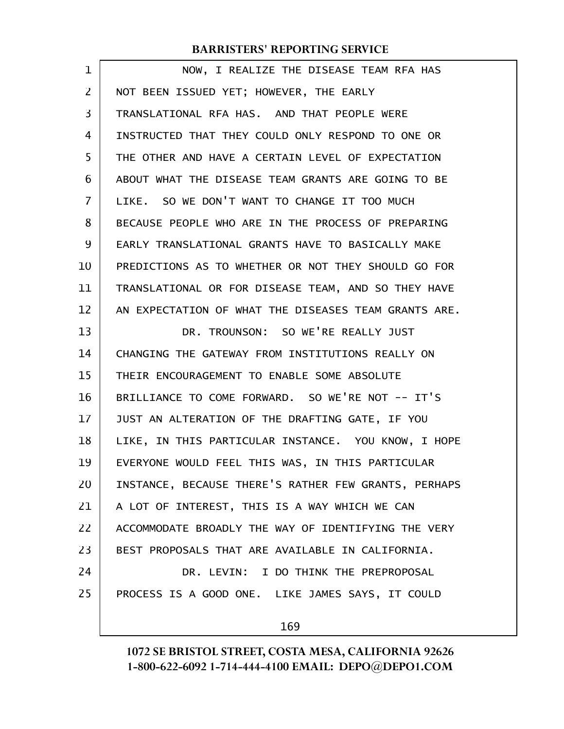| 1  | NOW, I REALIZE THE DISEASE TEAM RFA HAS              |
|----|------------------------------------------------------|
| 2  | NOT BEEN ISSUED YET; HOWEVER, THE EARLY              |
| 3  | TRANSLATIONAL RFA HAS. AND THAT PEOPLE WERE          |
| 4  | INSTRUCTED THAT THEY COULD ONLY RESPOND TO ONE OR    |
| 5  | THE OTHER AND HAVE A CERTAIN LEVEL OF EXPECTATION    |
| 6  | ABOUT WHAT THE DISEASE TEAM GRANTS ARE GOING TO BE   |
| 7  | LIKE. SO WE DON'T WANT TO CHANGE IT TOO MUCH         |
| 8  | BECAUSE PEOPLE WHO ARE IN THE PROCESS OF PREPARING   |
| 9  | EARLY TRANSLATIONAL GRANTS HAVE TO BASICALLY MAKE    |
| 10 | PREDICTIONS AS TO WHETHER OR NOT THEY SHOULD GO FOR  |
| 11 | TRANSLATIONAL OR FOR DISEASE TEAM, AND SO THEY HAVE  |
| 12 | AN EXPECTATION OF WHAT THE DISEASES TEAM GRANTS ARE. |
| 13 | DR. TROUNSON: SO WE'RE REALLY JUST                   |
| 14 | CHANGING THE GATEWAY FROM INSTITUTIONS REALLY ON     |
| 15 | THEIR ENCOURAGEMENT TO ENABLE SOME ABSOLUTE          |
| 16 | BRILLIANCE TO COME FORWARD. SO WE'RE NOT -- IT'S     |
| 17 | JUST AN ALTERATION OF THE DRAFTING GATE, IF YOU      |
| 18 | LIKE, IN THIS PARTICULAR INSTANCE. YOU KNOW, I HOPE  |
| 19 | EVERYONE WOULD FEEL THIS WAS, IN THIS PARTICULAR     |
| 20 | INSTANCE, BECAUSE THERE'S RATHER FEW GRANTS, PERHAPS |
| 21 | A LOT OF INTEREST, THIS IS A WAY WHICH WE CAN        |
| 22 | ACCOMMODATE BROADLY THE WAY OF IDENTIFYING THE VERY  |
| 23 | BEST PROPOSALS THAT ARE AVAILABLE IN CALIFORNIA.     |
| 24 | DR. LEVIN: I DO THINK THE PREPROPOSAL                |
| 25 | PROCESS IS A GOOD ONE. LIKE JAMES SAYS, IT COULD     |
|    | 169                                                  |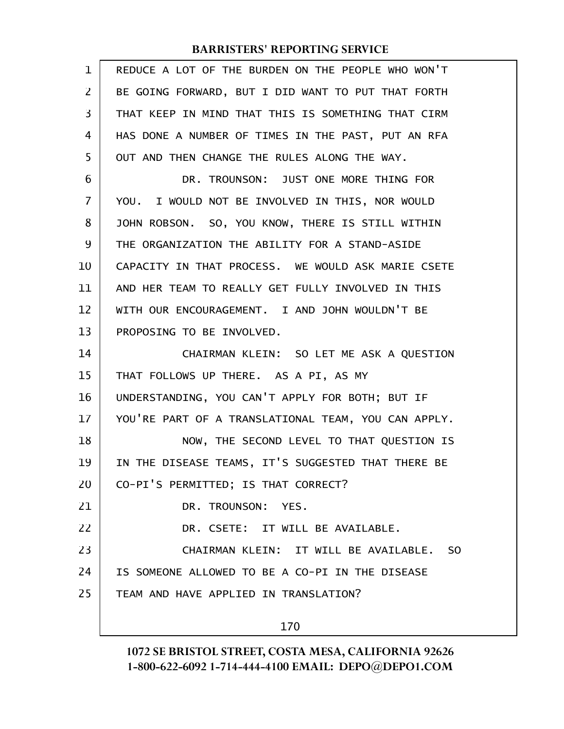| $\mathbf 1$       | REDUCE A LOT OF THE BURDEN ON THE PEOPLE WHO WON'T  |
|-------------------|-----------------------------------------------------|
| 2                 | BE GOING FORWARD, BUT I DID WANT TO PUT THAT FORTH  |
| 3                 | THAT KEEP IN MIND THAT THIS IS SOMETHING THAT CIRM  |
| 4                 | HAS DONE A NUMBER OF TIMES IN THE PAST, PUT AN RFA  |
| 5                 | OUT AND THEN CHANGE THE RULES ALONG THE WAY.        |
| 6                 | DR. TROUNSON: JUST ONE MORE THING FOR               |
| $\overline{7}$    | YOU. I WOULD NOT BE INVOLVED IN THIS, NOR WOULD     |
| 8                 | JOHN ROBSON. SO, YOU KNOW, THERE IS STILL WITHIN    |
| 9                 | THE ORGANIZATION THE ABILITY FOR A STAND-ASIDE      |
| 10                | CAPACITY IN THAT PROCESS. WE WOULD ASK MARIE CSETE  |
| 11                | AND HER TEAM TO REALLY GET FULLY INVOLVED IN THIS   |
| $12 \overline{ }$ | WITH OUR ENCOURAGEMENT. I AND JOHN WOULDN'T BE      |
| 13                | PROPOSING TO BE INVOLVED.                           |
| 14                | CHAIRMAN KLEIN: SO LET ME ASK A QUESTION            |
| 15                | THAT FOLLOWS UP THERE. AS A PI, AS MY               |
| 16                | UNDERSTANDING, YOU CAN'T APPLY FOR BOTH; BUT IF     |
| 17                | YOU'RE PART OF A TRANSLATIONAL TEAM, YOU CAN APPLY. |
| 18                | NOW, THE SECOND LEVEL TO THAT QUESTION IS           |
| 19                | IN THE DISEASE TEAMS, IT'S SUGGESTED THAT THERE BE  |
| 20                | CO-PI'S PERMITTED; IS THAT CORRECT?                 |
| 21                | DR. TROUNSON: YES.                                  |
| 22                | DR. CSETE: IT WILL BE AVAILABLE.                    |
| 23                | CHAIRMAN KLEIN: IT WILL BE AVAILABLE. SO            |
| 24                | IS SOMEONE ALLOWED TO BE A CO-PI IN THE DISEASE     |
| 25                | TEAM AND HAVE APPLIED IN TRANSLATION?               |
|                   | 170                                                 |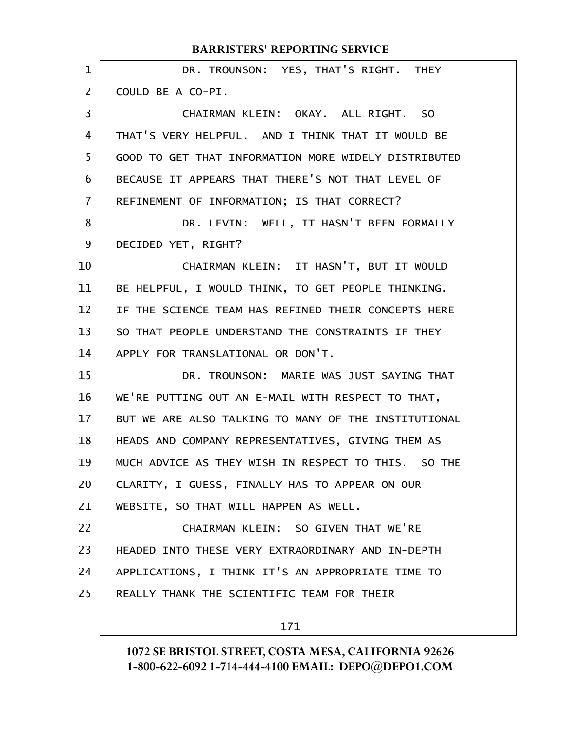#### DR. TROUNSON: YES, THAT'S RIGHT. THEY COULD BE A CO-PI. CHAIRMAN KLEIN: OKAY. ALL RIGHT. SO THAT'S VERY HELPFUL. AND I THINK THAT IT WOULD BE GOOD TO GET THAT INFORMATION MORE WIDELY DISTRIBUTED BECAUSE IT APPEARS THAT THERE'S NOT THAT LEVEL OF REFINEMENT OF INFORMATION; IS THAT CORRECT? DR. LEVIN: WELL, IT HASN'T BEEN FORMALLY DECIDED YET, RIGHT? CHAIRMAN KLEIN: IT HASN'T, BUT IT WOULD BE HELPFUL, I WOULD THINK, TO GET PEOPLE THINKING. IF THE SCIENCE TEAM HAS REFINED THEIR CONCEPTS HERE SO THAT PEOPLE UNDERSTAND THE CONSTRAINTS IF THEY APPLY FOR TRANSLATIONAL OR DON'T. DR. TROUNSON: MARIE WAS JUST SAYING THAT WE'RE PUTTING OUT AN E-MAIL WITH RESPECT TO THAT, BUT WE ARE ALSO TALKING TO MANY OF THE INSTITUTIONAL HEADS AND COMPANY REPRESENTATIVES, GIVING THEM AS MUCH ADVICE AS THEY WISH IN RESPECT TO THIS. SO THE CLARITY, I GUESS, FINALLY HAS TO APPEAR ON OUR WEBSITE, SO THAT WILL HAPPEN AS WELL. CHAIRMAN KLEIN: SO GIVEN THAT WE'RE HEADED INTO THESE VERY EXTRAORDINARY AND IN-DEPTH APPLICATIONS, I THINK IT'S AN APPROPRIATE TIME TO REALLY THANK THE SCIENTIFIC TEAM FOR THEIR BARRISTERS' REPORTING SERVICE 1 2 3 4 5 6 7 8 9 10 11 12 13 14 15 16 17 18 19 20 21 22 23 24 25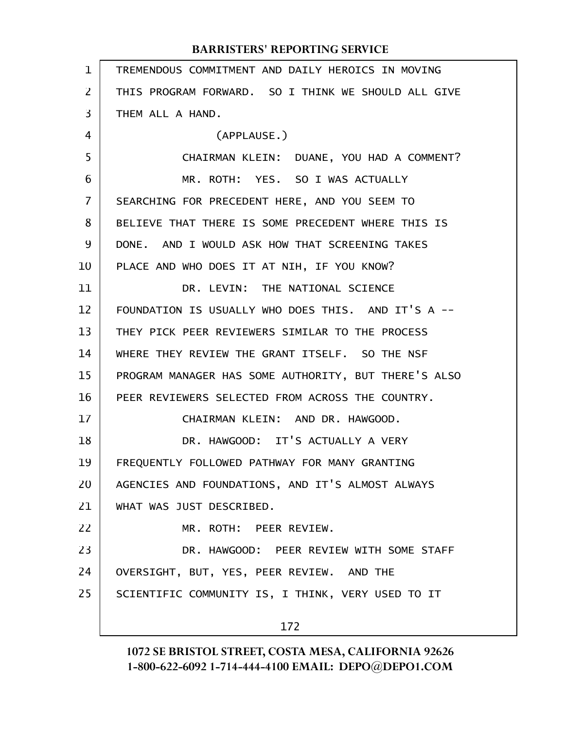| $\mathbf{1}$      | TREMENDOUS COMMITMENT AND DAILY HEROICS IN MOVING    |
|-------------------|------------------------------------------------------|
| $\overline{2}$    | THIS PROGRAM FORWARD. SO I THINK WE SHOULD ALL GIVE  |
| 3                 | THEM ALL A HAND.                                     |
| 4                 | (APPLAUSE.)                                          |
| 5                 | CHAIRMAN KLEIN: DUANE, YOU HAD A COMMENT?            |
| 6                 | MR. ROTH: YES. SO I WAS ACTUALLY                     |
| 7                 | SEARCHING FOR PRECEDENT HERE, AND YOU SEEM TO        |
| 8                 | BELIEVE THAT THERE IS SOME PRECEDENT WHERE THIS IS   |
| 9                 | DONE. AND I WOULD ASK HOW THAT SCREENING TAKES       |
| 10                | PLACE AND WHO DOES IT AT NIH, IF YOU KNOW?           |
| 11                | DR. LEVIN: THE NATIONAL SCIENCE                      |
| $12 \overline{ }$ | FOUNDATION IS USUALLY WHO DOES THIS. AND IT'S A --   |
| 13                | THEY PICK PEER REVIEWERS SIMILAR TO THE PROCESS      |
| 14                | WHERE THEY REVIEW THE GRANT ITSELF. SO THE NSF       |
| 15                | PROGRAM MANAGER HAS SOME AUTHORITY, BUT THERE'S ALSO |
| 16                | PEER REVIEWERS SELECTED FROM ACROSS THE COUNTRY.     |
| 17                | CHAIRMAN KLEIN: AND DR. HAWGOOD.                     |
| 18                | DR. HAWGOOD: IT'S ACTUALLY A VERY                    |
| 19                | FREQUENTLY FOLLOWED PATHWAY FOR MANY GRANTING        |
| 20                | AGENCIES AND FOUNDATIONS, AND IT'S ALMOST ALWAYS     |
| 21                | WHAT WAS JUST DESCRIBED.                             |
| 22                | MR. ROTH: PEER REVIEW.                               |
| 23                | DR. HAWGOOD: PEER REVIEW WITH SOME STAFF             |
| 24                | OVERSIGHT, BUT, YES, PEER REVIEW. AND THE            |
| 25                | SCIENTIFIC COMMUNITY IS, I THINK, VERY USED TO IT    |
|                   | 172                                                  |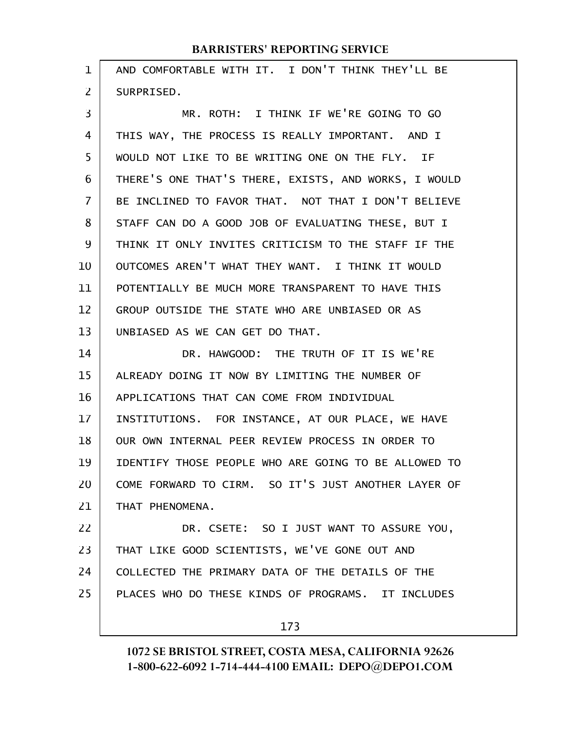| 1              | AND COMFORTABLE WITH IT. I DON'T THINK THEY'LL BE    |
|----------------|------------------------------------------------------|
| $\overline{2}$ | SURPRISED.                                           |
| 3              | MR. ROTH: I THINK IF WE'RE GOING TO GO               |
| 4              | THIS WAY, THE PROCESS IS REALLY IMPORTANT. AND I     |
| 5              | WOULD NOT LIKE TO BE WRITING ONE ON THE FLY. IF      |
| 6              | THERE'S ONE THAT'S THERE, EXISTS, AND WORKS, I WOULD |
| $\overline{7}$ | BE INCLINED TO FAVOR THAT. NOT THAT I DON'T BELIEVE  |
| 8              | STAFF CAN DO A GOOD JOB OF EVALUATING THESE, BUT I   |
| 9              | THINK IT ONLY INVITES CRITICISM TO THE STAFF IF THE  |
| 10             | OUTCOMES AREN'T WHAT THEY WANT. I THINK IT WOULD     |
| 11             | POTENTIALLY BE MUCH MORE TRANSPARENT TO HAVE THIS    |
| 12             | GROUP OUTSIDE THE STATE WHO ARE UNBIASED OR AS       |
| 13             | UNBIASED AS WE CAN GET DO THAT.                      |
| 14             | DR. HAWGOOD: THE TRUTH OF IT IS WE'RE                |
| 15             | ALREADY DOING IT NOW BY LIMITING THE NUMBER OF       |
| 16             | APPLICATIONS THAT CAN COME FROM INDIVIDUAL           |
| 17             | INSTITUTIONS. FOR INSTANCE, AT OUR PLACE, WE HAVE    |
| 18             | OUR OWN INTERNAL PEER REVIEW PROCESS IN ORDER TO     |
| 19             | IDENTIFY THOSE PEOPLE WHO ARE GOING TO BE ALLOWED TO |
| 20             | COME FORWARD TO CIRM. SO IT'S JUST ANOTHER LAYER OF  |
| 21             | THAT PHENOMENA.                                      |
| 22             | DR. CSETE: SO I JUST WANT TO ASSURE YOU,             |
| 23             | THAT LIKE GOOD SCIENTISTS, WE'VE GONE OUT AND        |
| 24             | COLLECTED THE PRIMARY DATA OF THE DETAILS OF THE     |
| 25             | PLACES WHO DO THESE KINDS OF PROGRAMS. IT INCLUDES   |
|                | 173                                                  |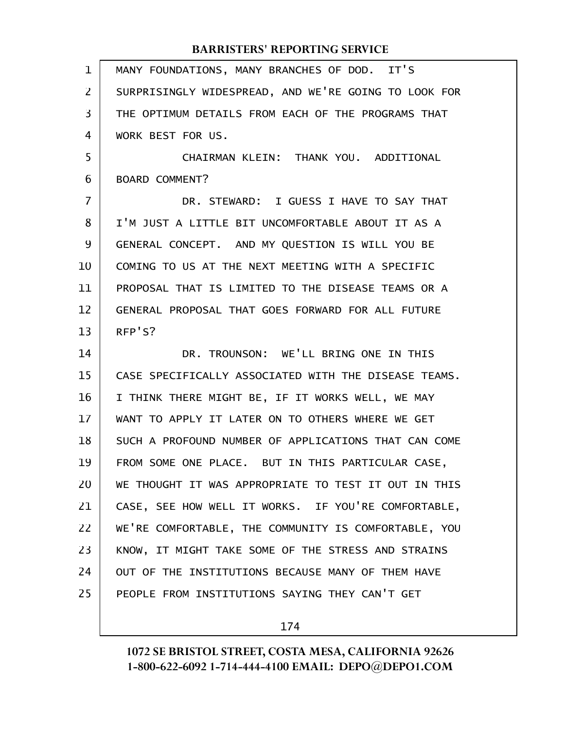| $\mathbf 1$          | MANY FOUNDATIONS, MANY BRANCHES OF DOD. IT'S         |
|----------------------|------------------------------------------------------|
| 2                    | SURPRISINGLY WIDESPREAD, AND WE'RE GOING TO LOOK FOR |
| 3                    | THE OPTIMUM DETAILS FROM EACH OF THE PROGRAMS THAT   |
| 4                    | WORK BEST FOR US.                                    |
| 5                    | CHAIRMAN KLEIN: THANK YOU. ADDITIONAL                |
| 6                    | <b>BOARD COMMENT?</b>                                |
| 7                    | DR. STEWARD: I GUESS I HAVE TO SAY THAT              |
| 8                    | I'M JUST A LITTLE BIT UNCOMFORTABLE ABOUT IT AS A    |
| 9                    | GENERAL CONCEPT. AND MY QUESTION IS WILL YOU BE      |
| 10                   | COMING TO US AT THE NEXT MEETING WITH A SPECIFIC     |
| 11                   | PROPOSAL THAT IS LIMITED TO THE DISEASE TEAMS OR A   |
| 12                   | GENERAL PROPOSAL THAT GOES FORWARD FOR ALL FUTURE    |
| 13                   | RFP'S?                                               |
| 14                   | DR. TROUNSON: WE'LL BRING ONE IN THIS                |
| 15                   | CASE SPECIFICALLY ASSOCIATED WITH THE DISEASE TEAMS. |
| 16                   | I THINK THERE MIGHT BE, IF IT WORKS WELL, WE MAY     |
|                      |                                                      |
|                      | WANT TO APPLY IT LATER ON TO OTHERS WHERE WE GET     |
|                      | SUCH A PROFOUND NUMBER OF APPLICATIONS THAT CAN COME |
|                      | FROM SOME ONE PLACE. BUT IN THIS PARTICULAR CASE,    |
| 20                   | WE THOUGHT IT WAS APPROPRIATE TO TEST IT OUT IN THIS |
| 17<br>18<br>19<br>21 | CASE, SEE HOW WELL IT WORKS. IF YOU'RE COMFORTABLE,  |
| 22                   | WE'RE COMFORTABLE, THE COMMUNITY IS COMFORTABLE, YOU |
| 23                   | KNOW, IT MIGHT TAKE SOME OF THE STRESS AND STRAINS   |
| 24                   | OUT OF THE INSTITUTIONS BECAUSE MANY OF THEM HAVE    |
| 25                   | PEOPLE FROM INSTITUTIONS SAYING THEY CAN'T GET       |

174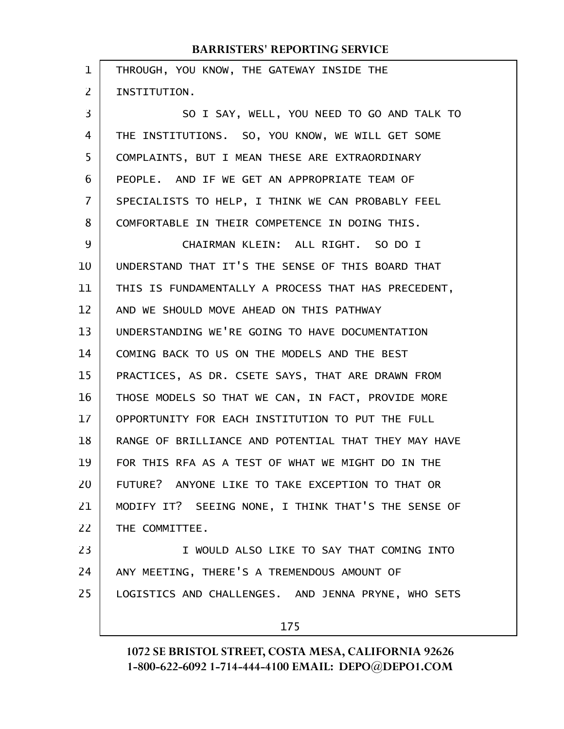| $\mathbf 1$ | THROUGH, YOU KNOW, THE GATEWAY INSIDE THE            |
|-------------|------------------------------------------------------|
| 2           | INSTITUTION.                                         |
| 3           | SO I SAY, WELL, YOU NEED TO GO AND TALK TO           |
| 4           | THE INSTITUTIONS. SO, YOU KNOW, WE WILL GET SOME     |
| 5           | COMPLAINTS, BUT I MEAN THESE ARE EXTRAORDINARY       |
| 6           | PEOPLE. AND IF WE GET AN APPROPRIATE TEAM OF         |
| 7           | SPECIALISTS TO HELP, I THINK WE CAN PROBABLY FEEL    |
| 8           | COMFORTABLE IN THEIR COMPETENCE IN DOING THIS.       |
| 9           | CHAIRMAN KLEIN: ALL RIGHT. SO DO I                   |
| 10          | UNDERSTAND THAT IT'S THE SENSE OF THIS BOARD THAT    |
| 11          | THIS IS FUNDAMENTALLY A PROCESS THAT HAS PRECEDENT,  |
| 12          | AND WE SHOULD MOVE AHEAD ON THIS PATHWAY             |
| 13          | UNDERSTANDING WE'RE GOING TO HAVE DOCUMENTATION      |
| 14          | COMING BACK TO US ON THE MODELS AND THE BEST         |
| 15          | PRACTICES, AS DR. CSETE SAYS, THAT ARE DRAWN FROM    |
| 16          | THOSE MODELS SO THAT WE CAN, IN FACT, PROVIDE MORE   |
| 17          | OPPORTUNITY FOR EACH INSTITUTION TO PUT THE FULL     |
| 18          | RANGE OF BRILLIANCE AND POTENTIAL THAT THEY MAY HAVE |
| 19          | FOR THIS RFA AS A TEST OF WHAT WE MIGHT DO IN THE    |
| 20          | FUTURE? ANYONE LIKE TO TAKE EXCEPTION TO THAT OR     |
| 21          | MODIFY IT? SEEING NONE, I THINK THAT'S THE SENSE OF  |
| 22          | THE COMMITTEE.                                       |
| 23          | I WOULD ALSO LIKE TO SAY THAT COMING INTO            |
| 24          | ANY MEETING, THERE'S A TREMENDOUS AMOUNT OF          |
| 25          | LOGISTICS AND CHALLENGES. AND JENNA PRYNE, WHO SETS  |
|             | 175                                                  |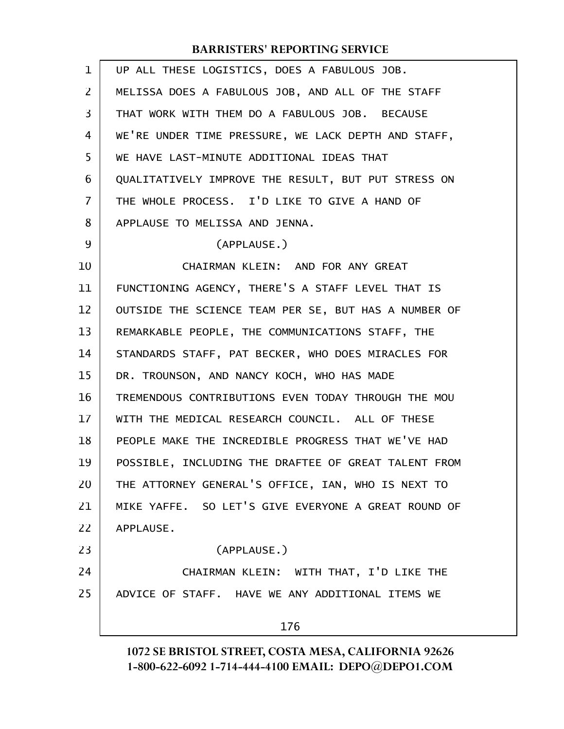| 1              | UP ALL THESE LOGISTICS, DOES A FABULOUS JOB.         |
|----------------|------------------------------------------------------|
| 2              | MELISSA DOES A FABULOUS JOB, AND ALL OF THE STAFF    |
| 3              | THAT WORK WITH THEM DO A FABULOUS JOB. BECAUSE       |
| 4              | WE'RE UNDER TIME PRESSURE, WE LACK DEPTH AND STAFF,  |
| 5              | WE HAVE LAST-MINUTE ADDITIONAL IDEAS THAT            |
| 6              | QUALITATIVELY IMPROVE THE RESULT, BUT PUT STRESS ON  |
| $\overline{7}$ | THE WHOLE PROCESS. I'D LIKE TO GIVE A HAND OF        |
| 8              | APPLAUSE TO MELISSA AND JENNA.                       |
| 9              | (APPLAUSE.)                                          |
| 10             | CHAIRMAN KLEIN: AND FOR ANY GREAT                    |
| 11             | FUNCTIONING AGENCY, THERE'S A STAFF LEVEL THAT IS    |
| 12             | OUTSIDE THE SCIENCE TEAM PER SE, BUT HAS A NUMBER OF |
| 13             | REMARKABLE PEOPLE, THE COMMUNICATIONS STAFF, THE     |
| 14             | STANDARDS STAFF, PAT BECKER, WHO DOES MIRACLES FOR   |
| 15             | DR. TROUNSON, AND NANCY KOCH, WHO HAS MADE           |
| 16             | TREMENDOUS CONTRIBUTIONS EVEN TODAY THROUGH THE MOU  |
| 17             | WITH THE MEDICAL RESEARCH COUNCIL. ALL OF THESE      |
| 18             | PEOPLE MAKE THE INCREDIBLE PROGRESS THAT WE'VE HAD   |
| 19             | POSSIBLE, INCLUDING THE DRAFTEE OF GREAT TALENT FROM |
| 20             | THE ATTORNEY GENERAL'S OFFICE, IAN, WHO IS NEXT TO   |
| 21             | MIKE YAFFE. SO LET'S GIVE EVERYONE A GREAT ROUND OF  |
| 22             | APPLAUSE.                                            |
| 23             | (APPLAUSE.)                                          |
| 24             | CHAIRMAN KLEIN: WITH THAT, I'D LIKE THE              |
| 25             | ADVICE OF STAFF. HAVE WE ANY ADDITIONAL ITEMS WE     |
|                | 176                                                  |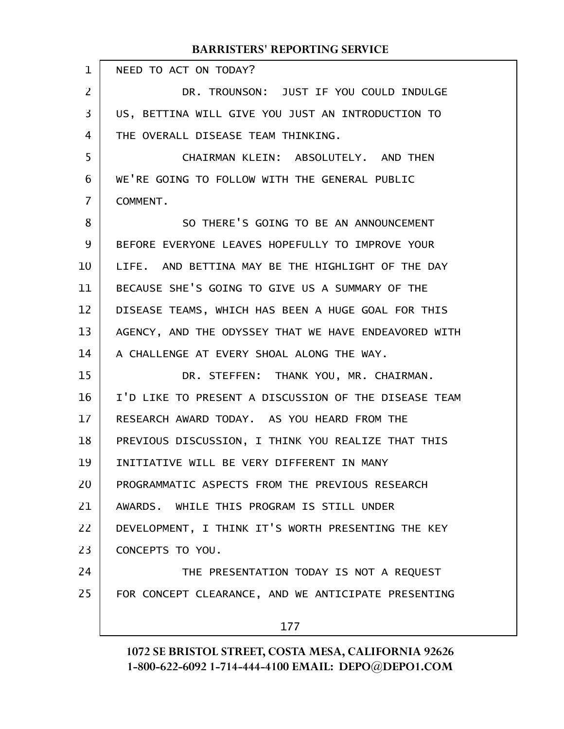| $\mathbf 1$    | NEED TO ACT ON TODAY?                                |
|----------------|------------------------------------------------------|
| $\overline{2}$ | DR. TROUNSON: JUST IF YOU COULD INDULGE              |
| 3              | US, BETTINA WILL GIVE YOU JUST AN INTRODUCTION TO    |
| 4              | THE OVERALL DISEASE TEAM THINKING.                   |
| 5              | CHAIRMAN KLEIN: ABSOLUTELY. AND THEN                 |
| 6              | WE'RE GOING TO FOLLOW WITH THE GENERAL PUBLIC        |
| 7              | COMMENT.                                             |
| 8              | SO THERE'S GOING TO BE AN ANNOUNCEMENT               |
| 9              | BEFORE EVERYONE LEAVES HOPEFULLY TO IMPROVE YOUR     |
| 10             | LIFE. AND BETTINA MAY BE THE HIGHLIGHT OF THE DAY    |
| 11             | BECAUSE SHE'S GOING TO GIVE US A SUMMARY OF THE      |
| 12             | DISEASE TEAMS, WHICH HAS BEEN A HUGE GOAL FOR THIS   |
| 13             | AGENCY, AND THE ODYSSEY THAT WE HAVE ENDEAVORED WITH |
| 14             | A CHALLENGE AT EVERY SHOAL ALONG THE WAY.            |
| 15             | DR. STEFFEN: THANK YOU, MR. CHAIRMAN.                |
| 16             | I'D LIKE TO PRESENT A DISCUSSION OF THE DISEASE TEAM |
| 17             | RESEARCH AWARD TODAY. AS YOU HEARD FROM THE          |
| 18             | PREVIOUS DISCUSSION, I THINK YOU REALIZE THAT THIS   |
| 19             | INITIATIVE WILL BE VERY DIFFERENT IN MANY            |
| 20             | PROGRAMMATIC ASPECTS FROM THE PREVIOUS RESEARCH      |
| 21             | AWARDS. WHILE THIS PROGRAM IS STILL UNDER            |
| 22             | DEVELOPMENT, I THINK IT'S WORTH PRESENTING THE KEY   |
| 23             | CONCEPTS TO YOU.                                     |
| 24             | THE PRESENTATION TODAY IS NOT A REQUEST              |
| 25             | FOR CONCEPT CLEARANCE, AND WE ANTICIPATE PRESENTING  |
|                | 177                                                  |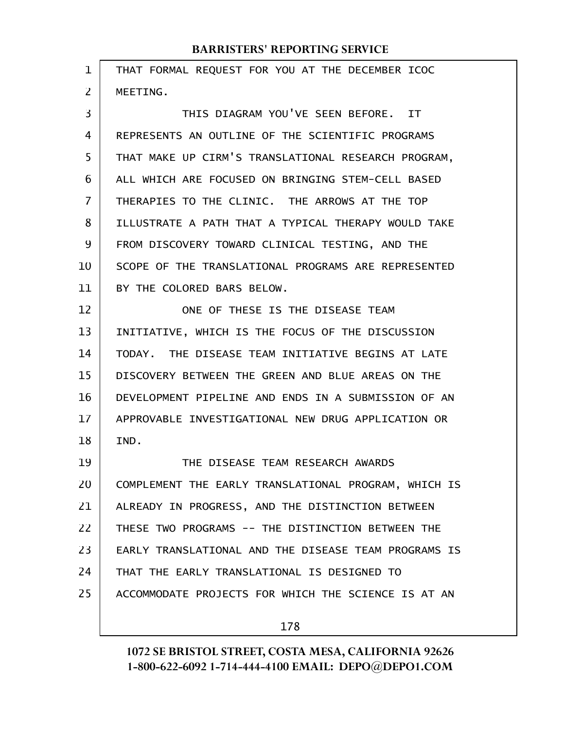| 1  | THAT FORMAL REQUEST FOR YOU AT THE DECEMBER ICOC     |
|----|------------------------------------------------------|
| 2  | MEETING.                                             |
| 3  | THIS DIAGRAM YOU'VE SEEN BEFORE. IT                  |
| 4  | REPRESENTS AN OUTLINE OF THE SCIENTIFIC PROGRAMS     |
| 5  | THAT MAKE UP CIRM'S TRANSLATIONAL RESEARCH PROGRAM,  |
| 6  | ALL WHICH ARE FOCUSED ON BRINGING STEM-CELL BASED    |
| 7  | THERAPIES TO THE CLINIC. THE ARROWS AT THE TOP       |
| 8  | ILLUSTRATE A PATH THAT A TYPICAL THERAPY WOULD TAKE  |
| 9  | FROM DISCOVERY TOWARD CLINICAL TESTING, AND THE      |
| 10 | SCOPE OF THE TRANSLATIONAL PROGRAMS ARE REPRESENTED  |
| 11 | BY THE COLORED BARS BELOW.                           |
| 12 | ONE OF THESE IS THE DISEASE TEAM                     |
| 13 | INITIATIVE, WHICH IS THE FOCUS OF THE DISCUSSION     |
| 14 | TODAY. THE DISEASE TEAM INITIATIVE BEGINS AT LATE    |
| 15 | DISCOVERY BETWEEN THE GREEN AND BLUE AREAS ON THE    |
| 16 | DEVELOPMENT PIPELINE AND ENDS IN A SUBMISSION OF AN  |
| 17 | APPROVABLE INVESTIGATIONAL NEW DRUG APPLICATION OR   |
| 18 | IND.                                                 |
| 19 | THE DISEASE TEAM RESEARCH AWARDS                     |
| 20 | COMPLEMENT THE EARLY TRANSLATIONAL PROGRAM, WHICH IS |
| 21 | ALREADY IN PROGRESS, AND THE DISTINCTION BETWEEN     |
| 22 | THESE TWO PROGRAMS -- THE DISTINCTION BETWEEN THE    |
| 23 | EARLY TRANSLATIONAL AND THE DISEASE TEAM PROGRAMS IS |
| 24 | THAT THE EARLY TRANSLATIONAL IS DESIGNED TO          |
| 25 | ACCOMMODATE PROJECTS FOR WHICH THE SCIENCE IS AT AN  |
|    |                                                      |

178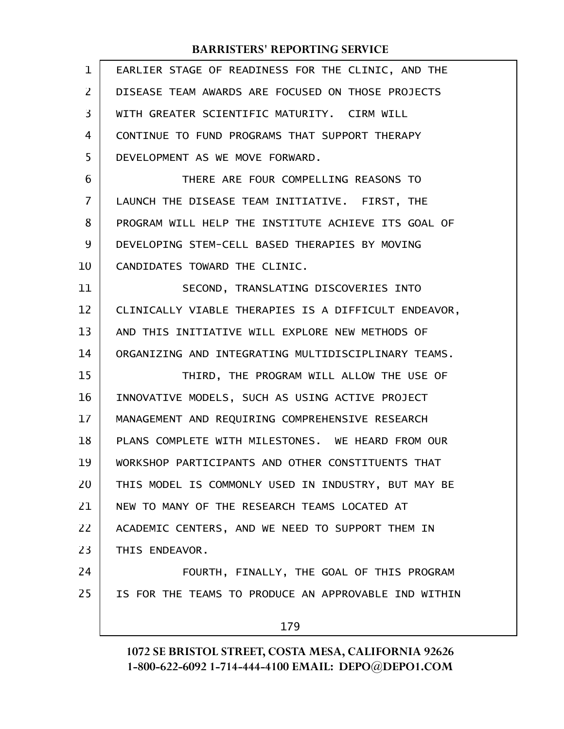| $\mathbf 1$ | EARLIER STAGE OF READINESS FOR THE CLINIC, AND THE   |
|-------------|------------------------------------------------------|
| 2           | DISEASE TEAM AWARDS ARE FOCUSED ON THOSE PROJECTS    |
| 3           | WITH GREATER SCIENTIFIC MATURITY. CIRM WILL          |
| 4           | CONTINUE TO FUND PROGRAMS THAT SUPPORT THERAPY       |
| 5           | DEVELOPMENT AS WE MOVE FORWARD.                      |
| 6           | THERE ARE FOUR COMPELLING REASONS TO                 |
| 7           | LAUNCH THE DISEASE TEAM INITIATIVE. FIRST, THE       |
| 8           | PROGRAM WILL HELP THE INSTITUTE ACHIEVE ITS GOAL OF  |
| 9           | DEVELOPING STEM-CELL BASED THERAPIES BY MOVING       |
| 10          | CANDIDATES TOWARD THE CLINIC.                        |
| 11          | SECOND, TRANSLATING DISCOVERIES INTO                 |
| 12          | CLINICALLY VIABLE THERAPIES IS A DIFFICULT ENDEAVOR, |
| 13          | AND THIS INITIATIVE WILL EXPLORE NEW METHODS OF      |
| 14          | ORGANIZING AND INTEGRATING MULTIDISCIPLINARY TEAMS.  |
| 15          | THIRD, THE PROGRAM WILL ALLOW THE USE OF             |
| 16          | INNOVATIVE MODELS, SUCH AS USING ACTIVE PROJECT      |
| 17          | MANAGEMENT AND REQUIRING COMPREHENSIVE RESEARCH      |
| 18          | PLANS COMPLETE WITH MILESTONES. WE HEARD FROM OUR    |
| 19          | WORKSHOP PARTICIPANTS AND OTHER CONSTITUENTS THAT    |
| 20          | THIS MODEL IS COMMONLY USED IN INDUSTRY, BUT MAY BE  |
| 21          | NEW TO MANY OF THE RESEARCH TEAMS LOCATED AT         |
| 22          | ACADEMIC CENTERS, AND WE NEED TO SUPPORT THEM IN     |
| 23          | THIS ENDEAVOR.                                       |
| 24          | FOURTH, FINALLY, THE GOAL OF THIS PROGRAM            |
| 25          | IS FOR THE TEAMS TO PRODUCE AN APPROVABLE IND WITHIN |
|             | 179                                                  |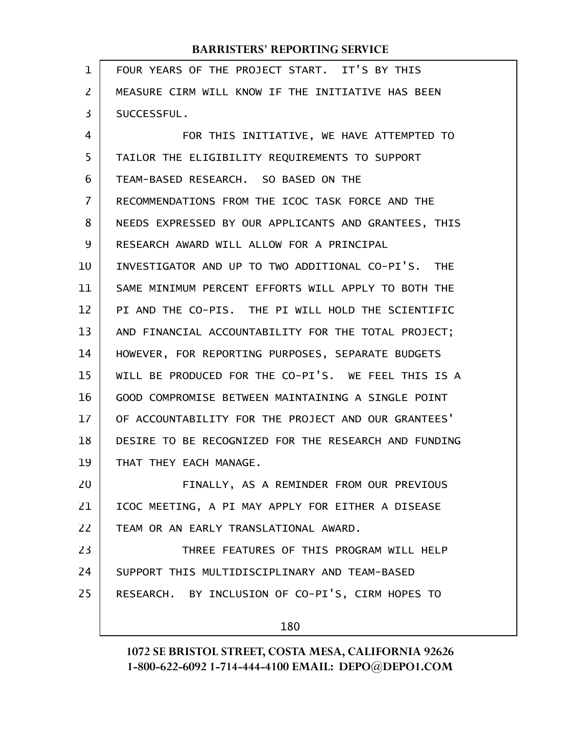| $\mathbf{1}$   | FOUR YEARS OF THE PROJECT START. IT'S BY THIS        |
|----------------|------------------------------------------------------|
| $\overline{2}$ | MEASURE CIRM WILL KNOW IF THE INITIATIVE HAS BEEN    |
| 3              | SUCCESSFUL.                                          |
| 4              | FOR THIS INITIATIVE, WE HAVE ATTEMPTED TO            |
| 5              | TAILOR THE ELIGIBILITY REQUIREMENTS TO SUPPORT       |
| 6              | TEAM-BASED RESEARCH. SO BASED ON THE                 |
| $\overline{7}$ | RECOMMENDATIONS FROM THE ICOC TASK FORCE AND THE     |
| 8              | NEEDS EXPRESSED BY OUR APPLICANTS AND GRANTEES, THIS |
| 9              | RESEARCH AWARD WILL ALLOW FOR A PRINCIPAL            |
| 10             | INVESTIGATOR AND UP TO TWO ADDITIONAL CO-PI'S. THE   |
| 11             | SAME MINIMUM PERCENT EFFORTS WILL APPLY TO BOTH THE  |
| 12             | PI AND THE CO-PIS. THE PI WILL HOLD THE SCIENTIFIC   |
| 13             | AND FINANCIAL ACCOUNTABILITY FOR THE TOTAL PROJECT;  |
| 14             | HOWEVER, FOR REPORTING PURPOSES, SEPARATE BUDGETS    |
| 15             | WILL BE PRODUCED FOR THE CO-PI'S. WE FEEL THIS IS A  |
| 16             | GOOD COMPROMISE BETWEEN MAINTAINING A SINGLE POINT   |
| 17             | OF ACCOUNTABILITY FOR THE PROJECT AND OUR GRANTEES'  |
| 18             | DESIRE TO BE RECOGNIZED FOR THE RESEARCH AND FUNDING |
| 19             | THAT THEY EACH MANAGE.                               |
| 20             | FINALLY, AS A REMINDER FROM OUR PREVIOUS             |
| 21             | ICOC MEETING, A PI MAY APPLY FOR EITHER A DISEASE    |
| 22             | TEAM OR AN EARLY TRANSLATIONAL AWARD.                |
| 23             | THREE FEATURES OF THIS PROGRAM WILL HELP             |
| 24             | SUPPORT THIS MULTIDISCIPLINARY AND TEAM-BASED        |
| 25             | RESEARCH. BY INCLUSION OF CO-PI'S, CIRM HOPES TO     |
|                | 180                                                  |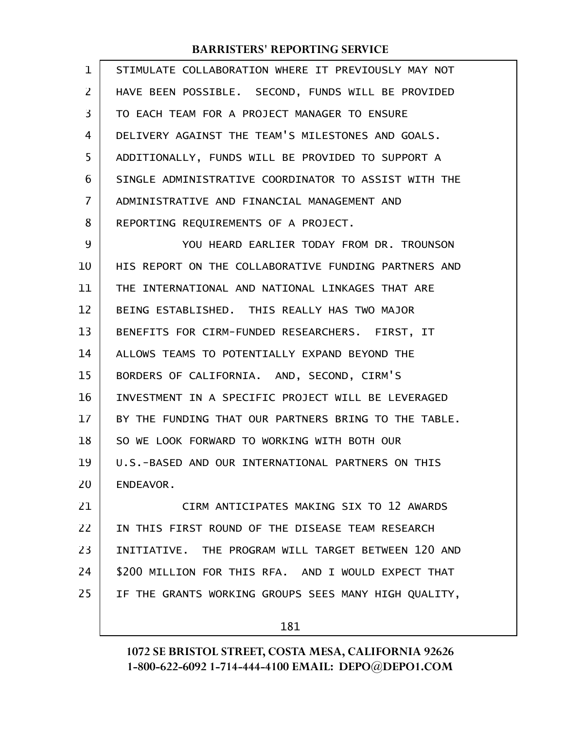| 1                 | STIMULATE COLLABORATION WHERE IT PREVIOUSLY MAY NOT  |
|-------------------|------------------------------------------------------|
| 2                 | HAVE BEEN POSSIBLE. SECOND, FUNDS WILL BE PROVIDED   |
| 3                 | TO EACH TEAM FOR A PROJECT MANAGER TO ENSURE         |
| 4                 | DELIVERY AGAINST THE TEAM'S MILESTONES AND GOALS.    |
| 5                 | ADDITIONALLY, FUNDS WILL BE PROVIDED TO SUPPORT A    |
| 6                 | SINGLE ADMINISTRATIVE COORDINATOR TO ASSIST WITH THE |
| 7                 | ADMINISTRATIVE AND FINANCIAL MANAGEMENT AND          |
| 8                 | REPORTING REQUIREMENTS OF A PROJECT.                 |
| 9                 | YOU HEARD EARLIER TODAY FROM DR. TROUNSON            |
| 10                | HIS REPORT ON THE COLLABORATIVE FUNDING PARTNERS AND |
| 11                | THE INTERNATIONAL AND NATIONAL LINKAGES THAT ARE     |
| $12 \overline{ }$ | BEING ESTABLISHED. THIS REALLY HAS TWO MAJOR         |
| 13                | BENEFITS FOR CIRM-FUNDED RESEARCHERS. FIRST, IT      |
| 14                | ALLOWS TEAMS TO POTENTIALLY EXPAND BEYOND THE        |
| 15                | BORDERS OF CALIFORNIA. AND, SECOND, CIRM'S           |
| 16                | INVESTMENT IN A SPECIFIC PROJECT WILL BE LEVERAGED   |
| 17                | BY THE FUNDING THAT OUR PARTNERS BRING TO THE TABLE. |
| 18                | SO WE LOOK FORWARD TO WORKING WITH BOTH OUR          |
| 19                | U.S.-BASED AND OUR INTERNATIONAL PARTNERS ON THIS    |
| 20                | ENDEAVOR.                                            |
| 21                | CIRM ANTICIPATES MAKING SIX TO 12 AWARDS             |
| 22                | IN THIS FIRST ROUND OF THE DISEASE TEAM RESEARCH     |
| 23                | INITIATIVE. THE PROGRAM WILL TARGET BETWEEN 120 AND  |
| 24                | \$200 MILLION FOR THIS RFA. AND I WOULD EXPECT THAT  |
| 25                | IF THE GRANTS WORKING GROUPS SEES MANY HIGH QUALITY, |
|                   |                                                      |

181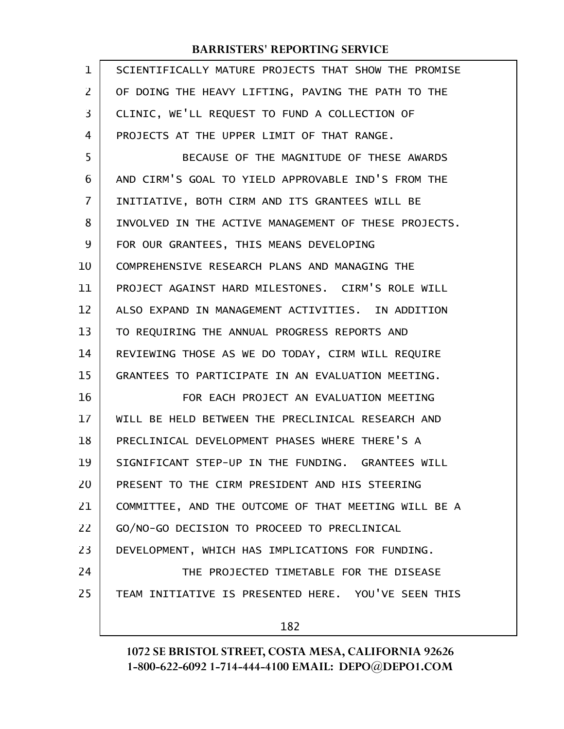| $\mathbf 1$    | SCIENTIFICALLY MATURE PROJECTS THAT SHOW THE PROMISE |
|----------------|------------------------------------------------------|
| $\overline{2}$ | OF DOING THE HEAVY LIFTING, PAVING THE PATH TO THE   |
| 3              | CLINIC, WE'LL REQUEST TO FUND A COLLECTION OF        |
| 4              | PROJECTS AT THE UPPER LIMIT OF THAT RANGE.           |
| 5              | BECAUSE OF THE MAGNITUDE OF THESE AWARDS             |
| 6              | AND CIRM'S GOAL TO YIELD APPROVABLE IND'S FROM THE   |
| 7              | INITIATIVE, BOTH CIRM AND ITS GRANTEES WILL BE       |
| 8              | INVOLVED IN THE ACTIVE MANAGEMENT OF THESE PROJECTS. |
| 9              | FOR OUR GRANTEES, THIS MEANS DEVELOPING              |
| 10             | COMPREHENSIVE RESEARCH PLANS AND MANAGING THE        |
| 11             | PROJECT AGAINST HARD MILESTONES. CIRM'S ROLE WILL    |
| 12             | ALSO EXPAND IN MANAGEMENT ACTIVITIES. IN ADDITION    |
| 13             | TO REQUIRING THE ANNUAL PROGRESS REPORTS AND         |
| 14             | REVIEWING THOSE AS WE DO TODAY, CIRM WILL REQUIRE    |
| 15             | GRANTEES TO PARTICIPATE IN AN EVALUATION MEETING.    |
| 16             | FOR EACH PROJECT AN EVALUATION MEETING               |
| 17             | WILL BE HELD BETWEEN THE PRECLINICAL RESEARCH AND    |
| 18             | PRECLINICAL DEVELOPMENT PHASES WHERE THERE'S A       |
| 19             | SIGNIFICANT STEP-UP IN THE FUNDING. GRANTEES WILL    |
| 20             | PRESENT TO THE CIRM PRESIDENT AND HIS STEERING       |
| 21             | COMMITTEE, AND THE OUTCOME OF THAT MEETING WILL BE A |
| 22             | GO/NO-GO DECISION TO PROCEED TO PRECLINICAL          |
| 23             | DEVELOPMENT, WHICH HAS IMPLICATIONS FOR FUNDING.     |
| 24             | THE PROJECTED TIMETABLE FOR THE DISEASE              |
| 25             | TEAM INITIATIVE IS PRESENTED HERE. YOU'VE SEEN THIS  |
|                | 182                                                  |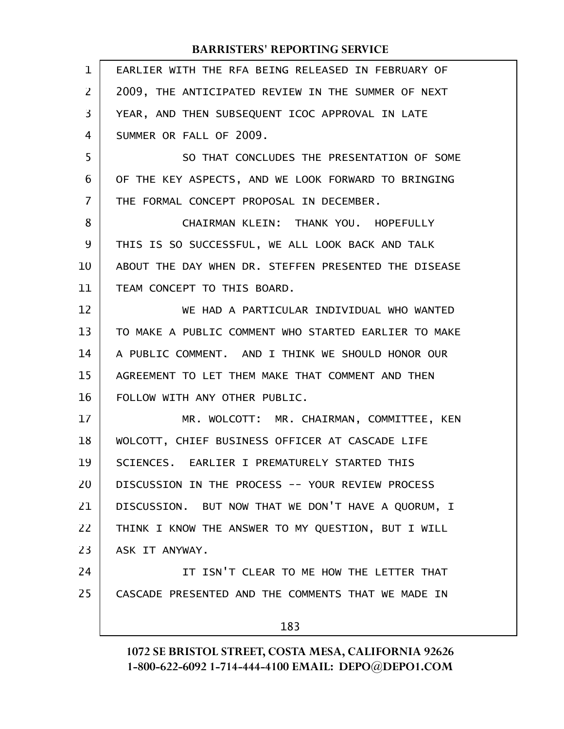| $\mathbf{1}$   | EARLIER WITH THE RFA BEING RELEASED IN FEBRUARY OF   |
|----------------|------------------------------------------------------|
| $\overline{2}$ | 2009, THE ANTICIPATED REVIEW IN THE SUMMER OF NEXT   |
| 3              | YEAR, AND THEN SUBSEQUENT ICOC APPROVAL IN LATE      |
| 4              | SUMMER OR FALL OF 2009.                              |
| 5              | SO THAT CONCLUDES THE PRESENTATION OF SOME           |
| 6              | OF THE KEY ASPECTS, AND WE LOOK FORWARD TO BRINGING  |
| $\overline{7}$ | THE FORMAL CONCEPT PROPOSAL IN DECEMBER.             |
| 8              | CHAIRMAN KLEIN: THANK YOU. HOPEFULLY                 |
| 9              | THIS IS SO SUCCESSFUL, WE ALL LOOK BACK AND TALK     |
| 10             | ABOUT THE DAY WHEN DR. STEFFEN PRESENTED THE DISEASE |
| 11             | TEAM CONCEPT TO THIS BOARD.                          |
| 12             | WE HAD A PARTICULAR INDIVIDUAL WHO WANTED            |
| 13             | TO MAKE A PUBLIC COMMENT WHO STARTED EARLIER TO MAKE |
| 14             | A PUBLIC COMMENT. AND I THINK WE SHOULD HONOR OUR    |
| 15             | AGREEMENT TO LET THEM MAKE THAT COMMENT AND THEN     |
| 16             | FOLLOW WITH ANY OTHER PUBLIC.                        |
| 17             | MR. WOLCOTT: MR. CHAIRMAN, COMMITTEE, KEN            |
| 18             | WOLCOTT, CHIEF BUSINESS OFFICER AT CASCADE LIFE      |
| 19             | SCIENCES. EARLIER I PREMATURELY STARTED THIS         |
| 20             | DISCUSSION IN THE PROCESS -- YOUR REVIEW PROCESS     |
| 21             | DISCUSSION. BUT NOW THAT WE DON'T HAVE A QUORUM, I   |
| 22             | THINK I KNOW THE ANSWER TO MY QUESTION, BUT I WILL   |
| 23             | ASK IT ANYWAY.                                       |
| 24             | IT ISN'T CLEAR TO ME HOW THE LETTER THAT             |
| 25             | CASCADE PRESENTED AND THE COMMENTS THAT WE MADE IN   |
|                | 183                                                  |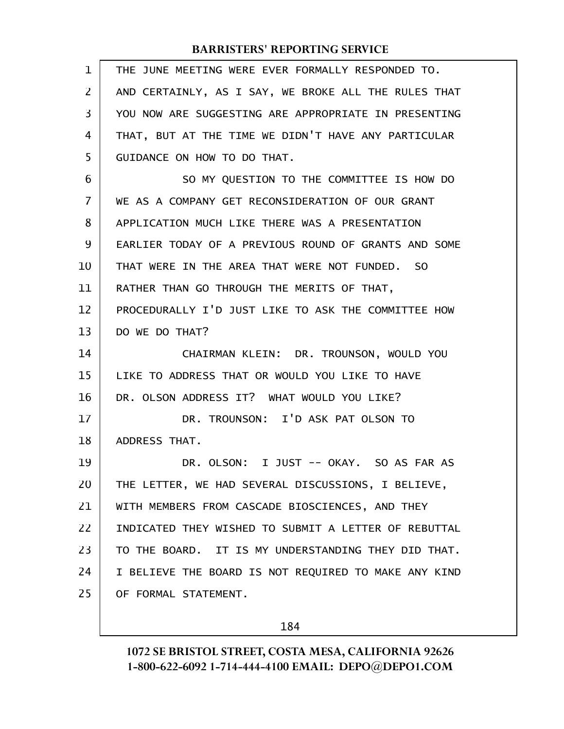| 1  | THE JUNE MEETING WERE EVER FORMALLY RESPONDED TO.    |
|----|------------------------------------------------------|
| 2  | AND CERTAINLY, AS I SAY, WE BROKE ALL THE RULES THAT |
| 3  | YOU NOW ARE SUGGESTING ARE APPROPRIATE IN PRESENTING |
| 4  | THAT, BUT AT THE TIME WE DIDN'T HAVE ANY PARTICULAR  |
| 5  | GUIDANCE ON HOW TO DO THAT.                          |
| 6  | SO MY QUESTION TO THE COMMITTEE IS HOW DO            |
| 7  | WE AS A COMPANY GET RECONSIDERATION OF OUR GRANT     |
| 8  | APPLICATION MUCH LIKE THERE WAS A PRESENTATION       |
| 9  | EARLIER TODAY OF A PREVIOUS ROUND OF GRANTS AND SOME |
| 10 | THAT WERE IN THE AREA THAT WERE NOT FUNDED. SO       |
| 11 | RATHER THAN GO THROUGH THE MERITS OF THAT,           |
| 12 | PROCEDURALLY I'D JUST LIKE TO ASK THE COMMITTEE HOW  |
| 13 | DO WE DO THAT?                                       |
| 14 | CHAIRMAN KLEIN: DR. TROUNSON, WOULD YOU              |
| 15 | LIKE TO ADDRESS THAT OR WOULD YOU LIKE TO HAVE       |
| 16 | DR. OLSON ADDRESS IT? WHAT WOULD YOU LIKE?           |
| 17 | DR. TROUNSON: I'D ASK PAT OLSON TO                   |
| 18 | ADDRESS THAT.                                        |
| 19 | DR. OLSON: I JUST -- OKAY. SO AS FAR AS              |
| 20 | THE LETTER, WE HAD SEVERAL DISCUSSIONS, I BELIEVE,   |
| 21 | WITH MEMBERS FROM CASCADE BIOSCIENCES, AND THEY      |
| 22 | INDICATED THEY WISHED TO SUBMIT A LETTER OF REBUTTAL |
| 23 | TO THE BOARD. IT IS MY UNDERSTANDING THEY DID THAT.  |
| 24 | I BELIEVE THE BOARD IS NOT REQUIRED TO MAKE ANY KIND |
| 25 | OF FORMAL STATEMENT.                                 |
|    |                                                      |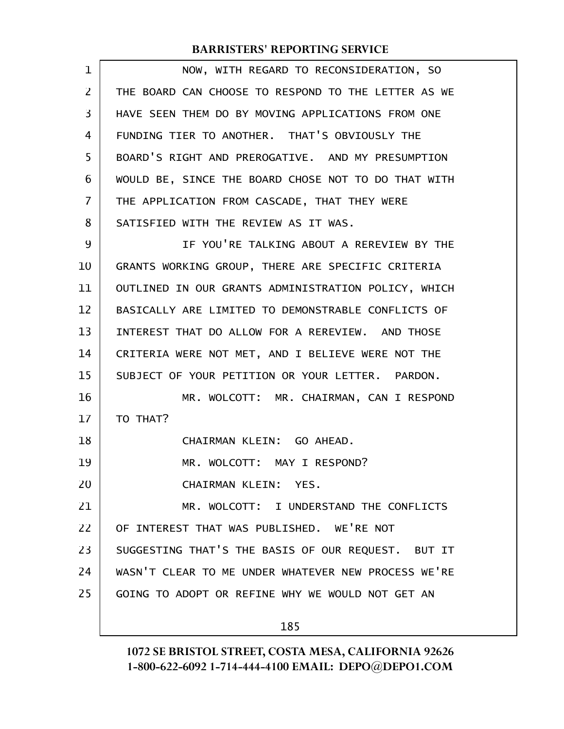| $\mathbf 1$       | NOW, WITH REGARD TO RECONSIDERATION, SO             |
|-------------------|-----------------------------------------------------|
| 2                 | THE BOARD CAN CHOOSE TO RESPOND TO THE LETTER AS WE |
| 3                 | HAVE SEEN THEM DO BY MOVING APPLICATIONS FROM ONE   |
| 4                 | FUNDING TIER TO ANOTHER. THAT'S OBVIOUSLY THE       |
| 5                 | BOARD'S RIGHT AND PREROGATIVE. AND MY PRESUMPTION   |
| 6                 | WOULD BE, SINCE THE BOARD CHOSE NOT TO DO THAT WITH |
| 7                 | THE APPLICATION FROM CASCADE, THAT THEY WERE        |
| 8                 | SATISFIED WITH THE REVIEW AS IT WAS.                |
| 9                 | IF YOU'RE TALKING ABOUT A REREVIEW BY THE           |
| 10                | GRANTS WORKING GROUP, THERE ARE SPECIFIC CRITERIA   |
| 11                | OUTLINED IN OUR GRANTS ADMINISTRATION POLICY, WHICH |
| $12 \overline{ }$ | BASICALLY ARE LIMITED TO DEMONSTRABLE CONFLICTS OF  |
| 13                | INTEREST THAT DO ALLOW FOR A REREVIEW. AND THOSE    |
| 14                | CRITERIA WERE NOT MET, AND I BELIEVE WERE NOT THE   |
| 15                | SUBJECT OF YOUR PETITION OR YOUR LETTER. PARDON.    |
| 16                | MR. WOLCOTT: MR. CHAIRMAN, CAN I RESPOND            |
| 17                | TO THAT?                                            |
| 18                | CHAIRMAN KLEIN: GO AHEAD.                           |
| 19                | MR. WOLCOTT: MAY I RESPOND?                         |
| 20                | CHAIRMAN KLEIN: YES.                                |
| 21                | MR. WOLCOTT: I UNDERSTAND THE CONFLICTS             |
| 22                | OF INTEREST THAT WAS PUBLISHED. WE'RE NOT           |
| 23                | SUGGESTING THAT'S THE BASIS OF OUR REQUEST. BUT IT  |
| 24                | WASN'T CLEAR TO ME UNDER WHATEVER NEW PROCESS WE'RE |
| 25                | GOING TO ADOPT OR REFINE WHY WE WOULD NOT GET AN    |
|                   | 185                                                 |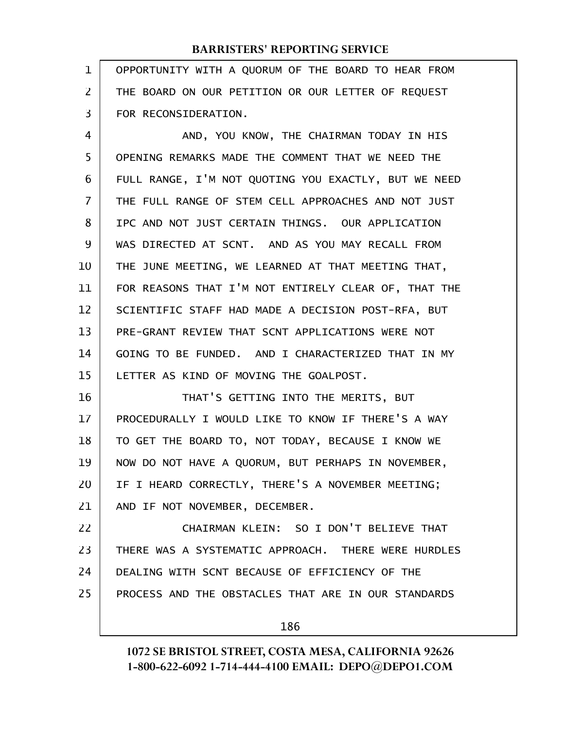| $\mathbf 1$ | OPPORTUNITY WITH A QUORUM OF THE BOARD TO HEAR FROM  |
|-------------|------------------------------------------------------|
| 2           | THE BOARD ON OUR PETITION OR OUR LETTER OF REQUEST   |
| 3           | FOR RECONSIDERATION.                                 |
| 4           | AND, YOU KNOW, THE CHAIRMAN TODAY IN HIS             |
| 5           | OPENING REMARKS MADE THE COMMENT THAT WE NEED THE    |
| 6           | FULL RANGE, I'M NOT QUOTING YOU EXACTLY, BUT WE NEED |
| 7           | THE FULL RANGE OF STEM CELL APPROACHES AND NOT JUST  |
| 8           | IPC AND NOT JUST CERTAIN THINGS. OUR APPLICATION     |
| 9           | WAS DIRECTED AT SCNT. AND AS YOU MAY RECALL FROM     |
| 10          | THE JUNE MEETING, WE LEARNED AT THAT MEETING THAT,   |
| 11          | FOR REASONS THAT I'M NOT ENTIRELY CLEAR OF, THAT THE |
| 12          | SCIENTIFIC STAFF HAD MADE A DECISION POST-RFA, BUT   |
| 13          | PRE-GRANT REVIEW THAT SCNT APPLICATIONS WERE NOT     |
| 14          | GOING TO BE FUNDED. AND I CHARACTERIZED THAT IN MY   |
| 15          | LETTER AS KIND OF MOVING THE GOALPOST.               |
| 16          | THAT'S GETTING INTO THE MERITS, BUT                  |
| 17          | PROCEDURALLY I WOULD LIKE TO KNOW IF THERE'S A WAY   |
| 18          | TO GET THE BOARD TO, NOT TODAY, BECAUSE I KNOW WE    |
| 19          | NOW DO NOT HAVE A QUORUM, BUT PERHAPS IN NOVEMBER,   |
| 20          | IF I HEARD CORRECTLY, THERE'S A NOVEMBER MEETING;    |
| 21          | AND IF NOT NOVEMBER, DECEMBER.                       |
| 22          | CHAIRMAN KLEIN: SO I DON'T BELIEVE THAT              |
| 23          | THERE WAS A SYSTEMATIC APPROACH. THERE WERE HURDLES  |
| 24          | DEALING WITH SCNT BECAUSE OF EFFICIENCY OF THE       |
| 25          | PROCESS AND THE OBSTACLES THAT ARE IN OUR STANDARDS  |
|             | 186                                                  |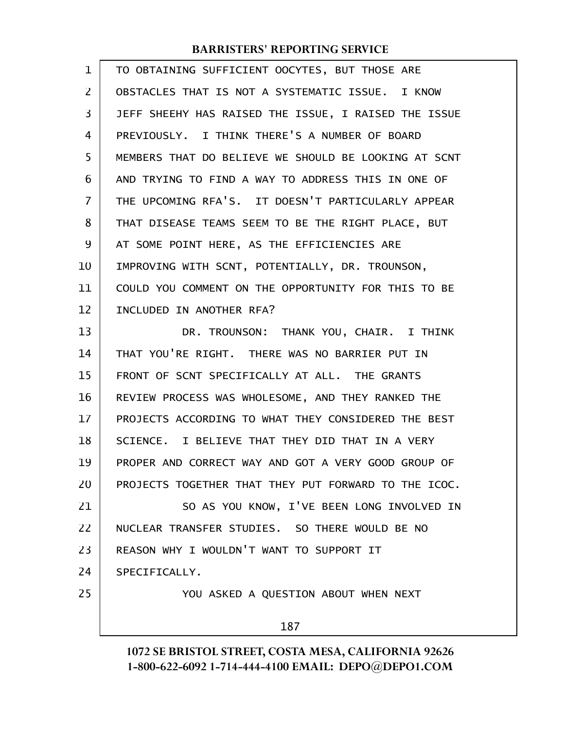| 1                 | TO OBTAINING SUFFICIENT OOCYTES, BUT THOSE ARE       |
|-------------------|------------------------------------------------------|
| 2                 | OBSTACLES THAT IS NOT A SYSTEMATIC ISSUE. I KNOW     |
| 3                 | JEFF SHEEHY HAS RAISED THE ISSUE, I RAISED THE ISSUE |
| 4                 | PREVIOUSLY. I THINK THERE'S A NUMBER OF BOARD        |
| 5                 | MEMBERS THAT DO BELIEVE WE SHOULD BE LOOKING AT SCNT |
| 6                 | AND TRYING TO FIND A WAY TO ADDRESS THIS IN ONE OF   |
| 7                 | THE UPCOMING RFA'S. IT DOESN'T PARTICULARLY APPEAR   |
| 8                 | THAT DISEASE TEAMS SEEM TO BE THE RIGHT PLACE, BUT   |
| 9                 | AT SOME POINT HERE, AS THE EFFICIENCIES ARE          |
| 10                | IMPROVING WITH SCNT, POTENTIALLY, DR. TROUNSON,      |
| 11                | COULD YOU COMMENT ON THE OPPORTUNITY FOR THIS TO BE  |
| $12 \overline{ }$ | INCLUDED IN ANOTHER RFA?                             |
| 13                | DR. TROUNSON: THANK YOU, CHAIR. I THINK              |
| 14                | THAT YOU'RE RIGHT. THERE WAS NO BARRIER PUT IN       |
| 15                | FRONT OF SCNT SPECIFICALLY AT ALL. THE GRANTS        |
| 16                | REVIEW PROCESS WAS WHOLESOME, AND THEY RANKED THE    |
| 17                | PROJECTS ACCORDING TO WHAT THEY CONSIDERED THE BEST  |
| 18                | SCIENCE. I BELIEVE THAT THEY DID THAT IN A VERY      |
| 19                | PROPER AND CORRECT WAY AND GOT A VERY GOOD GROUP OF  |
| 20                | PROJECTS TOGETHER THAT THEY PUT FORWARD TO THE ICOC. |
| 21                | SO AS YOU KNOW, I'VE BEEN LONG INVOLVED IN           |
| 22                | NUCLEAR TRANSFER STUDIES. SO THERE WOULD BE NO       |
| 23                | REASON WHY I WOULDN'T WANT TO SUPPORT IT             |
| 24                | SPECIFICALLY.                                        |
| 25                | YOU ASKED A QUESTION ABOUT WHEN NEXT                 |
|                   | 187                                                  |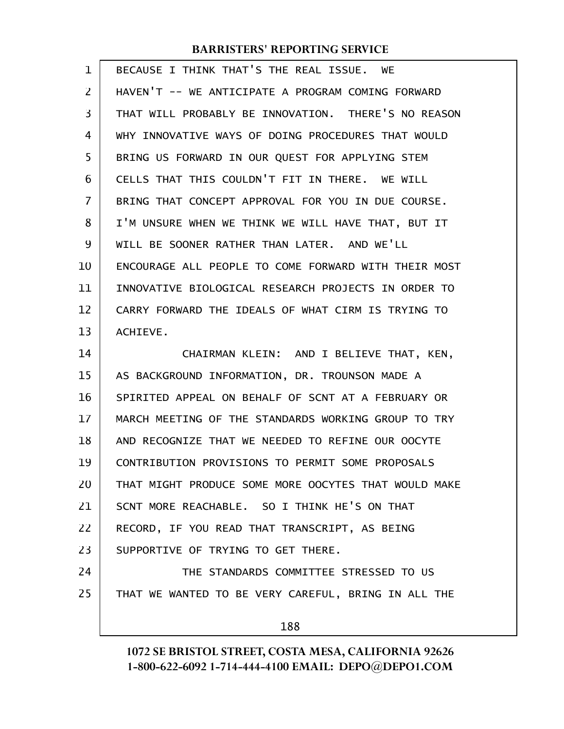| 1              | BECAUSE I THINK THAT'S THE REAL ISSUE. WE            |
|----------------|------------------------------------------------------|
| $\overline{2}$ | HAVEN'T -- WE ANTICIPATE A PROGRAM COMING FORWARD    |
| 3              | THAT WILL PROBABLY BE INNOVATION. THERE'S NO REASON  |
| 4              | WHY INNOVATIVE WAYS OF DOING PROCEDURES THAT WOULD   |
| 5              | BRING US FORWARD IN OUR QUEST FOR APPLYING STEM      |
| 6              | CELLS THAT THIS COULDN'T FIT IN THERE. WE WILL       |
| 7              | BRING THAT CONCEPT APPROVAL FOR YOU IN DUE COURSE.   |
| 8              | I'M UNSURE WHEN WE THINK WE WILL HAVE THAT, BUT IT   |
| 9              | WILL BE SOONER RATHER THAN LATER. AND WE'LL          |
| 10             | ENCOURAGE ALL PEOPLE TO COME FORWARD WITH THEIR MOST |
| 11             | INNOVATIVE BIOLOGICAL RESEARCH PROJECTS IN ORDER TO  |
| 12             | CARRY FORWARD THE IDEALS OF WHAT CIRM IS TRYING TO   |
| 13             | ACHIEVE.                                             |
| 14             | CHAIRMAN KLEIN: AND I BELIEVE THAT, KEN,             |
| 15             | AS BACKGROUND INFORMATION, DR. TROUNSON MADE A       |
| 16             | SPIRITED APPEAL ON BEHALF OF SCNT AT A FEBRUARY OR   |
| 17             | MARCH MEETING OF THE STANDARDS WORKING GROUP TO TRY  |
| 18             | AND RECOGNIZE THAT WE NEEDED TO REFINE OUR OOCYTE    |
| 19             | CONTRIBUTION PROVISIONS TO PERMIT SOME PROPOSALS     |
| 20             | THAT MIGHT PRODUCE SOME MORE OOCYTES THAT WOULD MAKE |
| 21             | SCNT MORE REACHABLE. SO I THINK HE'S ON THAT         |
| 22             | RECORD, IF YOU READ THAT TRANSCRIPT, AS BEING        |
| 23             | SUPPORTIVE OF TRYING TO GET THERE.                   |
| 24             | THE STANDARDS COMMITTEE STRESSED TO US               |
| 25             | THAT WE WANTED TO BE VERY CAREFUL, BRING IN ALL THE  |
|                | 188                                                  |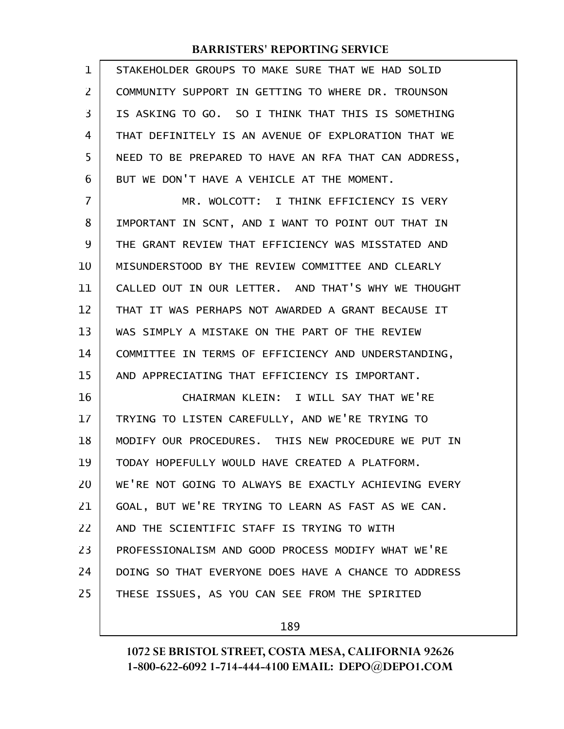| 1              | STAKEHOLDER GROUPS TO MAKE SURE THAT WE HAD SOLID    |
|----------------|------------------------------------------------------|
| $\overline{2}$ | COMMUNITY SUPPORT IN GETTING TO WHERE DR. TROUNSON   |
| 3              | IS ASKING TO GO. SO I THINK THAT THIS IS SOMETHING   |
| 4              | THAT DEFINITELY IS AN AVENUE OF EXPLORATION THAT WE  |
| 5              | NEED TO BE PREPARED TO HAVE AN RFA THAT CAN ADDRESS, |
| 6              | BUT WE DON'T HAVE A VEHICLE AT THE MOMENT.           |
| $\overline{7}$ | MR. WOLCOTT: I THINK EFFICIENCY IS VERY              |
| 8              | IMPORTANT IN SCNT, AND I WANT TO POINT OUT THAT IN   |
| 9              | THE GRANT REVIEW THAT EFFICIENCY WAS MISSTATED AND   |
| 10             | MISUNDERSTOOD BY THE REVIEW COMMITTEE AND CLEARLY    |
| 11             | CALLED OUT IN OUR LETTER. AND THAT'S WHY WE THOUGHT  |
| 12             | THAT IT WAS PERHAPS NOT AWARDED A GRANT BECAUSE IT   |
| 13             | WAS SIMPLY A MISTAKE ON THE PART OF THE REVIEW       |
| 14             | COMMITTEE IN TERMS OF EFFICIENCY AND UNDERSTANDING,  |
| 15             | AND APPRECIATING THAT EFFICIENCY IS IMPORTANT.       |
| 16             | CHAIRMAN KLEIN: I WILL SAY THAT WE'RE                |
| 17             | TRYING TO LISTEN CAREFULLY, AND WE'RE TRYING TO      |
| 18             | MODIFY OUR PROCEDURES. THIS NEW PROCEDURE WE PUT IN  |
| 19             | TODAY HOPEFULLY WOULD HAVE CREATED A PLATFORM.       |
| 20             | WE'RE NOT GOING TO ALWAYS BE EXACTLY ACHIEVING EVERY |
| 21             | GOAL, BUT WE'RE TRYING TO LEARN AS FAST AS WE CAN.   |
| 22             | AND THE SCIENTIFIC STAFF IS TRYING TO WITH           |
| 23             | PROFESSIONALISM AND GOOD PROCESS MODIFY WHAT WE'RE   |
| 24             | DOING SO THAT EVERYONE DOES HAVE A CHANCE TO ADDRESS |
| 25             | THESE ISSUES, AS YOU CAN SEE FROM THE SPIRITED       |
|                |                                                      |

189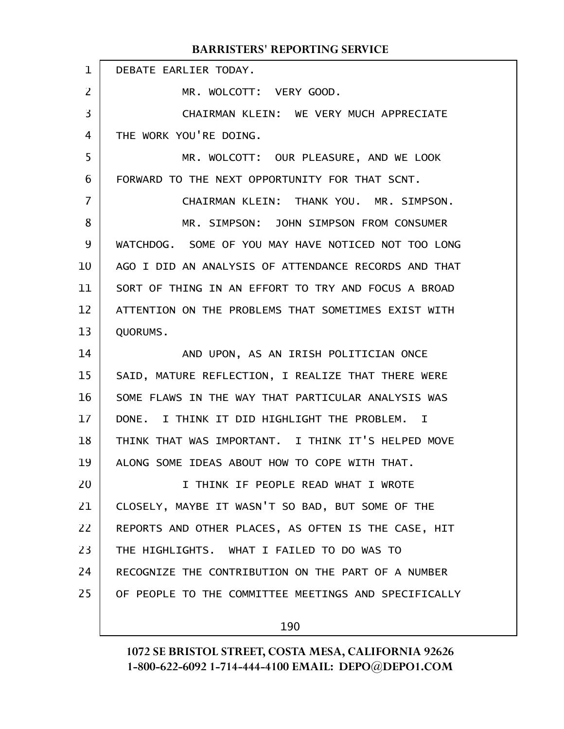#### DEBATE EARLIER TODAY. MR. WOLCOTT: VERY GOOD. CHAIRMAN KLEIN: WE VERY MUCH APPRECIATE THE WORK YOU'RE DOING. MR. WOLCOTT: OUR PLEASURE, AND WE LOOK FORWARD TO THE NEXT OPPORTUNITY FOR THAT SCNT. CHAIRMAN KLEIN: THANK YOU. MR. SIMPSON. MR. SIMPSON: JOHN SIMPSON FROM CONSUMER WATCHDOG. SOME OF YOU MAY HAVE NOTICED NOT TOO LONG AGO I DID AN ANALYSIS OF ATTENDANCE RECORDS AND THAT SORT OF THING IN AN EFFORT TO TRY AND FOCUS A BROAD ATTENTION ON THE PROBLEMS THAT SOMETIMES EXIST WITH QUORUMS. AND UPON, AS AN IRISH POLITICIAN ONCE SAID, MATURE REFLECTION, I REALIZE THAT THERE WERE SOME FLAWS IN THE WAY THAT PARTICULAR ANALYSIS WAS DONE. I THINK IT DID HIGHLIGHT THE PROBLEM. I THINK THAT WAS IMPORTANT. I THINK IT'S HELPED MOVE ALONG SOME IDEAS ABOUT HOW TO COPE WITH THAT. I THINK IF PEOPLE READ WHAT I WROTE CLOSELY, MAYBE IT WASN'T SO BAD, BUT SOME OF THE REPORTS AND OTHER PLACES, AS OFTEN IS THE CASE, HIT THE HIGHLIGHTS. WHAT I FAILED TO DO WAS TO RECOGNIZE THE CONTRIBUTION ON THE PART OF A NUMBER OF PEOPLE TO THE COMMITTEE MEETINGS AND SPECIFICALLY BARRISTERS' REPORTING SERVICE 1 2 3 4 5 6 7 8 9 10 11 12 13 14 15 16 17 18 19 20 21 22 23 24 25

190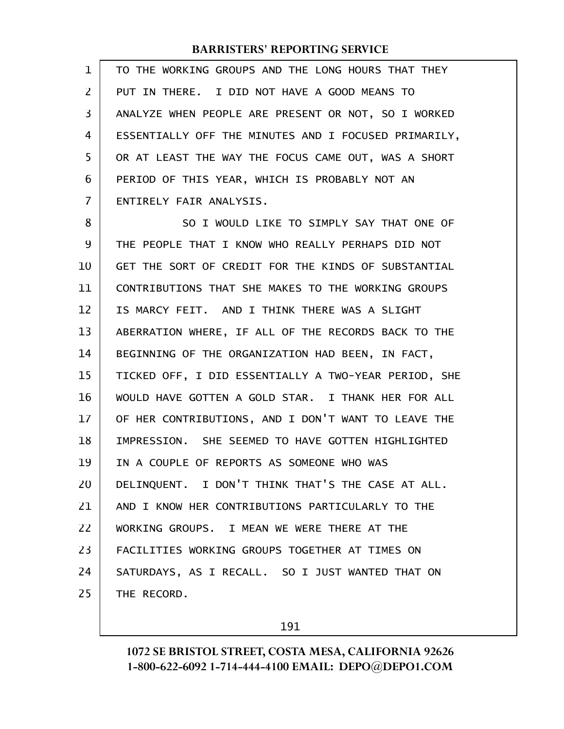| $\mathbf{1}$      | TO THE WORKING GROUPS AND THE LONG HOURS THAT THEY   |
|-------------------|------------------------------------------------------|
| $\overline{2}$    | PUT IN THERE. I DID NOT HAVE A GOOD MEANS TO         |
| 3                 | ANALYZE WHEN PEOPLE ARE PRESENT OR NOT, SO I WORKED  |
| 4                 | ESSENTIALLY OFF THE MINUTES AND I FOCUSED PRIMARILY, |
| 5                 | OR AT LEAST THE WAY THE FOCUS CAME OUT, WAS A SHORT  |
| 6                 | PERIOD OF THIS YEAR, WHICH IS PROBABLY NOT AN        |
| 7                 | ENTIRELY FAIR ANALYSIS.                              |
| 8                 | SO I WOULD LIKE TO SIMPLY SAY THAT ONE OF            |
| 9                 | THE PEOPLE THAT I KNOW WHO REALLY PERHAPS DID NOT    |
| 10                | GET THE SORT OF CREDIT FOR THE KINDS OF SUBSTANTIAL  |
| 11                | CONTRIBUTIONS THAT SHE MAKES TO THE WORKING GROUPS   |
| $12 \overline{ }$ | IS MARCY FEIT. AND I THINK THERE WAS A SLIGHT        |
| 13                | ABERRATION WHERE, IF ALL OF THE RECORDS BACK TO THE  |
| 14                | BEGINNING OF THE ORGANIZATION HAD BEEN, IN FACT,     |
| 15                | TICKED OFF, I DID ESSENTIALLY A TWO-YEAR PERIOD, SHE |
| 16                | WOULD HAVE GOTTEN A GOLD STAR. I THANK HER FOR ALL   |
| 17                | OF HER CONTRIBUTIONS, AND I DON'T WANT TO LEAVE THE  |
| 18                | IMPRESSION. SHE SEEMED TO HAVE GOTTEN HIGHLIGHTED    |
| 19                | IN A COUPLE OF REPORTS AS SOMEONE WHO WAS            |
| 20                | DELINQUENT. I DON'T THINK THAT'S THE CASE AT ALL.    |
| 21                | AND I KNOW HER CONTRIBUTIONS PARTICULARLY TO THE     |
| 22                | WORKING GROUPS. I MEAN WE WERE THERE AT THE          |
| 23                | FACILITIES WORKING GROUPS TOGETHER AT TIMES ON       |
| 24                | SATURDAYS, AS I RECALL. SO I JUST WANTED THAT ON     |
| 25                | THE RECORD.                                          |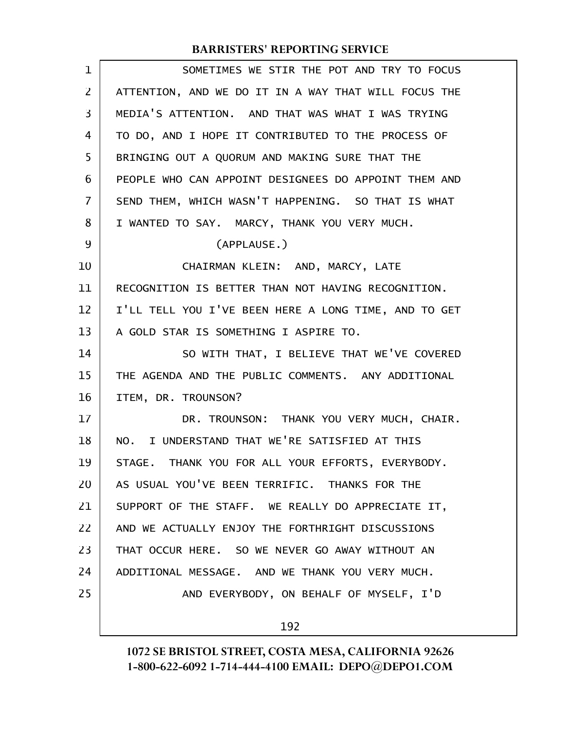| $\mathbf{1}$   | SOMETIMES WE STIR THE POT AND TRY TO FOCUS           |
|----------------|------------------------------------------------------|
| $\overline{2}$ | ATTENTION, AND WE DO IT IN A WAY THAT WILL FOCUS THE |
| 3              | MEDIA'S ATTENTION. AND THAT WAS WHAT I WAS TRYING    |
| 4              | TO DO, AND I HOPE IT CONTRIBUTED TO THE PROCESS OF   |
| 5              | BRINGING OUT A QUORUM AND MAKING SURE THAT THE       |
| 6              | PEOPLE WHO CAN APPOINT DESIGNEES DO APPOINT THEM AND |
| $\mathbf{7}$   | SEND THEM, WHICH WASN'T HAPPENING. SO THAT IS WHAT   |
| 8              | I WANTED TO SAY. MARCY, THANK YOU VERY MUCH.         |
| 9              | (APPLAUSE.)                                          |
| 10             | CHAIRMAN KLEIN: AND, MARCY, LATE                     |
| 11             | RECOGNITION IS BETTER THAN NOT HAVING RECOGNITION.   |
| 12             | I'LL TELL YOU I'VE BEEN HERE A LONG TIME, AND TO GET |
| 13             | A GOLD STAR IS SOMETHING I ASPIRE TO.                |
| 14             | SO WITH THAT, I BELIEVE THAT WE'VE COVERED           |
| 15             | THE AGENDA AND THE PUBLIC COMMENTS. ANY ADDITIONAL   |
| 16             | ITEM, DR. TROUNSON?                                  |
| 17             | DR. TROUNSON: THANK YOU VERY MUCH, CHAIR.            |
| 18             | NO. I UNDERSTAND THAT WE'RE SATISFIED AT THIS        |
| 19             | STAGE. THANK YOU FOR ALL YOUR EFFORTS, EVERYBODY.    |
| 20             | AS USUAL YOU'VE BEEN TERRIFIC. THANKS FOR THE        |
| 21             | SUPPORT OF THE STAFF. WE REALLY DO APPRECIATE IT,    |
| 22             | AND WE ACTUALLY ENJOY THE FORTHRIGHT DISCUSSIONS     |
| 23             | THAT OCCUR HERE. SO WE NEVER GO AWAY WITHOUT AN      |
| 24             | ADDITIONAL MESSAGE. AND WE THANK YOU VERY MUCH.      |
| 25             | AND EVERYBODY, ON BEHALF OF MYSELF, I'D              |
|                | 192                                                  |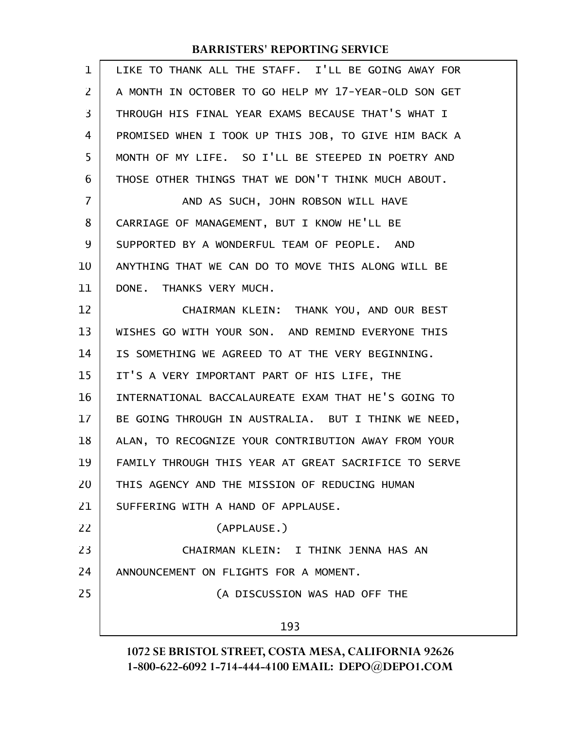| $\mathbf{1}$ | LIKE TO THANK ALL THE STAFF. I'LL BE GOING AWAY FOR  |
|--------------|------------------------------------------------------|
| 2            | A MONTH IN OCTOBER TO GO HELP MY 17-YEAR-OLD SON GET |
| 3            | THROUGH HIS FINAL YEAR EXAMS BECAUSE THAT'S WHAT I   |
| 4            | PROMISED WHEN I TOOK UP THIS JOB, TO GIVE HIM BACK A |
| 5            | MONTH OF MY LIFE. SO I'LL BE STEEPED IN POETRY AND   |
| 6            | THOSE OTHER THINGS THAT WE DON'T THINK MUCH ABOUT.   |
| 7            | AND AS SUCH, JOHN ROBSON WILL HAVE                   |
| 8            | CARRIAGE OF MANAGEMENT, BUT I KNOW HE'LL BE          |
| 9            | SUPPORTED BY A WONDERFUL TEAM OF PEOPLE, AND         |
| 10           | ANYTHING THAT WE CAN DO TO MOVE THIS ALONG WILL BE   |
| 11           | DONE. THANKS VERY MUCH.                              |
| 12           | CHAIRMAN KLEIN: THANK YOU, AND OUR BEST              |
| 13           | WISHES GO WITH YOUR SON. AND REMIND EVERYONE THIS    |
| 14           | IS SOMETHING WE AGREED TO AT THE VERY BEGINNING.     |
| 15           | IT'S A VERY IMPORTANT PART OF HIS LIFE, THE          |
| 16           | INTERNATIONAL BACCALAUREATE EXAM THAT HE'S GOING TO  |
| 17           | BE GOING THROUGH IN AUSTRALIA. BUT I THINK WE NEED,  |
| 18           | ALAN, TO RECOGNIZE YOUR CONTRIBUTION AWAY FROM YOUR  |
| 19           | FAMILY THROUGH THIS YEAR AT GREAT SACRIFICE TO SERVE |
| 20           | THIS AGENCY AND THE MISSION OF REDUCING HUMAN        |
| 21           | SUFFERING WITH A HAND OF APPLAUSE.                   |
| 22           | (APPLAUSE.)                                          |
| 23           | CHAIRMAN KLEIN: I THINK JENNA HAS AN                 |
| 24           | ANNOUNCEMENT ON FLIGHTS FOR A MOMENT.                |
| 25           | (A DISCUSSION WAS HAD OFF THE                        |
|              | 193                                                  |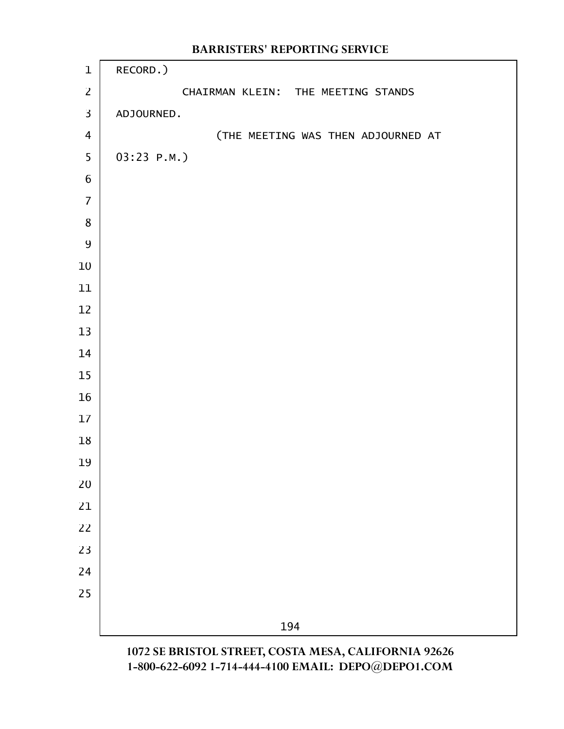| $1\,$                                                | RECORD.)                           |
|------------------------------------------------------|------------------------------------|
| $\overline{2}$                                       | CHAIRMAN KLEIN: THE MEETING STANDS |
| $\mathsf{3}$                                         | ADJOURNED.                         |
| $\overline{4}$                                       | (THE MEETING WAS THEN ADJOURNED AT |
| 5                                                    | $03:23$ P.M.)                      |
| $\boldsymbol{6}$                                     |                                    |
| $\overline{7}$                                       |                                    |
| $\bf 8$                                              |                                    |
| $\overline{9}$                                       |                                    |
| $10\,$                                               |                                    |
| $11\,$                                               |                                    |
| 12                                                   |                                    |
| 13                                                   |                                    |
| 14                                                   |                                    |
| 15                                                   |                                    |
| 16                                                   |                                    |
| 17                                                   |                                    |
| 18                                                   |                                    |
| 19                                                   |                                    |
| 20                                                   |                                    |
| 21                                                   |                                    |
| 22                                                   |                                    |
| 23                                                   |                                    |
| 24                                                   |                                    |
| 25                                                   |                                    |
|                                                      | 194                                |
| 1072 SE BRISTOL STREET, COSTA MESA, CALIFORNIA 92626 |                                    |

1-800-622-6092 1-714-444-4100 EMAIL: DEPO@DEPO1.COM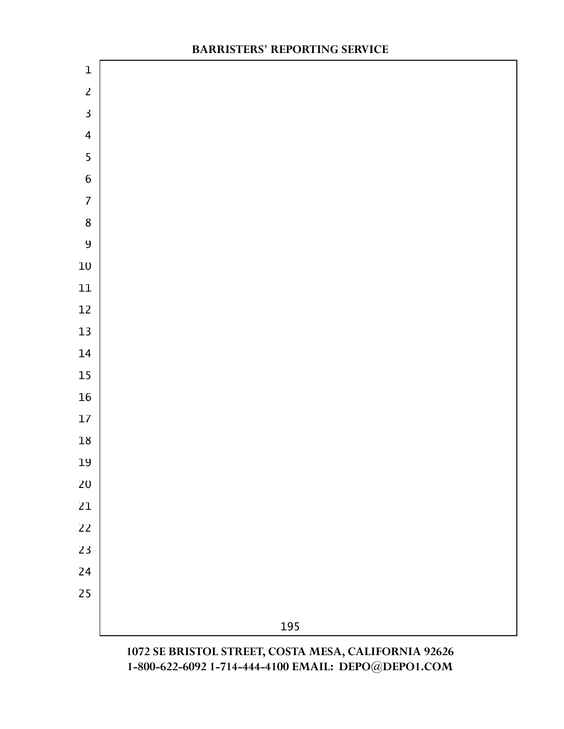

1072 SE BRISTOL STREET, COSTA MESA, CALIFORNIA 92626 1-800-622-6092 1-714-444-4100 EMAIL: DEPO@DEPO1.COM